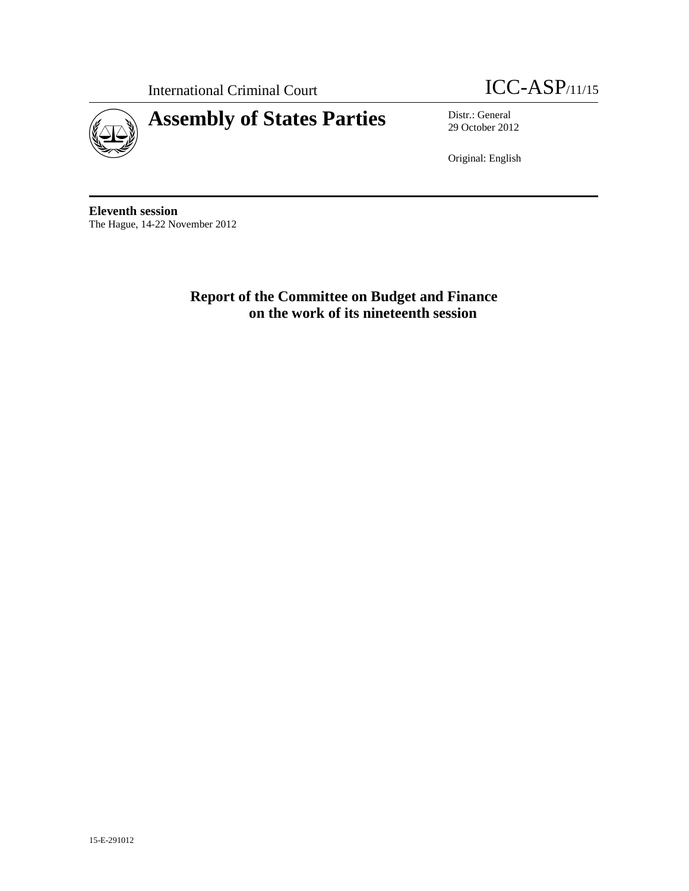

International Criminal Court **ICC-ASP**/11/15

29 October 2012

Original: English

**Eleventh session**  The Hague, 14-22 November 2012

> **Report of the Committee on Budget and Finance on the work of its nineteenth session**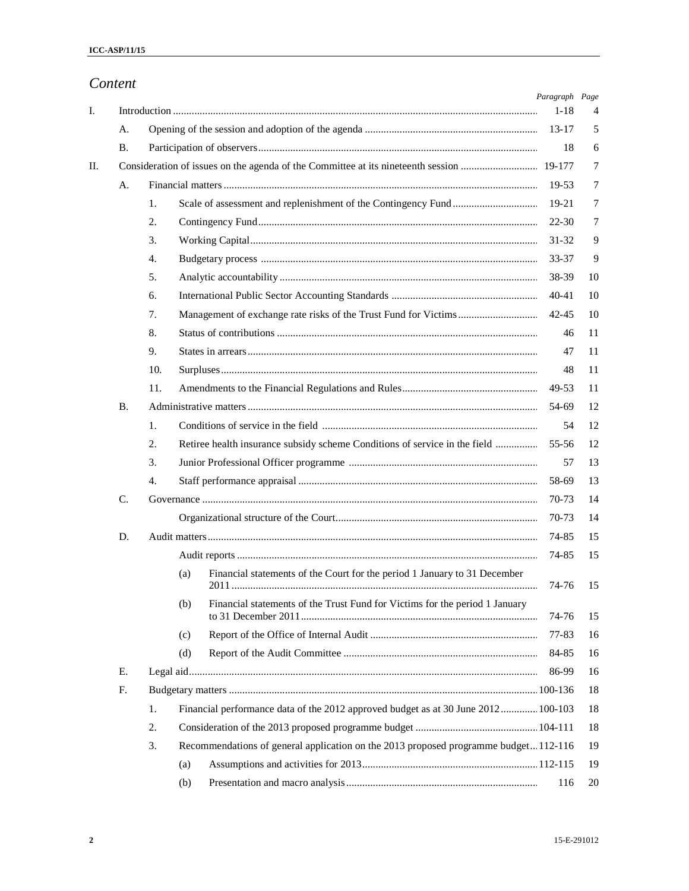|    | Content |     |                                                                                     |                            |    |
|----|---------|-----|-------------------------------------------------------------------------------------|----------------------------|----|
| I. |         |     |                                                                                     | Paragraph Page<br>$1 - 18$ | 4  |
|    | А.      |     |                                                                                     | $13 - 17$                  | 5  |
|    | В.      |     |                                                                                     | 18                         | 6  |
| П. |         |     |                                                                                     |                            | 7  |
|    | А.      |     |                                                                                     | 19-53                      | 7  |
|    |         | 1.  |                                                                                     | 19-21                      | 7  |
|    |         | 2.  |                                                                                     | $22 - 30$                  | 7  |
|    |         | 3.  |                                                                                     | 31-32                      | 9  |
|    |         | 4.  |                                                                                     | 33-37                      | 9  |
|    |         | 5.  |                                                                                     | 38-39                      | 10 |
|    |         | 6.  |                                                                                     | $40 - 41$                  | 10 |
|    |         | 7.  |                                                                                     | $42 - 45$                  | 10 |
|    |         | 8.  |                                                                                     | 46                         | 11 |
|    |         | 9.  |                                                                                     | 47                         | 11 |
|    |         | 10. |                                                                                     | 48                         | 11 |
|    |         | 11. |                                                                                     | 49-53                      | 11 |
|    | B.      |     |                                                                                     | 54-69                      | 12 |
|    |         | 1.  |                                                                                     | 54                         | 12 |
|    |         | 2.  | Retiree health insurance subsidy scheme Conditions of service in the field          | 55-56                      | 12 |
|    |         | 3.  |                                                                                     | 57                         | 13 |
|    |         | 4.  |                                                                                     | 58-69                      | 13 |
|    | C.      |     |                                                                                     | 70-73                      | 14 |
|    |         |     |                                                                                     | 70-73                      | 14 |
|    | D.      |     |                                                                                     | 74-85                      | 15 |
|    |         |     |                                                                                     | 74-85                      | 15 |
|    |         |     | Financial statements of the Court for the period 1 January to 31 December<br>(a)    | 74-76                      | 15 |
|    |         |     | (b)<br>Financial statements of the Trust Fund for Victims for the period 1 January  | 74-76                      | 15 |
|    |         |     | (c)                                                                                 | 77-83                      | 16 |
|    |         |     | (d)                                                                                 | 84-85                      | 16 |
|    | Е.      |     |                                                                                     | 86-99                      | 16 |
|    | F.      |     |                                                                                     |                            | 18 |
|    |         | 1.  | Financial performance data of the 2012 approved budget as at 30 June 2012 100-103   |                            | 18 |
|    |         | 2.  |                                                                                     |                            | 18 |
|    |         | 3.  | Recommendations of general application on the 2013 proposed programme budget112-116 |                            | 19 |
|    |         |     | (a)                                                                                 |                            | 19 |
|    |         |     | (b)                                                                                 | 116                        | 20 |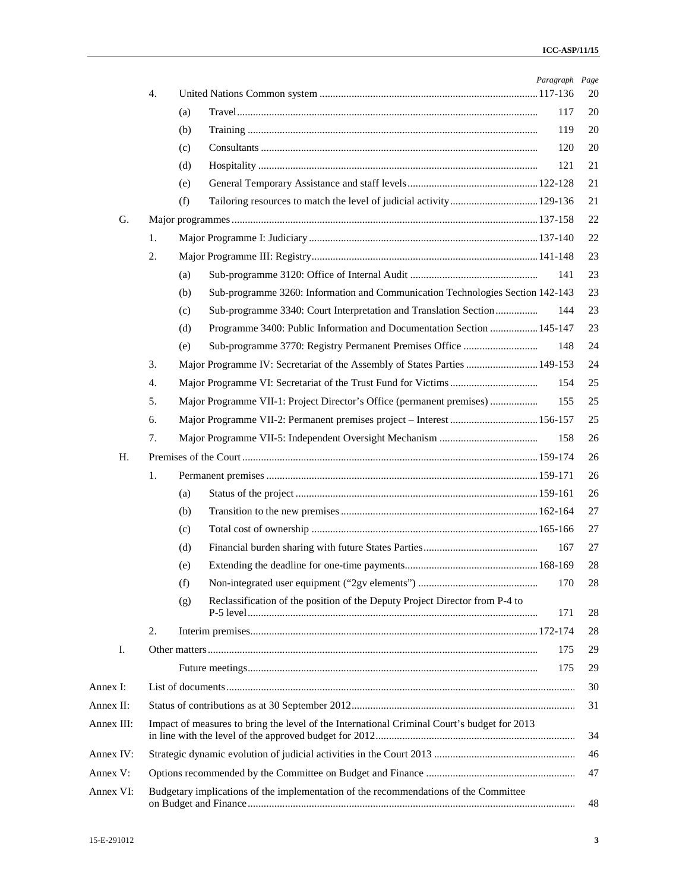|            |    |                                                                                             | Paragraph Page |    |
|------------|----|---------------------------------------------------------------------------------------------|----------------|----|
|            | 4. |                                                                                             |                | 20 |
|            |    | (a)                                                                                         | 117            | 20 |
|            |    | (b)                                                                                         | 119            | 20 |
|            |    | (c)                                                                                         | 120            | 20 |
|            |    | (d)                                                                                         | 121            | 21 |
|            |    | (e)                                                                                         |                | 21 |
|            |    | (f)                                                                                         |                | 21 |
| G.         |    |                                                                                             |                | 22 |
|            | 1. |                                                                                             |                | 22 |
|            | 2. |                                                                                             |                | 23 |
|            |    | (a)                                                                                         | 141            | 23 |
|            |    | Sub-programme 3260: Information and Communication Technologies Section 142-143<br>(b)       |                | 23 |
|            |    | Sub-programme 3340: Court Interpretation and Translation Section<br>(c)                     | 144            | 23 |
|            |    | Programme 3400: Public Information and Documentation Section  145-147<br>(d)                |                | 23 |
|            |    | (e)                                                                                         | 148            | 24 |
|            | 3. | Major Programme IV: Secretariat of the Assembly of States Parties  149-153                  |                | 24 |
|            | 4. |                                                                                             | 154            | 25 |
|            | 5. | Major Programme VII-1: Project Director's Office (permanent premises)                       | 155            | 25 |
|            | 6. | Major Programme VII-2: Permanent premises project - Interest  156-157                       |                | 25 |
|            | 7. |                                                                                             | 158            | 26 |
| Η.         |    |                                                                                             |                | 26 |
|            | 1. |                                                                                             |                | 26 |
|            |    | (a)                                                                                         |                | 26 |
|            |    | (b)                                                                                         |                | 27 |
|            |    | (c)                                                                                         |                | 27 |
|            |    | (d)                                                                                         | 167            | 27 |
|            |    | (e)                                                                                         |                | 28 |
|            |    | (f)                                                                                         | 170            | 28 |
|            |    | Reclassification of the position of the Deputy Project Director from P-4 to<br>(g)          |                |    |
|            |    |                                                                                             | 171            | 28 |
|            | 2. |                                                                                             |                | 28 |
| Ι.         |    |                                                                                             | 175            | 29 |
|            |    |                                                                                             | 175            | 29 |
| Annex I:   |    |                                                                                             |                | 30 |
| Annex II:  |    |                                                                                             |                | 31 |
| Annex III: |    | Impact of measures to bring the level of the International Criminal Court's budget for 2013 |                | 34 |
| Annex IV:  |    |                                                                                             |                | 46 |
| Annex V:   |    |                                                                                             |                | 47 |
| Annex VI:  |    | Budgetary implications of the implementation of the recommendations of the Committee        |                | 48 |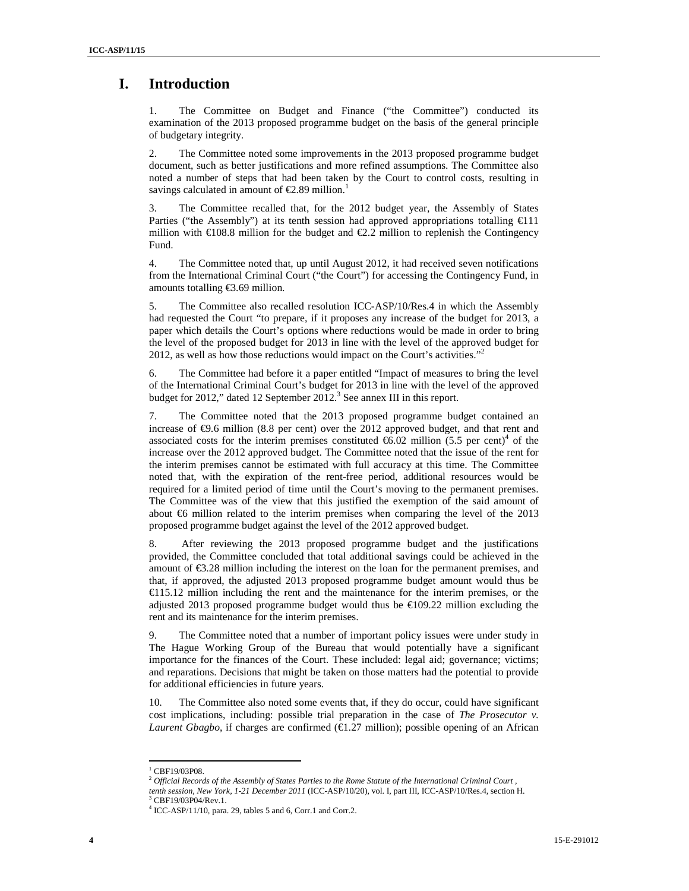## **I. Introduction**

1. The Committee on Budget and Finance ("the Committee") conducted its examination of the 2013 proposed programme budget on the basis of the general principle of budgetary integrity.

2. The Committee noted some improvements in the 2013 proposed programme budget document, such as better justifications and more refined assumptions. The Committee also noted a number of steps that had been taken by the Court to control costs, resulting in savings calculated in amount of  $\epsilon$ 2.89 million.<sup>1</sup>

3. The Committee recalled that, for the 2012 budget year, the Assembly of States Parties ("the Assembly") at its tenth session had approved appropriations totalling €111 million with  $\epsilon$ 108.8 million for the budget and  $\epsilon$ 2.2 million to replenish the Contingency Fund.

4. The Committee noted that, up until August 2012, it had received seven notifications from the International Criminal Court ("the Court") for accessing the Contingency Fund, in amounts totalling €3.69 million.

5. The Committee also recalled resolution ICC-ASP/10/Res.4 in which the Assembly had requested the Court "to prepare, if it proposes any increase of the budget for 2013, a paper which details the Court's options where reductions would be made in order to bring the level of the proposed budget for 2013 in line with the level of the approved budget for 2012, as well as how those reductions would impact on the Court's activities."<sup>2</sup>

6. The Committee had before it a paper entitled "Impact of measures to bring the level of the International Criminal Court's budget for 2013 in line with the level of the approved budget for 2012," dated 12 September 2012.<sup>3</sup> See annex III in this report.

7. The Committee noted that the 2013 proposed programme budget contained an increase of €9.6 million (8.8 per cent) over the 2012 approved budget, and that rent and associated costs for the interim premises constituted  $\epsilon$ 6.02 million (5.5 per cent)<sup>4</sup> of the increase over the 2012 approved budget. The Committee noted that the issue of the rent for the interim premises cannot be estimated with full accuracy at this time. The Committee noted that, with the expiration of the rent-free period, additional resources would be required for a limited period of time until the Court's moving to the permanent premises. The Committee was of the view that this justified the exemption of the said amount of about  $\epsilon$ 6 million related to the interim premises when comparing the level of the 2013 proposed programme budget against the level of the 2012 approved budget.

8. After reviewing the 2013 proposed programme budget and the justifications provided, the Committee concluded that total additional savings could be achieved in the amount of €3.28 million including the interest on the loan for the permanent premises, and that, if approved, the adjusted 2013 proposed programme budget amount would thus be €115.12 million including the rent and the maintenance for the interim premises, or the adjusted 2013 proposed programme budget would thus be €109.22 million excluding the rent and its maintenance for the interim premises.

9. The Committee noted that a number of important policy issues were under study in The Hague Working Group of the Bureau that would potentially have a significant importance for the finances of the Court. These included: legal aid; governance; victims; and reparations. Decisions that might be taken on those matters had the potential to provide for additional efficiencies in future years.

10. The Committee also noted some events that, if they do occur, could have significant cost implications, including: possible trial preparation in the case of *The Prosecutor v. Laurent Gbagbo*, if charges are confirmed  $(\text{€}1.27 \text{ million})$ ; possible opening of an African

<sup>&</sup>lt;sup>1</sup> CBF19/03P08.

<sup>2</sup> *Official Records of the Assembly of States Parties to the Rome Statute of the International Criminal Court , tenth session, New York, 1-21 December 2011* (ICC-ASP/10/20), vol. I, part III, ICC-ASP/10/Res.4, section H. 3 CBF19/03P04/Rev.1.

<sup>4</sup> ICC-ASP/11/10, para. 29, tables 5 and 6, Corr.1 and Corr.2.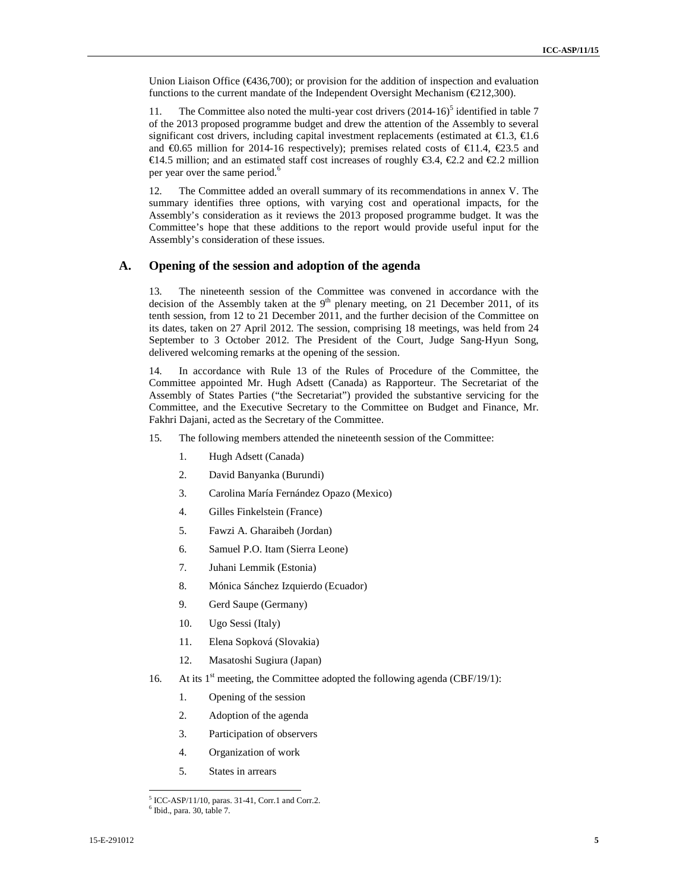Union Liaison Office ( $\epsilon$ 436,700); or provision for the addition of inspection and evaluation functions to the current mandate of the Independent Oversight Mechanism (€212,300).

11. The Committee also noted the multi-year cost drivers  $(2014-16)^5$  identified in table 7 of the 2013 proposed programme budget and drew the attention of the Assembly to several significant cost drivers, including capital investment replacements (estimated at  $\epsilon$ 1.3,  $\epsilon$ 1.6 and  $\epsilon$ 0.65 million for 2014-16 respectively); premises related costs of  $\epsilon$ 11.4,  $\epsilon$ 23.5 and €14.5 million; and an estimated staff cost increases of roughly €3.4, €2.2 and €2.2 million per year over the same period.<sup>6</sup>

12. The Committee added an overall summary of its recommendations in annex V. The summary identifies three options, with varying cost and operational impacts, for the Assembly's consideration as it reviews the 2013 proposed programme budget. It was the Committee's hope that these additions to the report would provide useful input for the Assembly's consideration of these issues.

### **A. Opening of the session and adoption of the agenda**

13. The nineteenth session of the Committee was convened in accordance with the decision of the Assembly taken at the  $9<sup>th</sup>$  plenary meeting, on 21 December 2011, of its tenth session, from 12 to 21 December 2011, and the further decision of the Committee on its dates, taken on 27 April 2012. The session, comprising 18 meetings, was held from 24 September to 3 October 2012. The President of the Court, Judge Sang-Hyun Song, delivered welcoming remarks at the opening of the session.

14. In accordance with Rule 13 of the Rules of Procedure of the Committee, the Committee appointed Mr. Hugh Adsett (Canada) as Rapporteur. The Secretariat of the Assembly of States Parties ("the Secretariat") provided the substantive servicing for the Committee, and the Executive Secretary to the Committee on Budget and Finance, Mr. Fakhri Dajani, acted as the Secretary of the Committee.

- 15. The following members attended the nineteenth session of the Committee:
	- 1. Hugh Adsett (Canada)
	- 2. David Banyanka (Burundi)
	- 3. Carolina María Fernández Opazo (Mexico)
	- 4. Gilles Finkelstein (France)
	- 5. Fawzi A. Gharaibeh (Jordan)
	- 6. Samuel P.O. Itam (Sierra Leone)
	- 7. Juhani Lemmik (Estonia)
	- 8. Mónica Sánchez Izquierdo (Ecuador)
	- 9. Gerd Saupe (Germany)
	- 10. Ugo Sessi (Italy)
	- 11. Elena Sopková (Slovakia)
	- 12. Masatoshi Sugiura (Japan)
- 16. At its  $1<sup>st</sup>$  meeting, the Committee adopted the following agenda (CBF/19/1):
	- 1. Opening of the session
	- 2. Adoption of the agenda
	- 3. Participation of observers
	- 4. Organization of work
	- 5. States in arrears

<sup>5</sup> ICC-ASP/11/10, paras. 31-41, Corr.1 and Corr.2.

 $<sup>6</sup>$  Ibid., para. 30, table 7.</sup>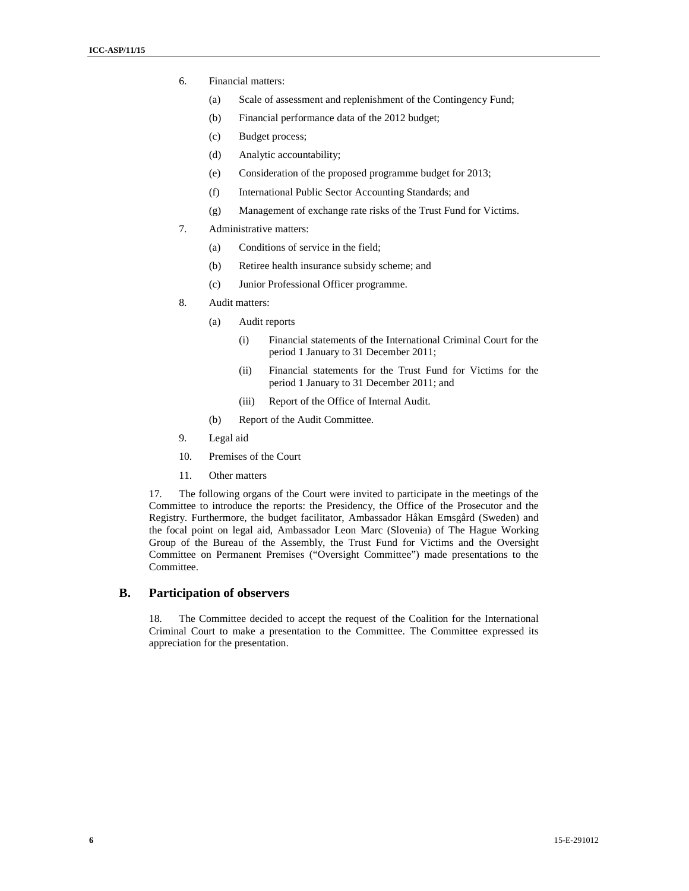- 6. Financial matters:
	- (a) Scale of assessment and replenishment of the Contingency Fund;
	- (b) Financial performance data of the 2012 budget;
	- (c) Budget process;
	- (d) Analytic accountability;
	- (e) Consideration of the proposed programme budget for 2013;
	- (f) International Public Sector Accounting Standards; and
	- (g) Management of exchange rate risks of the Trust Fund for Victims.
- 7. Administrative matters:
	- (a) Conditions of service in the field;
	- (b) Retiree health insurance subsidy scheme; and
	- (c) Junior Professional Officer programme.
- 8. Audit matters:
	- (a) Audit reports
		- (i) Financial statements of the International Criminal Court for the period 1 January to 31 December 2011;
		- (ii) Financial statements for the Trust Fund for Victims for the period 1 January to 31 December 2011; and
		- (iii) Report of the Office of Internal Audit.
	- (b) Report of the Audit Committee.
- 9. Legal aid
- 10. Premises of the Court
- 11. Other matters

17. The following organs of the Court were invited to participate in the meetings of the Committee to introduce the reports: the Presidency, the Office of the Prosecutor and the Registry. Furthermore, the budget facilitator, Ambassador Håkan Emsgård (Sweden) and the focal point on legal aid, Ambassador Leon Marc (Slovenia) of The Hague Working Group of the Bureau of the Assembly, the Trust Fund for Victims and the Oversight Committee on Permanent Premises ("Oversight Committee") made presentations to the Committee.

### **B. Participation of observers**

18. The Committee decided to accept the request of the Coalition for the International Criminal Court to make a presentation to the Committee. The Committee expressed its appreciation for the presentation.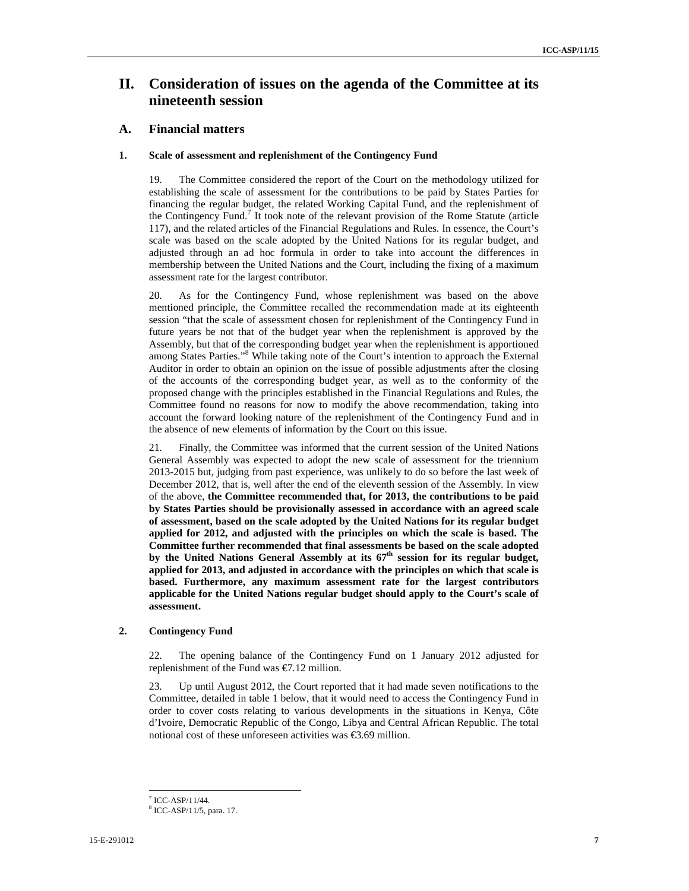## **II. Consideration of issues on the agenda of the Committee at its nineteenth session**

### **A. Financial matters**

### **1. Scale of assessment and replenishment of the Contingency Fund**

19. The Committee considered the report of the Court on the methodology utilized for establishing the scale of assessment for the contributions to be paid by States Parties for financing the regular budget, the related Working Capital Fund, and the replenishment of the Contingency Fund.<sup>7</sup> It took note of the relevant provision of the Rome Statute (article 117), and the related articles of the Financial Regulations and Rules. In essence, the Court's scale was based on the scale adopted by the United Nations for its regular budget, and adjusted through an ad hoc formula in order to take into account the differences in membership between the United Nations and the Court, including the fixing of a maximum assessment rate for the largest contributor.

20. As for the Contingency Fund, whose replenishment was based on the above mentioned principle, the Committee recalled the recommendation made at its eighteenth session "that the scale of assessment chosen for replenishment of the Contingency Fund in future years be not that of the budget year when the replenishment is approved by the Assembly, but that of the corresponding budget year when the replenishment is apportioned among States Parties."<sup>8</sup> While taking note of the Court's intention to approach the External Auditor in order to obtain an opinion on the issue of possible adjustments after the closing of the accounts of the corresponding budget year, as well as to the conformity of the proposed change with the principles established in the Financial Regulations and Rules, the Committee found no reasons for now to modify the above recommendation, taking into account the forward looking nature of the replenishment of the Contingency Fund and in the absence of new elements of information by the Court on this issue.

21. Finally, the Committee was informed that the current session of the United Nations General Assembly was expected to adopt the new scale of assessment for the triennium 2013-2015 but, judging from past experience, was unlikely to do so before the last week of December 2012, that is, well after the end of the eleventh session of the Assembly. In view of the above, **the Committee recommended that, for 2013, the contributions to be paid by States Parties should be provisionally assessed in accordance with an agreed scale of assessment, based on the scale adopted by the United Nations for its regular budget applied for 2012, and adjusted with the principles on which the scale is based. The Committee further recommended that final assessments be based on the scale adopted by the United Nations General Assembly at its 67th session for its regular budget, applied for 2013, and adjusted in accordance with the principles on which that scale is based. Furthermore, any maximum assessment rate for the largest contributors applicable for the United Nations regular budget should apply to the Court's scale of assessment.** 

### **2. Contingency Fund**

22. The opening balance of the Contingency Fund on 1 January 2012 adjusted for replenishment of the Fund was €7.12 million.

23. Up until August 2012, the Court reported that it had made seven notifications to the Committee, detailed in table 1 below, that it would need to access the Contingency Fund in order to cover costs relating to various developments in the situations in Kenya, Côte d'Ivoire, Democratic Republic of the Congo, Libya and Central African Republic. The total notional cost of these unforeseen activities was  $\epsilon$ 369 million.

 $7$  ICC-ASP/11/44.

<sup>8</sup> ICC-ASP/11/5, para. 17.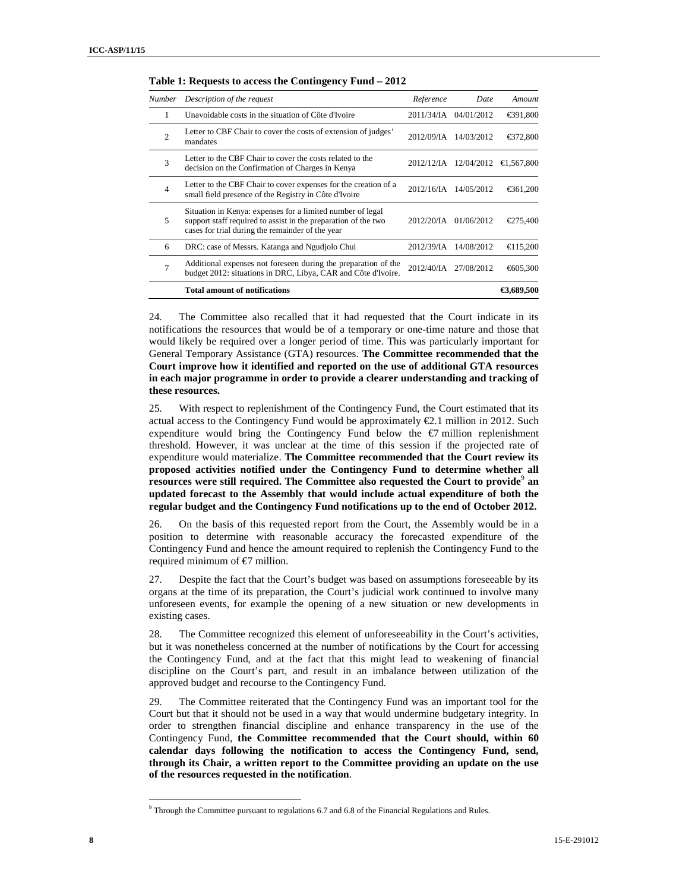| Number         | Description of the request                                                                                                                                                       | Reference           | Date       | Amount     |
|----------------|----------------------------------------------------------------------------------------------------------------------------------------------------------------------------------|---------------------|------------|------------|
| 1              | Unavoidable costs in the situation of Côte d'Ivoire                                                                                                                              | 2011/34/IA          | 04/01/2012 | €391,800   |
| $\mathfrak{D}$ | Letter to CBF Chair to cover the costs of extension of judges'<br>mandates                                                                                                       | 2012/09/IA          | 14/03/2012 | €372,800   |
| 3              | Letter to the CBF Chair to cover the costs related to the<br>decision on the Confirmation of Charges in Kenya                                                                    | 2012/12/IA          | 12/04/2012 | €1.567.800 |
| $\overline{4}$ | Letter to the CBF Chair to cover expenses for the creation of a<br>small field presence of the Registry in Côte d'Ivoire                                                         | $2012/16/\text{IA}$ | 14/05/2012 | €361,200   |
| 5              | Situation in Kenya: expenses for a limited number of legal<br>support staff required to assist in the preparation of the two<br>cases for trial during the remainder of the year | 2012/20/JA          | 01/06/2012 | €275,400   |
| 6              | DRC: case of Messrs. Katanga and Ngudjolo Chui                                                                                                                                   | 2012/39/IA          | 14/08/2012 | €115,200   |
| 7              | Additional expenses not foreseen during the preparation of the<br>budget 2012: situations in DRC, Libya, CAR and Côte d'Ivoire.                                                  | 2012/40/JA          | 27/08/2012 | €605,300   |
|                | <b>Total amount of notifications</b>                                                                                                                                             |                     |            | €3.689500  |

**Table 1: Requests to access the Contingency Fund – 2012** 

24. The Committee also recalled that it had requested that the Court indicate in its notifications the resources that would be of a temporary or one-time nature and those that would likely be required over a longer period of time. This was particularly important for General Temporary Assistance (GTA) resources. **The Committee recommended that the Court improve how it identified and reported on the use of additional GTA resources in each major programme in order to provide a clearer understanding and tracking of these resources.** 

25. With respect to replenishment of the Contingency Fund, the Court estimated that its actual access to the Contingency Fund would be approximately €2.1 million in 2012. Such expenditure would bring the Contingency Fund below the  $\epsilon$ 7 million replenishment threshold. However, it was unclear at the time of this session if the projected rate of expenditure would materialize. **The Committee recommended that the Court review its proposed activities notified under the Contingency Fund to determine whether all**  resources were still required. The Committee also requested the Court to provide<sup>9</sup> an **updated forecast to the Assembly that would include actual expenditure of both the regular budget and the Contingency Fund notifications up to the end of October 2012.**

26. On the basis of this requested report from the Court, the Assembly would be in a position to determine with reasonable accuracy the forecasted expenditure of the Contingency Fund and hence the amount required to replenish the Contingency Fund to the required minimum of €7 million.

27. Despite the fact that the Court's budget was based on assumptions foreseeable by its organs at the time of its preparation, the Court's judicial work continued to involve many unforeseen events, for example the opening of a new situation or new developments in existing cases.

28. The Committee recognized this element of unforeseeability in the Court's activities, but it was nonetheless concerned at the number of notifications by the Court for accessing the Contingency Fund, and at the fact that this might lead to weakening of financial discipline on the Court's part, and result in an imbalance between utilization of the approved budget and recourse to the Contingency Fund.

29. The Committee reiterated that the Contingency Fund was an important tool for the Court but that it should not be used in a way that would undermine budgetary integrity. In order to strengthen financial discipline and enhance transparency in the use of the Contingency Fund, **the Committee recommended that the Court should, within 60 calendar days following the notification to access the Contingency Fund, send, through its Chair, a written report to the Committee providing an update on the use of the resources requested in the notification**.

 $9$  Through the Committee pursuant to regulations 6.7 and 6.8 of the Financial Regulations and Rules.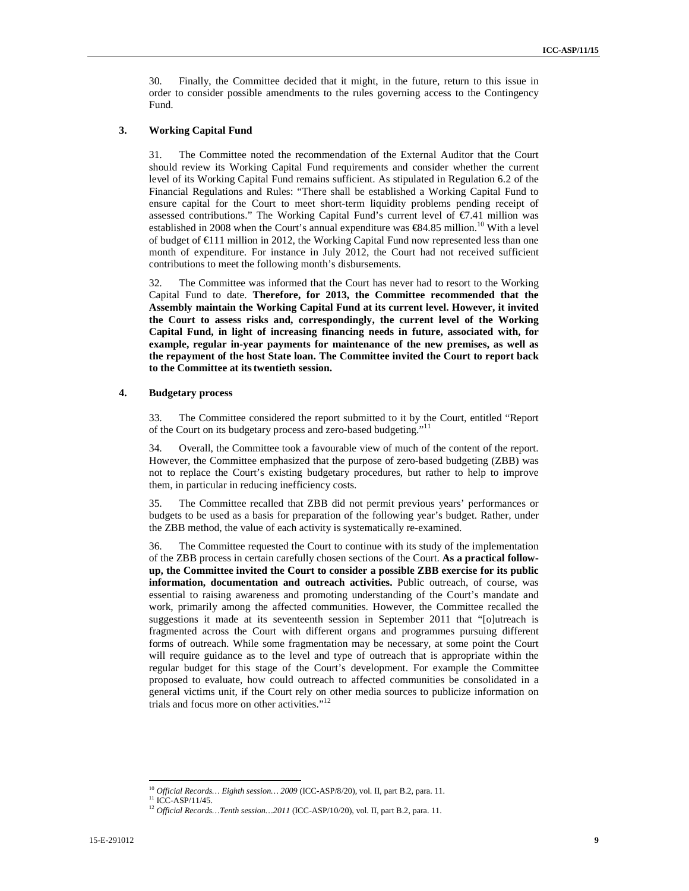30. Finally, the Committee decided that it might, in the future, return to this issue in order to consider possible amendments to the rules governing access to the Contingency Fund.

### **3. Working Capital Fund**

31. The Committee noted the recommendation of the External Auditor that the Court should review its Working Capital Fund requirements and consider whether the current level of its Working Capital Fund remains sufficient. As stipulated in Regulation 6.2 of the Financial Regulations and Rules: "There shall be established a Working Capital Fund to ensure capital for the Court to meet short-term liquidity problems pending receipt of assessed contributions." The Working Capital Fund's current level of €7.41 million was established in 2008 when the Court's annual expenditure was  $\epsilon$ 84.85 million.<sup>10</sup> With a level of budget of €111 million in 2012, the Working Capital Fund now represented less than one month of expenditure. For instance in July 2012, the Court had not received sufficient contributions to meet the following month's disbursements.

32. The Committee was informed that the Court has never had to resort to the Working Capital Fund to date. **Therefore, for 2013, the Committee recommended that the Assembly maintain the Working Capital Fund at its current level. However, it invited the Court to assess risks and, correspondingly, the current level of the Working Capital Fund, in light of increasing financing needs in future, associated with, for example, regular in-year payments for maintenance of the new premises, as well as the repayment of the host State loan. The Committee invited the Court to report back to the Committee at itstwentieth session.** 

### **4. Budgetary process**

33. The Committee considered the report submitted to it by the Court, entitled "Report of the Court on its budgetary process and zero-based budgeting."<sup>11</sup>

34. Overall, the Committee took a favourable view of much of the content of the report. However, the Committee emphasized that the purpose of zero-based budgeting (ZBB) was not to replace the Court's existing budgetary procedures, but rather to help to improve them, in particular in reducing inefficiency costs.

35. The Committee recalled that ZBB did not permit previous years' performances or budgets to be used as a basis for preparation of the following year's budget. Rather, under the ZBB method, the value of each activity is systematically re-examined.

36. The Committee requested the Court to continue with its study of the implementation of the ZBB process in certain carefully chosen sections of the Court. **As a practical followup, the Committee invited the Court to consider a possible ZBB exercise for its public information, documentation and outreach activities.** Public outreach, of course, was essential to raising awareness and promoting understanding of the Court's mandate and work, primarily among the affected communities. However, the Committee recalled the suggestions it made at its seventeenth session in September 2011 that "[o]utreach is fragmented across the Court with different organs and programmes pursuing different forms of outreach. While some fragmentation may be necessary, at some point the Court will require guidance as to the level and type of outreach that is appropriate within the regular budget for this stage of the Court's development. For example the Committee proposed to evaluate, how could outreach to affected communities be consolidated in a general victims unit, if the Court rely on other media sources to publicize information on trials and focus more on other activities."<sup>12</sup>

<sup>10</sup> *Official Records… Eighth session… 2009* (ICC-ASP/8/20), vol. II, part B.2, para. 11.

 $11$  ICC-ASP/11/45.

<sup>12</sup> *Official Records…Tenth session…2011* (ICC-ASP/10/20), vol. II, part B.2, para. 11.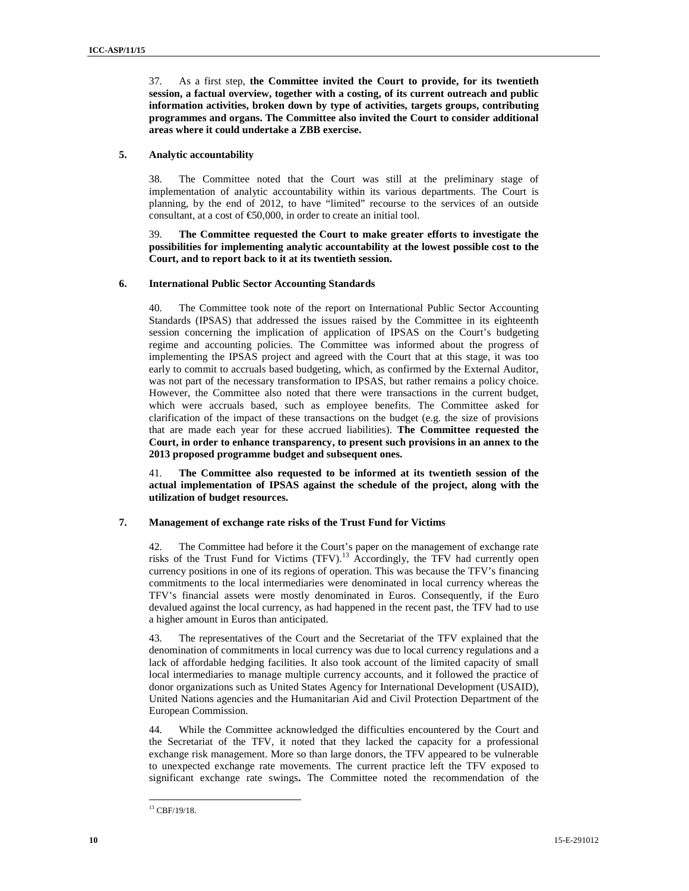37. As a first step, **the Committee invited the Court to provide, for its twentieth session, a factual overview, together with a costing, of its current outreach and public information activities, broken down by type of activities, targets groups, contributing programmes and organs. The Committee also invited the Court to consider additional areas where it could undertake a ZBB exercise.** 

### **5. Analytic accountability**

38. The Committee noted that the Court was still at the preliminary stage of implementation of analytic accountability within its various departments. The Court is planning, by the end of 2012, to have "limited" recourse to the services of an outside consultant, at a cost of  $\epsilon$ 50,000, in order to create an initial tool.

39. **The Committee requested the Court to make greater efforts to investigate the possibilities for implementing analytic accountability at the lowest possible cost to the Court, and to report back to it at its twentieth session.**

### **6. International Public Sector Accounting Standards**

40. The Committee took note of the report on International Public Sector Accounting Standards (IPSAS) that addressed the issues raised by the Committee in its eighteenth session concerning the implication of application of IPSAS on the Court's budgeting regime and accounting policies. The Committee was informed about the progress of implementing the IPSAS project and agreed with the Court that at this stage, it was too early to commit to accruals based budgeting, which, as confirmed by the External Auditor, was not part of the necessary transformation to IPSAS, but rather remains a policy choice. However, the Committee also noted that there were transactions in the current budget, which were accruals based, such as employee benefits. The Committee asked for clarification of the impact of these transactions on the budget (e.g. the size of provisions that are made each year for these accrued liabilities). **The Committee requested the Court, in order to enhance transparency, to present such provisions in an annex to the 2013 proposed programme budget and subsequent ones.** 

41. **The Committee also requested to be informed at its twentieth session of the actual implementation of IPSAS against the schedule of the project, along with the utilization of budget resources.** 

### **7. Management of exchange rate risks of the Trust Fund for Victims**

42. The Committee had before it the Court's paper on the management of exchange rate risks of the Trust Fund for Victims  $(TFV)$ .<sup>13</sup> Accordingly, the TFV had currently open currency positions in one of its regions of operation. This was because the TFV's financing commitments to the local intermediaries were denominated in local currency whereas the TFV's financial assets were mostly denominated in Euros. Consequently, if the Euro devalued against the local currency, as had happened in the recent past, the TFV had to use a higher amount in Euros than anticipated.

43. The representatives of the Court and the Secretariat of the TFV explained that the denomination of commitments in local currency was due to local currency regulations and a lack of affordable hedging facilities. It also took account of the limited capacity of small local intermediaries to manage multiple currency accounts, and it followed the practice of donor organizations such as United States Agency for International Development (USAID), United Nations agencies and the Humanitarian Aid and Civil Protection Department of the European Commission.

44. While the Committee acknowledged the difficulties encountered by the Court and the Secretariat of the TFV, it noted that they lacked the capacity for a professional exchange risk management. More so than large donors, the TFV appeared to be vulnerable to unexpected exchange rate movements. The current practice left the TFV exposed to significant exchange rate swings**.** The Committee noted the recommendation of the

<sup>&</sup>lt;sup>13</sup> CBF/19/18.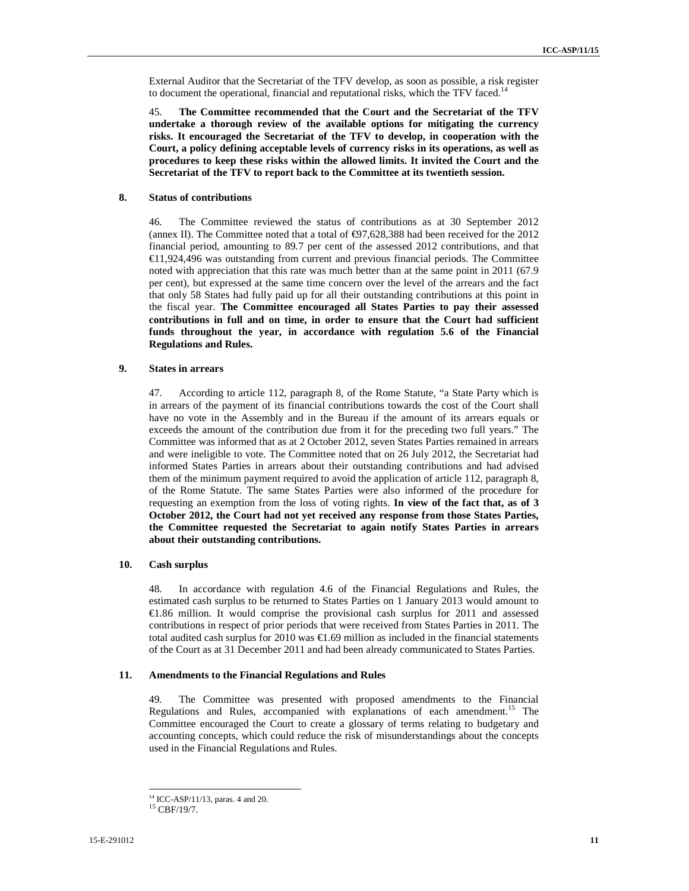External Auditor that the Secretariat of the TFV develop, as soon as possible, a risk register to document the operational, financial and reputational risks, which the TFV faced.<sup>14</sup>

45. **The Committee recommended that the Court and the Secretariat of the TFV undertake a thorough review of the available options for mitigating the currency risks. It encouraged the Secretariat of the TFV to develop, in cooperation with the Court, a policy defining acceptable levels of currency risks in its operations, as well as procedures to keep these risks within the allowed limits. It invited the Court and the Secretariat of the TFV to report back to the Committee at its twentieth session.** 

### **8. Status of contributions**

46. The Committee reviewed the status of contributions as at 30 September 2012 (annex II). The Committee noted that a total of  $\epsilon$ 97,628,388 had been received for the 2012 financial period, amounting to 89.7 per cent of the assessed 2012 contributions, and that €11,924,496 was outstanding from current and previous financial periods. The Committee noted with appreciation that this rate was much better than at the same point in 2011 (67.9 per cent), but expressed at the same time concern over the level of the arrears and the fact that only 58 States had fully paid up for all their outstanding contributions at this point in the fiscal year. **The Committee encouraged all States Parties to pay their assessed contributions in full and on time, in order to ensure that the Court had sufficient funds throughout the year, in accordance with regulation 5.6 of the Financial Regulations and Rules.**

### **9. States in arrears**

47. According to article 112, paragraph 8, of the Rome Statute, "a State Party which is in arrears of the payment of its financial contributions towards the cost of the Court shall have no vote in the Assembly and in the Bureau if the amount of its arrears equals or exceeds the amount of the contribution due from it for the preceding two full years." The Committee was informed that as at 2 October 2012, seven States Parties remained in arrears and were ineligible to vote. The Committee noted that on 26 July 2012, the Secretariat had informed States Parties in arrears about their outstanding contributions and had advised them of the minimum payment required to avoid the application of article 112, paragraph 8, of the Rome Statute. The same States Parties were also informed of the procedure for requesting an exemption from the loss of voting rights. **In view of the fact that, as of 3 October 2012, the Court had not yet received any response from those States Parties, the Committee requested the Secretariat to again notify States Parties in arrears about their outstanding contributions.** 

### **10. Cash surplus**

48. In accordance with regulation 4.6 of the Financial Regulations and Rules, the estimated cash surplus to be returned to States Parties on 1 January 2013 would amount to €1.86 million. It would comprise the provisional cash surplus for 2011 and assessed contributions in respect of prior periods that were received from States Parties in 2011. The total audited cash surplus for 2010 was  $\epsilon$ 1.69 million as included in the financial statements of the Court as at 31 December 2011 and had been already communicated to States Parties.

### **11. Amendments to the Financial Regulations and Rules**

49. The Committee was presented with proposed amendments to the Financial Regulations and Rules, accompanied with explanations of each amendment.<sup>15</sup> The Committee encouraged the Court to create a glossary of terms relating to budgetary and accounting concepts, which could reduce the risk of misunderstandings about the concepts used in the Financial Regulations and Rules.

<sup>14</sup> ICC-ASP/11/13, paras. 4 and 20.

<sup>15</sup> CBF/19/7.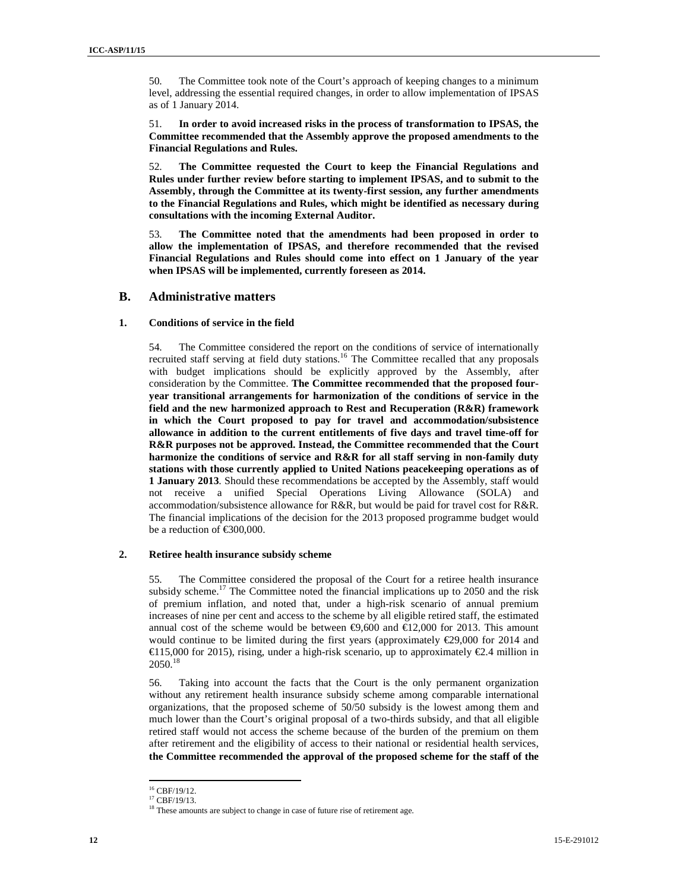50. The Committee took note of the Court's approach of keeping changes to a minimum level, addressing the essential required changes, in order to allow implementation of IPSAS as of 1 January 2014.

51. **In order to avoid increased risks in the process of transformation to IPSAS, the Committee recommended that the Assembly approve the proposed amendments to the Financial Regulations and Rules.** 

52. **The Committee requested the Court to keep the Financial Regulations and Rules under further review before starting to implement IPSAS, and to submit to the Assembly, through the Committee at its twenty-first session, any further amendments to the Financial Regulations and Rules, which might be identified as necessary during consultations with the incoming External Auditor.** 

53. **The Committee noted that the amendments had been proposed in order to allow the implementation of IPSAS, and therefore recommended that the revised Financial Regulations and Rules should come into effect on 1 January of the year when IPSAS will be implemented, currently foreseen as 2014.** 

### **B. Administrative matters**

### **1. Conditions of service in the field**

54. The Committee considered the report on the conditions of service of internationally recruited staff serving at field duty stations.<sup>16</sup> The Committee recalled that any proposals with budget implications should be explicitly approved by the Assembly, after consideration by the Committee. **The Committee recommended that the proposed fouryear transitional arrangements for harmonization of the conditions of service in the field and the new harmonized approach to Rest and Recuperation (R&R) framework in which the Court proposed to pay for travel and accommodation/subsistence allowance in addition to the current entitlements of five days and travel time-off for R&R purposes not be approved. Instead, the Committee recommended that the Court harmonize the conditions of service and R&R for all staff serving in non-family duty stations with those currently applied to United Nations peacekeeping operations as of 1 January 2013**. Should these recommendations be accepted by the Assembly, staff would not receive a unified Special Operations Living Allowance (SOLA) and accommodation/subsistence allowance for R&R, but would be paid for travel cost for R&R. The financial implications of the decision for the 2013 proposed programme budget would be a reduction of €300,000.

### **2. Retiree health insurance subsidy scheme**

55. The Committee considered the proposal of the Court for a retiree health insurance subsidy scheme.<sup>17</sup> The Committee noted the financial implications up to 2050 and the risk of premium inflation, and noted that, under a high-risk scenario of annual premium increases of nine per cent and access to the scheme by all eligible retired staff, the estimated annual cost of the scheme would be between  $\epsilon$ 9,600 and  $\epsilon$ 12,000 for 2013. This amount would continue to be limited during the first years (approximately  $\epsilon$ 29,000 for 2014 and €115,000 for 2015), rising, under a high-risk scenario, up to approximately €2.4 million in 2050.<sup>18</sup>

56. Taking into account the facts that the Court is the only permanent organization without any retirement health insurance subsidy scheme among comparable international organizations, that the proposed scheme of 50/50 subsidy is the lowest among them and much lower than the Court's original proposal of a two-thirds subsidy, and that all eligible retired staff would not access the scheme because of the burden of the premium on them after retirement and the eligibility of access to their national or residential health services, **the Committee recommended the approval of the proposed scheme for the staff of the** 

<sup>16</sup> CBF/19/12.

 $17$  CBF/19/13.

<sup>&</sup>lt;sup>18</sup> These amounts are subject to change in case of future rise of retirement age.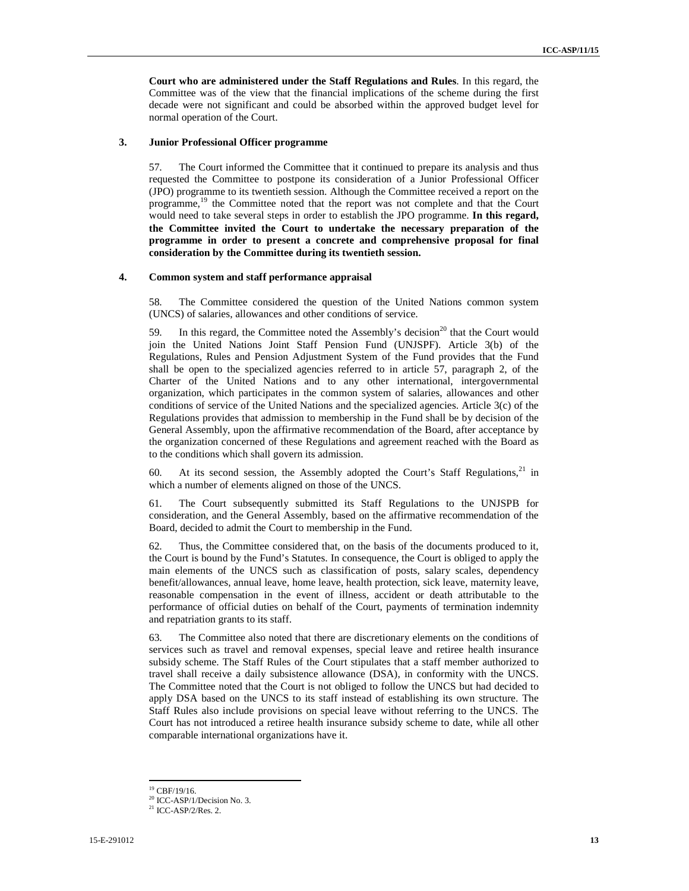**Court who are administered under the Staff Regulations and Rules**. In this regard, the Committee was of the view that the financial implications of the scheme during the first decade were not significant and could be absorbed within the approved budget level for normal operation of the Court.

### **3. Junior Professional Officer programme**

57. The Court informed the Committee that it continued to prepare its analysis and thus requested the Committee to postpone its consideration of a Junior Professional Officer (JPO) programme to its twentieth session. Although the Committee received a report on the programme,<sup>19</sup> the Committee noted that the report was not complete and that the Court would need to take several steps in order to establish the JPO programme. **In this regard, the Committee invited the Court to undertake the necessary preparation of the programme in order to present a concrete and comprehensive proposal for final consideration by the Committee during its twentieth session.**

### **4. Common system and staff performance appraisal**

58. The Committee considered the question of the United Nations common system (UNCS) of salaries, allowances and other conditions of service.

59. In this regard, the Committee noted the Assembly's decision<sup>20</sup> that the Court would join the United Nations Joint Staff Pension Fund (UNJSPF). Article 3(b) of the Regulations, Rules and Pension Adjustment System of the Fund provides that the Fund shall be open to the specialized agencies referred to in article 57, paragraph 2, of the Charter of the United Nations and to any other international, intergovernmental organization, which participates in the common system of salaries, allowances and other conditions of service of the United Nations and the specialized agencies. Article 3(c) of the Regulations provides that admission to membership in the Fund shall be by decision of the General Assembly, upon the affirmative recommendation of the Board, after acceptance by the organization concerned of these Regulations and agreement reached with the Board as to the conditions which shall govern its admission.

60. At its second session, the Assembly adopted the Court's Staff Regulations,  $2^1$  in which a number of elements aligned on those of the UNCS.

61. The Court subsequently submitted its Staff Regulations to the UNJSPB for consideration, and the General Assembly, based on the affirmative recommendation of the Board, decided to admit the Court to membership in the Fund.

62. Thus, the Committee considered that, on the basis of the documents produced to it, the Court is bound by the Fund's Statutes. In consequence, the Court is obliged to apply the main elements of the UNCS such as classification of posts, salary scales, dependency benefit/allowances, annual leave, home leave, health protection, sick leave, maternity leave, reasonable compensation in the event of illness, accident or death attributable to the performance of official duties on behalf of the Court, payments of termination indemnity and repatriation grants to its staff.

63. The Committee also noted that there are discretionary elements on the conditions of services such as travel and removal expenses, special leave and retiree health insurance subsidy scheme. The Staff Rules of the Court stipulates that a staff member authorized to travel shall receive a daily subsistence allowance (DSA), in conformity with the UNCS. The Committee noted that the Court is not obliged to follow the UNCS but had decided to apply DSA based on the UNCS to its staff instead of establishing its own structure. The Staff Rules also include provisions on special leave without referring to the UNCS. The Court has not introduced a retiree health insurance subsidy scheme to date, while all other comparable international organizations have it.

<sup>19</sup> CBF/19/16.

<sup>&</sup>lt;sup>20</sup> ICC-ASP/1/Decision No. 3.

 $21$  ICC-ASP/2/Res. 2.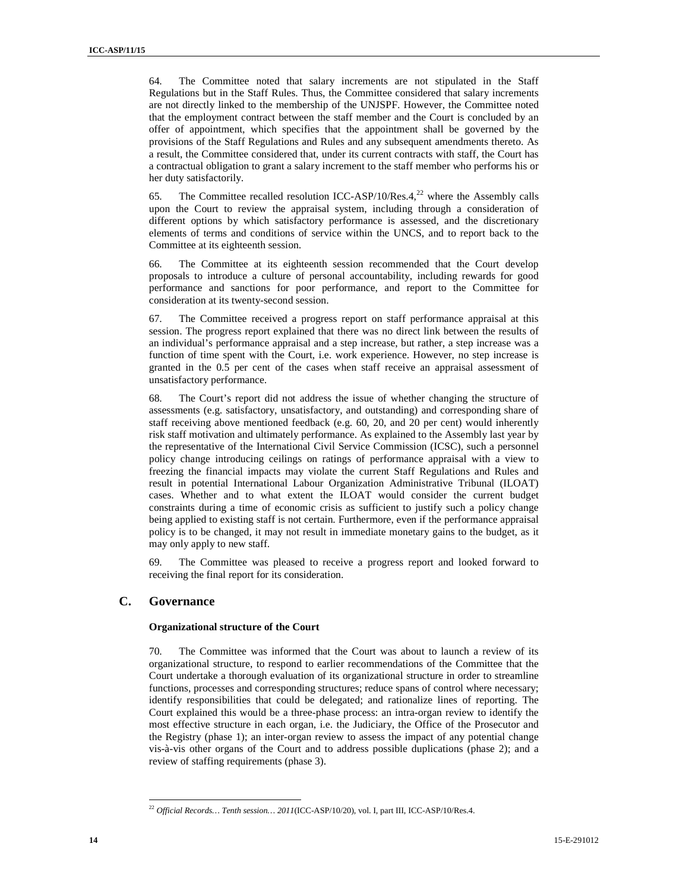64. The Committee noted that salary increments are not stipulated in the Staff Regulations but in the Staff Rules. Thus, the Committee considered that salary increments are not directly linked to the membership of the UNJSPF. However, the Committee noted that the employment contract between the staff member and the Court is concluded by an offer of appointment, which specifies that the appointment shall be governed by the provisions of the Staff Regulations and Rules and any subsequent amendments thereto. As a result, the Committee considered that, under its current contracts with staff, the Court has a contractual obligation to grant a salary increment to the staff member who performs his or her duty satisfactorily.

65. The Committee recalled resolution ICC-ASP/10/Res. $4,^{22}$  where the Assembly calls upon the Court to review the appraisal system, including through a consideration of different options by which satisfactory performance is assessed, and the discretionary elements of terms and conditions of service within the UNCS, and to report back to the Committee at its eighteenth session.

66. The Committee at its eighteenth session recommended that the Court develop proposals to introduce a culture of personal accountability, including rewards for good performance and sanctions for poor performance, and report to the Committee for consideration at its twenty-second session.

67. The Committee received a progress report on staff performance appraisal at this session. The progress report explained that there was no direct link between the results of an individual's performance appraisal and a step increase, but rather, a step increase was a function of time spent with the Court, i.e. work experience. However, no step increase is granted in the 0.5 per cent of the cases when staff receive an appraisal assessment of unsatisfactory performance.

68. The Court's report did not address the issue of whether changing the structure of assessments (e.g. satisfactory, unsatisfactory, and outstanding) and corresponding share of staff receiving above mentioned feedback (e.g. 60, 20, and 20 per cent) would inherently risk staff motivation and ultimately performance. As explained to the Assembly last year by the representative of the International Civil Service Commission (ICSC), such a personnel policy change introducing ceilings on ratings of performance appraisal with a view to freezing the financial impacts may violate the current Staff Regulations and Rules and result in potential International Labour Organization Administrative Tribunal (ILOAT) cases. Whether and to what extent the ILOAT would consider the current budget constraints during a time of economic crisis as sufficient to justify such a policy change being applied to existing staff is not certain. Furthermore, even if the performance appraisal policy is to be changed, it may not result in immediate monetary gains to the budget, as it may only apply to new staff.

69. The Committee was pleased to receive a progress report and looked forward to receiving the final report for its consideration.

### **C. Governance**

 $\overline{a}$ 

### **Organizational structure of the Court**

70. The Committee was informed that the Court was about to launch a review of its organizational structure, to respond to earlier recommendations of the Committee that the Court undertake a thorough evaluation of its organizational structure in order to streamline functions, processes and corresponding structures; reduce spans of control where necessary; identify responsibilities that could be delegated; and rationalize lines of reporting. The Court explained this would be a three-phase process: an intra-organ review to identify the most effective structure in each organ, i.e. the Judiciary, the Office of the Prosecutor and the Registry (phase 1); an inter-organ review to assess the impact of any potential change vis-à-vis other organs of the Court and to address possible duplications (phase 2); and a review of staffing requirements (phase 3).

<sup>22</sup> *Official Records… Tenth session… 2011*(ICC-ASP/10/20), vol. I, part III, ICC-ASP/10/Res.4.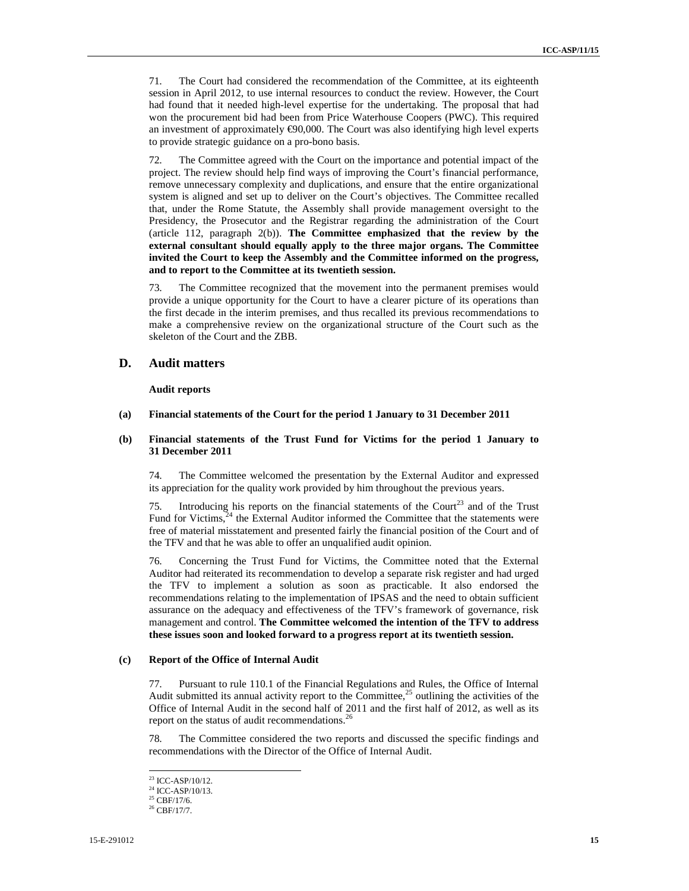71. The Court had considered the recommendation of the Committee, at its eighteenth session in April 2012, to use internal resources to conduct the review. However, the Court had found that it needed high-level expertise for the undertaking. The proposal that had won the procurement bid had been from Price Waterhouse Coopers (PWC). This required an investment of approximately €90,000. The Court was also identifying high level experts to provide strategic guidance on a pro-bono basis.

The Committee agreed with the Court on the importance and potential impact of the project. The review should help find ways of improving the Court's financial performance, remove unnecessary complexity and duplications, and ensure that the entire organizational system is aligned and set up to deliver on the Court's objectives. The Committee recalled that, under the Rome Statute, the Assembly shall provide management oversight to the Presidency, the Prosecutor and the Registrar regarding the administration of the Court (article 112, paragraph 2(b)). **The Committee emphasized that the review by the external consultant should equally apply to the three major organs. The Committee invited the Court to keep the Assembly and the Committee informed on the progress, and to report to the Committee at its twentieth session.**

73. The Committee recognized that the movement into the permanent premises would provide a unique opportunity for the Court to have a clearer picture of its operations than the first decade in the interim premises, and thus recalled its previous recommendations to make a comprehensive review on the organizational structure of the Court such as the skeleton of the Court and the ZBB.

### **D. Audit matters**

**Audit reports** 

### **(a) Financial statements of the Court for the period 1 January to 31 December 2011**

### **(b) Financial statements of the Trust Fund for Victims for the period 1 January to 31 December 2011**

74. The Committee welcomed the presentation by the External Auditor and expressed its appreciation for the quality work provided by him throughout the previous years.

75. Introducing his reports on the financial statements of the Court<sup>23</sup> and of the Trust Fund for Victims, $24$  the External Auditor informed the Committee that the statements were free of material misstatement and presented fairly the financial position of the Court and of the TFV and that he was able to offer an unqualified audit opinion.

76. Concerning the Trust Fund for Victims, the Committee noted that the External Auditor had reiterated its recommendation to develop a separate risk register and had urged the TFV to implement a solution as soon as practicable. It also endorsed the recommendations relating to the implementation of IPSAS and the need to obtain sufficient assurance on the adequacy and effectiveness of the TFV's framework of governance, risk management and control. **The Committee welcomed the intention of the TFV to address these issues soon and looked forward to a progress report at its twentieth session.**

#### **(c) Report of the Office of Internal Audit**

77. Pursuant to rule 110.1 of the Financial Regulations and Rules, the Office of Internal Audit submitted its annual activity report to the Committee, $^{25}$  outlining the activities of the Office of Internal Audit in the second half of 2011 and the first half of 2012, as well as its report on the status of audit recommendations.<sup>26</sup>

78. The Committee considered the two reports and discussed the specific findings and recommendations with the Director of the Office of Internal Audit.

<sup>23</sup> ICC-ASP/10/12.

<sup>&</sup>lt;sup>24</sup> ICC-ASP/10/13.

 $25$  CBF/17/6.

 $26$  CBF/17/7.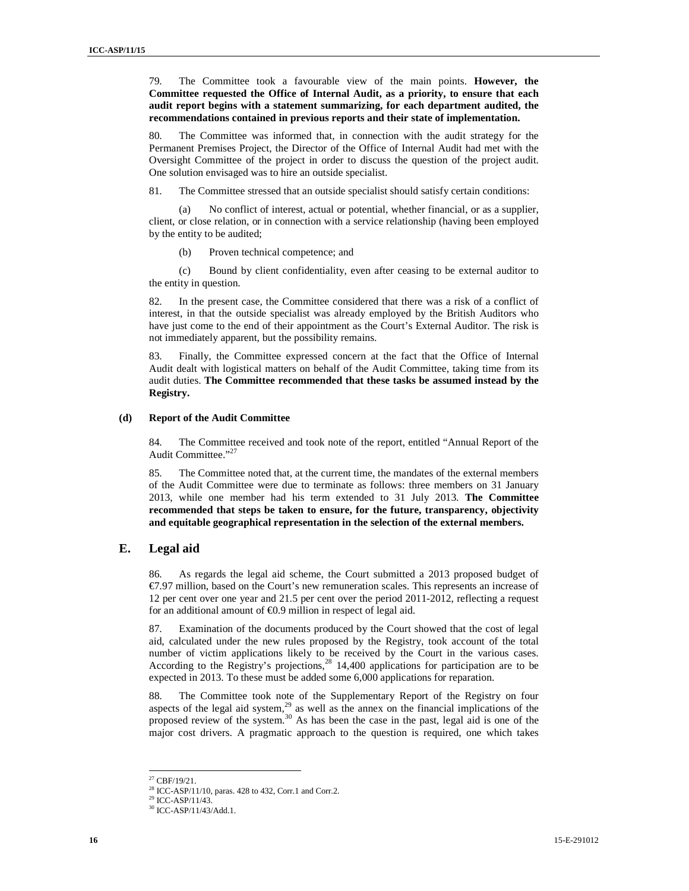79. The Committee took a favourable view of the main points. **However, the Committee requested the Office of Internal Audit, as a priority, to ensure that each audit report begins with a statement summarizing, for each department audited, the recommendations contained in previous reports and their state of implementation.**

80. The Committee was informed that, in connection with the audit strategy for the Permanent Premises Project, the Director of the Office of Internal Audit had met with the Oversight Committee of the project in order to discuss the question of the project audit. One solution envisaged was to hire an outside specialist.

81. The Committee stressed that an outside specialist should satisfy certain conditions:

(a) No conflict of interest, actual or potential, whether financial, or as a supplier, client, or close relation, or in connection with a service relationship (having been employed by the entity to be audited;

(b) Proven technical competence; and

(c) Bound by client confidentiality, even after ceasing to be external auditor to the entity in question.

82. In the present case, the Committee considered that there was a risk of a conflict of interest, in that the outside specialist was already employed by the British Auditors who have just come to the end of their appointment as the Court's External Auditor. The risk is not immediately apparent, but the possibility remains.

83. Finally, the Committee expressed concern at the fact that the Office of Internal Audit dealt with logistical matters on behalf of the Audit Committee, taking time from its audit duties. **The Committee recommended that these tasks be assumed instead by the Registry.** 

#### **(d) Report of the Audit Committee**

84. The Committee received and took note of the report, entitled "Annual Report of the Audit Committee."<sup>27</sup>

85. The Committee noted that, at the current time, the mandates of the external members of the Audit Committee were due to terminate as follows: three members on 31 January 2013, while one member had his term extended to 31 July 2013. **The Committee recommended that steps be taken to ensure, for the future, transparency, objectivity and equitable geographical representation in the selection of the external members.** 

### **E. Legal aid**

86. As regards the legal aid scheme, the Court submitted a 2013 proposed budget of €7.97 million, based on the Court's new remuneration scales. This represents an increase of 12 per cent over one year and 21.5 per cent over the period 2011-2012, reflecting a request for an additional amount of  $\epsilon 0.9$  million in respect of legal aid.

87. Examination of the documents produced by the Court showed that the cost of legal aid, calculated under the new rules proposed by the Registry, took account of the total number of victim applications likely to be received by the Court in the various cases. According to the Registry's projections,<sup>28</sup> 14,400 applications for participation are to be expected in 2013. To these must be added some 6,000 applications for reparation.

88. The Committee took note of the Supplementary Report of the Registry on four aspects of the legal aid system, $29$  as well as the annex on the financial implications of the proposed review of the system.<sup>30</sup> As has been the case in the past, legal aid is one of the major cost drivers. A pragmatic approach to the question is required, one which takes

<sup>27</sup> CBF/19/21.

<sup>28</sup> ICC-ASP/11/10, paras. 428 to 432, Corr.1 and Corr.2.

 $^{29}$  ICC-ASP/11/43.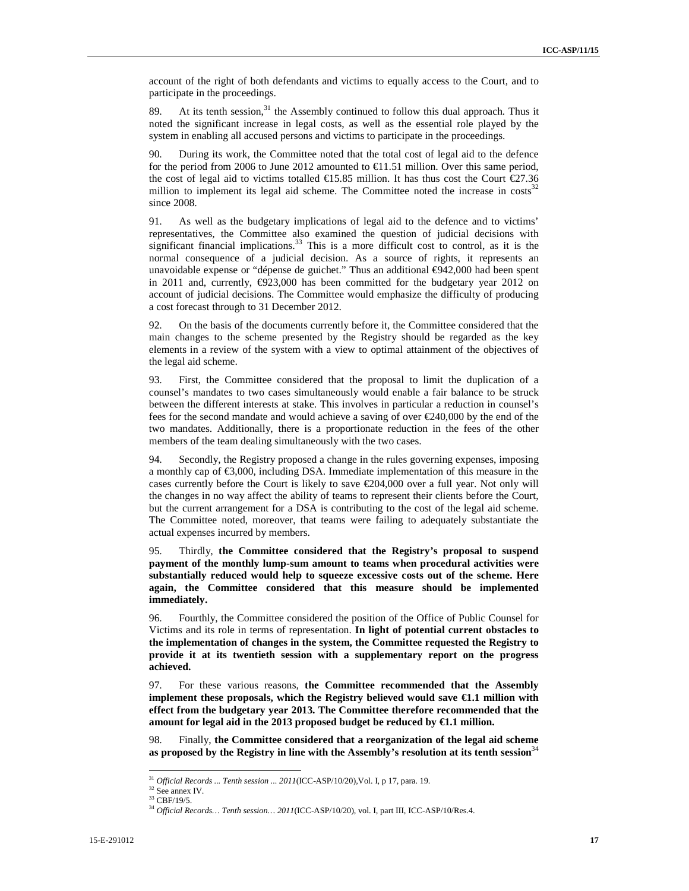account of the right of both defendants and victims to equally access to the Court, and to participate in the proceedings.

89. At its tenth session,  $31$  the Assembly continued to follow this dual approach. Thus it noted the significant increase in legal costs, as well as the essential role played by the system in enabling all accused persons and victims to participate in the proceedings.

90. During its work, the Committee noted that the total cost of legal aid to the defence for the period from 2006 to June 2012 amounted to  $\in$  1.51 million. Over this same period, the cost of legal aid to victims totalled  $\text{\textsterling}15.85$  million. It has thus cost the Court  $\text{\textsterling}27.36$ million to implement its legal aid scheme. The Committee noted the increase in costs<sup>3</sup> since 2008.

91. As well as the budgetary implications of legal aid to the defence and to victims' representatives, the Committee also examined the question of judicial decisions with significant financial implications.<sup>33</sup> This is a more difficult cost to control, as it is the normal consequence of a judicial decision. As a source of rights, it represents an unavoidable expense or "dépense de guichet." Thus an additional €942,000 had been spent in 2011 and, currently, €923,000 has been committed for the budgetary year 2012 on account of judicial decisions. The Committee would emphasize the difficulty of producing a cost forecast through to 31 December 2012.

92. On the basis of the documents currently before it, the Committee considered that the main changes to the scheme presented by the Registry should be regarded as the key elements in a review of the system with a view to optimal attainment of the objectives of the legal aid scheme.

93. First, the Committee considered that the proposal to limit the duplication of a counsel's mandates to two cases simultaneously would enable a fair balance to be struck between the different interests at stake. This involves in particular a reduction in counsel's fees for the second mandate and would achieve a saving of over €240,000 by the end of the two mandates. Additionally, there is a proportionate reduction in the fees of the other members of the team dealing simultaneously with the two cases.

94. Secondly, the Registry proposed a change in the rules governing expenses, imposing a monthly cap of  $\epsilon$ 3,000, including DSA. Immediate implementation of this measure in the cases currently before the Court is likely to save  $\epsilon$ 204,000 over a full year. Not only will the changes in no way affect the ability of teams to represent their clients before the Court, but the current arrangement for a DSA is contributing to the cost of the legal aid scheme. The Committee noted, moreover, that teams were failing to adequately substantiate the actual expenses incurred by members.

95. Thirdly, **the Committee considered that the Registry's proposal to suspend payment of the monthly lump-sum amount to teams when procedural activities were substantially reduced would help to squeeze excessive costs out of the scheme. Here again, the Committee considered that this measure should be implemented immediately.**

96. Fourthly, the Committee considered the position of the Office of Public Counsel for Victims and its role in terms of representation. **In light of potential current obstacles to the implementation of changes in the system, the Committee requested the Registry to provide it at its twentieth session with a supplementary report on the progress achieved.**

97. For these various reasons, **the Committee recommended that the Assembly implement these proposals, which the Registry believed would save €1.1 million with effect from the budgetary year 2013. The Committee therefore recommended that the amount for legal aid in the 2013 proposed budget be reduced by €1.1 million.** 

98. Finally, **the Committee considered that a reorganization of the legal aid scheme**  as proposed by the Registry in line with the Assembly's resolution at its tenth session<sup>34</sup>

<sup>31</sup> *Official Records ... Tenth session ... 2011*(ICC-ASP/10/20),Vol. I, p 17, para. 19.

<sup>32</sup> See annex IV.

 $33$  CBF/19/5.

<sup>34</sup> *Official Records… Tenth session… 2011*(ICC-ASP/10/20), vol. I, part III, ICC-ASP/10/Res.4.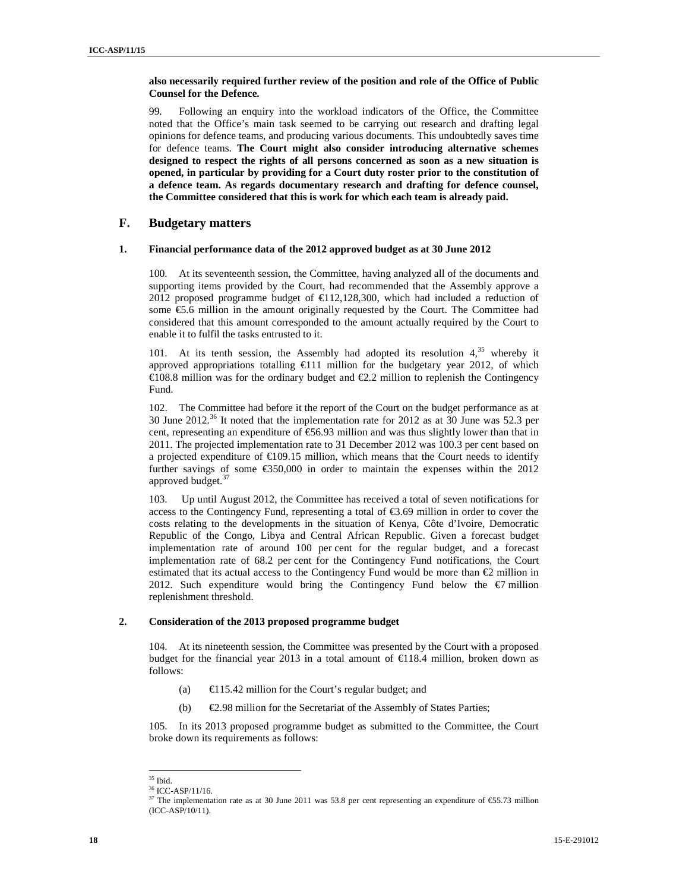### **also necessarily required further review of the position and role of the Office of Public Counsel for the Defence.**

99. Following an enquiry into the workload indicators of the Office, the Committee noted that the Office's main task seemed to be carrying out research and drafting legal opinions for defence teams, and producing various documents. This undoubtedly saves time for defence teams. **The Court might also consider introducing alternative schemes designed to respect the rights of all persons concerned as soon as a new situation is opened, in particular by providing for a Court duty roster prior to the constitution of a defence team. As regards documentary research and drafting for defence counsel, the Committee considered that this is work for which each team is already paid.**

### **F. Budgetary matters**

### **1. Financial performance data of the 2012 approved budget as at 30 June 2012**

100. At its seventeenth session, the Committee, having analyzed all of the documents and supporting items provided by the Court, had recommended that the Assembly approve a 2012 proposed programme budget of  $\epsilon$ 112,128,300, which had included a reduction of some €5.6 million in the amount originally requested by the Court. The Committee had considered that this amount corresponded to the amount actually required by the Court to enable it to fulfil the tasks entrusted to it.

101. At its tenth session, the Assembly had adopted its resolution  $4<sup>35</sup>$  whereby it approved appropriations totalling  $\epsilon$ 111 million for the budgetary year 2012, of which €108.8 million was for the ordinary budget and €2.2 million to replenish the Contingency Fund.

102. The Committee had before it the report of the Court on the budget performance as at 30 June 2012.<sup>36</sup> It noted that the implementation rate for 2012 as at 30 June was 52.3 per cent, representing an expenditure of  $\epsilon$ 56.93 million and was thus slightly lower than that in 2011. The projected implementation rate to 31 December 2012 was 100.3 per cent based on a projected expenditure of  $\epsilon$ 109.15 million, which means that the Court needs to identify further savings of some  $\epsilon$ 350,000 in order to maintain the expenses within the 2012 approved budget.<sup>3</sup>

103. Up until August 2012, the Committee has received a total of seven notifications for access to the Contingency Fund, representing a total of  $\epsilon$ 3.69 million in order to cover the costs relating to the developments in the situation of Kenya, Côte d'Ivoire, Democratic Republic of the Congo, Libya and Central African Republic. Given a forecast budget implementation rate of around 100 per cent for the regular budget, and a forecast implementation rate of 68.2 per cent for the Contingency Fund notifications, the Court estimated that its actual access to the Contingency Fund would be more than  $\epsilon$ 2 million in 2012. Such expenditure would bring the Contingency Fund below the  $\epsilon$ 7 million replenishment threshold.

### **2. Consideration of the 2013 proposed programme budget**

104. At its nineteenth session, the Committee was presented by the Court with a proposed budget for the financial year 2013 in a total amount of  $\epsilon$ 118.4 million, broken down as follows:

- (a)  $\epsilon$  115.42 million for the Court's regular budget; and
- (b)  $\epsilon$  2.98 million for the Secretariat of the Assembly of States Parties;

105. In its 2013 proposed programme budget as submitted to the Committee, the Court broke down its requirements as follows:

 $^{\rm 35}$  Ibid.

<sup>36</sup> ICC-ASP/11/16.

<sup>&</sup>lt;sup>37</sup> The implementation rate as at 30 June 2011 was 53.8 per cent representing an expenditure of  $\epsilon$ 55.73 million  $(ICC-ASP/10/11).$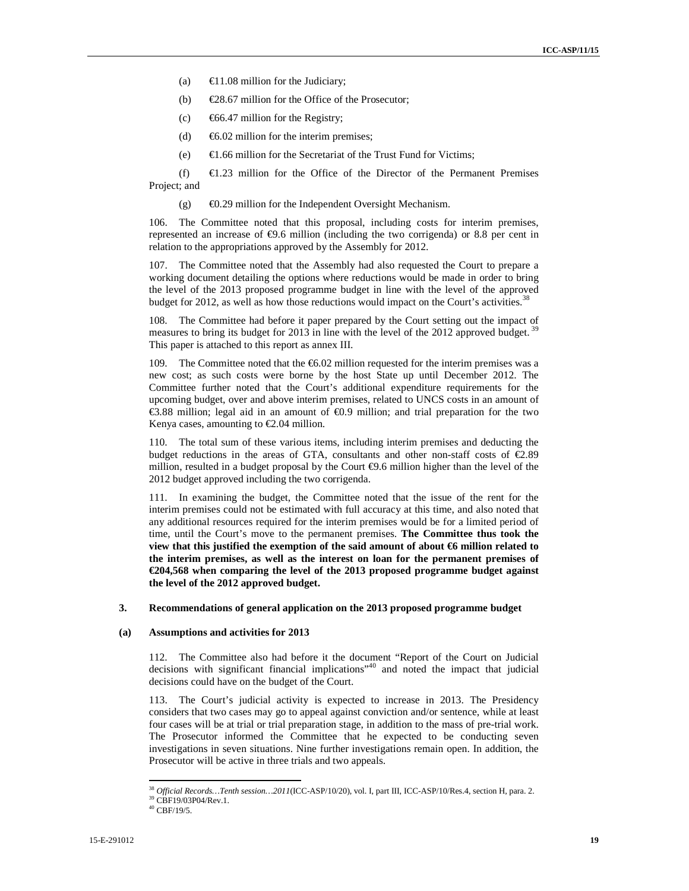- (a)  $\epsilon$ 11.08 million for the Judiciary;
- (b)  $\epsilon$ 28.67 million for the Office of the Prosecutor;
- (c)  $\epsilon$ 66.47 million for the Registry;
- (d)  $\epsilon$ 6.02 million for the interim premises;
- (e)  $\epsilon$ 1.66 million for the Secretariat of the Trust Fund for Victims;

(f)  $\epsilon$ 1.23 million for the Office of the Director of the Permanent Premises Project; and

(g)  $\epsilon$ 0.29 million for the Independent Oversight Mechanism.

106. The Committee noted that this proposal, including costs for interim premises, represented an increase of €9.6 million (including the two corrigenda) or 8.8 per cent in relation to the appropriations approved by the Assembly for 2012.

107. The Committee noted that the Assembly had also requested the Court to prepare a working document detailing the options where reductions would be made in order to bring the level of the 2013 proposed programme budget in line with the level of the approved budget for 2012, as well as how those reductions would impact on the Court's activities.<sup>3</sup>

108. The Committee had before it paper prepared by the Court setting out the impact of measures to bring its budget for 2013 in line with the level of the 2012 approved budget. This paper is attached to this report as annex III.

109. The Committee noted that the  $\epsilon$ 6.02 million requested for the interim premises was a new cost; as such costs were borne by the host State up until December 2012. The Committee further noted that the Court's additional expenditure requirements for the upcoming budget, over and above interim premises, related to UNCS costs in an amount of €3.88 million; legal aid in an amount of €0.9 million; and trial preparation for the two Kenya cases, amounting to  $\epsilon$ 2.04 million.

110. The total sum of these various items, including interim premises and deducting the budget reductions in the areas of GTA, consultants and other non-staff costs of  $\epsilon$ 2.89 million, resulted in a budget proposal by the Court  $\epsilon$ 9.6 million higher than the level of the 2012 budget approved including the two corrigenda.

111. In examining the budget, the Committee noted that the issue of the rent for the interim premises could not be estimated with full accuracy at this time, and also noted that any additional resources required for the interim premises would be for a limited period of time, until the Court's move to the permanent premises. **The Committee thus took the view that this justified the exemption of the said amount of about €6 million related to the interim premises, as well as the interest on loan for the permanent premises of €204,568 when comparing the level of the 2013 proposed programme budget against the level of the 2012 approved budget.** 

#### **3. Recommendations of general application on the 2013 proposed programme budget**

### **(a) Assumptions and activities for 2013**

112. The Committee also had before it the document "Report of the Court on Judicial decisions with significant financial implications<sup>340</sup> and noted the impact that judicial decisions could have on the budget of the Court.

113. The Court's judicial activity is expected to increase in 2013. The Presidency considers that two cases may go to appeal against conviction and/or sentence, while at least four cases will be at trial or trial preparation stage, in addition to the mass of pre-trial work. The Prosecutor informed the Committee that he expected to be conducting seven investigations in seven situations. Nine further investigations remain open. In addition, the Prosecutor will be active in three trials and two appeals.

<sup>38</sup> *Official Records…Tenth session…2011*(ICC-ASP/10/20), vol. I, part III, ICC-ASP/10/Res.4, section H, para. 2. <sup>39</sup> CBF19/03P04/Rev.1.

 $^{40}$  CBF/19/5.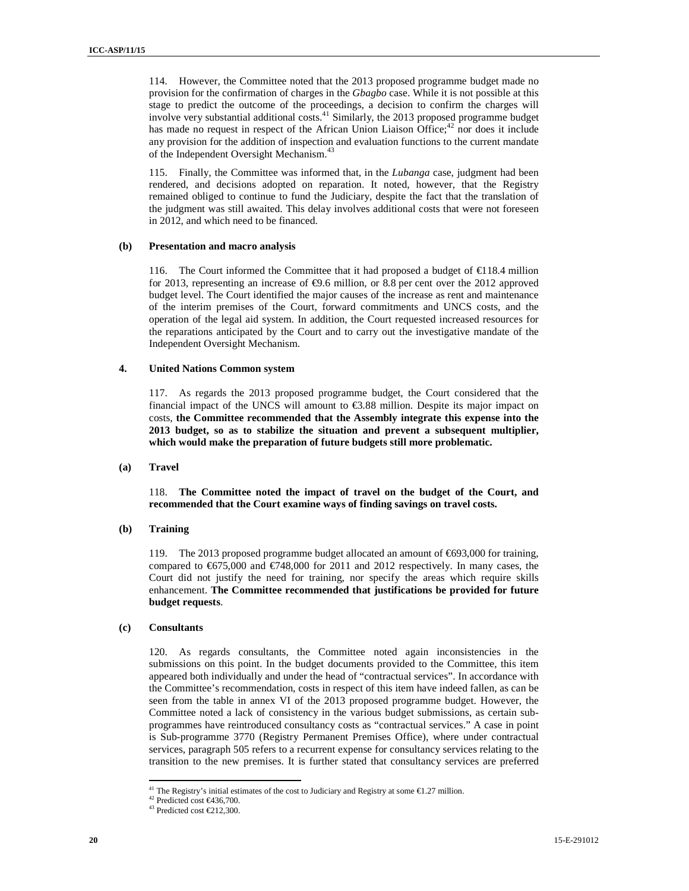114. However, the Committee noted that the 2013 proposed programme budget made no provision for the confirmation of charges in the *Gbagbo* case. While it is not possible at this stage to predict the outcome of the proceedings, a decision to confirm the charges will involve very substantial additional costs.<sup>41</sup> Similarly, the 2013 proposed programme budget has made no request in respect of the African Union Liaison Office;<sup>42</sup> nor does it include any provision for the addition of inspection and evaluation functions to the current mandate of the Independent Oversight Mechanism.<sup>43</sup>

115. Finally, the Committee was informed that, in the *Lubanga* case, judgment had been rendered, and decisions adopted on reparation. It noted, however, that the Registry remained obliged to continue to fund the Judiciary, despite the fact that the translation of the judgment was still awaited. This delay involves additional costs that were not foreseen in 2012, and which need to be financed.

### **(b) Presentation and macro analysis**

116. The Court informed the Committee that it had proposed a budget of  $\epsilon$ 118.4 million for 2013, representing an increase of €9.6 million, or 8.8 per cent over the 2012 approved budget level. The Court identified the major causes of the increase as rent and maintenance of the interim premises of the Court, forward commitments and UNCS costs, and the operation of the legal aid system. In addition, the Court requested increased resources for the reparations anticipated by the Court and to carry out the investigative mandate of the Independent Oversight Mechanism.

### **4. United Nations Common system**

117. As regards the 2013 proposed programme budget, the Court considered that the financial impact of the UNCS will amount to  $\epsilon$ 3.88 million. Despite its major impact on costs, **the Committee recommended that the Assembly integrate this expense into the 2013 budget, so as to stabilize the situation and prevent a subsequent multiplier, which would make the preparation of future budgets still more problematic.** 

#### **(a) Travel**

118. **The Committee noted the impact of travel on the budget of the Court, and recommended that the Court examine ways of finding savings on travel costs.** 

#### **(b) Training**

119. The 2013 proposed programme budget allocated an amount of €693,000 for training, compared to  $\epsilon$ 675,000 and  $\epsilon$ 748,000 for 2011 and 2012 respectively. In many cases, the Court did not justify the need for training, nor specify the areas which require skills enhancement. **The Committee recommended that justifications be provided for future budget requests**.

#### **(c) Consultants**

 $\overline{a}$ 

120. As regards consultants, the Committee noted again inconsistencies in the submissions on this point. In the budget documents provided to the Committee, this item appeared both individually and under the head of "contractual services". In accordance with the Committee's recommendation, costs in respect of this item have indeed fallen, as can be seen from the table in annex VI of the 2013 proposed programme budget. However, the Committee noted a lack of consistency in the various budget submissions, as certain subprogrammes have reintroduced consultancy costs as "contractual services." A case in point is Sub-programme 3770 (Registry Permanent Premises Office), where under contractual services, paragraph 505 refers to a recurrent expense for consultancy services relating to the transition to the new premises. It is further stated that consultancy services are preferred

<sup>&</sup>lt;sup>41</sup> The Registry's initial estimates of the cost to Judiciary and Registry at some  $\epsilon$ 1.27 million.

<sup>&</sup>lt;sup>42</sup> Predicted cost €436,700.

 $^{43}$  Predicted cost  $€212,300$ .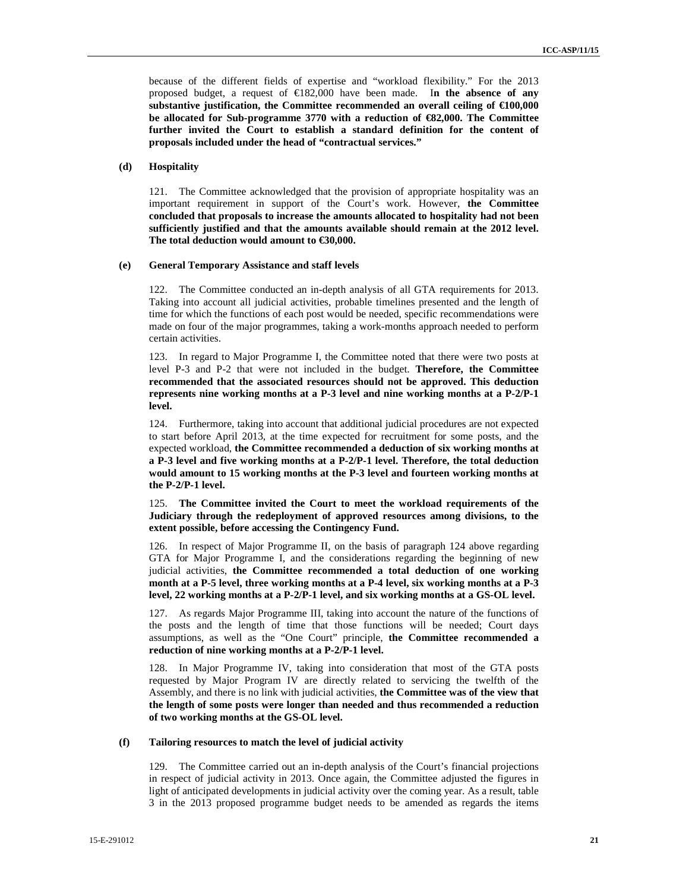because of the different fields of expertise and "workload flexibility." For the 2013 proposed budget, a request of €182,000 have been made. I**n the absence of any**  substantive justification, the Committee recommended an overall ceiling of  $£100,000$ **be allocated for Sub-programme 3770 with a reduction of €82,000. The Committee further invited the Court to establish a standard definition for the content of proposals included under the head of "contractual services."** 

### **(d) Hospitality**

121. The Committee acknowledged that the provision of appropriate hospitality was an important requirement in support of the Court's work. However, **the Committee concluded that proposals to increase the amounts allocated to hospitality had not been sufficiently justified and that the amounts available should remain at the 2012 level. The total deduction would amount to €30,000.** 

### **(e) General Temporary Assistance and staff levels**

122. The Committee conducted an in-depth analysis of all GTA requirements for 2013. Taking into account all judicial activities, probable timelines presented and the length of time for which the functions of each post would be needed, specific recommendations were made on four of the major programmes, taking a work-months approach needed to perform certain activities.

123. In regard to Major Programme I, the Committee noted that there were two posts at level P-3 and P-2 that were not included in the budget. **Therefore, the Committee recommended that the associated resources should not be approved. This deduction represents nine working months at a P-3 level and nine working months at a P-2/P-1 level.** 

124. Furthermore, taking into account that additional judicial procedures are not expected to start before April 2013, at the time expected for recruitment for some posts, and the expected workload, **the Committee recommended a deduction of six working months at a P-3 level and five working months at a P-2/P-1 level. Therefore, the total deduction would amount to 15 working months at the P-3 level and fourteen working months at the P-2/P-1 level.**

125. **The Committee invited the Court to meet the workload requirements of the Judiciary through the redeployment of approved resources among divisions, to the extent possible, before accessing the Contingency Fund.** 

126. In respect of Major Programme II, on the basis of paragraph 124 above regarding GTA for Major Programme I, and the considerations regarding the beginning of new judicial activities, **the Committee recommended a total deduction of one working month at a P-5 level, three working months at a P-4 level, six working months at a P-3 level, 22 working months at a P-2/P-1 level, and six working months at a GS-OL level.** 

127. As regards Major Programme III, taking into account the nature of the functions of the posts and the length of time that those functions will be needed; Court days assumptions, as well as the "One Court" principle, **the Committee recommended a reduction of nine working months at a P-2/P-1 level.** 

128. In Major Programme IV, taking into consideration that most of the GTA posts requested by Major Program IV are directly related to servicing the twelfth of the Assembly, and there is no link with judicial activities, **the Committee was of the view that the length of some posts were longer than needed and thus recommended a reduction of two working months at the GS-OL level.** 

### **(f) Tailoring resources to match the level of judicial activity**

129. The Committee carried out an in-depth analysis of the Court's financial projections in respect of judicial activity in 2013. Once again, the Committee adjusted the figures in light of anticipated developments in judicial activity over the coming year. As a result, table 3 in the 2013 proposed programme budget needs to be amended as regards the items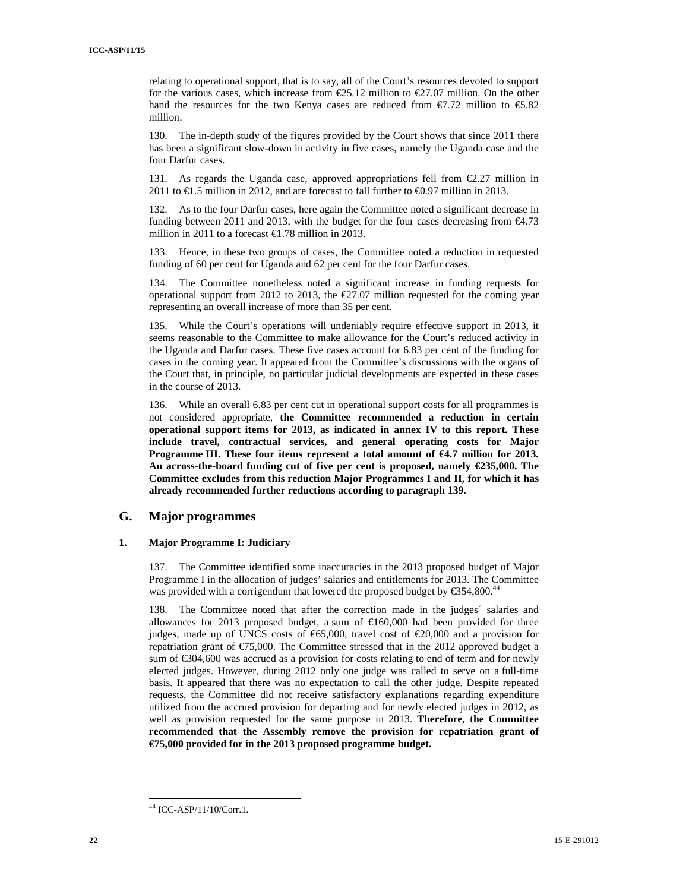relating to operational support, that is to say, all of the Court's resources devoted to support for the various cases, which increase from  $\epsilon$ 25.12 million to  $\epsilon$ 27.07 million. On the other hand the resources for the two Kenya cases are reduced from  $\epsilon$ 7.72 million to  $\epsilon$ 5.82 million.

130. The in-depth study of the figures provided by the Court shows that since 2011 there has been a significant slow-down in activity in five cases, namely the Uganda case and the four Darfur cases.

131. As regards the Uganda case, approved appropriations fell from  $\epsilon$ 2.27 million in 2011 to  $\epsilon$ 1.5 million in 2012, and are forecast to fall further to  $\epsilon$ 0.97 million in 2013.

132. As to the four Darfur cases, here again the Committee noted a significant decrease in funding between 2011 and 2013, with the budget for the four cases decreasing from €4.73 million in 2011 to a forecast €1.78 million in 2013.

133. Hence, in these two groups of cases, the Committee noted a reduction in requested funding of 60 per cent for Uganda and 62 per cent for the four Darfur cases.

134. The Committee nonetheless noted a significant increase in funding requests for operational support from 2012 to 2013, the  $\epsilon$ 27.07 million requested for the coming year representing an overall increase of more than 35 per cent.

135. While the Court's operations will undeniably require effective support in 2013, it seems reasonable to the Committee to make allowance for the Court's reduced activity in the Uganda and Darfur cases. These five cases account for 6.83 per cent of the funding for cases in the coming year. It appeared from the Committee's discussions with the organs of the Court that, in principle, no particular judicial developments are expected in these cases in the course of 2013.

136. While an overall 6.83 per cent cut in operational support costs for all programmes is not considered appropriate, **the Committee recommended a reduction in certain operational support items for 2013, as indicated in annex IV to this report. These include travel, contractual services, and general operating costs for Major Programme III.** These four items represent a total amount of  $\epsilon$ 4.7 million for 2013. **An across-the-board funding cut of five per cent is proposed, namely €235,000.The Committee excludes from this reduction Major Programmes I and II, for which it has already recommended further reductions according to paragraph 139.** 

### **G. Major programmes**

### **1. Major Programme I: Judiciary**

137. The Committee identified some inaccuracies in the 2013 proposed budget of Major Programme I in the allocation of judges' salaries and entitlements for 2013. The Committee was provided with a corrigendum that lowered the proposed budget by  $\epsilon$ 354,800.<sup>44</sup>

138. The Committee noted that after the correction made in the judges´ salaries and allowances for 2013 proposed budget, a sum of  $\epsilon$ 160000 had been provided for three judges, made up of UNCS costs of €65,000, travel cost of €20,000 and a provision for repatriation grant of  $\epsilon$ 75,000. The Committee stressed that in the 2012 approved budget a sum of  $\epsilon$ 304,600 was accrued as a provision for cost relating to end of term and for newly elected judges. However, during 2012 only one judge was called to serve on a full-time basis. It appeared that there was no expectation to call the other judge. Despite repeated requests, the Committee did not receive satisfactory explanations regarding expenditure utilized from the accrued provision for departing and for newly elected judges in 2012, as well as provision requested for the same purpose in 2013. **Therefore, the Committee recommended that the Assembly remove the provision for repatriation grant of €75,000 provided for in the 2013 proposed programme budget.** 

<sup>44</sup> ICC-ASP/11/10/Corr.1.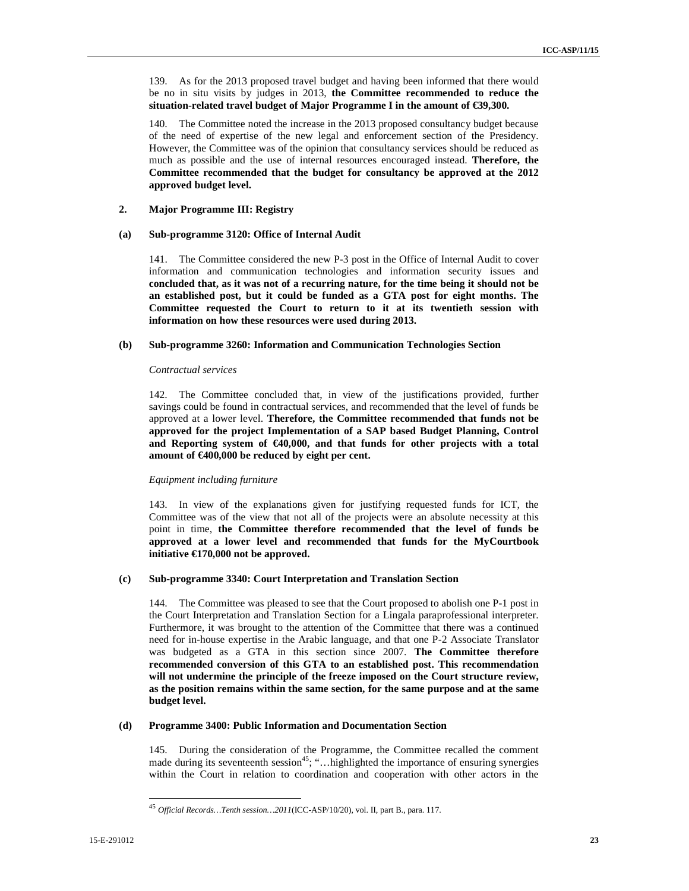139. As for the 2013 proposed travel budget and having been informed that there would be no in situ visits by judges in 2013, **the Committee recommended to reduce the situation-related travel budget of Major Programme I in the amount of €39,300.** 

140. The Committee noted the increase in the 2013 proposed consultancy budget because of the need of expertise of the new legal and enforcement section of the Presidency. However, the Committee was of the opinion that consultancy services should be reduced as much as possible and the use of internal resources encouraged instead. **Therefore, the Committee recommended that the budget for consultancy be approved at the 2012 approved budget level.**

### **2. Major Programme III: Registry**

#### **(a) Sub-programme 3120: Office of Internal Audit**

141. The Committee considered the new P-3 post in the Office of Internal Audit to cover information and communication technologies and information security issues and **concluded that, as it was not of a recurring nature, for the time being it should not be an established post, but it could be funded as a GTA post for eight months. The Committee requested the Court to return to it at its twentieth session with information on how these resources were used during 2013.** 

### **(b) Sub-programme 3260: Information and Communication Technologies Section**

#### *Contractual services*

142. The Committee concluded that, in view of the justifications provided, further savings could be found in contractual services, and recommended that the level of funds be approved at a lower level. **Therefore, the Committee recommended that funds not be approved for the project Implementation of a SAP based Budget Planning, Control and Reporting system of €40,000, and that funds for other projects with a total amount of €400,000 be reduced by eight per cent.** 

### *Equipment including furniture*

143. In view of the explanations given for justifying requested funds for ICT, the Committee was of the view that not all of the projects were an absolute necessity at this point in time, **the Committee therefore recommended that the level of funds be approved at a lower level and recommended that funds for the MyCourtbook initiative €170,000 not be approved.** 

### **(c) Sub-programme 3340: Court Interpretation and Translation Section**

144. The Committee was pleased to see that the Court proposed to abolish one P-1 post in the Court Interpretation and Translation Section for a Lingala paraprofessional interpreter. Furthermore, it was brought to the attention of the Committee that there was a continued need for in-house expertise in the Arabic language, and that one P-2 Associate Translator was budgeted as a GTA in this section since 2007. **The Committee therefore recommended conversion of this GTA to an established post. This recommendation will not undermine the principle of the freeze imposed on the Court structure review, as the position remains within the same section, for the same purpose and at the same budget level.** 

#### **(d) Programme 3400: Public Information and Documentation Section**

145. During the consideration of the Programme, the Committee recalled the comment made during its seventeenth session<sup>45</sup>; "... highlighted the importance of ensuring synergies within the Court in relation to coordination and cooperation with other actors in the

<sup>45</sup> *Official Records…Tenth session…2011*(ICC-ASP/10/20), vol. II, part B., para. 117.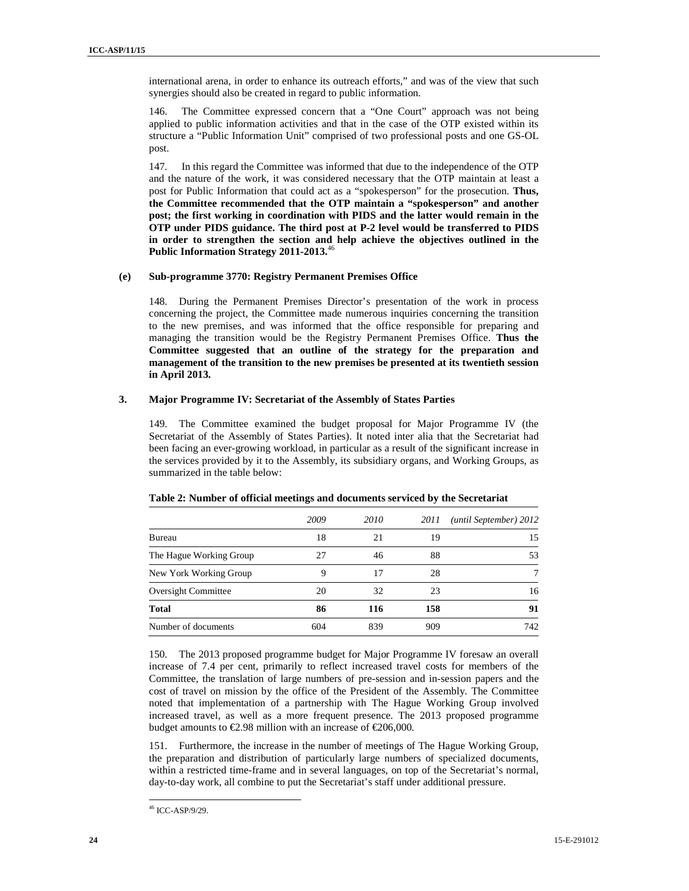international arena, in order to enhance its outreach efforts," and was of the view that such synergies should also be created in regard to public information.

146. The Committee expressed concern that a "One Court" approach was not being applied to public information activities and that in the case of the OTP existed within its structure a "Public Information Unit" comprised of two professional posts and one GS-OL post.

147. In this regard the Committee was informed that due to the independence of the OTP and the nature of the work, it was considered necessary that the OTP maintain at least a post for Public Information that could act as a "spokesperson" for the prosecution. **Thus, the Committee recommended that the OTP maintain a "spokesperson" and another post; the first working in coordination with PIDS and the latter would remain in the OTP under PIDS guidance. The third post at P-2 level would be transferred to PIDS in order to strengthen the section and help achieve the objectives outlined in the Public Information Strategy 2011-2013.**<sup>46</sup>

### **(e) Sub-programme 3770: Registry Permanent Premises Office**

148. During the Permanent Premises Director's presentation of the work in process concerning the project, the Committee made numerous inquiries concerning the transition to the new premises, and was informed that the office responsible for preparing and managing the transition would be the Registry Permanent Premises Office. **Thus the Committee suggested that an outline of the strategy for the preparation and management of the transition to the new premises be presented at its twentieth session in April 2013.** 

### **3. Major Programme IV: Secretariat of the Assembly of States Parties**

149. The Committee examined the budget proposal for Major Programme IV (the Secretariat of the Assembly of States Parties). It noted inter alia that the Secretariat had been facing an ever-growing workload, in particular as a result of the significant increase in the services provided by it to the Assembly, its subsidiary organs, and Working Groups, as summarized in the table below:

|                         | 2009 | 2010 | 2011 | (until September) 2012 |
|-------------------------|------|------|------|------------------------|
| Bureau                  | 18   | 21   | 19   | 15                     |
| The Hague Working Group | 27   | 46   | 88   | 53                     |
| New York Working Group  | 9    | 17   | 28   | 7                      |
| Oversight Committee     | 20   | 32   | 23   | 16                     |
| <b>Total</b>            | 86   | 116  | 158  | 91                     |
| Number of documents     | 604  | 839  | 909  | 742                    |

### **Table 2: Number of official meetings and documents serviced by the Secretariat**

150. The 2013 proposed programme budget for Major Programme IV foresaw an overall increase of 7.4 per cent, primarily to reflect increased travel costs for members of the Committee, the translation of large numbers of pre-session and in-session papers and the cost of travel on mission by the office of the President of the Assembly. The Committee noted that implementation of a partnership with The Hague Working Group involved increased travel, as well as a more frequent presence. The 2013 proposed programme budget amounts to  $\epsilon$ 2.98 million with an increase of  $\epsilon$ 206,000.

151. Furthermore, the increase in the number of meetings of The Hague Working Group, the preparation and distribution of particularly large numbers of specialized documents, within a restricted time-frame and in several languages, on top of the Secretariat's normal, day-to-day work, all combine to put the Secretariat's staff under additional pressure.

<sup>46</sup> ICC-ASP/9/29.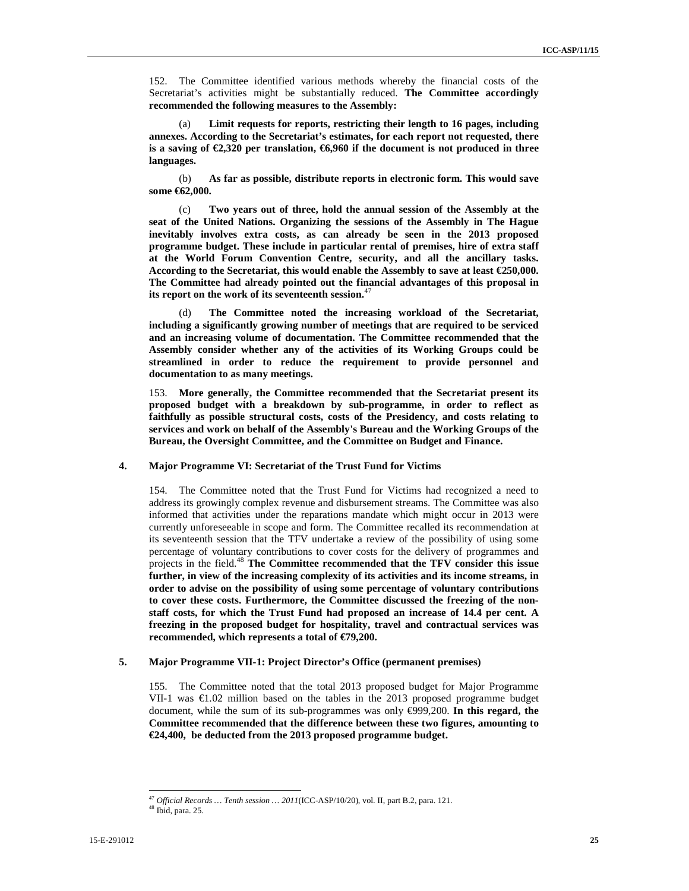152. The Committee identified various methods whereby the financial costs of the Secretariat's activities might be substantially reduced. **The Committee accordingly recommended the following measures to the Assembly:**

(a) **Limit requests for reports, restricting their length to 16 pages, including annexes. According to the Secretariat's estimates, for each report not requested, there**  is a saving of  $\epsilon$ 2,320 per translation,  $\epsilon$ 6,960 if the document is not produced in three **languages.**

(b) **As far as possible, distribute reports in electronic form. This would save some €62,000.** 

(c) **Two years out of three, hold the annual session of the Assembly at the seat of the United Nations. Organizing the sessions of the Assembly in The Hague inevitably involves extra costs, as can already be seen in the 2013 proposed programme budget. These include in particular rental of premises, hire of extra staff at the World Forum Convention Centre, security, and all the ancillary tasks. According to the Secretariat, this would enable the Assembly to save at least €250,000. The Committee had already pointed out the financial advantages of this proposal in its report on the work of its seventeenth session.**<sup>47</sup>

(d) **The Committee noted the increasing workload of the Secretariat, including a significantly growing number of meetings that are required to be serviced and an increasing volume of documentation. The Committee recommended that the Assembly consider whether any of the activities of its Working Groups could be streamlined in order to reduce the requirement to provide personnel and documentation to as many meetings.**

153. **More generally, the Committee recommended that the Secretariat present its proposed budget with a breakdown by sub-programme, in order to reflect as faithfully as possible structural costs, costs of the Presidency, and costs relating to services and work on behalf of the Assembly's Bureau and the Working Groups of the Bureau, the Oversight Committee, and the Committee on Budget and Finance.** 

### **4. Major Programme VI: Secretariat of the Trust Fund for Victims**

154. The Committee noted that the Trust Fund for Victims had recognized a need to address its growingly complex revenue and disbursement streams. The Committee was also informed that activities under the reparations mandate which might occur in 2013 were currently unforeseeable in scope and form. The Committee recalled its recommendation at its seventeenth session that the TFV undertake a review of the possibility of using some percentage of voluntary contributions to cover costs for the delivery of programmes and projects in the field.<sup>48</sup> **The Committee recommended that the TFV consider this issue further, in view of the increasing complexity of its activities and its income streams, in order to advise on the possibility of using some percentage of voluntary contributions to cover these costs. Furthermore, the Committee discussed the freezing of the nonstaff costs, for which the Trust Fund had proposed an increase of 14.4 per cent. A freezing in the proposed budget for hospitality, travel and contractual services was recommended, which represents a total of €79,200.** 

### **5. Major Programme VII-1: Project Director's Office (permanent premises)**

155. The Committee noted that the total 2013 proposed budget for Major Programme VII-1 was  $\epsilon$ 1.02 million based on the tables in the 2013 proposed programme budget document, while the sum of its sub-programmes was only €999,200. **In this regard, the Committee recommended that the difference between these two figures, amounting to €24,400, be deducted from the 2013 proposed programme budget.** 

<sup>47</sup> *Official Records … Tenth session … 2011*(ICC-ASP/10/20), vol. II, part B.2, para. 121.

<sup>48</sup> Ibid, para. 25.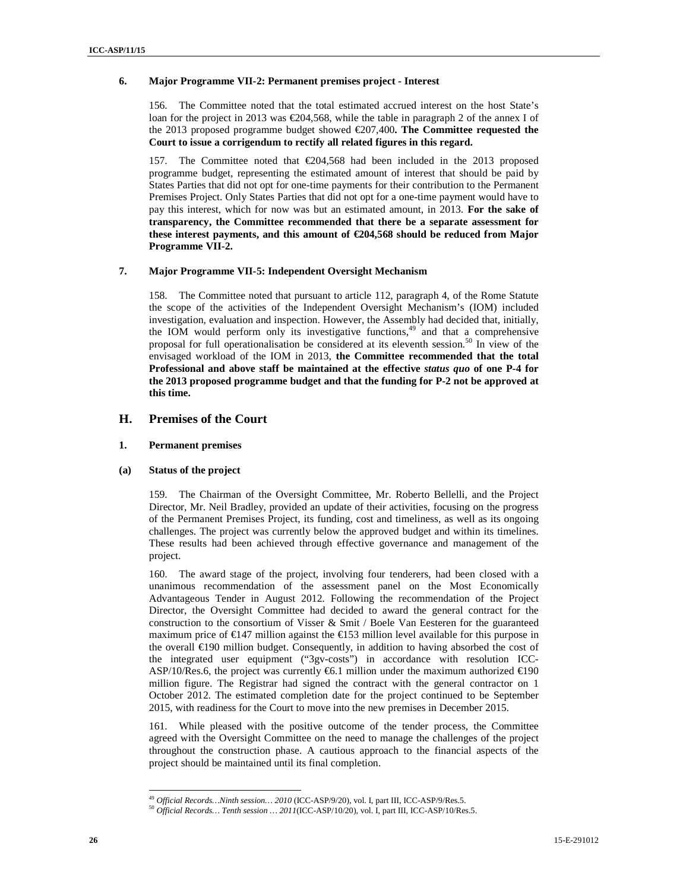### **6. Major Programme VII-2: Permanent premises project - Interest**

156. The Committee noted that the total estimated accrued interest on the host State's loan for the project in 2013 was €204,568, while the table in paragraph 2 of the annex I of the 2013 proposed programme budget showed €207,400**. The Committee requested the Court to issue a corrigendum to rectify all related figures in this regard.** 

157. The Committee noted that €204,568 had been included in the 2013 proposed programme budget, representing the estimated amount of interest that should be paid by States Parties that did not opt for one-time payments for their contribution to the Permanent Premises Project. Only States Parties that did not opt for a one-time payment would have to pay this interest, which for now was but an estimated amount, in 2013. **For the sake of transparency, the Committee recommended that there be a separate assessment for these interest payments, and this amount of €204,568 should be reduced from Major Programme VII-2.** 

### **7. Major Programme VII-5: Independent Oversight Mechanism**

158. The Committee noted that pursuant to article 112, paragraph 4, of the Rome Statute the scope of the activities of the Independent Oversight Mechanism's (IOM) included investigation, evaluation and inspection. However, the Assembly had decided that, initially, the IOM would perform only its investigative functions,<sup>49</sup> and that a comprehensive proposal for full operationalisation be considered at its eleventh session.<sup>50</sup> In view of the envisaged workload of the IOM in 2013, **the Committee recommended that the total Professional and above staff be maintained at the effective** *status quo* **of one P-4 for the 2013 proposed programme budget and that the funding for P-2 not be approved at this time.** 

### **H. Premises of the Court**

### **1. Permanent premises**

### **(a) Status of the project**

159. The Chairman of the Oversight Committee, Mr. Roberto Bellelli, and the Project Director, Mr. Neil Bradley, provided an update of their activities, focusing on the progress of the Permanent Premises Project, its funding, cost and timeliness, as well as its ongoing challenges. The project was currently below the approved budget and within its timelines. These results had been achieved through effective governance and management of the project.

160. The award stage of the project, involving four tenderers, had been closed with a unanimous recommendation of the assessment panel on the Most Economically Advantageous Tender in August 2012. Following the recommendation of the Project Director, the Oversight Committee had decided to award the general contract for the construction to the consortium of Visser & Smit / Boele Van Eesteren for the guaranteed maximum price of  $\epsilon$ 147 million against the  $\epsilon$ 153 million level available for this purpose in the overall €190 million budget. Consequently, in addition to having absorbed the cost of the integrated user equipment ("3gv-costs") in accordance with resolution ICC-ASP/10/Res.6, the project was currently  $\epsilon$ 6.1 million under the maximum authorized  $\epsilon$ 190 million figure. The Registrar had signed the contract with the general contractor on 1 October 2012. The estimated completion date for the project continued to be September 2015, with readiness for the Court to move into the new premises in December 2015.

161. While pleased with the positive outcome of the tender process, the Committee agreed with the Oversight Committee on the need to manage the challenges of the project throughout the construction phase. A cautious approach to the financial aspects of the project should be maintained until its final completion.

<sup>49</sup> *Official Records…Ninth session… 2010* (ICC-ASP/9/20), vol. I, part III, ICC-ASP/9/Res.5.

<sup>50</sup> *Official Records… Tenth session … 2011*(ICC-ASP/10/20), vol. I, part III, ICC-ASP/10/Res.5.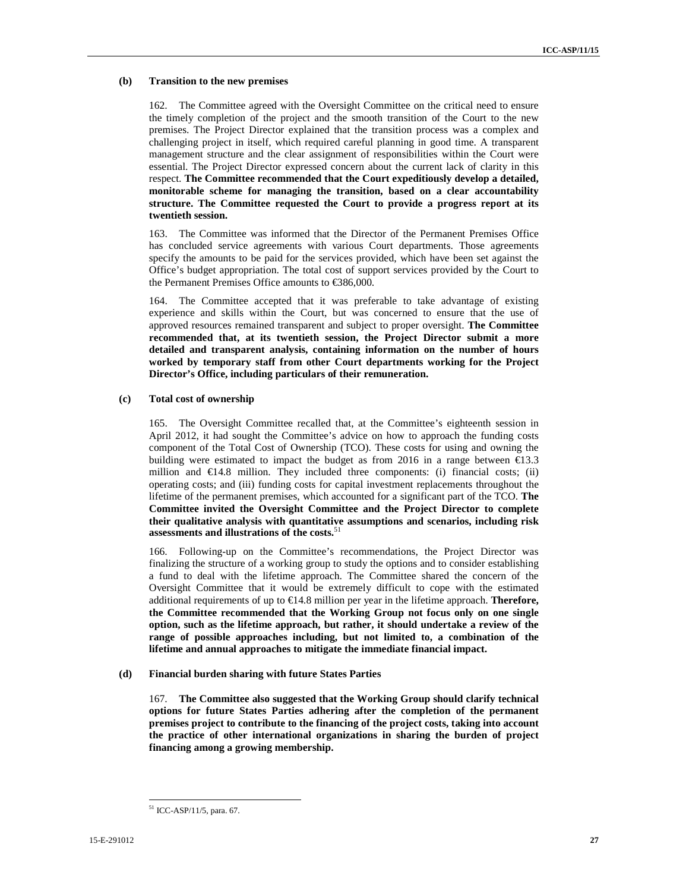### **(b) Transition to the new premises**

162. The Committee agreed with the Oversight Committee on the critical need to ensure the timely completion of the project and the smooth transition of the Court to the new premises. The Project Director explained that the transition process was a complex and challenging project in itself, which required careful planning in good time. A transparent management structure and the clear assignment of responsibilities within the Court were essential. The Project Director expressed concern about the current lack of clarity in this respect. **The Committee recommended that the Court expeditiously develop a detailed, monitorable scheme for managing the transition, based on a clear accountability structure. The Committee requested the Court to provide a progress report at its twentieth session.** 

163. The Committee was informed that the Director of the Permanent Premises Office has concluded service agreements with various Court departments. Those agreements specify the amounts to be paid for the services provided, which have been set against the Office's budget appropriation. The total cost of support services provided by the Court to the Permanent Premises Office amounts to €386,000.

164. The Committee accepted that it was preferable to take advantage of existing experience and skills within the Court, but was concerned to ensure that the use of approved resources remained transparent and subject to proper oversight. **The Committee recommended that, at its twentieth session, the Project Director submit a more detailed and transparent analysis, containing information on the number of hours worked by temporary staff from other Court departments working for the Project Director's Office, including particulars of their remuneration.** 

#### **(c) Total cost of ownership**

165. The Oversight Committee recalled that, at the Committee's eighteenth session in April 2012, it had sought the Committee's advice on how to approach the funding costs component of the Total Cost of Ownership (TCO). These costs for using and owning the building were estimated to impact the budget as from 2016 in a range between  $\epsilon$ 13.3 million and  $\epsilon$ 14.8 million. They included three components: (i) financial costs; (ii) operating costs; and (iii) funding costs for capital investment replacements throughout the lifetime of the permanent premises, which accounted for a significant part of the TCO. **The Committee invited the Oversight Committee and the Project Director to complete their qualitative analysis with quantitative assumptions and scenarios, including risk assessments and illustrations of the costs.**<sup>51</sup>

166. Following-up on the Committee's recommendations, the Project Director was finalizing the structure of a working group to study the options and to consider establishing a fund to deal with the lifetime approach. The Committee shared the concern of the Oversight Committee that it would be extremely difficult to cope with the estimated additional requirements of up to €14.8 million per year in the lifetime approach. **Therefore, the Committee recommended that the Working Group not focus only on one single option, such as the lifetime approach, but rather, it should undertake a review of the range of possible approaches including, but not limited to, a combination of the lifetime and annual approaches to mitigate the immediate financial impact.** 

### **(d) Financial burden sharing with future States Parties**

167. **The Committee also suggested that the Working Group should clarify technical options for future States Parties adhering after the completion of the permanent premises project to contribute to the financing of the project costs, taking into account the practice of other international organizations in sharing the burden of project financing among a growing membership.** 

<sup>51</sup> ICC-ASP/11/5, para. 67.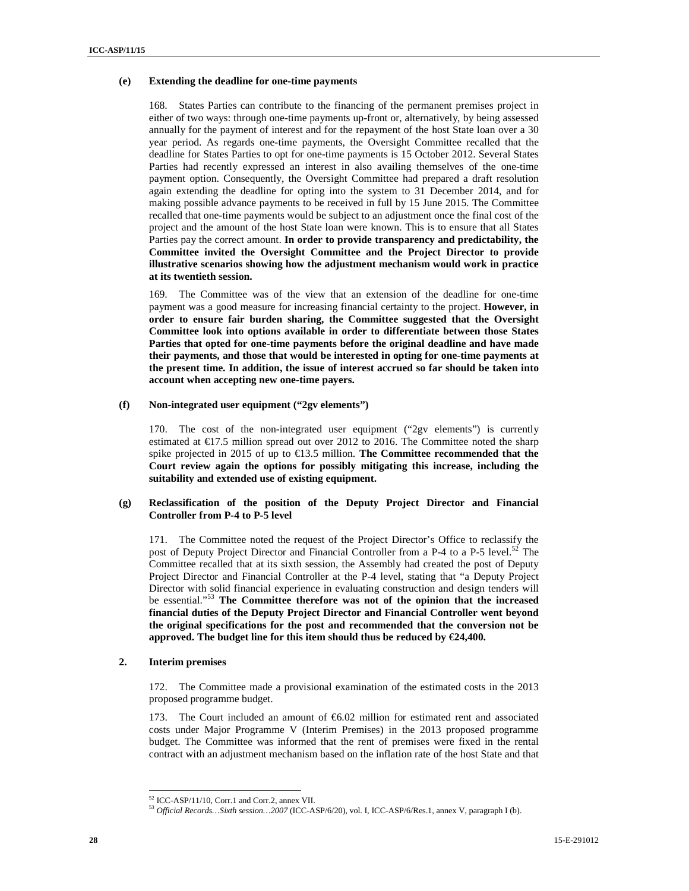### **(e) Extending the deadline for one-time payments**

168. States Parties can contribute to the financing of the permanent premises project in either of two ways: through one-time payments up-front or, alternatively, by being assessed annually for the payment of interest and for the repayment of the host State loan over a 30 year period. As regards one-time payments, the Oversight Committee recalled that the deadline for States Parties to opt for one-time payments is 15 October 2012. Several States Parties had recently expressed an interest in also availing themselves of the one-time payment option. Consequently, the Oversight Committee had prepared a draft resolution again extending the deadline for opting into the system to 31 December 2014, and for making possible advance payments to be received in full by 15 June 2015. The Committee recalled that one-time payments would be subject to an adjustment once the final cost of the project and the amount of the host State loan were known. This is to ensure that all States Parties pay the correct amount. **In order to provide transparency and predictability, the Committee invited the Oversight Committee and the Project Director to provide illustrative scenarios showing how the adjustment mechanism would work in practice at its twentieth session.** 

169. The Committee was of the view that an extension of the deadline for one-time payment was a good measure for increasing financial certainty to the project. **However, in order to ensure fair burden sharing, the Committee suggested that the Oversight Committee look into options available in order to differentiate between those States Parties that opted for one-time payments before the original deadline and have made their payments, and those that would be interested in opting for one-time payments at the present time. In addition, the issue of interest accrued so far should be taken into account when accepting new one-time payers.**

### **(f) Non-integrated user equipment ("2gv elements")**

170. The cost of the non-integrated user equipment ("2gv elements") is currently estimated at  $\epsilon$ 17.5 million spread out over 2012 to 2016. The Committee noted the sharp spike projected in 2015 of up to  $\in$ 13.5 million. **The Committee recommended that the Court review again the options for possibly mitigating this increase, including the suitability and extended use of existing equipment.**

### **(g) Reclassification of the position of the Deputy Project Director and Financial Controller from P-4 to P-5 level**

171. The Committee noted the request of the Project Director's Office to reclassify the post of Deputy Project Director and Financial Controller from a P-4 to a P-5 level.<sup>52</sup> The Committee recalled that at its sixth session, the Assembly had created the post of Deputy Project Director and Financial Controller at the P-4 level, stating that "a Deputy Project Director with solid financial experience in evaluating construction and design tenders will be essential."<sup>53</sup> **The Committee therefore was not of the opinion that the increased financial duties of the Deputy Project Director and Financial Controller went beyond the original specifications for the post and recommended that the conversion not be approved. The budget line for this item should thus be reduced by** €**24,400.**

### **2. Interim premises**

 $\overline{a}$ 

172. The Committee made a provisional examination of the estimated costs in the 2013 proposed programme budget.

173. The Court included an amount of €6.02 million for estimated rent and associated costs under Major Programme V (Interim Premises) in the 2013 proposed programme budget. The Committee was informed that the rent of premises were fixed in the rental contract with an adjustment mechanism based on the inflation rate of the host State and that

<sup>52</sup> ICC-ASP/11/10, Corr.1 and Corr.2, annex VII.

<sup>53</sup> *Official Records…Sixth session…2007* (ICC-ASP/6/20), vol. I, ICC-ASP/6/Res.1, annex V, paragraph I (b).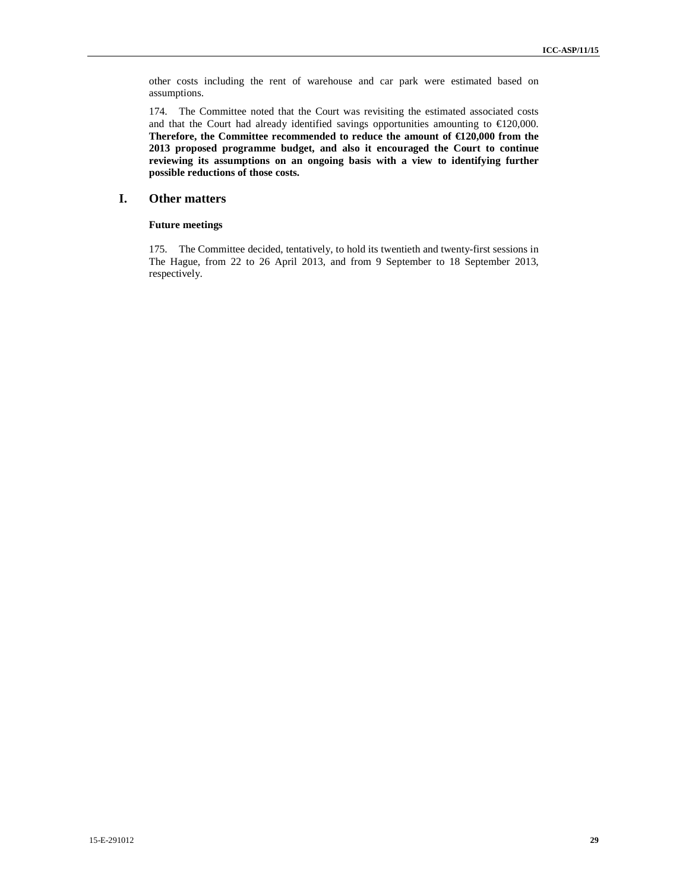other costs including the rent of warehouse and car park were estimated based on assumptions.

174. The Committee noted that the Court was revisiting the estimated associated costs and that the Court had already identified savings opportunities amounting to  $\epsilon$ 120,000. **Therefore, the Committee recommended to reduce the amount of €120,000 from the 2013 proposed programme budget, and also it encouraged the Court to continue reviewing its assumptions on an ongoing basis with a view to identifying further possible reductions of those costs.**

### **I. Other matters**

### **Future meetings**

175. The Committee decided, tentatively, to hold its twentieth and twenty-first sessions in The Hague, from 22 to 26 April 2013, and from 9 September to 18 September 2013, respectively.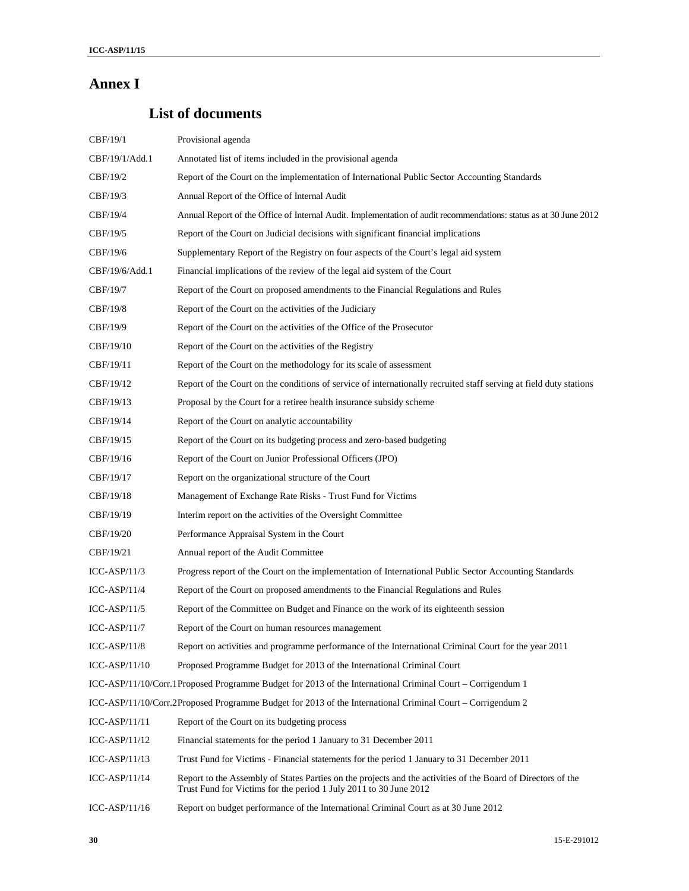# **Annex I**

# **List of documents**

| CBF/19/1        | Provisional agenda                                                                                                                                                                |
|-----------------|-----------------------------------------------------------------------------------------------------------------------------------------------------------------------------------|
| CBF/19/1/Add.1  | Annotated list of items included in the provisional agenda                                                                                                                        |
| CBF/19/2        | Report of the Court on the implementation of International Public Sector Accounting Standards                                                                                     |
| CBF/19/3        | Annual Report of the Office of Internal Audit                                                                                                                                     |
| CBF/19/4        | Annual Report of the Office of Internal Audit. Implementation of audit recommendations: status as at 30 June 2012                                                                 |
| CBF/19/5        | Report of the Court on Judicial decisions with significant financial implications                                                                                                 |
| CBF/19/6        | Supplementary Report of the Registry on four aspects of the Court's legal aid system                                                                                              |
| CBF/19/6/Add.1  | Financial implications of the review of the legal aid system of the Court                                                                                                         |
| CBF/19/7        | Report of the Court on proposed amendments to the Financial Regulations and Rules                                                                                                 |
| CBF/19/8        | Report of the Court on the activities of the Judiciary                                                                                                                            |
| CBF/19/9        | Report of the Court on the activities of the Office of the Prosecutor                                                                                                             |
| CBF/19/10       | Report of the Court on the activities of the Registry                                                                                                                             |
| CBF/19/11       | Report of the Court on the methodology for its scale of assessment                                                                                                                |
| CBF/19/12       | Report of the Court on the conditions of service of internationally recruited staff serving at field duty stations                                                                |
| CBF/19/13       | Proposal by the Court for a retiree health insurance subsidy scheme                                                                                                               |
| CBF/19/14       | Report of the Court on analytic accountability                                                                                                                                    |
| CBF/19/15       | Report of the Court on its budgeting process and zero-based budgeting                                                                                                             |
| CBF/19/16       | Report of the Court on Junior Professional Officers (JPO)                                                                                                                         |
| CBF/19/17       | Report on the organizational structure of the Court                                                                                                                               |
| CBF/19/18       | Management of Exchange Rate Risks - Trust Fund for Victims                                                                                                                        |
| CBF/19/19       | Interim report on the activities of the Oversight Committee                                                                                                                       |
| CBF/19/20       | Performance Appraisal System in the Court                                                                                                                                         |
| CBF/19/21       | Annual report of the Audit Committee                                                                                                                                              |
| $ICC-ASP/11/3$  | Progress report of the Court on the implementation of International Public Sector Accounting Standards                                                                            |
| $ICC-ASP/11/4$  | Report of the Court on proposed amendments to the Financial Regulations and Rules                                                                                                 |
| $ICC-ASP/11/5$  | Report of the Committee on Budget and Finance on the work of its eighteenth session                                                                                               |
| $ICC-ASP/11/7$  | Report of the Court on human resources management                                                                                                                                 |
| ICC-ASP/11/8    | Report on activities and programme performance of the International Criminal Court for the year 2011                                                                              |
| $ICC-ASP/11/10$ | Proposed Programme Budget for 2013 of the International Criminal Court                                                                                                            |
|                 | ICC-ASP/11/10/Corr.1Proposed Programme Budget for 2013 of the International Criminal Court – Corrigendum 1                                                                        |
|                 | ICC-ASP/11/10/Corr.2Proposed Programme Budget for 2013 of the International Criminal Court – Corrigendum 2                                                                        |
| $ICC-ASP/11/11$ | Report of the Court on its budgeting process                                                                                                                                      |
| $ICC-ASP/11/12$ | Financial statements for the period 1 January to 31 December 2011                                                                                                                 |
| $ICC-ASP/11/13$ | Trust Fund for Victims - Financial statements for the period 1 January to 31 December 2011                                                                                        |
| $ICC-ASP/11/14$ | Report to the Assembly of States Parties on the projects and the activities of the Board of Directors of the<br>Trust Fund for Victims for the period 1 July 2011 to 30 June 2012 |
| ICC-ASP/11/16   | Report on budget performance of the International Criminal Court as at 30 June 2012                                                                                               |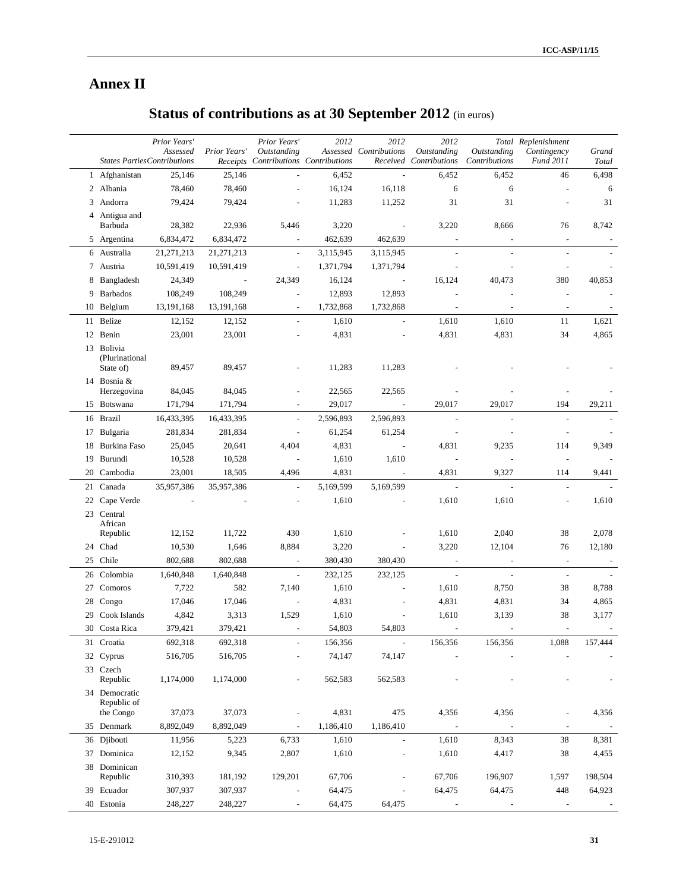# **Annex II**

# **Status of contributions as at 30 September 2012** (in euros)

|    | <b>States Parties Contributions</b>       | Prior Years'<br>Assessed | Prior Years'             | Prior Years'<br><b>Outstanding</b><br>Receipts Contributions Contributions | 2012      | 2012<br>Assessed Contributions | 2012<br>Outstanding<br>Received Contributions | <b>Outstanding</b><br>Contributions | Total Replenishment<br>Contingency<br><b>Fund 2011</b> | Grand<br>Total |
|----|-------------------------------------------|--------------------------|--------------------------|----------------------------------------------------------------------------|-----------|--------------------------------|-----------------------------------------------|-------------------------------------|--------------------------------------------------------|----------------|
|    | 1 Afghanistan                             | 25,146                   | 25,146                   |                                                                            | 6,452     | $\overline{\phantom{a}}$       | 6,452                                         | 6,452                               | 46                                                     | 6,498          |
|    | 2 Albania                                 | 78,460                   | 78,460                   |                                                                            | 16,124    | 16,118                         | 6                                             | 6                                   |                                                        | 6              |
|    | 3 Andorra                                 | 79,424                   | 79,424                   |                                                                            | 11,283    | 11,252                         | 31                                            | 31                                  |                                                        | 31             |
|    | 4 Antigua and                             |                          |                          |                                                                            |           |                                |                                               |                                     |                                                        |                |
|    | Barbuda                                   | 28,382                   | 22,936                   | 5,446                                                                      | 3,220     | $\blacksquare$                 | 3,220                                         | 8,666                               | 76                                                     | 8,742          |
|    | 5 Argentina                               | 6,834,472                | 6,834,472                |                                                                            | 462,639   | 462,639                        |                                               |                                     |                                                        |                |
|    | 6 Australia                               | 21,271,213               | 21, 271, 213             | $\bar{\phantom{a}}$                                                        | 3,115,945 | 3,115,945                      |                                               |                                     |                                                        |                |
|    | 7 Austria                                 | 10,591,419               | 10,591,419               | $\blacksquare$                                                             | 1,371,794 | 1,371,794                      |                                               |                                     | $\overline{a}$                                         |                |
| 8  | Bangladesh                                | 24,349                   | $\overline{\phantom{a}}$ | 24,349                                                                     | 16,124    |                                | 16,124                                        | 40,473                              | 380                                                    | 40,853         |
| 9  | Barbados                                  | 108,249                  | 108,249                  |                                                                            | 12,893    | 12,893                         |                                               |                                     |                                                        |                |
|    | 10 Belgium                                | 13, 191, 168             | 13, 191, 168             | $\overline{\phantom{a}}$                                                   | 1,732,868 | 1,732,868                      |                                               |                                     |                                                        |                |
|    | 11 Belize                                 | 12,152                   | 12,152                   |                                                                            | 1,610     |                                | 1,610                                         | 1,610                               | 11                                                     | 1,621          |
|    | 12 Benin                                  | 23,001                   | 23,001                   |                                                                            | 4,831     |                                | 4,831                                         | 4,831                               | 34                                                     | 4,865          |
|    | 13 Bolivia<br>(Plurinational<br>State of) | 89,457                   | 89,457                   |                                                                            | 11,283    | 11,283                         |                                               |                                     |                                                        |                |
|    | 14 Bosnia &                               |                          |                          |                                                                            |           |                                |                                               |                                     |                                                        |                |
|    | Herzegovina                               | 84,045                   | 84,045                   |                                                                            | 22,565    | 22,565                         |                                               |                                     |                                                        |                |
|    | 15 Botswana                               | 171,794                  | 171,794                  | $\overline{a}$                                                             | 29,017    | $\overline{\phantom{a}}$       | 29,017                                        | 29,017                              | 194                                                    | 29,211         |
|    | 16 Brazil                                 | 16,433,395               | 16,433,395               | $\overline{\phantom{a}}$                                                   | 2,596,893 | 2,596,893                      | $\blacksquare$                                | $\overline{a}$                      | $\overline{\phantom{a}}$                               |                |
|    | 17 Bulgaria                               | 281,834                  | 281,834                  | $\overline{\phantom{a}}$                                                   | 61,254    | 61,254                         |                                               |                                     |                                                        |                |
|    | 18 Burkina Faso                           | 25,045                   | 20,641                   | 4,404                                                                      | 4,831     | $\overline{\phantom{a}}$       | 4,831                                         | 9,235                               | 114                                                    | 9,349          |
|    | 19 Burundi                                | 10,528                   | 10,528                   | $\blacksquare$                                                             | 1,610     | 1,610                          |                                               |                                     |                                                        |                |
| 20 | Cambodia                                  | 23,001                   | 18,505                   | 4,496                                                                      | 4,831     | $\overline{\phantom{a}}$       | 4,831                                         | 9,327                               | 114                                                    | 9,441          |
|    | 21 Canada                                 | 35,957,386               | 35,957,386               | $\overline{a}$                                                             | 5,169,599 | 5,169,599                      |                                               | $\bar{\phantom{a}}$                 | $\blacksquare$                                         |                |
|    | 22 Cape Verde                             |                          |                          |                                                                            | 1,610     | $\overline{a}$                 | 1,610                                         | 1,610                               | $\overline{a}$                                         | 1,610          |
|    | 23 Central                                |                          |                          |                                                                            |           |                                |                                               |                                     |                                                        |                |
|    | African<br>Republic                       | 12,152                   | 11,722                   | 430                                                                        | 1,610     |                                | 1,610                                         | 2,040                               | 38                                                     | 2,078          |
|    | 24 Chad                                   | 10,530                   | 1,646                    | 8,884                                                                      | 3,220     |                                | 3,220                                         | 12,104                              | 76                                                     | 12,180         |
|    | 25 Chile                                  | 802,688                  | 802,688                  | $\overline{\phantom{a}}$                                                   | 380,430   | 380,430                        | $\overline{\phantom{a}}$                      | $\overline{\phantom{a}}$            | $\overline{\phantom{a}}$                               |                |
| 26 | Colombia                                  | 1,640,848                | 1,640,848                | $\overline{\phantom{a}}$                                                   | 232,125   | 232,125                        | $\overline{\phantom{a}}$                      | $\overline{\phantom{a}}$            | $\overline{\phantom{a}}$                               |                |
| 27 | Comoros                                   | 7,722                    | 582                      | 7,140                                                                      | 1,610     |                                | 1,610                                         | 8,750                               | 38                                                     | 8,788          |
|    | 28 Congo                                  | 17,046                   | 17,046                   | $\overline{a}$                                                             | 4,831     |                                | 4,831                                         | 4,831                               | 34                                                     | 4,865          |
| 29 | Cook Islands                              | 4,842                    | 3,313                    | 1,529                                                                      | 1,610     | $\overline{\phantom{a}}$       | 1,610                                         | 3,139                               | 38                                                     | 3,177          |
|    | 30 Costa Rica                             | 379,421                  | 379,421                  | $\overline{\phantom{a}}$                                                   | 54,803    | 54,803                         | $\overline{\phantom{a}}$                      | $\overline{\phantom{a}}$            | $\overline{\phantom{a}}$                               |                |
|    | 31 Croatia                                | 692,318                  | 692,318                  |                                                                            | 156,356   | $\overline{a}$                 | 156,356                                       | 156,356                             | 1,088                                                  | 157,444        |
|    | 32 Cyprus                                 | 516,705                  | 516,705                  |                                                                            | 74,147    | 74,147                         |                                               |                                     |                                                        |                |
|    | 33 Czech<br>Republic                      | 1,174,000                | 1,174,000                |                                                                            | 562,583   | 562,583                        |                                               |                                     |                                                        |                |
|    | 34 Democratic<br>Republic of<br>the Congo | 37,073                   | 37,073                   |                                                                            | 4,831     | 475                            | 4,356                                         | 4,356                               |                                                        | 4,356          |
|    | 35 Denmark                                | 8,892,049                | 8,892,049                |                                                                            | 1,186,410 | 1,186,410                      |                                               |                                     | $\overline{\phantom{a}}$                               |                |
|    | 36 Djibouti                               | 11,956                   | 5,223                    | 6,733                                                                      | 1,610     |                                | 1,610                                         | 8,343                               | 38                                                     | 8,381          |
|    | 37 Dominica                               | 12,152                   | 9,345                    | 2,807                                                                      | 1,610     |                                | 1,610                                         | 4,417                               | 38                                                     | 4,455          |
|    | 38 Dominican                              |                          |                          |                                                                            |           |                                |                                               |                                     |                                                        |                |
|    | Republic                                  | 310,393                  | 181,192                  | 129,201                                                                    | 67,706    |                                | 67,706                                        | 196,907                             | 1,597                                                  | 198,504        |
|    | 39 Ecuador                                | 307,937                  | 307,937                  |                                                                            | 64,475    |                                | 64,475                                        | 64,475                              | 448                                                    | 64,923         |
|    | 40 Estonia                                | 248,227                  | 248,227                  | $\overline{a}$                                                             | 64,475    | 64,475                         | $\overline{\phantom{a}}$                      | $\overline{a}$                      | $\overline{\phantom{a}}$                               |                |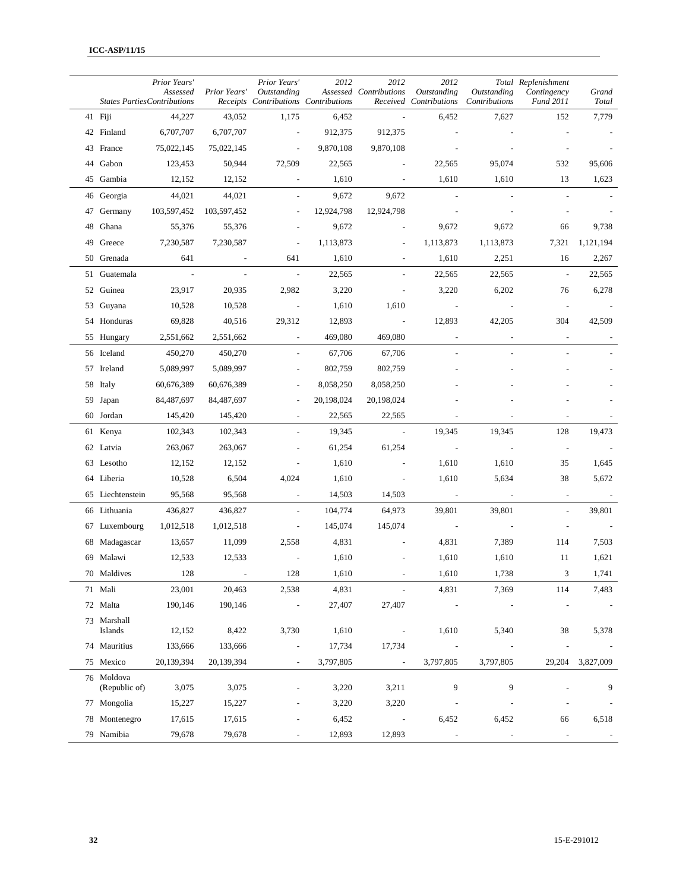|    | <b>States Parties Contributions</b> | Prior Years'<br>Assessed | Prior Years' | Prior Years'<br><b>Outstanding</b><br>Receipts Contributions Contributions | 2012       | 2012<br>Assessed Contributions | 2012<br><b>Outstanding</b><br>Received Contributions | Outstanding<br>Contributions | Total Replenishment<br>Contingency<br><b>Fund 2011</b> | Grand<br>Total |
|----|-------------------------------------|--------------------------|--------------|----------------------------------------------------------------------------|------------|--------------------------------|------------------------------------------------------|------------------------------|--------------------------------------------------------|----------------|
|    | 41 Fiji                             | 44,227                   | 43,052       | 1,175                                                                      | 6,452      |                                | 6,452                                                | 7,627                        | 152                                                    | 7,779          |
|    | 42 Finland                          | 6,707,707                | 6,707,707    | $\overline{\phantom{a}}$                                                   | 912,375    | 912,375                        |                                                      |                              |                                                        |                |
|    | 43 France                           | 75,022,145               | 75,022,145   | $\overline{\phantom{a}}$                                                   | 9,870,108  | 9,870,108                      |                                                      |                              |                                                        |                |
| 44 | Gabon                               | 123,453                  | 50,944       | 72,509                                                                     | 22,565     |                                | 22,565                                               | 95,074                       | 532                                                    | 95,606         |
|    | 45 Gambia                           | 12,152                   | 12,152       | $\overline{\phantom{a}}$                                                   | 1,610      |                                | 1,610                                                | 1,610                        | 13                                                     | 1,623          |
|    | 46 Georgia                          | 44,021                   | 44,021       | $\overline{\phantom{a}}$                                                   | 9,672      | 9,672                          |                                                      |                              |                                                        |                |
| 47 | Germany                             | 103,597,452              | 103,597,452  |                                                                            | 12,924,798 | 12,924,798                     |                                                      |                              |                                                        |                |
| 48 | Ghana                               | 55,376                   | 55,376       | ÷,                                                                         | 9,672      |                                | 9,672                                                | 9,672                        | 66                                                     | 9,738          |
|    | 49 Greece                           | 7,230,587                | 7,230,587    | $\overline{a}$                                                             | 1,113,873  | $\overline{a}$                 | 1,113,873                                            | 1,113,873                    | 7,321                                                  | 1,121,194      |
|    | 50 Grenada                          | 641                      |              | 641                                                                        | 1,610      | $\overline{a}$                 | 1,610                                                | 2,251                        | 16                                                     | 2,267          |
|    | 51 Guatemala                        | $\overline{\phantom{a}}$ |              | $\overline{\phantom{a}}$                                                   | 22,565     |                                | 22,565                                               | 22,565                       | $\sim$                                                 | 22,565         |
|    | 52 Guinea                           | 23,917                   | 20,935       | 2,982                                                                      | 3,220      |                                | 3,220                                                | 6,202                        | 76                                                     | 6,278          |
|    | 53 Guyana                           | 10,528                   | 10,528       | $\overline{\phantom{a}}$                                                   | 1,610      | 1,610                          |                                                      |                              |                                                        |                |
|    | 54 Honduras                         | 69,828                   | 40,516       | 29,312                                                                     | 12,893     | $\overline{\phantom{a}}$       | 12,893                                               | 42,205                       | 304                                                    | 42,509         |
|    | 55 Hungary                          | 2,551,662                | 2,551,662    | $\overline{\phantom{a}}$                                                   | 469,080    | 469,080                        | $\overline{\phantom{a}}$                             | $\overline{\phantom{a}}$     | $\overline{\phantom{a}}$                               |                |
|    | 56 Iceland                          | 450,270                  | 450,270      | $\blacksquare$                                                             | 67,706     | 67,706                         | $\overline{a}$                                       |                              |                                                        |                |
|    | 57 Ireland                          | 5,089,997                | 5,089,997    | ÷,                                                                         | 802,759    | 802,759                        |                                                      |                              |                                                        |                |
|    | 58 Italy                            | 60,676,389               | 60,676,389   |                                                                            | 8,058,250  | 8,058,250                      |                                                      |                              |                                                        |                |
|    | 59 Japan                            | 84,487,697               | 84,487,697   |                                                                            | 20,198,024 | 20,198,024                     |                                                      |                              |                                                        |                |
|    | 60 Jordan                           | 145,420                  | 145,420      |                                                                            | 22,565     | 22,565                         |                                                      |                              |                                                        |                |
|    | 61 Kenya                            | 102,343                  | 102,343      |                                                                            | 19,345     | $\overline{\phantom{a}}$       | 19,345                                               | 19,345                       | 128                                                    | 19,473         |
|    | 62 Latvia                           | 263,067                  | 263,067      |                                                                            | 61,254     | 61,254                         | $\overline{\phantom{a}}$                             |                              | $\overline{\phantom{a}}$                               |                |
|    | 63 Lesotho                          | 12,152                   | 12,152       | ÷,                                                                         | 1,610      |                                | 1,610                                                | 1,610                        | 35                                                     | 1,645          |
|    | 64 Liberia                          | 10,528                   | 6,504        | 4,024                                                                      | 1,610      | $\overline{\phantom{a}}$       | 1,610                                                | 5,634                        | 38                                                     | 5,672          |
|    | 65 Liechtenstein                    | 95,568                   | 95,568       |                                                                            | 14,503     | 14,503                         |                                                      |                              |                                                        |                |
|    | 66 Lithuania                        | 436,827                  | 436,827      | $\overline{\phantom{a}}$                                                   | 104,774    | 64,973                         | 39,801                                               | 39,801                       | $\overline{a}$                                         | 39,801         |
|    | 67 Luxembourg                       | 1,012,518                | 1,012,518    | $\overline{\phantom{a}}$                                                   | 145,074    | 145,074                        | $\overline{\phantom{a}}$                             |                              | $\overline{\phantom{m}}$                               |                |
|    | 68 Madagascar                       | 13,657                   | 11,099       | 2,558                                                                      | 4,831      |                                | 4,831                                                | 7,389                        | 114                                                    | 7,503          |
|    | 69 Malawi                           | 12,533                   | 12,533       |                                                                            | 1,610      |                                | 1,610                                                | 1,610                        | 11                                                     | 1,621          |
|    | 70 Maldives                         | 128                      |              | 128                                                                        | 1,610      |                                | 1,610                                                | 1,738                        | 3                                                      | 1,741          |
|    | 71 Mali                             | 23,001                   | 20,463       | 2,538                                                                      | 4,831      | $\overline{\phantom{a}}$       | 4,831                                                | 7,369                        | 114                                                    | 7,483          |
|    | 72 Malta                            | 190,146                  | 190,146      | $\overline{a}$                                                             | 27,407     | 27,407                         |                                                      |                              |                                                        |                |
|    | 73 Marshall<br>Islands              | 12,152                   | 8,422        | 3,730                                                                      | 1,610      | $\overline{\phantom{a}}$       | 1,610                                                | 5,340                        | 38                                                     | 5,378          |
|    | 74 Mauritius                        | 133,666                  | 133,666      | $\overline{a}$                                                             | 17,734     | 17,734                         |                                                      |                              |                                                        |                |
|    | 75 Mexico                           | 20,139,394               | 20,139,394   | $\overline{\phantom{a}}$                                                   | 3,797,805  | $\overline{\phantom{a}}$       | 3,797,805                                            | 3,797,805                    | 29,204                                                 | 3,827,009      |
|    | 76 Moldova<br>(Republic of)         | 3,075                    | 3,075        | $\overline{\phantom{a}}$                                                   | 3,220      | 3,211                          | 9                                                    | 9                            |                                                        | 9              |
|    | 77 Mongolia                         | 15,227                   | 15,227       | $\overline{a}$                                                             | 3,220      | 3,220                          |                                                      |                              |                                                        |                |
|    | 78 Montenegro                       | 17,615                   | 17,615       |                                                                            | 6,452      | $\overline{\phantom{a}}$       | 6,452                                                | 6,452                        | 66                                                     | 6,518          |
|    | 79 Namibia                          | 79,678                   | 79,678       |                                                                            | 12,893     | 12,893                         | $\overline{\phantom{a}}$                             |                              | $\overline{\phantom{a}}$                               |                |
|    |                                     |                          |              |                                                                            |            |                                |                                                      |                              |                                                        |                |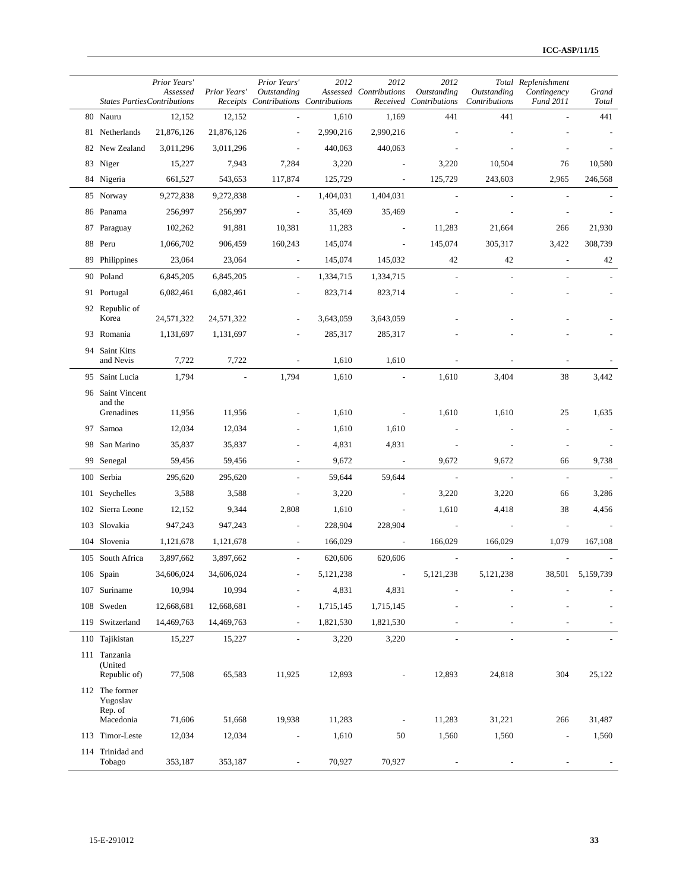| <b>States Parties Contributions</b>                | Prior Years'<br>Assessed | Prior Years'         | Prior Years'<br>Outstanding<br>Receipts Contributions Contributions | 2012                 | 2012<br>Assessed Contributions | 2012<br><b>Outstanding</b><br>Received Contributions | Outstanding<br>Contributions | Total Replenishment<br>Contingency<br><b>Fund 2011</b> | Grand<br>Total |
|----------------------------------------------------|--------------------------|----------------------|---------------------------------------------------------------------|----------------------|--------------------------------|------------------------------------------------------|------------------------------|--------------------------------------------------------|----------------|
| 80 Nauru                                           | 12,152                   | 12,152               |                                                                     | 1,610                | 1,169                          | 441                                                  | 441                          |                                                        | 441            |
| 81 Netherlands                                     | 21,876,126               | 21,876,126           |                                                                     | 2,990,216            | 2,990,216                      |                                                      |                              |                                                        |                |
| 82 New Zealand                                     | 3,011,296                | 3,011,296            |                                                                     | 440,063              | 440,063                        |                                                      |                              |                                                        |                |
| 83 Niger                                           | 15,227                   | 7,943                | 7,284                                                               | 3,220                |                                | 3,220                                                | 10,504                       | 76                                                     | 10,580         |
| 84 Nigeria                                         | 661,527                  | 543,653              | 117,874                                                             | 125,729              | $\overline{\phantom{a}}$       | 125,729                                              | 243,603                      | 2,965                                                  | 246,568        |
| 85 Norway                                          | 9,272,838                | 9,272,838            | $\overline{\phantom{a}}$                                            | 1,404,031            | 1,404,031                      |                                                      |                              |                                                        |                |
| 86 Panama                                          | 256,997                  | 256,997              |                                                                     | 35,469               | 35,469                         |                                                      |                              |                                                        |                |
| 87 Paraguay                                        | 102,262                  | 91,881               | 10,381                                                              | 11,283               |                                | 11,283                                               | 21,664                       | 266                                                    | 21,930         |
| 88 Peru                                            | 1,066,702                | 906,459              | 160,243                                                             | 145,074              |                                | 145,074                                              | 305,317                      | 3,422                                                  | 308,739        |
| 89 Philippines                                     | 23,064                   | 23,064               | $\overline{\phantom{a}}$                                            | 145,074              | 145,032                        | 42                                                   | 42                           | $\overline{\phantom{a}}$                               | 42             |
| 90 Poland                                          | 6,845,205                | 6,845,205            | $\overline{\phantom{a}}$                                            | 1,334,715            | 1,334,715                      | $\overline{a}$                                       |                              |                                                        |                |
| 91 Portugal                                        | 6,082,461                | 6,082,461            |                                                                     | 823,714              | 823,714                        |                                                      |                              |                                                        |                |
| 92 Republic of<br>Korea                            | 24,571,322               | 24,571,322           |                                                                     | 3,643,059            | 3,643,059                      |                                                      |                              |                                                        |                |
| 93 Romania                                         | 1,131,697                | 1,131,697            |                                                                     | 285,317              | 285,317                        |                                                      |                              |                                                        |                |
| 94 Saint Kitts<br>and Nevis                        | 7,722                    | 7,722                | $\overline{a}$                                                      | 1,610                | 1,610                          |                                                      |                              |                                                        |                |
| 95 Saint Lucia                                     | 1,794                    | $\overline{a}$       | 1,794                                                               | 1,610                | $\overline{\phantom{a}}$       | 1,610                                                | 3,404                        | 38                                                     | 3,442          |
| 96 Saint Vincent<br>and the                        |                          |                      |                                                                     |                      |                                |                                                      |                              |                                                        |                |
| Grenadines                                         | 11,956                   | 11,956               |                                                                     | 1,610                | $\overline{\phantom{a}}$       | 1,610                                                | 1,610                        | 25                                                     | 1,635          |
| 97 Samoa                                           | 12,034                   | 12,034               |                                                                     | 1,610                | 1,610                          |                                                      |                              |                                                        |                |
| 98 San Marino                                      | 35,837                   | 35,837               |                                                                     | 4,831                | 4,831                          |                                                      |                              |                                                        |                |
| 99 Senegal                                         | 59,456                   | 59,456               | $\overline{\phantom{a}}$                                            | 9,672                | $\overline{\phantom{a}}$       | 9,672<br>$\overline{\phantom{a}}$                    | 9,672<br>$\overline{a}$      | 66<br>$\overline{\phantom{a}}$                         | 9,738          |
| 100 Serbia                                         | 295,620                  | 295,620              |                                                                     | 59,644               | 59,644                         |                                                      |                              |                                                        |                |
| 101 Seychelles<br>102 Sierra Leone                 | 3,588<br>12,152          | 3,588                | 2,808                                                               | 3,220<br>1,610       | ÷,<br>$\overline{a}$           | 3,220<br>1,610                                       | 3,220<br>4,418               | 66<br>38                                               | 3,286          |
| 103 Slovakia                                       | 947,243                  | 9,344                |                                                                     | 228,904              | 228,904                        |                                                      |                              |                                                        | 4,456          |
|                                                    | 1,121,678                | 947,243              |                                                                     |                      |                                | 166,029                                              |                              |                                                        |                |
| 104 Slovenia                                       |                          | 1,121,678            | $\overline{\phantom{a}}$                                            | 166,029              | $\overline{\phantom{a}}$       |                                                      | 166,029                      | 1,079                                                  | 167,108        |
| 105 South Africa                                   | 3,897,662                | 3,897,662            |                                                                     | 620,606<br>5,121,238 | 620,606                        | 5,121,238                                            | 5.121.238                    | 38.501                                                 | 5.159.739      |
| 106 Spain                                          | 34,606,024<br>10,994     | 34,606,024<br>10,994 |                                                                     | 4,831                | 4,831                          |                                                      |                              |                                                        |                |
| 107 Suriname<br>108 Sweden                         | 12,668,681               | 12,668,681           | $\overline{a}$                                                      | 1,715,145            | 1,715,145                      |                                                      |                              |                                                        |                |
| 119 Switzerland                                    | 14,469,763               | 14,469,763           | $\overline{\phantom{a}}$                                            | 1,821,530            | 1,821,530                      |                                                      |                              |                                                        |                |
| 110 Tajikistan                                     | 15,227                   | 15,227               |                                                                     | 3,220                | 3,220                          |                                                      |                              |                                                        |                |
| 111 Tanzania                                       |                          |                      |                                                                     |                      |                                |                                                      |                              |                                                        |                |
| (United<br>Republic of)                            | 77,508                   | 65,583               | 11,925                                                              | 12,893               |                                | 12,893                                               | 24,818                       | 304                                                    | 25,122         |
| 112 The former<br>Yugoslav<br>Rep. of<br>Macedonia | 71,606                   |                      | 19,938                                                              | 11,283               |                                | 11,283                                               | 31,221                       | 266                                                    | 31,487         |
| 113 Timor-Leste                                    | 12,034                   | 51,668<br>12,034     |                                                                     | 1,610                | 50                             | 1,560                                                | 1,560                        |                                                        |                |
| 114 Trinidad and                                   |                          |                      |                                                                     |                      |                                |                                                      |                              | $\overline{\phantom{a}}$                               | 1,560          |
| Tobago                                             | 353,187                  | 353,187              |                                                                     | 70,927               | 70,927                         |                                                      |                              |                                                        |                |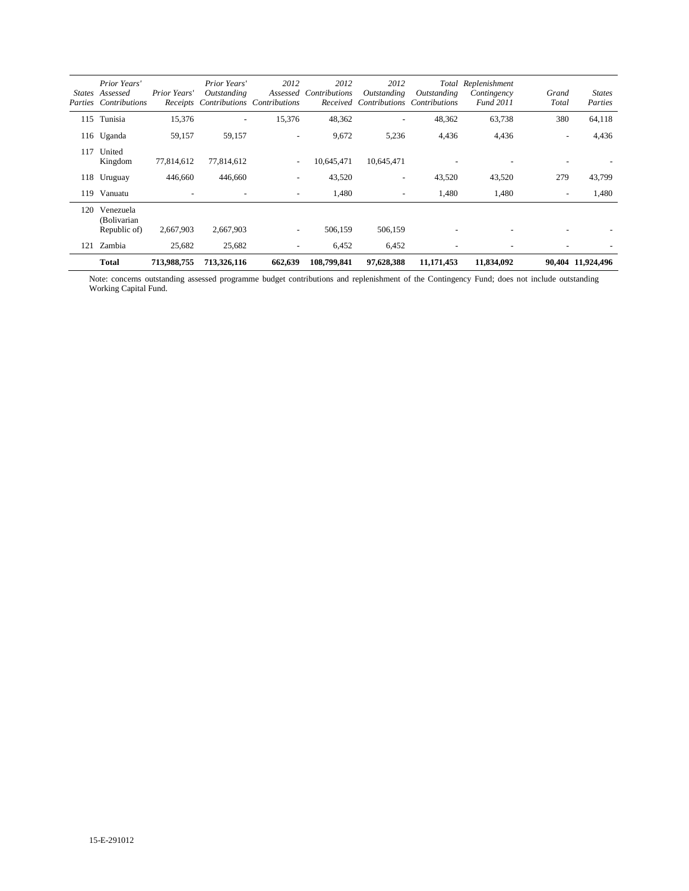| <i>States</i> | Prior Years'<br>Assessed<br>Parties Contributions | Prior Years'             | Prior Years'<br>Outstanding<br>Receipts Contributions Contributions | 2012<br>Assessed         | 2012<br>Contributions<br>Received | 2012<br>Outstanding<br>Contributions | Total<br>Outstanding<br>Contributions | Replenishment<br>Contingency<br>Fund 2011 | Grand<br>Total           | <b>States</b><br>Parties |
|---------------|---------------------------------------------------|--------------------------|---------------------------------------------------------------------|--------------------------|-----------------------------------|--------------------------------------|---------------------------------------|-------------------------------------------|--------------------------|--------------------------|
| 115           | Tunisia                                           | 15,376                   |                                                                     | 15,376                   | 48,362                            | $\overline{\phantom{0}}$             | 48,362                                | 63,738                                    | 380                      | 64,118                   |
|               | 116 Uganda                                        | 59,157                   | 59,157                                                              |                          | 9,672                             | 5,236                                | 4,436                                 | 4,436                                     |                          | 4,436                    |
| 117           | United<br>Kingdom                                 | 77,814,612               | 77,814,612                                                          | $\overline{\phantom{a}}$ | 10,645,471                        | 10,645,471                           |                                       |                                           |                          |                          |
|               | 118 Uruguay                                       | 446,660                  | 446,660                                                             | $\overline{\phantom{a}}$ | 43,520                            | $\overline{\phantom{a}}$             | 43,520                                | 43,520                                    | 279                      | 43,799                   |
| 119           | Vanuatu                                           | $\overline{\phantom{a}}$ | $\overline{\phantom{a}}$                                            | $\overline{\phantom{a}}$ | 1,480                             | $\overline{\phantom{a}}$             | 1,480                                 | 1,480                                     | $\overline{\phantom{a}}$ | 1,480                    |
| 120           | Venezuela<br>(Bolivarian<br>Republic of)          | 2,667,903                | 2,667,903                                                           | $\tilde{\phantom{a}}$    | 506,159                           | 506,159                              |                                       |                                           |                          |                          |
| 121           | Zambia                                            | 25,682                   | 25,682                                                              | $\tilde{\phantom{a}}$    | 6,452                             | 6,452                                | $\overline{\phantom{a}}$              |                                           |                          |                          |
|               | <b>Total</b>                                      | 713,988,755              | 713,326,116                                                         | 662,639                  | 108,799,841                       | 97,628,388                           | 11,171,453                            | 11,834,092                                |                          | 90,404 11,924,496        |

Note: concerns outstanding assessed programme budget contributions and replenishment of the Contingency Fund; does not include outstanding Working Capital Fund.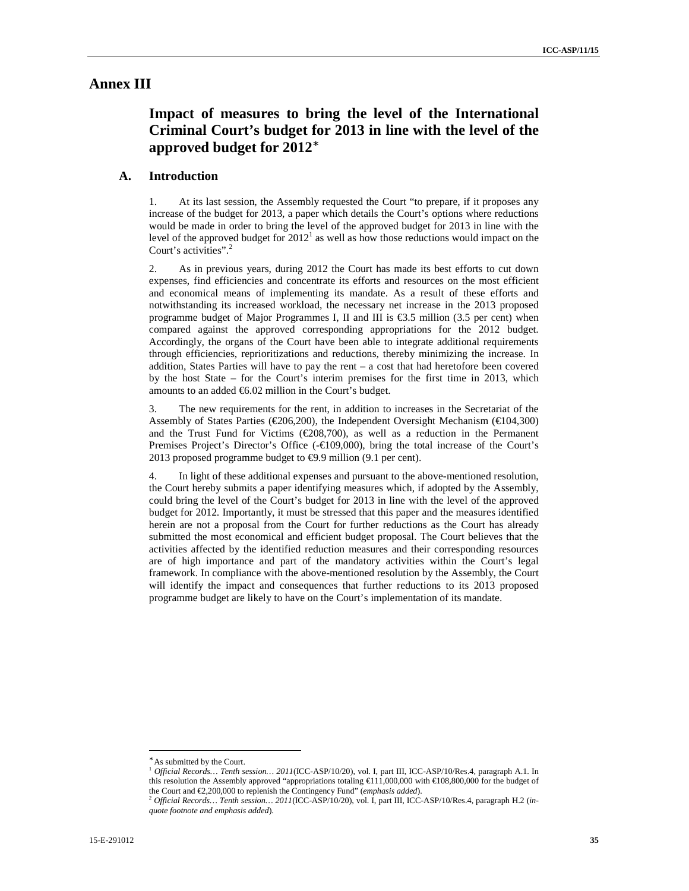### **Annex III**

# **Impact of measures to bring the level of the International Criminal Court's budget for 2013 in line with the level of the approved budget for 2012**<sup>∗</sup>

### **A. Introduction**

1. At its last session, the Assembly requested the Court "to prepare, if it proposes any increase of the budget for 2013, a paper which details the Court's options where reductions would be made in order to bring the level of the approved budget for 2013 in line with the level of the approved budget for  $2012<sup>1</sup>$  as well as how those reductions would impact on the Court's activities".<sup>2</sup>

2. As in previous years, during 2012 the Court has made its best efforts to cut down expenses, find efficiencies and concentrate its efforts and resources on the most efficient and economical means of implementing its mandate. As a result of these efforts and notwithstanding its increased workload, the necessary net increase in the 2013 proposed programme budget of Major Programmes I, II and III is  $\epsilon$ 3.5 million (3.5 per cent) when compared against the approved corresponding appropriations for the 2012 budget. Accordingly, the organs of the Court have been able to integrate additional requirements through efficiencies, reprioritizations and reductions, thereby minimizing the increase. In addition, States Parties will have to pay the rent – a cost that had heretofore been covered by the host State – for the Court's interim premises for the first time in 2013, which amounts to an added €6.02 million in the Court's budget.

3. The new requirements for the rent, in addition to increases in the Secretariat of the Assembly of States Parties (€206,200), the Independent Oversight Mechanism (€104,300) and the Trust Fund for Victims ( $\epsilon$ 208,700), as well as a reduction in the Permanent Premises Project's Director's Office  $(-\epsilon 109,000)$ , bring the total increase of the Court's 2013 proposed programme budget to €9.9 million (9.1 per cent).

4. In light of these additional expenses and pursuant to the above-mentioned resolution, the Court hereby submits a paper identifying measures which, if adopted by the Assembly, could bring the level of the Court's budget for 2013 in line with the level of the approved budget for 2012. Importantly, it must be stressed that this paper and the measures identified herein are not a proposal from the Court for further reductions as the Court has already submitted the most economical and efficient budget proposal. The Court believes that the activities affected by the identified reduction measures and their corresponding resources are of high importance and part of the mandatory activities within the Court's legal framework. In compliance with the above-mentioned resolution by the Assembly, the Court will identify the impact and consequences that further reductions to its 2013 proposed programme budget are likely to have on the Court's implementation of its mandate.

<sup>∗</sup> As submitted by the Court.

<sup>1</sup> *Official Records… Tenth session… 2011*(ICC-ASP/10/20), vol. I, part III, ICC-ASP/10/Res.4, paragraph A.1. In this resolution the Assembly approved "appropriations totaling €111,000,000 with €108,800,000 for the budget of the Court and €2,200,000 to replenish the Contingency Fund" (*emphasis added*).

<sup>2</sup> *Official Records… Tenth session… 2011*(ICC-ASP/10/20), vol. I, part III, ICC-ASP/10/Res.4, paragraph H.2 (*inquote footnote and emphasis added*).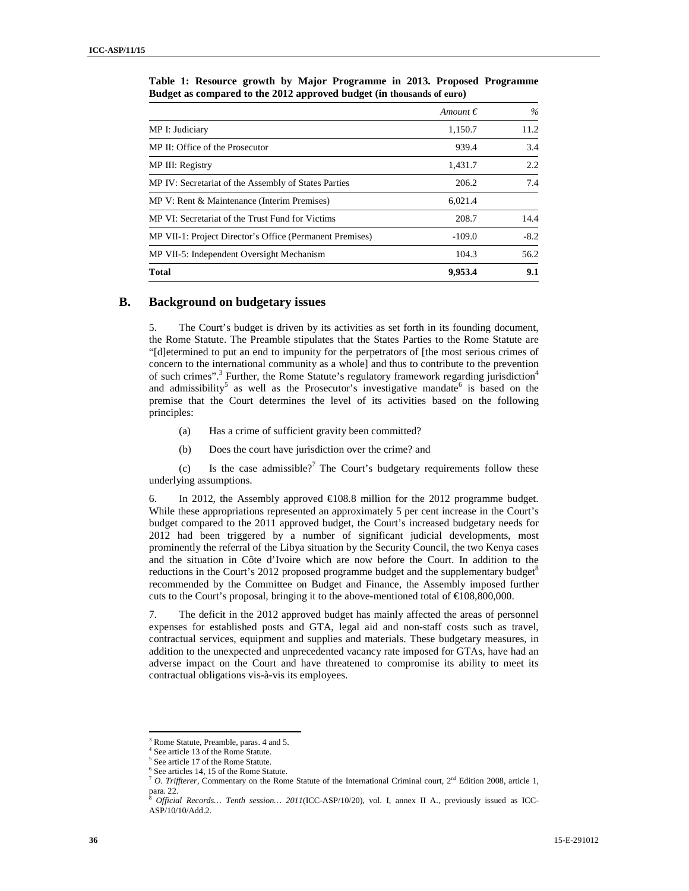|                                                          | Amount $\epsilon$ | $\%$   |
|----------------------------------------------------------|-------------------|--------|
| MP I: Judiciary                                          | 1,150.7           | 11.2   |
| MP II: Office of the Prosecutor                          | 939.4             | 3.4    |
| MP III: Registry                                         | 1,431.7           | 2.2    |
| MP IV: Secretariat of the Assembly of States Parties     | 206.2             | 7.4    |
| MP V: Rent & Maintenance (Interim Premises)              | 6,021.4           |        |
| MP VI: Secretariat of the Trust Fund for Victims         | 208.7             | 14.4   |
| MP VII-1: Project Director's Office (Permanent Premises) | $-109.0$          | $-8.2$ |
| MP VII-5: Independent Oversight Mechanism                | 104.3             | 56.2   |
| <b>Total</b>                                             | 9,953.4           | 9.1    |

**Table 1: Resource growth by Major Programme in 2013. Proposed Programme Budget as compared to the 2012 approved budget (in thousands of euro)** 

### **B. Background on budgetary issues**

5. The Court's budget is driven by its activities as set forth in its founding document, the Rome Statute. The Preamble stipulates that the States Parties to the Rome Statute are "[d]etermined to put an end to impunity for the perpetrators of [the most serious crimes of concern to the international community as a whole] and thus to contribute to the prevention of such crimes".<sup>3</sup> Further, the Rome Statute's regulatory framework regarding jurisdiction<sup>4</sup> and admissibility<sup>5</sup> as well as the Prosecutor's investigative mandate<sup>6</sup> is based on the premise that the Court determines the level of its activities based on the following principles:

- (a) Has a crime of sufficient gravity been committed?
- (b) Does the court have jurisdiction over the crime? and

(c) Is the case admissible?<sup>7</sup> The Court's budgetary requirements follow these underlying assumptions.

6. In 2012, the Assembly approved  $\epsilon$ 108.8 million for the 2012 programme budget. While these appropriations represented an approximately 5 per cent increase in the Court's budget compared to the 2011 approved budget, the Court's increased budgetary needs for 2012 had been triggered by a number of significant judicial developments, most prominently the referral of the Libya situation by the Security Council, the two Kenya cases and the situation in Côte d'Ivoire which are now before the Court. In addition to the reductions in the Court's 2012 proposed programme budget and the supplementary budget<sup>8</sup> recommended by the Committee on Budget and Finance, the Assembly imposed further cuts to the Court's proposal, bringing it to the above-mentioned total of  $\text{\textsterling}108,800,000$ .

7. The deficit in the 2012 approved budget has mainly affected the areas of personnel expenses for established posts and GTA, legal aid and non-staff costs such as travel, contractual services, equipment and supplies and materials. These budgetary measures, in addition to the unexpected and unprecedented vacancy rate imposed for GTAs, have had an adverse impact on the Court and have threatened to compromise its ability to meet its contractual obligations vis-à-vis its employees.

<sup>3</sup> Rome Statute, Preamble, paras. 4 and 5.

<sup>4</sup> See article 13 of the Rome Statute.

<sup>5</sup> See article 17 of the Rome Statute.

<sup>6</sup> See articles 14, 15 of the Rome Statute.

<sup>7</sup> *O. Triffterer,* Commentary on the Rome Statute of the International Criminal court, 2nd Edition 2008, article 1, para. 22.

<sup>8</sup> *Official Records… Tenth session… 2011*(ICC-ASP/10/20), vol. I, annex II A., previously issued as ICC-ASP/10/10/Add.2.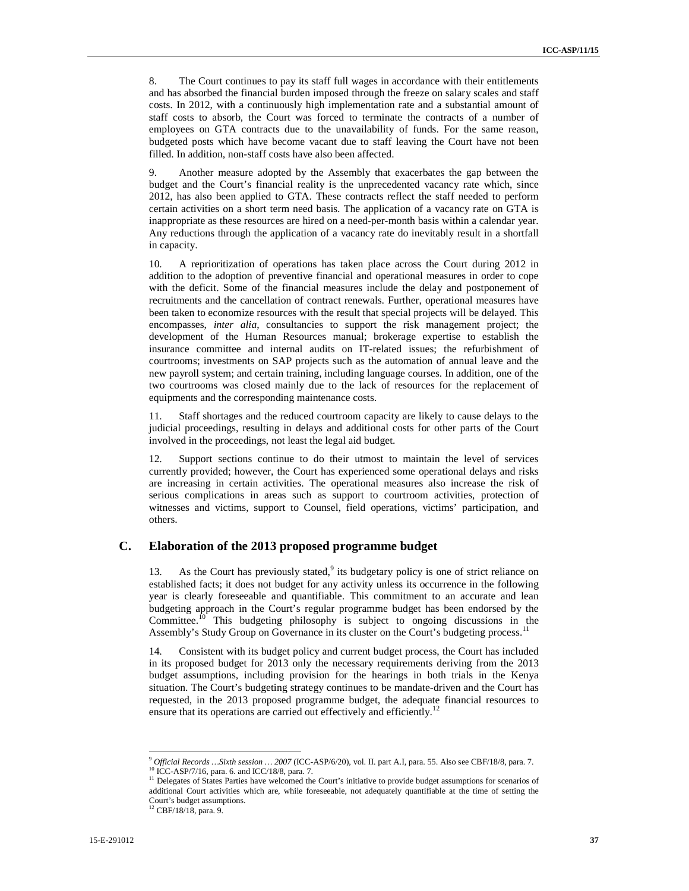8. The Court continues to pay its staff full wages in accordance with their entitlements and has absorbed the financial burden imposed through the freeze on salary scales and staff costs. In 2012, with a continuously high implementation rate and a substantial amount of staff costs to absorb, the Court was forced to terminate the contracts of a number of employees on GTA contracts due to the unavailability of funds. For the same reason, budgeted posts which have become vacant due to staff leaving the Court have not been filled. In addition, non-staff costs have also been affected.

9. Another measure adopted by the Assembly that exacerbates the gap between the budget and the Court's financial reality is the unprecedented vacancy rate which, since 2012, has also been applied to GTA. These contracts reflect the staff needed to perform certain activities on a short term need basis. The application of a vacancy rate on GTA is inappropriate as these resources are hired on a need-per-month basis within a calendar year. Any reductions through the application of a vacancy rate do inevitably result in a shortfall in capacity.

10. A reprioritization of operations has taken place across the Court during 2012 in addition to the adoption of preventive financial and operational measures in order to cope with the deficit. Some of the financial measures include the delay and postponement of recruitments and the cancellation of contract renewals. Further, operational measures have been taken to economize resources with the result that special projects will be delayed. This encompasses, *inter alia*, consultancies to support the risk management project; the development of the Human Resources manual; brokerage expertise to establish the insurance committee and internal audits on IT-related issues; the refurbishment of courtrooms; investments on SAP projects such as the automation of annual leave and the new payroll system; and certain training, including language courses. In addition, one of the two courtrooms was closed mainly due to the lack of resources for the replacement of equipments and the corresponding maintenance costs.

11. Staff shortages and the reduced courtroom capacity are likely to cause delays to the judicial proceedings, resulting in delays and additional costs for other parts of the Court involved in the proceedings, not least the legal aid budget.

12. Support sections continue to do their utmost to maintain the level of services currently provided; however, the Court has experienced some operational delays and risks are increasing in certain activities. The operational measures also increase the risk of serious complications in areas such as support to courtroom activities, protection of witnesses and victims, support to Counsel, field operations, victims' participation, and others.

#### **C. Elaboration of the 2013 proposed programme budget**

13. As the Court has previously stated, $9$  its budgetary policy is one of strict reliance on established facts; it does not budget for any activity unless its occurrence in the following year is clearly foreseeable and quantifiable. This commitment to an accurate and lean budgeting approach in the Court's regular programme budget has been endorsed by the Committee.<sup>10</sup> This budgeting philosophy is subject to ongoing discussions in the Assembly's Study Group on Governance in its cluster on the Court's budgeting process.<sup>11</sup>

14. Consistent with its budget policy and current budget process, the Court has included in its proposed budget for 2013 only the necessary requirements deriving from the 2013 budget assumptions, including provision for the hearings in both trials in the Kenya situation. The Court's budgeting strategy continues to be mandate-driven and the Court has requested, in the 2013 proposed programme budget, the adequate financial resources to ensure that its operations are carried out effectively and efficiently.<sup>12</sup>

 $\overline{a}$ 

<sup>9</sup> *Official Records …Sixth session … 2007* (ICC-ASP/6/20), vol. II. part A.I, para. 55. Also see CBF/18/8, para. 7. <sup>10</sup> ICC-ASP/7/16, para. 6. and ICC/18/8, para. 7.

<sup>&</sup>lt;sup>11</sup> Delegates of States Parties have welcomed the Court's initiative to provide budget assumptions for scenarios of additional Court activities which are, while foreseeable, not adequately quantifiable at the time of setting the Court's budget assumptions.

<sup>&</sup>lt;sup>12</sup> CBF/18/18, para. 9.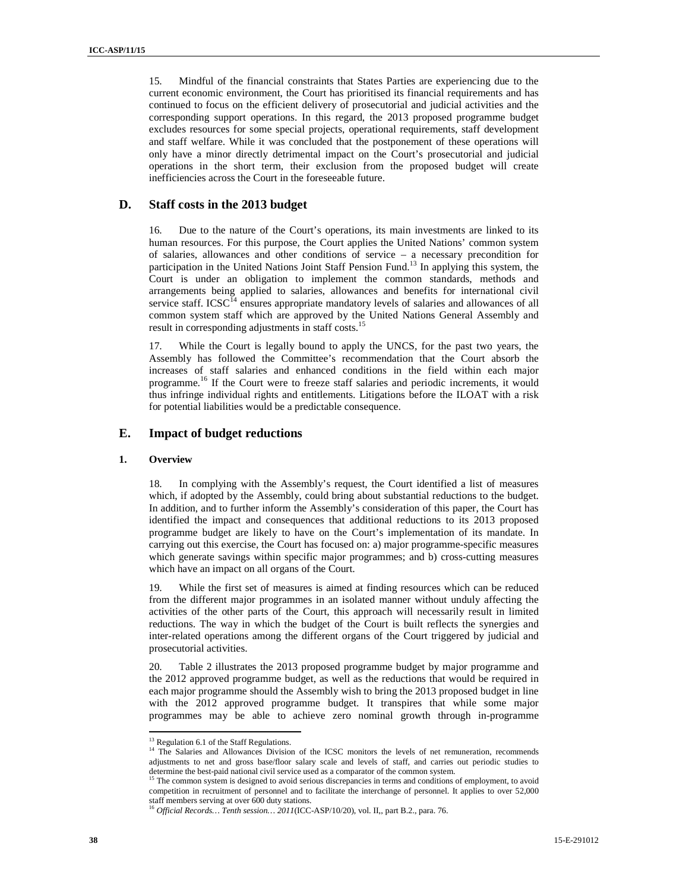15. Mindful of the financial constraints that States Parties are experiencing due to the current economic environment, the Court has prioritised its financial requirements and has continued to focus on the efficient delivery of prosecutorial and judicial activities and the corresponding support operations. In this regard, the 2013 proposed programme budget excludes resources for some special projects, operational requirements, staff development and staff welfare. While it was concluded that the postponement of these operations will only have a minor directly detrimental impact on the Court's prosecutorial and judicial operations in the short term, their exclusion from the proposed budget will create inefficiencies across the Court in the foreseeable future.

#### **D. Staff costs in the 2013 budget**

16. Due to the nature of the Court's operations, its main investments are linked to its human resources. For this purpose, the Court applies the United Nations' common system of salaries, allowances and other conditions of service – a necessary precondition for participation in the United Nations Joint Staff Pension Fund.<sup>13</sup> In applying this system, the Court is under an obligation to implement the common standards, methods and arrangements being applied to salaries, allowances and benefits for international civil service staff. ICSC $I<sup>4</sup>$  ensures appropriate mandatory levels of salaries and allowances of all common system staff which are approved by the United Nations General Assembly and result in corresponding adjustments in staff costs.<sup>15</sup>

17. While the Court is legally bound to apply the UNCS, for the past two years, the Assembly has followed the Committee's recommendation that the Court absorb the increases of staff salaries and enhanced conditions in the field within each major programme.<sup>16</sup> If the Court were to freeze staff salaries and periodic increments, it would thus infringe individual rights and entitlements. Litigations before the ILOAT with a risk for potential liabilities would be a predictable consequence.

#### **E. Impact of budget reductions**

#### **1. Overview**

18. In complying with the Assembly's request, the Court identified a list of measures which, if adopted by the Assembly, could bring about substantial reductions to the budget. In addition, and to further inform the Assembly's consideration of this paper, the Court has identified the impact and consequences that additional reductions to its 2013 proposed programme budget are likely to have on the Court's implementation of its mandate. In carrying out this exercise, the Court has focused on: a) major programme-specific measures which generate savings within specific major programmes; and b) cross-cutting measures which have an impact on all organs of the Court.

19. While the first set of measures is aimed at finding resources which can be reduced from the different major programmes in an isolated manner without unduly affecting the activities of the other parts of the Court, this approach will necessarily result in limited reductions. The way in which the budget of the Court is built reflects the synergies and inter-related operations among the different organs of the Court triggered by judicial and prosecutorial activities.

20. Table 2 illustrates the 2013 proposed programme budget by major programme and the 2012 approved programme budget, as well as the reductions that would be required in each major programme should the Assembly wish to bring the 2013 proposed budget in line with the 2012 approved programme budget. It transpires that while some major programmes may be able to achieve zero nominal growth through in-programme  $\overline{a}$ 

<sup>&</sup>lt;sup>13</sup> Regulation 6.1 of the Staff Regulations.

<sup>&</sup>lt;sup>14</sup> The Salaries and Allowances Division of the ICSC monitors the levels of net remuneration, recommends adjustments to net and gross base/floor salary scale and levels of staff, and carries out periodic studies to determine the best-paid national civil service used as a comparator of the common system.

<sup>&</sup>lt;sup>15</sup> The common system is designed to avoid serious discrepancies in terms and conditions of employment, to avoid competition in recruitment of personnel and to facilitate the interchange of personnel. It applies to over 52,000 staff members serving at over 600 duty stations.

<sup>16</sup> *Official Records… Tenth session… 2011*(ICC-ASP/10/20), vol. II,, part B.2., para. 76.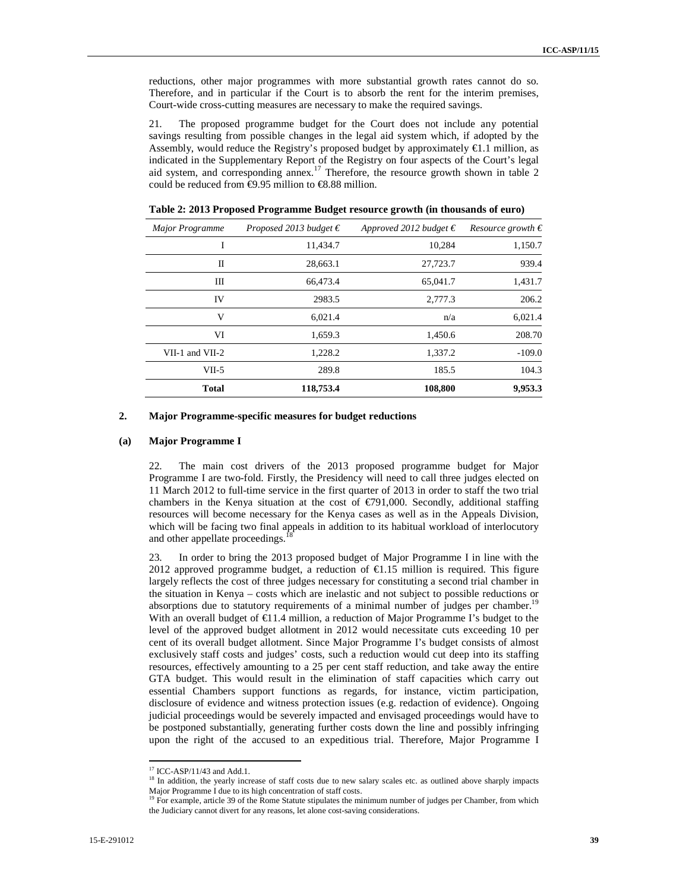reductions, other major programmes with more substantial growth rates cannot do so. Therefore, and in particular if the Court is to absorb the rent for the interim premises, Court-wide cross-cutting measures are necessary to make the required savings.

21. The proposed programme budget for the Court does not include any potential savings resulting from possible changes in the legal aid system which, if adopted by the Assembly, would reduce the Registry's proposed budget by approximately  $\epsilon$ 1.1 million, as indicated in the Supplementary Report of the Registry on four aspects of the Court's legal aid system, and corresponding annex*.* <sup>17</sup> Therefore, the resource growth shown in table 2 could be reduced from  $\epsilon$ 9.95 million to  $\epsilon$ 8.88 million.

| Resource growth $\epsilon$ | Approved 2012 budget $\epsilon$ | Proposed 2013 budget $\epsilon$ | <b>Major Programme</b> |
|----------------------------|---------------------------------|---------------------------------|------------------------|
| 1,150.7                    | 10,284                          | 11,434.7                        | I                      |
| 939.4                      | 27,723.7                        | 28,663.1                        | П                      |
| 1,431.7                    | 65,041.7                        | 66,473.4                        | Ш                      |
| 206.2                      | 2,777.3                         | 2983.5                          | IV                     |
| 6,021.4                    | n/a                             | 6,021.4                         | V                      |
| 208.70                     | 1,450.6                         | 1,659.3                         | VI                     |
| $-109.0$                   | 1,337.2                         | 1,228.2                         | $VII-1$ and $VII-2$    |
| 104.3                      | 185.5                           | 289.8                           | $VII-5$                |
| 9,953.3                    | 108,800                         | 118,753.4                       | <b>Total</b>           |

**Table 2: 2013 Proposed Programme Budget resource growth (in thousands of euro)** 

#### **2. Major Programme-specific measures for budget reductions**

#### **(a) Major Programme I**

22. The main cost drivers of the 2013 proposed programme budget for Major Programme I are two-fold. Firstly, the Presidency will need to call three judges elected on 11 March 2012 to full-time service in the first quarter of 2013 in order to staff the two trial chambers in the Kenya situation at the cost of  $\epsilon$ 791,000. Secondly, additional staffing resources will become necessary for the Kenya cases as well as in the Appeals Division, which will be facing two final appeals in addition to its habitual workload of interlocutory and other appellate proceedings.<sup>1</sup>

23. In order to bring the 2013 proposed budget of Major Programme I in line with the 2012 approved programme budget, a reduction of  $\epsilon$ 1.5 million is required. This figure largely reflects the cost of three judges necessary for constituting a second trial chamber in the situation in Kenya – costs which are inelastic and not subject to possible reductions or absorptions due to statutory requirements of a minimal number of judges per chamber.<sup>1</sup> With an overall budget of  $\epsilon$ 11.4 million, a reduction of Major Programme I's budget to the level of the approved budget allotment in 2012 would necessitate cuts exceeding 10 per cent of its overall budget allotment. Since Major Programme I's budget consists of almost exclusively staff costs and judges' costs, such a reduction would cut deep into its staffing resources, effectively amounting to a 25 per cent staff reduction, and take away the entire GTA budget. This would result in the elimination of staff capacities which carry out essential Chambers support functions as regards, for instance, victim participation, disclosure of evidence and witness protection issues (e.g. redaction of evidence). Ongoing judicial proceedings would be severely impacted and envisaged proceedings would have to be postponed substantially, generating further costs down the line and possibly infringing upon the right of the accused to an expeditious trial. Therefore, Major Programme I

 $\overline{a}$ 

<sup>17</sup> ICC-ASP/11/43 and Add.1.

<sup>&</sup>lt;sup>18</sup> In addition, the yearly increase of staff costs due to new salary scales etc. as outlined above sharply impacts

Major Programme I due to its high concentration of staff costs.<br><sup>19</sup> For example, article 39 of the Rome Statute stipulates the minimum number of judges per Chamber, from which the Judiciary cannot divert for any reasons, let alone cost-saving considerations.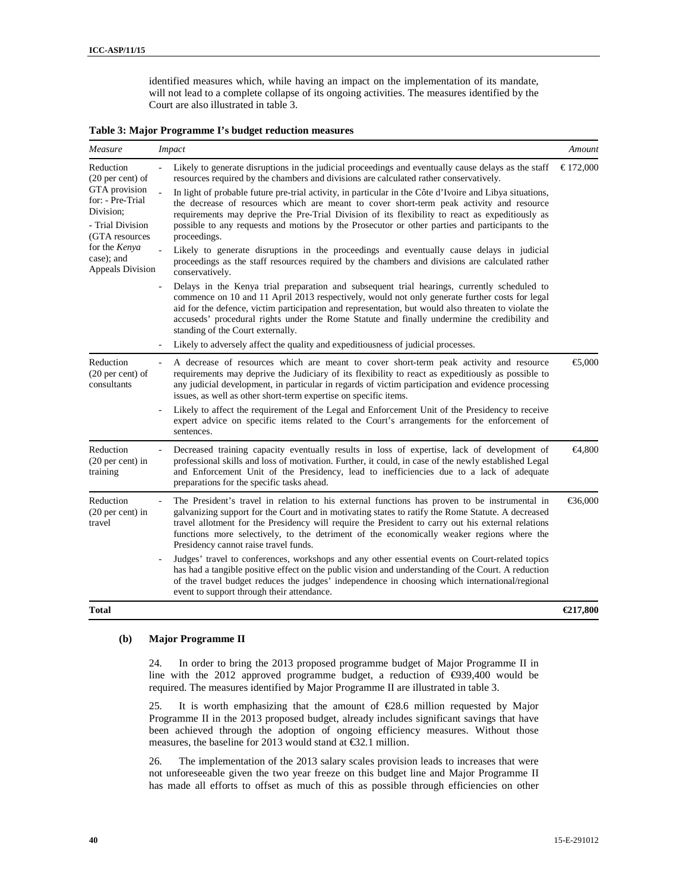identified measures which, while having an impact on the implementation of its mandate, will not lead to a complete collapse of its ongoing activities. The measures identified by the Court are also illustrated in table 3.

**Table 3: Major Programme I's budget reduction measures** 

| Measure<br><b>Impact</b>                                                                                      |                                                                                                                                                                                                                                                                                                                                                                                                                                                 |           |
|---------------------------------------------------------------------------------------------------------------|-------------------------------------------------------------------------------------------------------------------------------------------------------------------------------------------------------------------------------------------------------------------------------------------------------------------------------------------------------------------------------------------------------------------------------------------------|-----------|
| Reduction<br>$(20 \text{ per cent})$ of<br>GTA provision<br>for: - Pre-Trial<br>Division:<br>- Trial Division | Likely to generate disruptions in the judicial proceedings and eventually cause delays as the staff<br>resources required by the chambers and divisions are calculated rather conservatively.                                                                                                                                                                                                                                                   | € 172,000 |
|                                                                                                               | In light of probable future pre-trial activity, in particular in the Côte d'Ivoire and Libya situations,<br>the decrease of resources which are meant to cover short-term peak activity and resource<br>requirements may deprive the Pre-Trial Division of its flexibility to react as expeditiously as<br>possible to any requests and motions by the Prosecutor or other parties and participants to the                                      |           |
| (GTA resources                                                                                                | proceedings.                                                                                                                                                                                                                                                                                                                                                                                                                                    |           |
| for the Kenya<br>case); and<br>Appeals Division                                                               | Likely to generate disruptions in the proceedings and eventually cause delays in judicial<br>proceedings as the staff resources required by the chambers and divisions are calculated rather<br>conservatively.                                                                                                                                                                                                                                 |           |
|                                                                                                               | Delays in the Kenya trial preparation and subsequent trial hearings, currently scheduled to<br>commence on 10 and 11 April 2013 respectively, would not only generate further costs for legal<br>aid for the defence, victim participation and representation, but would also threaten to violate the<br>accuseds' procedural rights under the Rome Statute and finally undermine the credibility and<br>standing of the Court externally.      |           |
|                                                                                                               | Likely to adversely affect the quality and expeditiousness of judicial processes.                                                                                                                                                                                                                                                                                                                                                               |           |
| Reduction<br>$(20 \text{ per cent})$ of<br>consultants                                                        | A decrease of resources which are meant to cover short-term peak activity and resource<br>requirements may deprive the Judiciary of its flexibility to react as expeditiously as possible to<br>any judicial development, in particular in regards of victim participation and evidence processing<br>issues, as well as other short-term expertise on specific items.                                                                          | €5,000    |
|                                                                                                               | Likely to affect the requirement of the Legal and Enforcement Unit of the Presidency to receive<br>expert advice on specific items related to the Court's arrangements for the enforcement of<br>sentences.                                                                                                                                                                                                                                     |           |
| Reduction<br>$(20 \text{ per cent})$ in<br>training                                                           | Decreased training capacity eventually results in loss of expertise, lack of development of<br>professional skills and loss of motivation. Further, it could, in case of the newly established Legal<br>and Enforcement Unit of the Presidency, lead to inefficiencies due to a lack of adequate<br>preparations for the specific tasks ahead.                                                                                                  | €4,800    |
| Reduction<br>$(20 \text{ per cent})$ in<br>travel                                                             | The President's travel in relation to his external functions has proven to be instrumental in<br>galvanizing support for the Court and in motivating states to ratify the Rome Statute. A decreased<br>travel allotment for the Presidency will require the President to carry out his external relations<br>functions more selectively, to the detriment of the economically weaker regions where the<br>Presidency cannot raise travel funds. | €36,000   |
|                                                                                                               | Judges' travel to conferences, workshops and any other essential events on Court-related topics<br>has had a tangible positive effect on the public vision and understanding of the Court. A reduction<br>of the travel budget reduces the judges' independence in choosing which international/regional<br>event to support through their attendance.                                                                                          |           |
| <b>Total</b>                                                                                                  |                                                                                                                                                                                                                                                                                                                                                                                                                                                 | €217,800  |

#### **(b) Major Programme II**

24. In order to bring the 2013 proposed programme budget of Major Programme II in line with the 2012 approved programme budget, a reduction of €939,400 would be required. The measures identified by Major Programme II are illustrated in table 3.

25. It is worth emphasizing that the amount of  $\epsilon$ 28.6 million requested by Major Programme II in the 2013 proposed budget, already includes significant savings that have been achieved through the adoption of ongoing efficiency measures. Without those measures, the baseline for 2013 would stand at €32.1 million.

26. The implementation of the 2013 salary scales provision leads to increases that were not unforeseeable given the two year freeze on this budget line and Major Programme II has made all efforts to offset as much of this as possible through efficiencies on other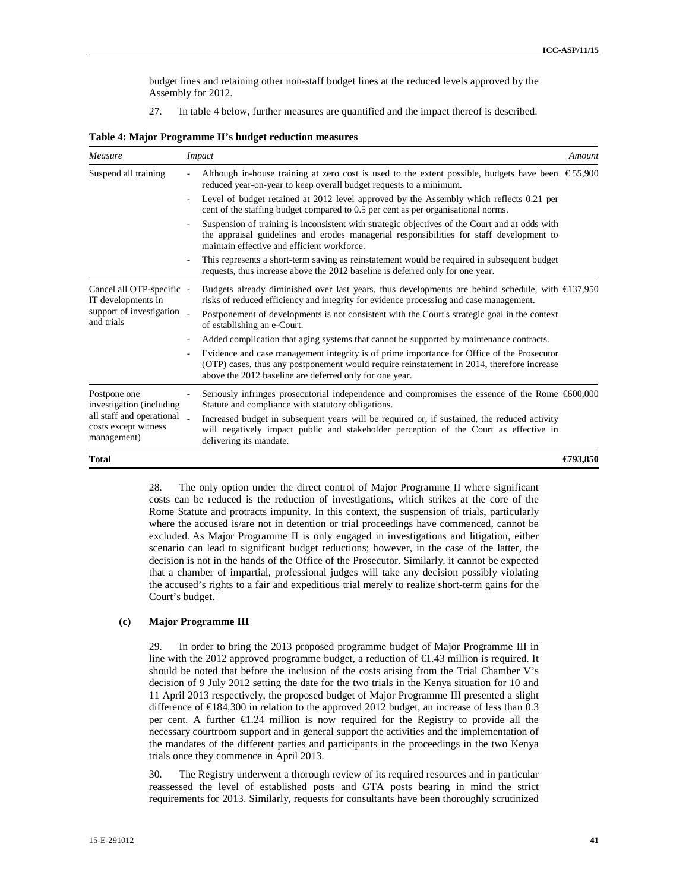budget lines and retaining other non-staff budget lines at the reduced levels approved by the Assembly for 2012.

27. In table 4 below, further measures are quantified and the impact thereof is described.

| Measure                                                                                   | <i>Impact</i>                                                                                                                                                                                                                                       | Amount   |
|-------------------------------------------------------------------------------------------|-----------------------------------------------------------------------------------------------------------------------------------------------------------------------------------------------------------------------------------------------------|----------|
| Suspend all training                                                                      | Although in-house training at zero cost is used to the extent possible, budgets have been $\epsilon$ 55,900<br>reduced year-on-year to keep overall budget requests to a minimum.                                                                   |          |
|                                                                                           | Level of budget retained at 2012 level approved by the Assembly which reflects 0.21 per<br>cent of the staffing budget compared to 0.5 per cent as per organisational norms.                                                                        |          |
|                                                                                           | Suspension of training is inconsistent with strategic objectives of the Court and at odds with<br>the appraisal guidelines and erodes managerial responsibilities for staff development to<br>maintain effective and efficient workforce.           |          |
|                                                                                           | This represents a short-term saving as reinstatement would be required in subsequent budget<br>requests, thus increase above the 2012 baseline is deferred only for one year.                                                                       |          |
| Cancel all OTP-specific -<br>IT developments in<br>support of investigation<br>and trials | Budgets already diminished over last years, thus developments are behind schedule, with $\epsilon$ 137,950<br>risks of reduced efficiency and integrity for evidence processing and case management.                                                |          |
|                                                                                           | Postponement of developments is not consistent with the Court's strategic goal in the context<br>of establishing an e-Court.                                                                                                                        |          |
|                                                                                           | Added complication that aging systems that cannot be supported by maintenance contracts.                                                                                                                                                            |          |
|                                                                                           | Evidence and case management integrity is of prime importance for Office of the Prosecutor<br>(OTP) cases, thus any postponement would require reinstatement in 2014, therefore increase<br>above the 2012 baseline are deferred only for one year. |          |
| Postpone one<br>investigation (including                                                  | Seriously infringes prosecutorial independence and compromises the essence of the Rome $\epsilon$ 600,000<br>Statute and compliance with statutory obligations.                                                                                     |          |
| all staff and operational<br>costs except witness<br>management)                          | Increased budget in subsequent years will be required or, if sustained, the reduced activity<br>will negatively impact public and stakeholder perception of the Court as effective in<br>delivering its mandate.                                    |          |
| Total                                                                                     |                                                                                                                                                                                                                                                     | €793.850 |

28. The only option under the direct control of Major Programme II where significant costs can be reduced is the reduction of investigations, which strikes at the core of the Rome Statute and protracts impunity. In this context, the suspension of trials, particularly where the accused is/are not in detention or trial proceedings have commenced, cannot be excluded. As Major Programme II is only engaged in investigations and litigation, either scenario can lead to significant budget reductions; however, in the case of the latter, the decision is not in the hands of the Office of the Prosecutor. Similarly, it cannot be expected that a chamber of impartial, professional judges will take any decision possibly violating the accused's rights to a fair and expeditious trial merely to realize short-term gains for the Court's budget.

#### **(c) Major Programme III**

29. In order to bring the 2013 proposed programme budget of Major Programme III in line with the 2012 approved programme budget, a reduction of  $\epsilon$ 1.43 million is required. It should be noted that before the inclusion of the costs arising from the Trial Chamber V's decision of 9 July 2012 setting the date for the two trials in the Kenya situation for 10 and 11 April 2013 respectively, the proposed budget of Major Programme III presented a slight difference of €184,300 in relation to the approved 2012 budget, an increase of less than 0.3 per cent. A further  $\epsilon$ 1.24 million is now required for the Registry to provide all the necessary courtroom support and in general support the activities and the implementation of the mandates of the different parties and participants in the proceedings in the two Kenya trials once they commence in April 2013.

30. The Registry underwent a thorough review of its required resources and in particular reassessed the level of established posts and GTA posts bearing in mind the strict requirements for 2013. Similarly, requests for consultants have been thoroughly scrutinized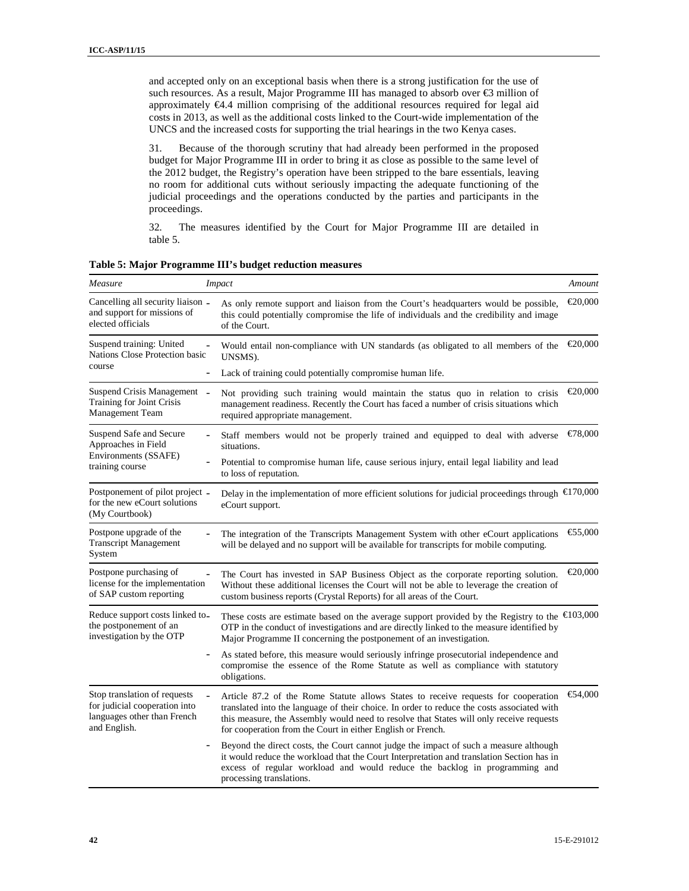and accepted only on an exceptional basis when there is a strong justification for the use of such resources. As a result, Major Programme III has managed to absorb over €3 million of approximately €4.4 million comprising of the additional resources required for legal aid costs in 2013, as well as the additional costs linked to the Court-wide implementation of the UNCS and the increased costs for supporting the trial hearings in the two Kenya cases.

31. Because of the thorough scrutiny that had already been performed in the proposed budget for Major Programme III in order to bring it as close as possible to the same level of the 2012 budget, the Registry's operation have been stripped to the bare essentials, leaving no room for additional cuts without seriously impacting the adequate functioning of the judicial proceedings and the operations conducted by the parties and participants in the proceedings.

32. The measures identified by the Court for Major Programme III are detailed in table 5.

| Measure                                                                                                      | <b>Impact</b>                                                                                                                                                                                                                                                                                                                              | Amount  |
|--------------------------------------------------------------------------------------------------------------|--------------------------------------------------------------------------------------------------------------------------------------------------------------------------------------------------------------------------------------------------------------------------------------------------------------------------------------------|---------|
| Cancelling all security liaison -<br>and support for missions of<br>elected officials                        | As only remote support and liaison from the Court's headquarters would be possible,<br>this could potentially compromise the life of individuals and the credibility and image<br>of the Court.                                                                                                                                            | €20,000 |
| Suspend training: United<br>Nations Close Protection basic                                                   | Would entail non-compliance with UN standards (as obligated to all members of the<br>UNSMS).                                                                                                                                                                                                                                               | €20,000 |
| course                                                                                                       | Lack of training could potentially compromise human life.<br>$\overline{a}$                                                                                                                                                                                                                                                                |         |
| Suspend Crisis Management _<br>Training for Joint Crisis<br>Management Team                                  | Not providing such training would maintain the status quo in relation to crisis<br>management readiness. Recently the Court has faced a number of crisis situations which<br>required appropriate management.                                                                                                                              | €20,000 |
| Suspend Safe and Secure<br>Approaches in Field                                                               | Staff members would not be properly trained and equipped to deal with adverse<br>situations.                                                                                                                                                                                                                                               | €78,000 |
| Environments (SSAFE)<br>training course                                                                      | Potential to compromise human life, cause serious injury, entail legal liability and lead<br>to loss of reputation.                                                                                                                                                                                                                        |         |
| Postponement of pilot project _<br>for the new eCourt solutions<br>(My Courtbook)                            | Delay in the implementation of more efficient solutions for judicial proceedings through $\epsilon$ 170,000<br>eCourt support.                                                                                                                                                                                                             |         |
| Postpone upgrade of the<br><b>Transcript Management</b><br>System                                            | The integration of the Transcripts Management System with other eCourt applications<br>will be delayed and no support will be available for transcripts for mobile computing.                                                                                                                                                              | €55,000 |
| Postpone purchasing of<br>license for the implementation<br>of SAP custom reporting                          | $\overline{a}$<br>The Court has invested in SAP Business Object as the corporate reporting solution.<br>Without these additional licenses the Court will not be able to leverage the creation of<br>custom business reports (Crystal Reports) for all areas of the Court.                                                                  | €20,000 |
| Reduce support costs linked to_<br>the postponement of an<br>investigation by the OTP                        | These costs are estimate based on the average support provided by the Registry to the $\epsilon$ 103,000<br>OTP in the conduct of investigations and are directly linked to the measure identified by<br>Major Programme II concerning the postponement of an investigation.                                                               |         |
|                                                                                                              | As stated before, this measure would seriously infringe prosecutorial independence and<br>compromise the essence of the Rome Statute as well as compliance with statutory<br>obligations.                                                                                                                                                  |         |
| Stop translation of requests<br>for judicial cooperation into<br>languages other than French<br>and English. | Article 87.2 of the Rome Statute allows States to receive requests for cooperation<br>translated into the language of their choice. In order to reduce the costs associated with<br>this measure, the Assembly would need to resolve that States will only receive requests<br>for cooperation from the Court in either English or French. | €54,000 |
|                                                                                                              | Beyond the direct costs, the Court cannot judge the impact of such a measure although<br>it would reduce the workload that the Court Interpretation and translation Section has in<br>excess of regular workload and would reduce the backlog in programming and<br>processing translations.                                               |         |

**Table 5: Major Programme III's budget reduction measures**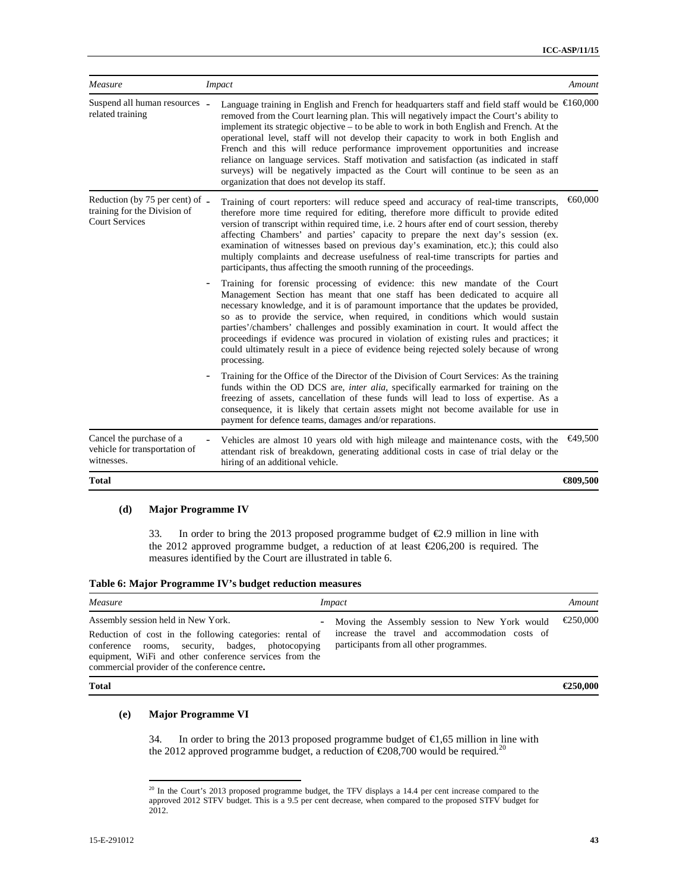| Measure                                                                                  |                   | <b>Impact</b>                                                                                                                                                                                                                                                                                                                                                                                                                                                                                                                                                                                                                                                                                                 | Amount   |
|------------------------------------------------------------------------------------------|-------------------|---------------------------------------------------------------------------------------------------------------------------------------------------------------------------------------------------------------------------------------------------------------------------------------------------------------------------------------------------------------------------------------------------------------------------------------------------------------------------------------------------------------------------------------------------------------------------------------------------------------------------------------------------------------------------------------------------------------|----------|
| Suspend all human resources -<br>related training                                        |                   | Language training in English and French for headquarters staff and field staff would be $\epsilon$ 160,000<br>removed from the Court learning plan. This will negatively impact the Court's ability to<br>implement its strategic objective – to be able to work in both English and French. At the<br>operational level, staff will not develop their capacity to work in both English and<br>French and this will reduce performance improvement opportunities and increase<br>reliance on language services. Staff motivation and satisfaction (as indicated in staff<br>surveys) will be negatively impacted as the Court will continue to be seen as an<br>organization that does not develop its staff. |          |
| Reduction (by 75 per cent) of -<br>training for the Division of<br><b>Court Services</b> |                   | Training of court reporters: will reduce speed and accuracy of real-time transcripts,<br>therefore more time required for editing, therefore more difficult to provide edited<br>version of transcript within required time, i.e. 2 hours after end of court session, thereby<br>affecting Chambers' and parties' capacity to prepare the next day's session (ex.<br>examination of witnesses based on previous day's examination, etc.); this could also<br>multiply complaints and decrease usefulness of real-time transcripts for parties and<br>participants, thus affecting the smooth running of the proceedings.                                                                                      | €60,000  |
|                                                                                          | $\qquad \qquad -$ | Training for forensic processing of evidence: this new mandate of the Court<br>Management Section has meant that one staff has been dedicated to acquire all<br>necessary knowledge, and it is of paramount importance that the updates be provided,<br>so as to provide the service, when required, in conditions which would sustain<br>parties'/chambers' challenges and possibly examination in court. It would affect the<br>proceedings if evidence was procured in violation of existing rules and practices; it<br>could ultimately result in a piece of evidence being rejected solely because of wrong<br>processing.                                                                               |          |
|                                                                                          |                   | Training for the Office of the Director of the Division of Court Services: As the training<br>funds within the OD DCS are, <i>inter alia</i> , specifically earmarked for training on the<br>freezing of assets, cancellation of these funds will lead to loss of expertise. As a<br>consequence, it is likely that certain assets might not become available for use in<br>payment for defence teams, damages and/or reparations.                                                                                                                                                                                                                                                                            |          |
| Cancel the purchase of a<br>vehicle for transportation of<br>witnesses.                  |                   | Vehicles are almost 10 years old with high mileage and maintenance costs, with the<br>attendant risk of breakdown, generating additional costs in case of trial delay or the<br>hiring of an additional vehicle.                                                                                                                                                                                                                                                                                                                                                                                                                                                                                              | €49.500  |
| <b>Total</b>                                                                             |                   |                                                                                                                                                                                                                                                                                                                                                                                                                                                                                                                                                                                                                                                                                                               | €809,500 |

#### **(d) Major Programme IV**

33. In order to bring the 2013 proposed programme budget of  $\epsilon$ 2.9 million in line with the 2012 approved programme budget, a reduction of at least €206,200 is required. The measures identified by the Court are illustrated in table 6.

|  |  | Table 6: Major Programme IV's budget reduction measures |  |  |  |
|--|--|---------------------------------------------------------|--|--|--|
|--|--|---------------------------------------------------------|--|--|--|

| Measure                                                                                                                                                                                                                                                              | <i>Impact</i>                                                                                                                              | Amount   |
|----------------------------------------------------------------------------------------------------------------------------------------------------------------------------------------------------------------------------------------------------------------------|--------------------------------------------------------------------------------------------------------------------------------------------|----------|
| Assembly session held in New York.<br>$-$<br>Reduction of cost in the following categories: rental of<br>conference rooms, security, badges, photocopying<br>equipment, WiFi and other conference services from the<br>commercial provider of the conference centre. | Moving the Assembly session to New York would<br>increase the travel and accommodation costs of<br>participants from all other programmes. | €250,000 |
| <b>Total</b>                                                                                                                                                                                                                                                         |                                                                                                                                            | €250,000 |

#### **(e) Major Programme VI**

 $\overline{a}$ 

34. In order to bring the 2013 proposed programme budget of  $\epsilon$ 1,65 million in line with the 2012 approved programme budget, a reduction of  $\epsilon$ 208,700 would be required.<sup>20</sup>

 $20$  In the Court's 2013 proposed programme budget, the TFV displays a 14.4 per cent increase compared to the approved 2012 STFV budget. This is a 9.5 per cent decrease*,* when compared to the proposed STFV budget for 2012.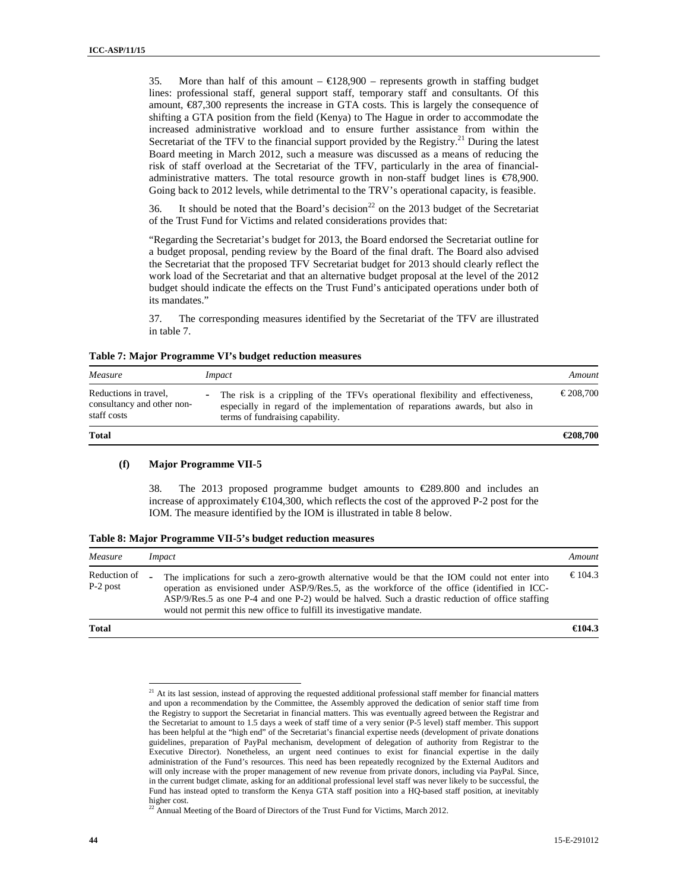35. More than half of this amount  $- \epsilon 128,900$  – represents growth in staffing budget lines: professional staff, general support staff, temporary staff and consultants. Of this amount,  $\epsilon$ 87,300 represents the increase in GTA costs. This is largely the consequence of shifting a GTA position from the field (Kenya) to The Hague in order to accommodate the increased administrative workload and to ensure further assistance from within the Secretariat of the TFV to the financial support provided by the Registry.<sup>21</sup> During the latest Board meeting in March 2012, such a measure was discussed as a means of reducing the risk of staff overload at the Secretariat of the TFV, particularly in the area of financialadministrative matters. The total resource growth in non-staff budget lines is €78,900. Going back to 2012 levels, while detrimental to the TRV's operational capacity, is feasible.

36. It should be noted that the Board's decision<sup>22</sup> on the 2013 budget of the Secretariat of the Trust Fund for Victims and related considerations provides that:

"Regarding the Secretariat's budget for 2013, the Board endorsed the Secretariat outline for a budget proposal, pending review by the Board of the final draft. The Board also advised the Secretariat that the proposed TFV Secretariat budget for 2013 should clearly reflect the work load of the Secretariat and that an alternative budget proposal at the level of the 2012 budget should indicate the effects on the Trust Fund's anticipated operations under both of its mandates."

37. The corresponding measures identified by the Secretariat of the TFV are illustrated in table 7.

| Measure                                                            | <i>Impact</i>                                                                                                                                                                                                                   | Amount    |
|--------------------------------------------------------------------|---------------------------------------------------------------------------------------------------------------------------------------------------------------------------------------------------------------------------------|-----------|
| Reductions in travel.<br>consultancy and other non-<br>staff costs | The risk is a crippling of the TFVs operational flexibility and effectiveness,<br>$\overline{\phantom{a}}$<br>especially in regard of the implementation of reparations awards, but also in<br>terms of fundraising capability. | € 208,700 |
| <b>Total</b>                                                       |                                                                                                                                                                                                                                 | €208,700  |

#### **(f) Major Programme VII-5**

 $\overline{a}$ 

38. The 2013 proposed programme budget amounts to €289.800 and includes an increase of approximately  $\epsilon$ 104,300, which reflects the cost of the approved P-2 post for the IOM. The measure identified by the IOM is illustrated in table 8 below.

| Measure                    | <i>Impact</i>                                                                                                                                                                                                                                                                                                                                                                                   | Amount  |
|----------------------------|-------------------------------------------------------------------------------------------------------------------------------------------------------------------------------------------------------------------------------------------------------------------------------------------------------------------------------------------------------------------------------------------------|---------|
| Reduction of<br>$P-2$ post | The implications for such a zero-growth alternative would be that the IOM could not enter into<br>$\overline{a}$<br>operation as envisioned under ASP/9/Res.5, as the workforce of the office (identified in ICC-<br>ASP/9/Res.5 as one P-4 and one P-2) would be halved. Such a drastic reduction of office staffing<br>would not permit this new office to fulfill its investigative mandate. | € 104.3 |
| <b>Total</b>               |                                                                                                                                                                                                                                                                                                                                                                                                 | €104.3  |

 $21$  At its last session, instead of approving the requested additional professional staff member for financial matters and upon a recommendation by the Committee, the Assembly approved the dedication of senior staff time from the Registry to support the Secretariat in financial matters. This was eventually agreed between the Registrar and the Secretariat to amount to 1.5 days a week of staff time of a very senior (P-5 level) staff member. This support has been helpful at the "high end" of the Secretariat's financial expertise needs (development of private donations guidelines, preparation of PayPal mechanism, development of delegation of authority from Registrar to the Executive Director). Nonetheless, an urgent need continues to exist for financial expertise in the daily administration of the Fund's resources. This need has been repeatedly recognized by the External Auditors and will only increase with the proper management of new revenue from private donors, including via PayPal. Since, in the current budget climate, asking for an additional professional level staff was never likely to be successful, the Fund has instead opted to transform the Kenya GTA staff position into a HQ-based staff position, at inevitably higher cost.

 $^{22}$  Annual Meeting of the Board of Directors of the Trust Fund for Victims, March 2012.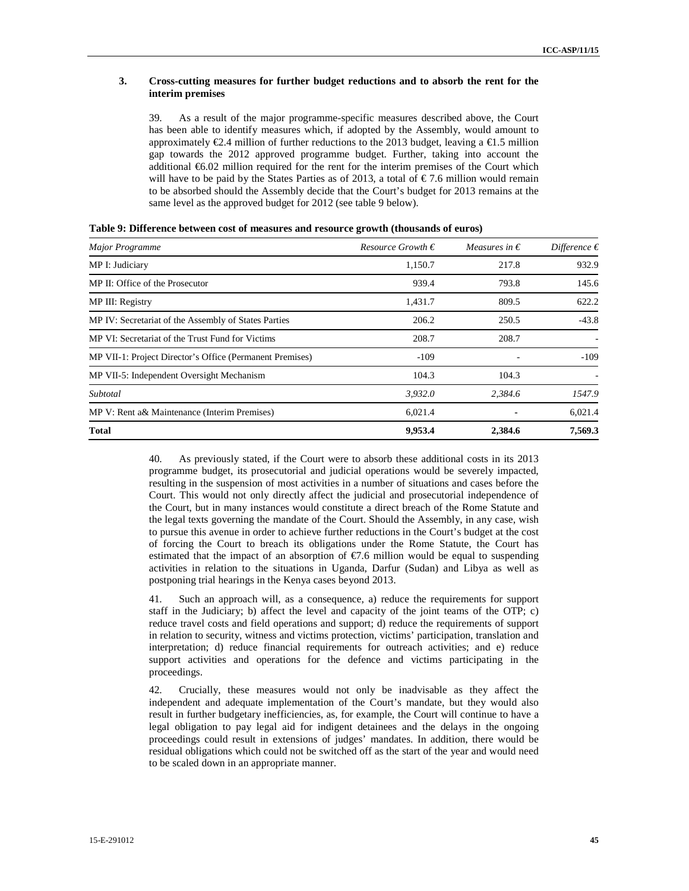#### **3. Cross-cutting measures for further budget reductions and to absorb the rent for the interim premises**

39. As a result of the major programme-specific measures described above, the Court has been able to identify measures which, if adopted by the Assembly, would amount to approximately  $\epsilon$ 2.4 million of further reductions to the 2013 budget, leaving a  $\epsilon$ 1.5 million gap towards the 2012 approved programme budget. Further, taking into account the additional €6.02 million required for the rent for the interim premises of the Court which will have to be paid by the States Parties as of 2013, a total of  $\epsilon$  7.6 million would remain to be absorbed should the Assembly decide that the Court's budget for 2013 remains at the same level as the approved budget for 2012 (see table 9 below).

| <b>Major Programme</b>                                   | <i>Resource Growth</i> € | Measures in $\epsilon$ | Difference $\epsilon$ |
|----------------------------------------------------------|--------------------------|------------------------|-----------------------|
| MP I: Judiciary                                          | 1,150.7                  | 217.8                  | 932.9                 |
| MP II: Office of the Prosecutor                          | 939.4                    | 793.8                  | 145.6                 |
| MP III: Registry                                         | 1,431.7                  | 809.5                  | 622.2                 |
| MP IV: Secretariat of the Assembly of States Parties     | 206.2                    | 250.5                  | $-43.8$               |
| MP VI: Secretariat of the Trust Fund for Victims         | 208.7                    | 208.7                  |                       |
| MP VII-1: Project Director's Office (Permanent Premises) | $-109$                   |                        | $-109$                |
| MP VII-5: Independent Oversight Mechanism                | 104.3                    | 104.3                  |                       |
| Subtotal                                                 | 3,932.0                  | 2.384.6                | 1547.9                |
| MP V: Rent a& Maintenance (Interim Premises)             | 6,021.4                  |                        | 6,021.4               |
| <b>Total</b>                                             | 9,953.4                  | 2,384.6                | 7,569.3               |

|  |  |  |  | Table 9: Difference between cost of measures and resource growth (thousands of euros) |
|--|--|--|--|---------------------------------------------------------------------------------------|
|--|--|--|--|---------------------------------------------------------------------------------------|

40. As previously stated, if the Court were to absorb these additional costs in its 2013 programme budget, its prosecutorial and judicial operations would be severely impacted, resulting in the suspension of most activities in a number of situations and cases before the Court. This would not only directly affect the judicial and prosecutorial independence of the Court, but in many instances would constitute a direct breach of the Rome Statute and the legal texts governing the mandate of the Court. Should the Assembly, in any case, wish to pursue this avenue in order to achieve further reductions in the Court's budget at the cost of forcing the Court to breach its obligations under the Rome Statute, the Court has estimated that the impact of an absorption of  $\epsilon$ 7.6 million would be equal to suspending activities in relation to the situations in Uganda, Darfur (Sudan) and Libya as well as postponing trial hearings in the Kenya cases beyond 2013.

41. Such an approach will, as a consequence, a) reduce the requirements for support staff in the Judiciary; b) affect the level and capacity of the joint teams of the OTP; c) reduce travel costs and field operations and support; d) reduce the requirements of support in relation to security, witness and victims protection, victims' participation, translation and interpretation; d) reduce financial requirements for outreach activities; and e) reduce support activities and operations for the defence and victims participating in the proceedings.

42. Crucially, these measures would not only be inadvisable as they affect the independent and adequate implementation of the Court's mandate, but they would also result in further budgetary inefficiencies, as, for example, the Court will continue to have a legal obligation to pay legal aid for indigent detainees and the delays in the ongoing proceedings could result in extensions of judges' mandates. In addition, there would be residual obligations which could not be switched off as the start of the year and would need to be scaled down in an appropriate manner.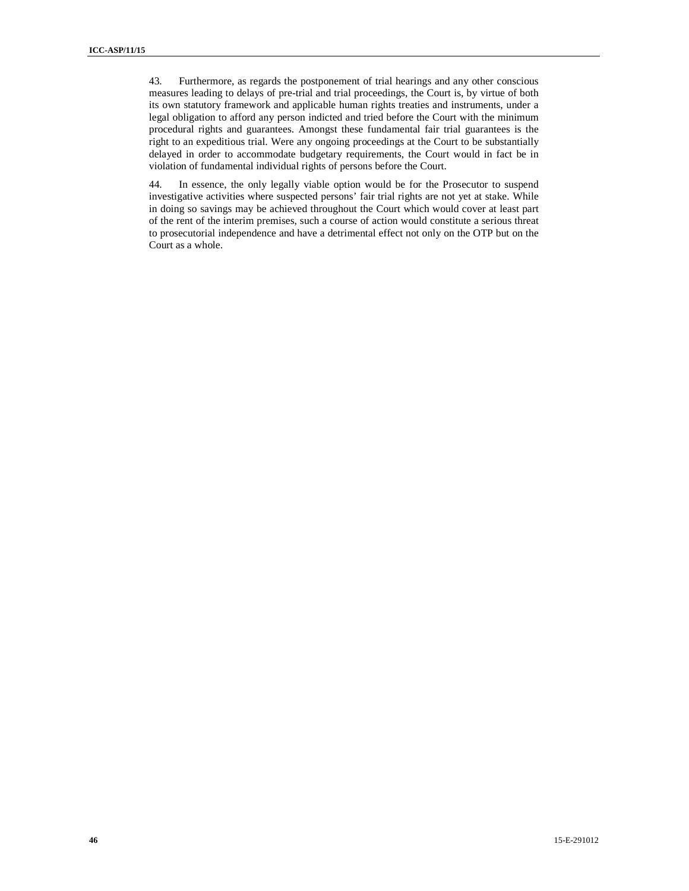43. Furthermore, as regards the postponement of trial hearings and any other conscious measures leading to delays of pre-trial and trial proceedings, the Court is, by virtue of both its own statutory framework and applicable human rights treaties and instruments, under a legal obligation to afford any person indicted and tried before the Court with the minimum procedural rights and guarantees. Amongst these fundamental fair trial guarantees is the right to an expeditious trial. Were any ongoing proceedings at the Court to be substantially delayed in order to accommodate budgetary requirements, the Court would in fact be in violation of fundamental individual rights of persons before the Court.

44. In essence, the only legally viable option would be for the Prosecutor to suspend investigative activities where suspected persons' fair trial rights are not yet at stake. While in doing so savings may be achieved throughout the Court which would cover at least part of the rent of the interim premises, such a course of action would constitute a serious threat to prosecutorial independence and have a detrimental effect not only on the OTP but on the Court as a whole.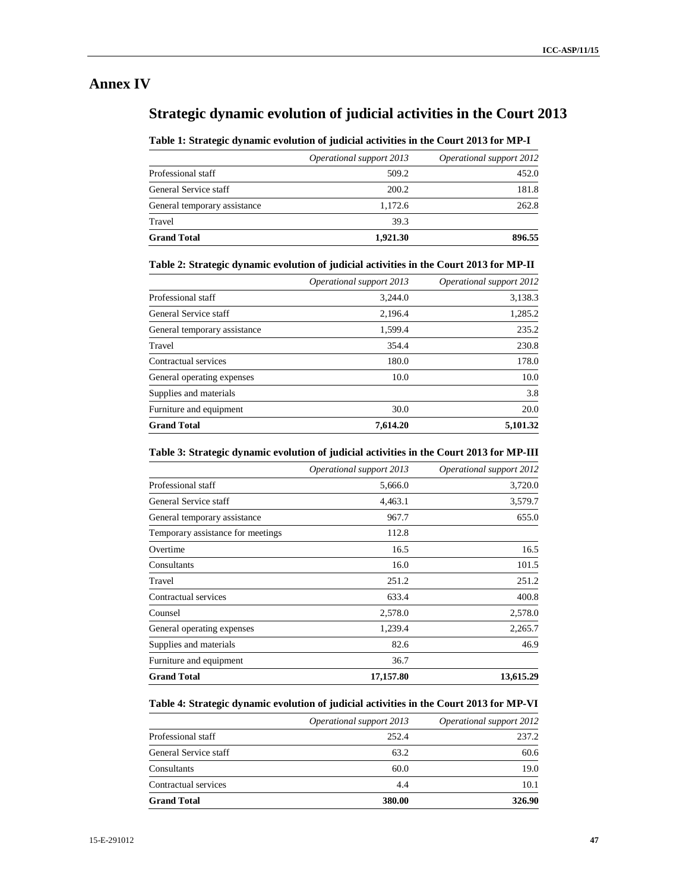## **Annex IV**

## **Strategic dynamic evolution of judicial activities in the Court 2013**

#### **Table 1: Strategic dynamic evolution of judicial activities in the Court 2013 for MP-I**

|                              | Operational support 2013 | Operational support 2012 |
|------------------------------|--------------------------|--------------------------|
| Professional staff           | 509.2                    | 452.0                    |
| General Service staff        | 200.2                    | 181.8                    |
| General temporary assistance | 1.172.6                  | 262.8                    |
| Travel                       | 39.3                     |                          |
| <b>Grand Total</b>           | 1,921.30                 | 896.55                   |

#### **Table 2: Strategic dynamic evolution of judicial activities in the Court 2013 for MP-II**

|                              | Operational support 2013 | Operational support 2012 |
|------------------------------|--------------------------|--------------------------|
| Professional staff           | 3.244.0                  | 3,138.3                  |
| General Service staff        | 2,196.4                  | 1,285.2                  |
| General temporary assistance | 1,599.4                  | 235.2                    |
| Travel                       | 354.4                    | 230.8                    |
| Contractual services         | 180.0                    | 178.0                    |
| General operating expenses   | 10.0                     | 10.0                     |
| Supplies and materials       |                          | 3.8                      |
| Furniture and equipment      | 30.0                     | 20.0                     |
| <b>Grand Total</b>           | 7,614.20                 | 5,101.32                 |

#### **Table 3: Strategic dynamic evolution of judicial activities in the Court 2013 for MP-III**

|                                   | Operational support 2013 | Operational support 2012 |
|-----------------------------------|--------------------------|--------------------------|
| Professional staff                | 5,666.0                  | 3,720.0                  |
| General Service staff             | 4,463.1                  | 3,579.7                  |
| General temporary assistance      | 967.7                    | 655.0                    |
| Temporary assistance for meetings | 112.8                    |                          |
| Overtime                          | 16.5                     | 16.5                     |
| Consultants                       | 16.0                     | 101.5                    |
| Travel                            | 251.2                    | 251.2                    |
| Contractual services              | 633.4                    | 400.8                    |
| Counsel                           | 2,578.0                  | 2,578.0                  |
| General operating expenses        | 1,239.4                  | 2,265.7                  |
| Supplies and materials            | 82.6                     | 46.9                     |
| Furniture and equipment           | 36.7                     |                          |
| <b>Grand Total</b>                | 17,157.80                | 13,615.29                |

#### **Table 4: Strategic dynamic evolution of judicial activities in the Court 2013 for MP-VI**

|                       | Operational support 2013 | Operational support 2012 |
|-----------------------|--------------------------|--------------------------|
| Professional staff    | 252.4                    | 237.2                    |
| General Service staff | 63.2                     | 60.6                     |
| Consultants           | 60.0                     | 19.0                     |
| Contractual services  | 4.4                      | 10.1                     |
| <b>Grand Total</b>    | 380.00                   | 326.90                   |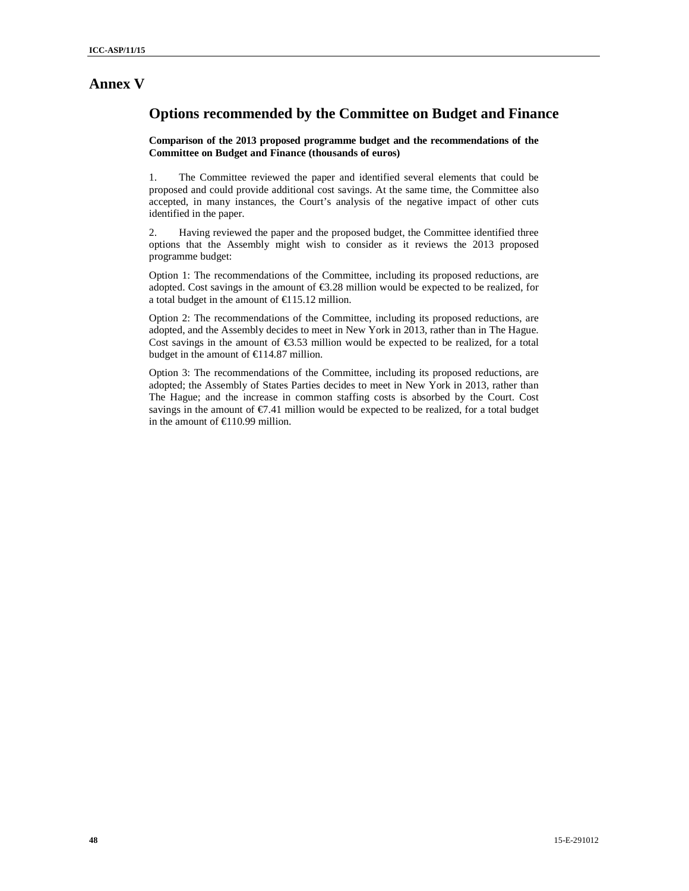### **Annex V**

### **Options recommended by the Committee on Budget and Finance**

**Comparison of the 2013 proposed programme budget and the recommendations of the Committee on Budget and Finance (thousands of euros)**

1. The Committee reviewed the paper and identified several elements that could be proposed and could provide additional cost savings. At the same time, the Committee also accepted, in many instances, the Court's analysis of the negative impact of other cuts identified in the paper.

2. Having reviewed the paper and the proposed budget, the Committee identified three options that the Assembly might wish to consider as it reviews the 2013 proposed programme budget:

Option 1: The recommendations of the Committee, including its proposed reductions, are adopted. Cost savings in the amount of  $\epsilon$ 3.28 million would be expected to be realized, for a total budget in the amount of  $\text{\textsterling}115.12$  million.

Option 2: The recommendations of the Committee, including its proposed reductions, are adopted, and the Assembly decides to meet in New York in 2013, rather than in The Hague. Cost savings in the amount of  $\epsilon$ 3.53 million would be expected to be realized, for a total budget in the amount of  $\text{\textsterling}114.87$  million.

Option 3: The recommendations of the Committee, including its proposed reductions, are adopted; the Assembly of States Parties decides to meet in New York in 2013, rather than The Hague; and the increase in common staffing costs is absorbed by the Court. Cost savings in the amount of  $\epsilon$ 7.41 million would be expected to be realized, for a total budget in the amount of €110.99 million.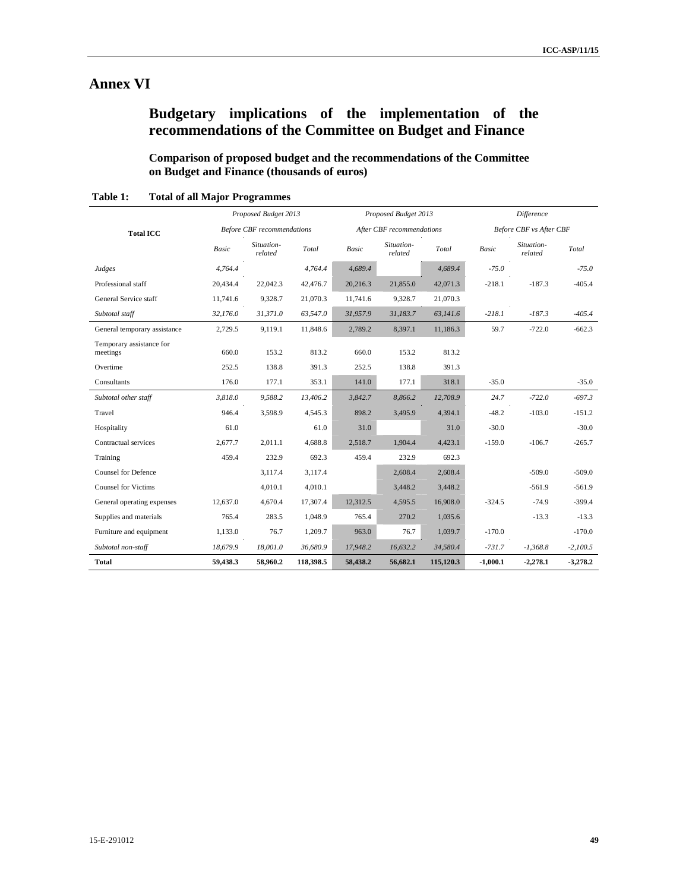## **Annex VI**

## **Budgetary implications of the implementation of the recommendations of the Committee on Budget and Finance**

**Comparison of proposed budget and the recommendations of the Committee on Budget and Finance (thousands of euros)** 

|                                      |              | Proposed Budget 2013              |           |          | Proposed Budget 2013      |           |              | <b>Difference</b>              |            |  |
|--------------------------------------|--------------|-----------------------------------|-----------|----------|---------------------------|-----------|--------------|--------------------------------|------------|--|
| <b>Total ICC</b>                     |              | <b>Before CBF</b> recommendations |           |          | After CBF recommendations |           |              | <b>Before CBF</b> vs After CBF |            |  |
|                                      | <b>Basic</b> | Situation-<br>related             | Total     | Basic    | Situation-<br>related     | Total     | <b>Basic</b> | Situation-<br>related          | Total      |  |
| Judges                               | 4.764.4      |                                   | 4,764.4   | 4.689.4  |                           | 4,689.4   | $-75.0$      |                                | $-75.0$    |  |
| Professional staff                   | 20,434.4     | 22,042.3                          | 42,476.7  | 20,216.3 | 21,855.0                  | 42,071.3  | $-218.1$     | $-187.3$                       | $-405.4$   |  |
| General Service staff                | 11,741.6     | 9,328.7                           | 21,070.3  | 11,741.6 | 9,328.7                   | 21,070.3  |              |                                |            |  |
| Subtotal staff                       | 32,176.0     | 31,371.0                          | 63,547.0  | 31,957.9 | 31,183.7                  | 63,141.6  | $-218.1$     | $-187.3$                       | $-405.4$   |  |
| General temporary assistance         | 2,729.5      | 9,119.1                           | 11,848.6  | 2,789.2  | 8,397.1                   | 11,186.3  | 59.7         | $-722.0$                       | $-662.3$   |  |
| Temporary assistance for<br>meetings | 660.0        | 153.2                             | 813.2     | 660.0    | 153.2                     | 813.2     |              |                                |            |  |
| Overtime                             | 252.5        | 138.8                             | 391.3     | 252.5    | 138.8                     | 391.3     |              |                                |            |  |
| Consultants                          | 176.0        | 177.1                             | 353.1     | 141.0    | 177.1                     | 318.1     | $-35.0$      |                                | $-35.0$    |  |
| Subtotal other staff                 | 3,818.0      | 9,588.2                           | 13,406.2  | 3,842.7  | 8,866.2                   | 12,708.9  | 24.7         | $-722.0$                       | $-697.3$   |  |
| Travel                               | 946.4        | 3,598.9                           | 4,545.3   | 898.2    | 3,495.9                   | 4,394.1   | $-48.2$      | $-103.0$                       | $-151.2$   |  |
| Hospitality                          | 61.0         |                                   | 61.0      | 31.0     |                           | 31.0      | $-30.0$      |                                | $-30.0$    |  |
| Contractual services                 | 2,677.7      | 2.011.1                           | 4,688.8   | 2,518.7  | 1.904.4                   | 4,423.1   | $-159.0$     | $-106.7$                       | $-265.7$   |  |
| Training                             | 459.4        | 232.9                             | 692.3     | 459.4    | 232.9                     | 692.3     |              |                                |            |  |
| <b>Counsel for Defence</b>           |              | 3,117.4                           | 3,117.4   |          | 2,608.4                   | 2,608.4   |              | $-509.0$                       | $-509.0$   |  |
| <b>Counsel for Victims</b>           |              | 4,010.1                           | 4,010.1   |          | 3,448.2                   | 3,448.2   |              | $-561.9$                       | $-561.9$   |  |
| General operating expenses           | 12,637.0     | 4,670.4                           | 17,307.4  | 12,312.5 | 4,595.5                   | 16,908.0  | $-324.5$     | $-74.9$                        | $-399.4$   |  |
| Supplies and materials               | 765.4        | 283.5                             | 1,048.9   | 765.4    | 270.2                     | 1,035.6   |              | $-13.3$                        | $-13.3$    |  |
| Furniture and equipment              | 1,133.0      | 76.7                              | 1,209.7   | 963.0    | 76.7                      | 1,039.7   | $-170.0$     |                                | $-170.0$   |  |
| Subtotal non-staff                   | 18,679.9     | 18,001.0                          | 36,680.9  | 17,948.2 | 16,632.2                  | 34,580.4  | $-731.7$     | $-1,368.8$                     | $-2.100.5$ |  |
| <b>Total</b>                         | 59,438.3     | 58,960.2                          | 118,398.5 | 58,438.2 | 56,682.1                  | 115,120.3 | $-1,000.1$   | $-2,278.1$                     | $-3,278.2$ |  |

**Table 1: Total of all Major Programmes**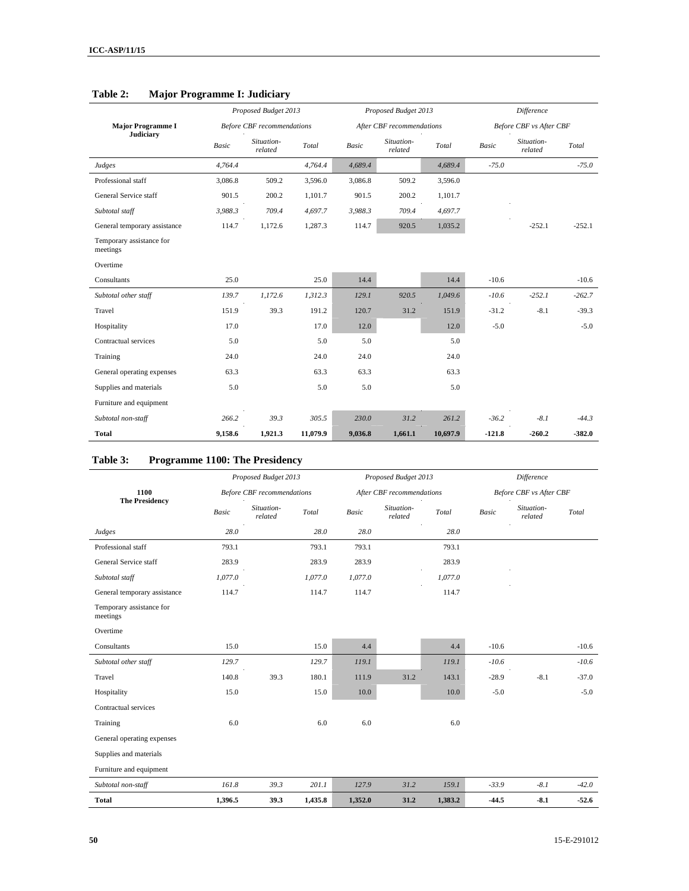|                                      |              | Proposed Budget 2013              |          |         | Proposed Budget 2013      |          | <b>Difference</b> |                                |          |
|--------------------------------------|--------------|-----------------------------------|----------|---------|---------------------------|----------|-------------------|--------------------------------|----------|
| <b>Major Programme I</b>             |              | <b>Before CBF</b> recommendations |          |         | After CBF recommendations |          |                   | <b>Before CBF</b> vs After CBF |          |
| Judiciary                            | <b>Basic</b> | Situation-<br>related             | Total    | Basic   | Situation-<br>related     | Total    | <b>Basic</b>      | Situation-<br>related          | Total    |
| Judges                               | 4,764.4      |                                   | 4,764.4  | 4,689.4 |                           | 4,689.4  | $-75.0$           |                                | $-75.0$  |
| Professional staff                   | 3,086.8      | 509.2                             | 3,596.0  | 3,086.8 | 509.2                     | 3,596.0  |                   |                                |          |
| General Service staff                | 901.5        | 200.2                             | 1,101.7  | 901.5   | 200.2                     | 1,101.7  |                   |                                |          |
| Subtotal staff                       | 3.988.3      | 709.4                             | 4,697.7  | 3,988.3 | 709.4                     | 4.697.7  |                   |                                |          |
| General temporary assistance         | 114.7        | 1,172.6                           | 1,287.3  | 114.7   | 920.5                     | 1,035.2  |                   | $-252.1$                       | $-252.1$ |
| Temporary assistance for<br>meetings |              |                                   |          |         |                           |          |                   |                                |          |
| Overtime                             |              |                                   |          |         |                           |          |                   |                                |          |
| Consultants                          | 25.0         |                                   | 25.0     | 14.4    |                           | 14.4     | $-10.6$           |                                | $-10.6$  |
| Subtotal other staff                 | 139.7        | 1,172.6                           | 1,312.3  | 129.1   | 920.5                     | 1,049.6  | $-10.6$           | $-252.1$                       | $-262.7$ |
| Travel                               | 151.9        | 39.3                              | 191.2    | 120.7   | 31.2                      | 151.9    | $-31.2$           | $-8.1$                         | $-39.3$  |
| Hospitality                          | 17.0         |                                   | 17.0     | 12.0    |                           | 12.0     | $-5.0$            |                                | $-5.0$   |
| Contractual services                 | 5.0          |                                   | 5.0      | 5.0     |                           | 5.0      |                   |                                |          |
| Training                             | 24.0         |                                   | 24.0     | 24.0    |                           | 24.0     |                   |                                |          |
| General operating expenses           | 63.3         |                                   | 63.3     | 63.3    |                           | 63.3     |                   |                                |          |
| Supplies and materials               | 5.0          |                                   | 5.0      | 5.0     |                           | 5.0      |                   |                                |          |
| Furniture and equipment              |              |                                   |          |         |                           |          |                   |                                |          |
| Subtotal non-staff                   | 266.2        | 39.3                              | 305.5    | 230.0   | 31.2                      | 261.2    | $-36.2$           | $-8.1$                         | $-44.3$  |
| <b>Total</b>                         | 9,158.6      | 1,921.3                           | 11,079.9 | 9,036.8 | 1,661.1                   | 10,697.9 | $-121.8$          | $-260.2$                       | -382.0   |

### **Table 2: Major Programme I: Judiciary**

## **Table 3: Programme 1100: The Presidency**

|                                      |                                   | Proposed Budget 2013  |         |              | Proposed Budget 2013      |         | Difference |                         |         |  |
|--------------------------------------|-----------------------------------|-----------------------|---------|--------------|---------------------------|---------|------------|-------------------------|---------|--|
| 1100                                 | <b>Before CBF</b> recommendations |                       |         |              | After CBF recommendations |         |            | Before CBF vs After CBF |         |  |
| <b>The Presidency</b>                | <b>Basic</b>                      | Situation-<br>related | Total   | <b>Basic</b> | Situation-<br>related     | Total   | Basic      | Situation-<br>related   | Total   |  |
| Judges                               | 28.0                              |                       | 28.0    | 28.0         |                           | 28.0    |            |                         |         |  |
| Professional staff                   | 793.1                             |                       | 793.1   | 793.1        |                           | 793.1   |            |                         |         |  |
| General Service staff                | 283.9                             |                       | 283.9   | 283.9        |                           | 283.9   |            |                         |         |  |
| Subtotal staff                       | 1,077.0                           |                       | 1,077.0 | 1,077.0      |                           | 1,077.0 |            |                         |         |  |
| General temporary assistance         | 114.7                             |                       | 114.7   | 114.7        |                           | 114.7   |            |                         |         |  |
| Temporary assistance for<br>meetings |                                   |                       |         |              |                           |         |            |                         |         |  |
| Overtime                             |                                   |                       |         |              |                           |         |            |                         |         |  |
| Consultants                          | 15.0                              |                       | 15.0    | 4.4          |                           | 4.4     | $-10.6$    |                         | $-10.6$ |  |
| Subtotal other staff                 | 129.7                             |                       | 129.7   | 119.1        |                           | 119.1   | $-10.6$    |                         | $-10.6$ |  |
| Travel                               | 140.8                             | 39.3                  | 180.1   | 111.9        | 31.2                      | 143.1   | $-28.9$    | $-8.1$                  | $-37.0$ |  |
| Hospitality                          | 15.0                              |                       | 15.0    | 10.0         |                           | 10.0    | $-5.0$     |                         | $-5.0$  |  |
| Contractual services                 |                                   |                       |         |              |                           |         |            |                         |         |  |
| Training                             | 6.0                               |                       | 6.0     | 6.0          |                           | 6.0     |            |                         |         |  |
| General operating expenses           |                                   |                       |         |              |                           |         |            |                         |         |  |
| Supplies and materials               |                                   |                       |         |              |                           |         |            |                         |         |  |
| Furniture and equipment              |                                   |                       |         |              |                           |         |            |                         |         |  |
| Subtotal non-staff                   | 161.8                             | 39.3                  | 201.1   | 127.9        | 31.2                      | 159.1   | $-33.9$    | $-8.1$                  | $-42.0$ |  |
| <b>Total</b>                         | 1,396.5                           | 39.3                  | 1,435.8 | 1,352.0      | 31.2                      | 1,383.2 | $-44.5$    | $-8.1$                  | $-52.6$ |  |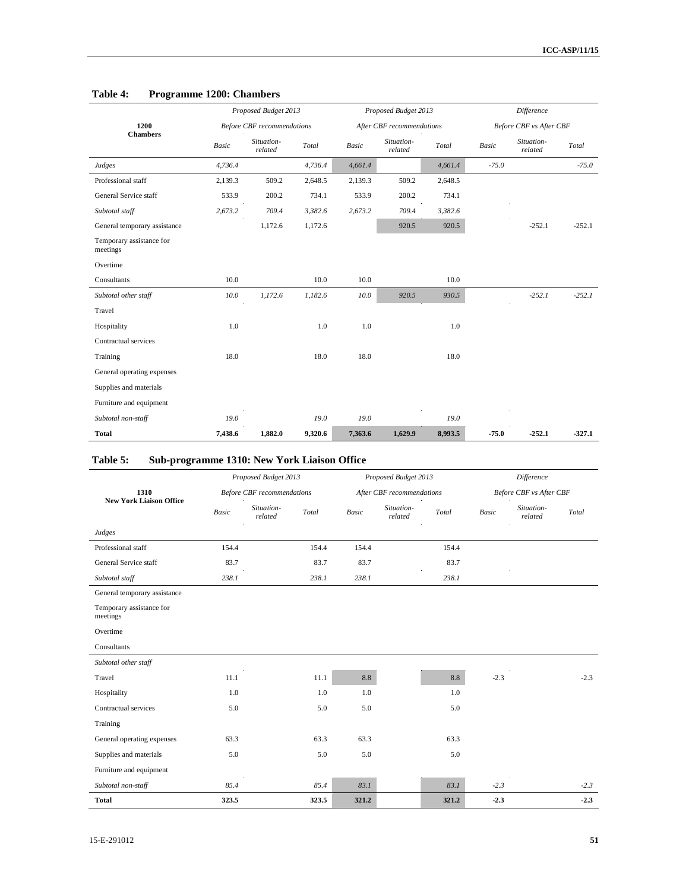|                                      |              | Proposed Budget 2013              |         |              | Proposed Budget 2013      |         | <b>Difference</b><br><b>Before CBF</b> vs After CBF |                       |           |
|--------------------------------------|--------------|-----------------------------------|---------|--------------|---------------------------|---------|-----------------------------------------------------|-----------------------|-----------|
| 1200                                 |              | <b>Before CBF</b> recommendations |         |              | After CBF recommendations |         |                                                     |                       |           |
| <b>Chambers</b>                      | <b>Basic</b> | Situation-<br>related             | Total   | <b>Basic</b> | Situation-<br>related     | Total   | <b>Basic</b>                                        | Situation-<br>related | Total     |
| Judges                               | 4,736.4      |                                   | 4,736.4 | 4,661.4      |                           | 4,661.4 | $-75.0$                                             |                       | $-75.0$   |
| Professional staff                   | 2,139.3      | 509.2                             | 2,648.5 | 2,139.3      | 509.2                     | 2,648.5 |                                                     |                       |           |
| General Service staff                | 533.9        | 200.2                             | 734.1   | 533.9        | 200.2                     | 734.1   |                                                     |                       |           |
| Subtotal staff                       | 2,673.2      | 709.4                             | 3,382.6 | 2,673.2      | 709.4                     | 3,382.6 |                                                     |                       |           |
| General temporary assistance         |              | 1,172.6                           | 1,172.6 |              | 920.5                     | 920.5   |                                                     | $-252.1$              | $-252.1$  |
| Temporary assistance for<br>meetings |              |                                   |         |              |                           |         |                                                     |                       |           |
| Overtime                             |              |                                   |         |              |                           |         |                                                     |                       |           |
| Consultants                          | 10.0         |                                   | 10.0    | 10.0         |                           | 10.0    |                                                     |                       |           |
| Subtotal other staff                 | 10.0         | 1,172.6                           | 1,182.6 | 10.0         | 920.5                     | 930.5   |                                                     | $-252.1$              | $-2.52.1$ |
| Travel                               |              |                                   |         |              |                           |         |                                                     |                       |           |
| Hospitality                          | 1.0          |                                   | 1.0     | 1.0          |                           | 1.0     |                                                     |                       |           |
| Contractual services                 |              |                                   |         |              |                           |         |                                                     |                       |           |
| Training                             | 18.0         |                                   | 18.0    | 18.0         |                           | 18.0    |                                                     |                       |           |
| General operating expenses           |              |                                   |         |              |                           |         |                                                     |                       |           |
| Supplies and materials               |              |                                   |         |              |                           |         |                                                     |                       |           |
| Furniture and equipment              |              |                                   |         |              |                           |         |                                                     |                       |           |
| Subtotal non-staff                   | 19.0         |                                   | 19.0    | 19.0         |                           | 19.0    |                                                     |                       |           |
| <b>Total</b>                         | 7,438.6      | 1,882.0                           | 9,320.6 | 7,363.6      | 1,629.9                   | 8,993.5 | $-75.0$                                             | $-252.1$              | $-327.1$  |

### **Table 4: Programme 1200: Chambers**

### **Table 5: Sub-programme 1310: New York Liaison Office**

|                                      |              | Proposed Budget 2013              |       |       | Proposed Budget 2013      |       | Difference<br><b>Before CBF</b> vs After CBF |                       |        |
|--------------------------------------|--------------|-----------------------------------|-------|-------|---------------------------|-------|----------------------------------------------|-----------------------|--------|
| 1310                                 |              | <b>Before CBF</b> recommendations |       |       | After CBF recommendations |       |                                              |                       |        |
| <b>New York Liaison Office</b>       | <b>Basic</b> | Situation-<br>related             | Total | Basic | Situation-<br>related     | Total | <b>Basic</b>                                 | Situation-<br>related | Total  |
| Judges                               |              |                                   |       |       |                           |       |                                              |                       |        |
| Professional staff                   | 154.4        |                                   | 154.4 | 154.4 |                           | 154.4 |                                              |                       |        |
| General Service staff                | 83.7         |                                   | 83.7  | 83.7  |                           | 83.7  |                                              |                       |        |
| Subtotal staff                       | 238.1        |                                   | 238.1 | 238.1 |                           | 238.1 |                                              |                       |        |
| General temporary assistance         |              |                                   |       |       |                           |       |                                              |                       |        |
| Temporary assistance for<br>meetings |              |                                   |       |       |                           |       |                                              |                       |        |
| Overtime                             |              |                                   |       |       |                           |       |                                              |                       |        |
| Consultants                          |              |                                   |       |       |                           |       |                                              |                       |        |
| Subtotal other staff                 |              |                                   |       |       |                           |       |                                              |                       |        |
| Travel                               | 11.1         |                                   | 11.1  | 8.8   |                           | 8.8   | $-2.3$                                       |                       | $-2.3$ |
| Hospitality                          | 1.0          |                                   | 1.0   | 1.0   |                           | 1.0   |                                              |                       |        |
| Contractual services                 | 5.0          |                                   | 5.0   | 5.0   |                           | 5.0   |                                              |                       |        |
| Training                             |              |                                   |       |       |                           |       |                                              |                       |        |
| General operating expenses           | 63.3         |                                   | 63.3  | 63.3  |                           | 63.3  |                                              |                       |        |
| Supplies and materials               | 5.0          |                                   | 5.0   | 5.0   |                           | 5.0   |                                              |                       |        |
| Furniture and equipment              |              |                                   |       |       |                           |       |                                              |                       |        |
| Subtotal non-staff                   | 85.4         |                                   | 85.4  | 83.1  |                           | 83.1  | $-2.3$                                       |                       | $-2.3$ |
| <b>Total</b>                         | 323.5        |                                   | 323.5 | 321.2 |                           | 321.2 | 2.3                                          |                       | $-2.3$ |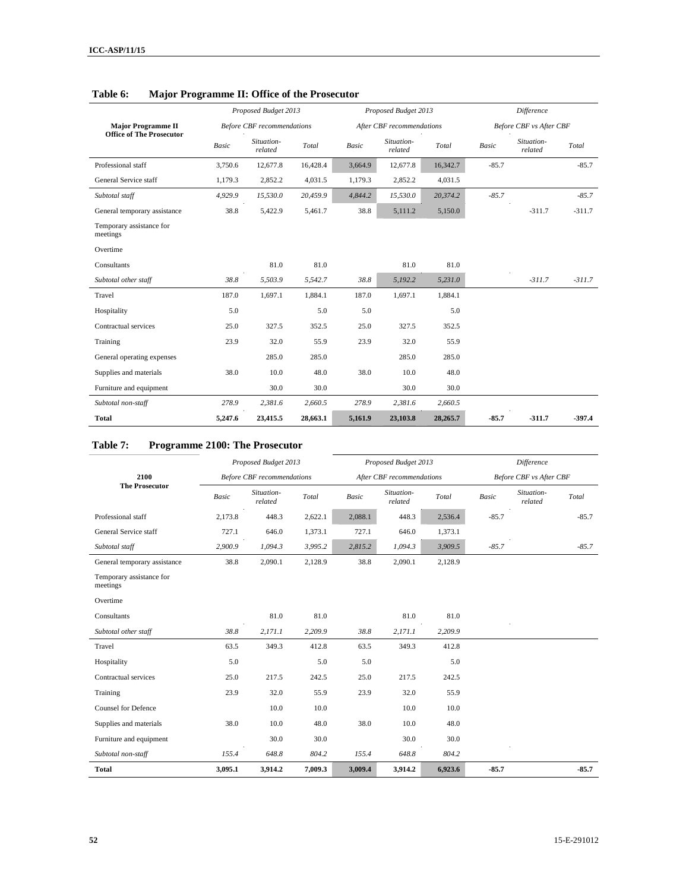|                                                              |              | Proposed Budget 2013              |          |              | Proposed Budget 2013      |          |              | Difference                     |          |  |
|--------------------------------------------------------------|--------------|-----------------------------------|----------|--------------|---------------------------|----------|--------------|--------------------------------|----------|--|
| <b>Major Programme II</b><br><b>Office of The Prosecutor</b> |              | <b>Before CBF</b> recommendations |          |              | After CBF recommendations |          |              | <b>Before CBF</b> vs After CBF |          |  |
|                                                              | <b>Basic</b> | Situation-<br>related             | Total    | <b>Basic</b> | Situation-<br>related     | Total    | <b>Basic</b> | Situation-<br>related          | Total    |  |
| Professional staff                                           | 3,750.6      | 12,677.8                          | 16,428.4 | 3,664.9      | 12,677.8                  | 16,342.7 | $-85.7$      |                                | $-85.7$  |  |
| General Service staff                                        | 1,179.3      | 2,852.2                           | 4,031.5  | 1,179.3      | 2,852.2                   | 4,031.5  |              |                                |          |  |
| Subtotal staff                                               | 4,929.9      | 15,530.0                          | 20,459.9 | 4,844.2      | 15,530.0                  | 20,374.2 | $-85.7$      |                                | $-85.7$  |  |
| General temporary assistance                                 | 38.8         | 5,422.9                           | 5,461.7  | 38.8         | 5,111.2                   | 5,150.0  |              | $-311.7$                       | $-311.7$ |  |
| Temporary assistance for<br>meetings                         |              |                                   |          |              |                           |          |              |                                |          |  |
| Overtime                                                     |              |                                   |          |              |                           |          |              |                                |          |  |
| Consultants                                                  |              | 81.0                              | 81.0     |              | 81.0                      | 81.0     |              |                                |          |  |
| Subtotal other staff                                         | 38.8         | 5,503.9                           | 5,542.7  | 38.8         | 5,192.2                   | 5,231.0  |              | $-311.7$                       | $-311.7$ |  |
| Travel                                                       | 187.0        | 1,697.1                           | 1.884.1  | 187.0        | 1.697.1                   | 1,884.1  |              |                                |          |  |
| Hospitality                                                  | 5.0          |                                   | 5.0      | 5.0          |                           | 5.0      |              |                                |          |  |
| Contractual services                                         | 25.0         | 327.5                             | 352.5    | 25.0         | 327.5                     | 352.5    |              |                                |          |  |
| Training                                                     | 23.9         | 32.0                              | 55.9     | 23.9         | 32.0                      | 55.9     |              |                                |          |  |
| General operating expenses                                   |              | 285.0                             | 285.0    |              | 285.0                     | 285.0    |              |                                |          |  |
| Supplies and materials                                       | 38.0         | 10.0                              | 48.0     | 38.0         | 10.0                      | 48.0     |              |                                |          |  |
| Furniture and equipment                                      |              | 30.0                              | 30.0     |              | 30.0                      | 30.0     |              |                                |          |  |
| Subtotal non-staff                                           | 278.9        | 2,381.6                           | 2,660.5  | 278.9        | 2,381.6                   | 2,660.5  |              |                                |          |  |
| <b>Total</b>                                                 | 5,247.6      | 23,415.5                          | 28,663.1 | 5,161.9      | 23,103.8                  | 28,265.7 | $-85.7$      | $-311.7$                       | $-397.4$ |  |

### **Table 6: Major Programme II: Office of the Prosecutor**

### **Table 7: Programme 2100: The Prosecutor**

|                                      |              | Proposed Budget 2013              |         |         | Proposed Budget 2013      |         |         | Difference              |         |
|--------------------------------------|--------------|-----------------------------------|---------|---------|---------------------------|---------|---------|-------------------------|---------|
| 2100                                 |              | <b>Before CBF</b> recommendations |         |         | After CBF recommendations |         |         | Before CBF vs After CBF |         |
| <b>The Prosecutor</b>                | <b>Basic</b> | Situation-<br>related             | Total   | Basic   | Situation-<br>related     | Total   | Basic   | Situation-<br>related   | Total   |
| Professional staff                   | 2.173.8      | 448.3                             | 2,622.1 | 2,088.1 | 448.3                     | 2,536.4 | $-85.7$ |                         | $-85.7$ |
| General Service staff                | 727.1        | 646.0                             | 1,373.1 | 727.1   | 646.0                     | 1,373.1 |         |                         |         |
| Subtotal staff                       | 2,900.9      | 1,094.3                           | 3,995.2 | 2,815.2 | 1,094.3                   | 3,909.5 | $-85.7$ |                         | $-85.7$ |
| General temporary assistance         | 38.8         | 2,090.1                           | 2,128.9 | 38.8    | 2,090.1                   | 2,128.9 |         |                         |         |
| Temporary assistance for<br>meetings |              |                                   |         |         |                           |         |         |                         |         |
| Overtime                             |              |                                   |         |         |                           |         |         |                         |         |
| Consultants                          |              | 81.0                              | 81.0    |         | 81.0                      | 81.0    |         |                         |         |
| Subtotal other staff                 | 38.8         | 2,171.1                           | 2,209.9 | 38.8    | 2,171.1                   | 2,209.9 |         |                         |         |
| Travel                               | 63.5         | 349.3                             | 412.8   | 63.5    | 349.3                     | 412.8   |         |                         |         |
| Hospitality                          | 5.0          |                                   | 5.0     | 5.0     |                           | 5.0     |         |                         |         |
| Contractual services                 | 25.0         | 217.5                             | 242.5   | 25.0    | 217.5                     | 242.5   |         |                         |         |
| Training                             | 23.9         | 32.0                              | 55.9    | 23.9    | 32.0                      | 55.9    |         |                         |         |
| <b>Counsel for Defence</b>           |              | 10.0                              | 10.0    |         | 10.0                      | 10.0    |         |                         |         |
| Supplies and materials               | 38.0         | 10.0                              | 48.0    | 38.0    | 10.0                      | 48.0    |         |                         |         |
| Furniture and equipment              |              | 30.0                              | 30.0    |         | 30.0                      | 30.0    |         |                         |         |
| Subtotal non-staff                   | 155.4        | 648.8                             | 804.2   | 155.4   | 648.8                     | 804.2   |         |                         |         |
| <b>Total</b>                         | 3,095.1      | 3,914.2                           | 7,009.3 | 3,009.4 | 3,914.2                   | 6,923.6 | $-85.7$ |                         | $-85.7$ |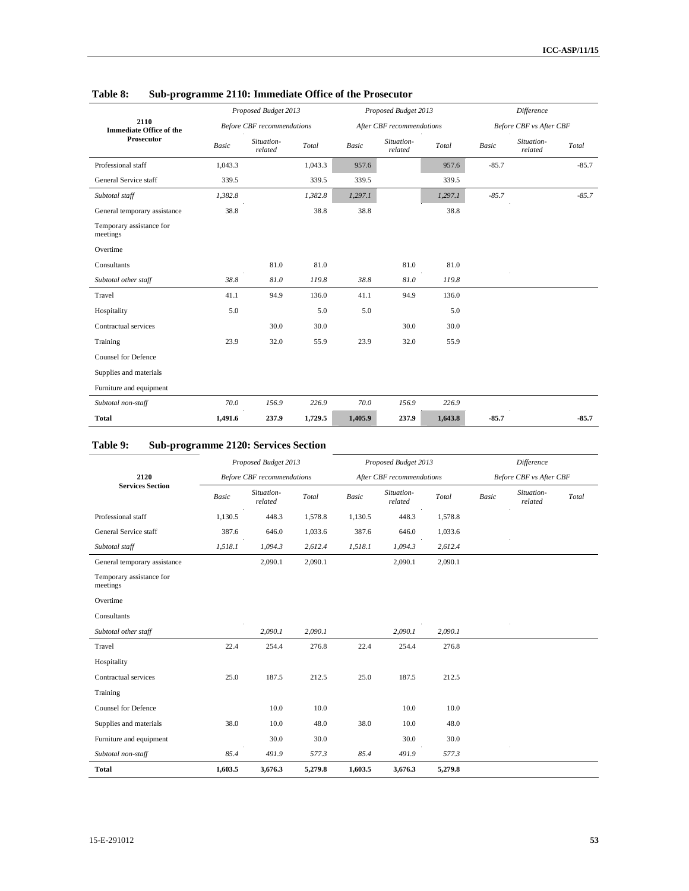|                                        | Proposed Budget 2013 |                                   |         |              | Proposed Budget 2013      |         | Difference   |                                |         |  |
|----------------------------------------|----------------------|-----------------------------------|---------|--------------|---------------------------|---------|--------------|--------------------------------|---------|--|
| 2110<br><b>Immediate Office of the</b> |                      | <b>Before CBF</b> recommendations |         |              | After CBF recommendations |         |              | <b>Before CBF</b> vs After CBF |         |  |
| Prosecutor                             | <b>Basic</b>         | Situation-<br>related             | Total   | <b>Basic</b> | Situation-<br>related     | Total   | <b>Basic</b> | Situation-<br>related          | Total   |  |
| Professional staff                     | 1,043.3              |                                   | 1,043.3 | 957.6        |                           | 957.6   | $-85.7$      |                                | $-85.7$ |  |
| General Service staff                  | 339.5                |                                   | 339.5   | 339.5        |                           | 339.5   |              |                                |         |  |
| Subtotal staff                         | 1,382.8              |                                   | 1,382.8 | 1,297.1      |                           | 1,297.1 | $-85.7$      |                                | $-85.7$ |  |
| General temporary assistance           | 38.8                 |                                   | 38.8    | 38.8         |                           | 38.8    |              |                                |         |  |
| Temporary assistance for<br>meetings   |                      |                                   |         |              |                           |         |              |                                |         |  |
| Overtime                               |                      |                                   |         |              |                           |         |              |                                |         |  |
| Consultants                            |                      | 81.0                              | 81.0    |              | 81.0                      | 81.0    |              |                                |         |  |
| Subtotal other staff                   | 38.8                 | 81.0                              | 119.8   | 38.8         | 81.0                      | 119.8   |              |                                |         |  |
| Travel                                 | 41.1                 | 94.9                              | 136.0   | 41.1         | 94.9                      | 136.0   |              |                                |         |  |
| Hospitality                            | 5.0                  |                                   | 5.0     | 5.0          |                           | 5.0     |              |                                |         |  |
| Contractual services                   |                      | 30.0                              | 30.0    |              | 30.0                      | 30.0    |              |                                |         |  |
| Training                               | 23.9                 | 32.0                              | 55.9    | 23.9         | 32.0                      | 55.9    |              |                                |         |  |
| <b>Counsel for Defence</b>             |                      |                                   |         |              |                           |         |              |                                |         |  |
| Supplies and materials                 |                      |                                   |         |              |                           |         |              |                                |         |  |
| Furniture and equipment                |                      |                                   |         |              |                           |         |              |                                |         |  |
| Subtotal non-staff                     | 70.0                 | 156.9                             | 226.9   | 70.0         | 156.9                     | 226.9   |              |                                |         |  |
| <b>Total</b>                           | 1.491.6              | 237.9                             | 1,729.5 | 1,405.9      | 237.9                     | 1,643.8 | $-85.7$      |                                | $-85.7$ |  |

## **Table 8: Sub-programme 2110: Immediate Office of the Prosecutor**

# **Table 9: Sub-programme 2120: Services Section**

|                                      |              | Proposed Budget 2013              |         |         | Proposed Budget 2013      |         |       | Difference              |       |
|--------------------------------------|--------------|-----------------------------------|---------|---------|---------------------------|---------|-------|-------------------------|-------|
| 2120                                 |              | <b>Before CBF</b> recommendations |         |         | After CBF recommendations |         |       | Before CBF vs After CBF |       |
| <b>Services Section</b>              | <b>Basic</b> | Situation-<br>related             | Total   | Basic   | Situation-<br>related     | Total   | Basic | Situation-<br>related   | Total |
| Professional staff                   | 1,130.5      | 448.3                             | 1,578.8 | 1,130.5 | 448.3                     | 1,578.8 |       |                         |       |
| General Service staff                | 387.6        | 646.0                             | 1,033.6 | 387.6   | 646.0                     | 1,033.6 |       |                         |       |
| Subtotal staff                       | 1,518.1      | 1,094.3                           | 2,612.4 | 1,518.1 | 1,094.3                   | 2,612.4 |       |                         |       |
| General temporary assistance         |              | 2,090.1                           | 2,090.1 |         | 2,090.1                   | 2,090.1 |       |                         |       |
| Temporary assistance for<br>meetings |              |                                   |         |         |                           |         |       |                         |       |
| Overtime                             |              |                                   |         |         |                           |         |       |                         |       |
| Consultants                          |              |                                   |         |         |                           |         |       |                         |       |
| Subtotal other staff                 |              | 2,090.1                           | 2,090.1 |         | 2,090.1                   | 2,090.1 |       |                         |       |
| Travel                               | 22.4         | 254.4                             | 276.8   | 22.4    | 254.4                     | 276.8   |       |                         |       |
| Hospitality                          |              |                                   |         |         |                           |         |       |                         |       |
| Contractual services                 | 25.0         | 187.5                             | 212.5   | 25.0    | 187.5                     | 212.5   |       |                         |       |
| Training                             |              |                                   |         |         |                           |         |       |                         |       |
| <b>Counsel for Defence</b>           |              | 10.0                              | 10.0    |         | 10.0                      | 10.0    |       |                         |       |
| Supplies and materials               | 38.0         | 10.0                              | 48.0    | 38.0    | 10.0                      | 48.0    |       |                         |       |
| Furniture and equipment              |              | 30.0                              | 30.0    |         | 30.0                      | 30.0    |       |                         |       |
| Subtotal non-staff                   | 85.4         | 491.9                             | 577.3   | 85.4    | 491.9                     | 577.3   |       |                         |       |
| <b>Total</b>                         | 1,603.5      | 3,676.3                           | 5,279.8 | 1,603.5 | 3,676.3                   | 5,279.8 |       |                         |       |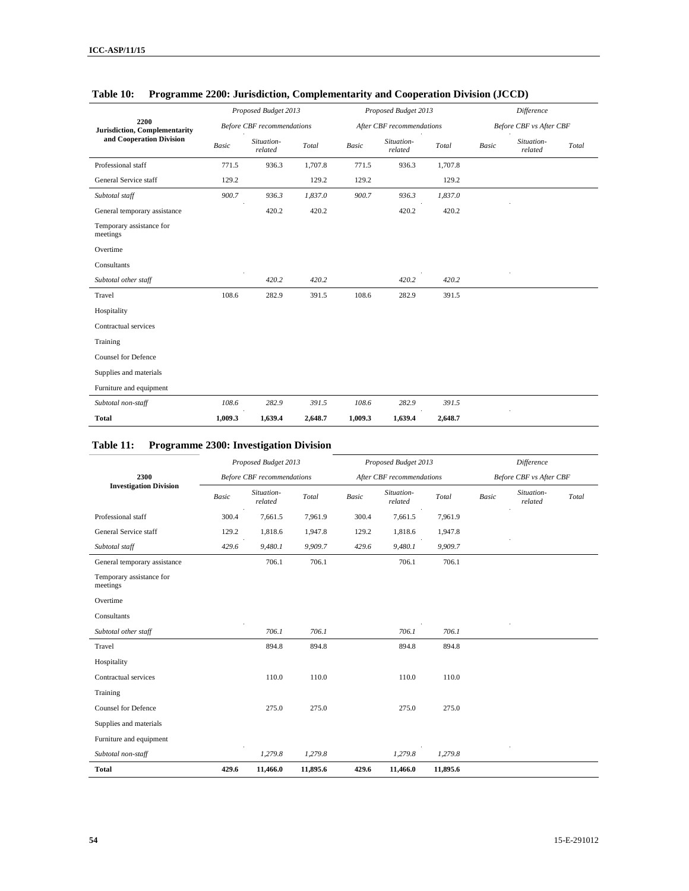|                                       |              | Proposed Budget 2013              |         |              | Proposed Budget 2013      |         | <b>Difference</b> |                                |       |
|---------------------------------------|--------------|-----------------------------------|---------|--------------|---------------------------|---------|-------------------|--------------------------------|-------|
| 2200<br>Jurisdiction, Complementarity |              | <b>Before CBF</b> recommendations |         |              | After CBF recommendations |         |                   | <b>Before CBF</b> vs After CBF |       |
| and Cooperation Division              | <b>Basic</b> | Situation-<br>related             | Total   | <b>Basic</b> | Situation-<br>related     | Total   | <b>Basic</b>      | Situation-<br>related          | Total |
| Professional staff                    | 771.5        | 936.3                             | 1,707.8 | 771.5        | 936.3                     | 1,707.8 |                   |                                |       |
| General Service staff                 | 129.2        |                                   | 129.2   | 129.2        |                           | 129.2   |                   |                                |       |
| Subtotal staff                        | 900.7        | 936.3                             | 1,837.0 | 900.7        | 936.3                     | 1,837.0 |                   |                                |       |
| General temporary assistance          |              | 420.2                             | 420.2   |              | 420.2                     | 420.2   |                   |                                |       |
| Temporary assistance for<br>meetings  |              |                                   |         |              |                           |         |                   |                                |       |
| Overtime                              |              |                                   |         |              |                           |         |                   |                                |       |
| Consultants                           |              |                                   |         |              |                           |         |                   |                                |       |
| Subtotal other staff                  |              | 420.2                             | 420.2   |              | 420.2                     | 420.2   |                   |                                |       |
| Travel                                | 108.6        | 282.9                             | 391.5   | 108.6        | 282.9                     | 391.5   |                   |                                |       |
| Hospitality                           |              |                                   |         |              |                           |         |                   |                                |       |
| Contractual services                  |              |                                   |         |              |                           |         |                   |                                |       |
| Training                              |              |                                   |         |              |                           |         |                   |                                |       |
| <b>Counsel for Defence</b>            |              |                                   |         |              |                           |         |                   |                                |       |
| Supplies and materials                |              |                                   |         |              |                           |         |                   |                                |       |
| Furniture and equipment               |              |                                   |         |              |                           |         |                   |                                |       |
| Subtotal non-staff                    | 108.6        | 282.9                             | 391.5   | 108.6        | 282.9                     | 391.5   |                   |                                |       |
| <b>Total</b>                          | 1,009.3      | 1,639.4                           | 2,648.7 | 1,009.3      | 1,639.4                   | 2,648.7 |                   |                                |       |

## **Table 10: Programme 2200: Jurisdiction, Complementarity and Cooperation Division (JCCD)**

# **Table 11: Programme 2300: Investigation Division**

|                                      |              | Proposed Budget 2013              |          |              | Proposed Budget 2013      |          | Difference |                                |       |  |
|--------------------------------------|--------------|-----------------------------------|----------|--------------|---------------------------|----------|------------|--------------------------------|-------|--|
| 2300                                 |              | <b>Before CBF</b> recommendations |          |              | After CBF recommendations |          |            | <b>Before CBF</b> vs After CBF |       |  |
| <b>Investigation Division</b>        | <b>Basic</b> | Situation-<br>related             | Total    | <b>Basic</b> | Situation-<br>related     | Total    | Basic      | Situation-<br>related          | Total |  |
| Professional staff                   | 300.4        | 7,661.5                           | 7,961.9  | 300.4        | 7,661.5                   | 7,961.9  |            |                                |       |  |
| General Service staff                | 129.2        | 1,818.6                           | 1,947.8  | 129.2        | 1,818.6                   | 1,947.8  |            |                                |       |  |
| Subtotal staff                       | 429.6        | 9,480.1                           | 9,909.7  | 429.6        | 9,480.1                   | 9,909.7  |            |                                |       |  |
| General temporary assistance         |              | 706.1                             | 706.1    |              | 706.1                     | 706.1    |            |                                |       |  |
| Temporary assistance for<br>meetings |              |                                   |          |              |                           |          |            |                                |       |  |
| Overtime                             |              |                                   |          |              |                           |          |            |                                |       |  |
| Consultants                          |              |                                   |          |              |                           |          |            |                                |       |  |
| Subtotal other staff                 |              | 706.1                             | 706.1    |              | 706.1                     | 706.1    |            |                                |       |  |
| Travel                               |              | 894.8                             | 894.8    |              | 894.8                     | 894.8    |            |                                |       |  |
| Hospitality                          |              |                                   |          |              |                           |          |            |                                |       |  |
| Contractual services                 |              | 110.0                             | 110.0    |              | 110.0                     | 110.0    |            |                                |       |  |
| Training                             |              |                                   |          |              |                           |          |            |                                |       |  |
| <b>Counsel for Defence</b>           |              | 275.0                             | 275.0    |              | 275.0                     | 275.0    |            |                                |       |  |
| Supplies and materials               |              |                                   |          |              |                           |          |            |                                |       |  |
| Furniture and equipment              |              |                                   |          |              |                           |          |            |                                |       |  |
| Subtotal non-staff                   |              | 1,279.8                           | 1,279.8  |              | 1,279.8                   | 1,279.8  |            |                                |       |  |
| <b>Total</b>                         | 429.6        | 11,466.0                          | 11,895.6 | 429.6        | 11,466.0                  | 11,895.6 |            |                                |       |  |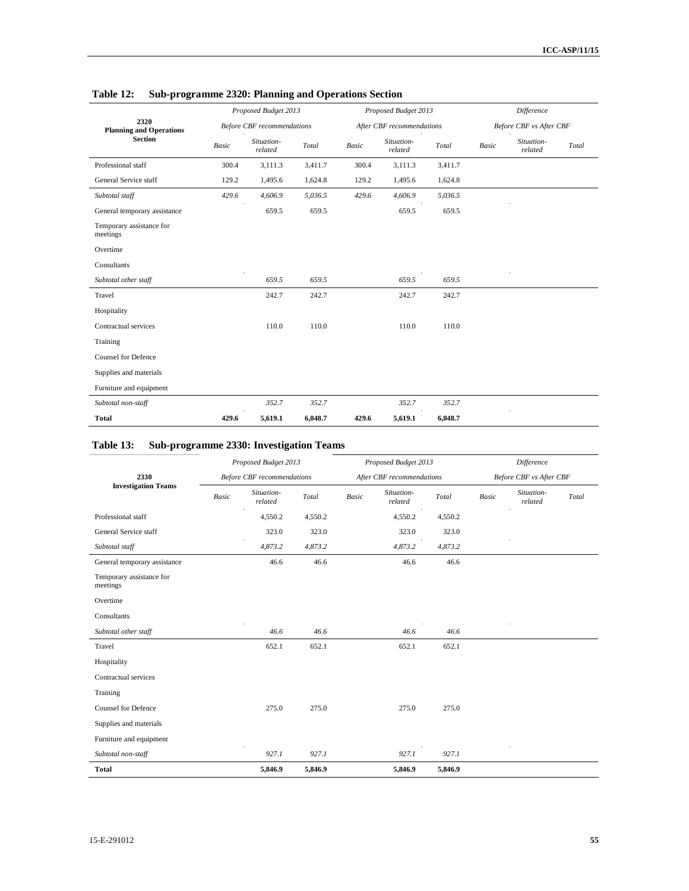|                                        |       | Proposed Budget 2013              |         |              | Proposed Budget 2013      |         | Difference |                                |       |
|----------------------------------------|-------|-----------------------------------|---------|--------------|---------------------------|---------|------------|--------------------------------|-------|
| 2320<br><b>Planning and Operations</b> |       | <b>Before CBF</b> recommendations |         |              | After CBF recommendations |         |            | <b>Before CBF</b> vs After CBF |       |
| <b>Section</b>                         | Basic | Situation-<br>related             | Total   | <b>Basic</b> | Situation-<br>related     | Total   | Basic      | Situation-<br>related          | Total |
| Professional staff                     | 300.4 | 3,111.3                           | 3,411.7 | 300.4        | 3,111.3                   | 3,411.7 |            |                                |       |
| General Service staff                  | 129.2 | 1,495.6                           | 1,624.8 | 129.2        | 1,495.6                   | 1,624.8 |            |                                |       |
| Subtotal staff                         | 429.6 | 4,606.9                           | 5,036.5 | 429.6        | 4,606.9                   | 5,036.5 |            |                                |       |
| General temporary assistance           |       | 659.5                             | 659.5   |              | 659.5                     | 659.5   |            |                                |       |
| Temporary assistance for<br>meetings   |       |                                   |         |              |                           |         |            |                                |       |
| Overtime                               |       |                                   |         |              |                           |         |            |                                |       |
| Consultants                            |       |                                   |         |              |                           |         |            |                                |       |
| Subtotal other staff                   |       | 659.5                             | 659.5   |              | 659.5                     | 659.5   |            |                                |       |
| Travel                                 |       | 242.7                             | 242.7   |              | 242.7                     | 242.7   |            |                                |       |
| Hospitality                            |       |                                   |         |              |                           |         |            |                                |       |
| Contractual services                   |       | 110.0                             | 110.0   |              | 110.0                     | 110.0   |            |                                |       |
| Training                               |       |                                   |         |              |                           |         |            |                                |       |
| <b>Counsel for Defence</b>             |       |                                   |         |              |                           |         |            |                                |       |
| Supplies and materials                 |       |                                   |         |              |                           |         |            |                                |       |
| Furniture and equipment                |       |                                   |         |              |                           |         |            |                                |       |
| Subtotal non-staff                     |       | 352.7                             | 352.7   |              | 352.7                     | 352.7   |            |                                |       |
| <b>Total</b>                           | 429.6 | 5,619.1                           | 6,048.7 | 429.6        | 5,619.1                   | 6,048.7 |            |                                |       |

### **Table 12: Sub-programme 2320: Planning and Operations Section**

# **Table 13: Sub-programme 2330: Investigation Teams**

|                                      |              | Proposed Budget 2013              |         |              | Proposed Budget 2013      |         | Difference   |                         |       |  |
|--------------------------------------|--------------|-----------------------------------|---------|--------------|---------------------------|---------|--------------|-------------------------|-------|--|
| 2330                                 |              | <b>Before CBF</b> recommendations |         |              | After CBF recommendations |         |              | Before CBF vs After CBF |       |  |
| <b>Investigation Teams</b>           | <b>Basic</b> | Situation-<br>related             | Total   | <b>Basic</b> | Situation-<br>related     | Total   | <b>Basic</b> | Situation-<br>related   | Total |  |
| Professional staff                   |              | 4,550.2                           | 4,550.2 |              | 4,550.2                   | 4,550.2 |              |                         |       |  |
| General Service staff                |              | 323.0                             | 323.0   |              | 323.0                     | 323.0   |              |                         |       |  |
| Subtotal staff                       |              | 4,873.2                           | 4,873.2 |              | 4,873.2                   | 4,873.2 |              |                         |       |  |
| General temporary assistance         |              | 46.6                              | 46.6    |              | 46.6                      | 46.6    |              |                         |       |  |
| Temporary assistance for<br>meetings |              |                                   |         |              |                           |         |              |                         |       |  |
| Overtime                             |              |                                   |         |              |                           |         |              |                         |       |  |
| Consultants                          |              |                                   |         |              |                           |         |              |                         |       |  |
| Subtotal other staff                 |              | 46.6                              | 46.6    |              | 46.6                      | 46.6    |              |                         |       |  |
| Travel                               |              | 652.1                             | 652.1   |              | 652.1                     | 652.1   |              |                         |       |  |
| Hospitality                          |              |                                   |         |              |                           |         |              |                         |       |  |
| Contractual services                 |              |                                   |         |              |                           |         |              |                         |       |  |
| Training                             |              |                                   |         |              |                           |         |              |                         |       |  |
| <b>Counsel for Defence</b>           |              | 275.0                             | 275.0   |              | 275.0                     | 275.0   |              |                         |       |  |
| Supplies and materials               |              |                                   |         |              |                           |         |              |                         |       |  |
| Furniture and equipment              |              |                                   |         |              |                           |         |              |                         |       |  |
| Subtotal non-staff                   |              | 927.1                             | 927.1   |              | 927.1                     | 927.1   |              |                         |       |  |
| <b>Total</b>                         |              | 5,846.9                           | 5,846.9 |              | 5,846.9                   | 5,846.9 |              |                         |       |  |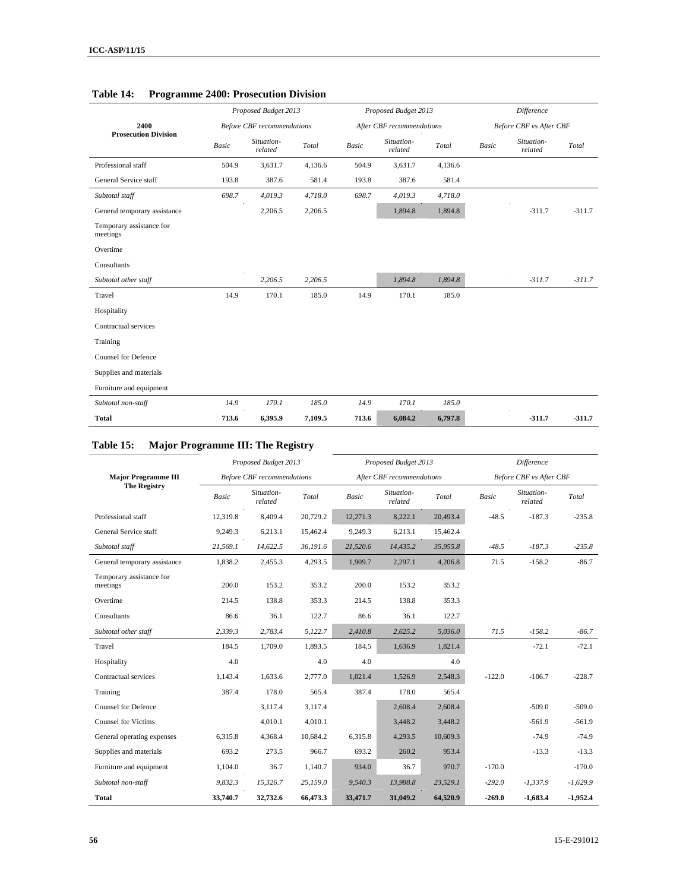|                                      |              | Proposed Budget 2013              |         |              | Proposed Budget 2013      |         |              | <b>Difference</b>              |          |
|--------------------------------------|--------------|-----------------------------------|---------|--------------|---------------------------|---------|--------------|--------------------------------|----------|
| 2400                                 |              | <b>Before CBF</b> recommendations |         |              | After CBF recommendations |         |              | <b>Before CBF</b> vs After CBF |          |
| <b>Prosecution Division</b>          | <b>Basic</b> | Situation-<br>related             | Total   | <b>Basic</b> | Situation-<br>related     | Total   | <b>Basic</b> | Situation-<br>related          | Total    |
| Professional staff                   | 504.9        | 3,631.7                           | 4,136.6 | 504.9        | 3,631.7                   | 4,136.6 |              |                                |          |
| General Service staff                | 193.8        | 387.6                             | 581.4   | 193.8        | 387.6                     | 581.4   |              |                                |          |
| Subtotal staff                       | 698.7        | 4,019.3                           | 4,718.0 | 698.7        | 4,019.3                   | 4,718.0 |              |                                |          |
| General temporary assistance         |              | 2,206.5                           | 2,206.5 |              | 1,894.8                   | 1,894.8 |              | $-311.7$                       | $-311.7$ |
| Temporary assistance for<br>meetings |              |                                   |         |              |                           |         |              |                                |          |
| Overtime                             |              |                                   |         |              |                           |         |              |                                |          |
| Consultants                          |              |                                   |         |              |                           |         |              |                                |          |
| Subtotal other staff                 |              | 2,206.5                           | 2,206.5 |              | 1,894.8                   | 1,894.8 |              | $-311.7$                       | $-311.7$ |
| Travel                               | 14.9         | 170.1                             | 185.0   | 14.9         | 170.1                     | 185.0   |              |                                |          |
| Hospitality                          |              |                                   |         |              |                           |         |              |                                |          |
| Contractual services                 |              |                                   |         |              |                           |         |              |                                |          |
| Training                             |              |                                   |         |              |                           |         |              |                                |          |
| <b>Counsel for Defence</b>           |              |                                   |         |              |                           |         |              |                                |          |
| Supplies and materials               |              |                                   |         |              |                           |         |              |                                |          |
| Furniture and equipment              |              |                                   |         |              |                           |         |              |                                |          |
| Subtotal non-staff                   | 14.9         | 170.1                             | 185.0   | 14.9         | 170.1                     | 185.0   |              |                                |          |
| <b>Total</b>                         | 713.6        | 6,395.9                           | 7,109.5 | 713.6        | 6,084.2                   | 6,797.8 |              | $-311.7$                       | $-311.7$ |

#### **Table 14: Programme 2400: Prosecution Division**

# **Table 15: Major Programme III: The Registry**

|                                      |              | Proposed Budget 2013              |          |          | Proposed Budget 2013      |          |              | <b>Difference</b>              |            |  |
|--------------------------------------|--------------|-----------------------------------|----------|----------|---------------------------|----------|--------------|--------------------------------|------------|--|
| <b>Major Programme III</b>           |              | <b>Before CBF</b> recommendations |          |          | After CBF recommendations |          |              | <b>Before CBF</b> vs After CBF |            |  |
| <b>The Registry</b>                  | <b>Basic</b> | Situation-<br>related             | Total    | Basic    | Situation-<br>related     | Total    | <b>Basic</b> | Situation-<br>related          | Total      |  |
| Professional staff                   | 12,319.8     | 8,409.4                           | 20,729.2 | 12,271.3 | 8,222.1                   | 20,493.4 | $-48.5$      | $-187.3$                       | $-235.8$   |  |
| General Service staff                | 9,249.3      | 6,213.1                           | 15,462.4 | 9,249.3  | 6,213.1                   | 15,462.4 |              |                                |            |  |
| Subtotal staff                       | 21,569.1     | 14,622.5                          | 36,191.6 | 21,520.6 | 14,435.2                  | 35,955.8 | $-48.5$      | $-187.3$                       | $-235.8$   |  |
| General temporary assistance         | 1,838.2      | 2,455.3                           | 4,293.5  | 1,909.7  | 2,297.1                   | 4,206.8  | 71.5         | $-158.2$                       | $-86.7$    |  |
| Temporary assistance for<br>meetings | 200.0        | 153.2                             | 353.2    | 200.0    | 153.2                     | 353.2    |              |                                |            |  |
| Overtime                             | 214.5        | 138.8                             | 353.3    | 214.5    | 138.8                     | 353.3    |              |                                |            |  |
| Consultants                          | 86.6         | 36.1                              | 122.7    | 86.6     | 36.1                      | 122.7    |              |                                |            |  |
| Subtotal other staff                 | 2,339.3      | 2,783.4                           | 5,122.7  | 2,410.8  | 2,625.2                   | 5,036.0  | 71.5         | $-158.2$                       | $-86.7$    |  |
| Travel                               | 184.5        | 1,709.0                           | 1,893.5  | 184.5    | 1,636.9                   | 1,821.4  |              | $-72.1$                        | $-72.1$    |  |
| Hospitality                          | 4.0          |                                   | 4.0      | 4.0      |                           | 4.0      |              |                                |            |  |
| Contractual services                 | 1.143.4      | 1.633.6                           | 2,777.0  | 1,021.4  | 1,526.9                   | 2,548.3  | $-122.0$     | $-106.7$                       | $-228.7$   |  |
| Training                             | 387.4        | 178.0                             | 565.4    | 387.4    | 178.0                     | 565.4    |              |                                |            |  |
| Counsel for Defence                  |              | 3.117.4                           | 3,117.4  |          | 2,608.4                   | 2,608.4  |              | $-509.0$                       | $-509.0$   |  |
| <b>Counsel for Victims</b>           |              | 4,010.1                           | 4,010.1  |          | 3,448.2                   | 3,448.2  |              | $-561.9$                       | $-561.9$   |  |
| General operating expenses           | 6,315.8      | 4,368.4                           | 10,684.2 | 6,315.8  | 4,293.5                   | 10,609.3 |              | $-74.9$                        | $-74.9$    |  |
| Supplies and materials               | 693.2        | 273.5                             | 966.7    | 693.2    | 260.2                     | 953.4    |              | $-13.3$                        | $-13.3$    |  |
| Furniture and equipment              | 1,104.0      | 36.7                              | 1,140.7  | 934.0    | 36.7                      | 970.7    | $-170.0$     |                                | $-170.0$   |  |
| Subtotal non-staff                   | 9,832.3      | 15,326.7                          | 25,159.0 | 9,540.3  | 13,988.8                  | 23,529.1 | $-292.0$     | $-1,337.9$                     | $-1,629.9$ |  |
| <b>Total</b>                         | 33,740.7     | 32,732.6                          | 66,473.3 | 33,471.7 | 31,049.2                  | 64,520.9 | $-269.0$     | $-1,683.4$                     | $-1,952.4$ |  |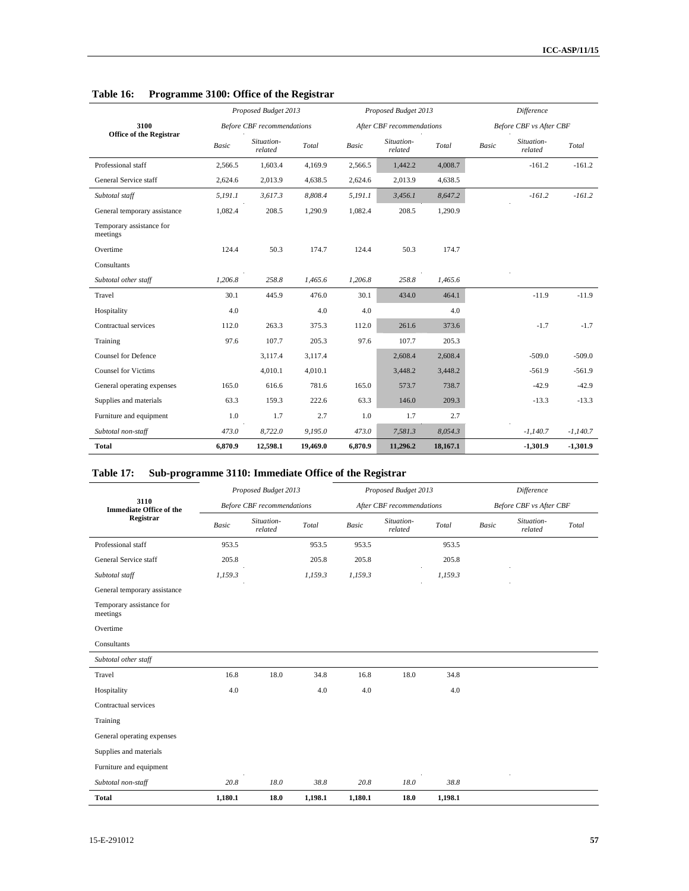|                                      |         | Proposed Budget 2013              |          |         | Proposed Budget 2013      |          | <b>Difference</b> |                                |            |  |
|--------------------------------------|---------|-----------------------------------|----------|---------|---------------------------|----------|-------------------|--------------------------------|------------|--|
| 3100                                 |         | <b>Before CBF</b> recommendations |          |         | After CBF recommendations |          |                   | <b>Before CBF</b> vs After CBF |            |  |
| <b>Office of the Registrar</b>       | Basic   | Situation-<br>related             | Total    | Basic   | Situation-<br>related     | Total    | <b>Basic</b>      | Situation-<br>related          | Total      |  |
| Professional staff                   | 2,566.5 | 1,603.4                           | 4,169.9  | 2,566.5 | 1,442.2                   | 4,008.7  |                   | $-161.2$                       | $-161.2$   |  |
| General Service staff                | 2,624.6 | 2,013.9                           | 4,638.5  | 2,624.6 | 2,013.9                   | 4,638.5  |                   |                                |            |  |
| Subtotal staff                       | 5,191.1 | 3,617.3                           | 8,808.4  | 5,191.1 | 3,456.1                   | 8,647.2  |                   | $-161.2$                       | $-161.2$   |  |
| General temporary assistance         | 1,082.4 | 208.5                             | 1,290.9  | 1,082.4 | 208.5                     | 1,290.9  |                   |                                |            |  |
| Temporary assistance for<br>meetings |         |                                   |          |         |                           |          |                   |                                |            |  |
| Overtime                             | 124.4   | 50.3                              | 174.7    | 124.4   | 50.3                      | 174.7    |                   |                                |            |  |
| Consultants                          |         |                                   |          |         |                           |          |                   |                                |            |  |
| Subtotal other staff                 | 1,206.8 | 258.8                             | 1,465.6  | 1,206.8 | 258.8                     | 1,465.6  |                   |                                |            |  |
| Travel                               | 30.1    | 445.9                             | 476.0    | 30.1    | 434.0                     | 464.1    |                   | $-11.9$                        | $-11.9$    |  |
| Hospitality                          | 4.0     |                                   | 4.0      | 4.0     |                           | 4.0      |                   |                                |            |  |
| Contractual services                 | 112.0   | 263.3                             | 375.3    | 112.0   | 261.6                     | 373.6    |                   | $-1.7$                         | $-1.7$     |  |
| Training                             | 97.6    | 107.7                             | 205.3    | 97.6    | 107.7                     | 205.3    |                   |                                |            |  |
| <b>Counsel for Defence</b>           |         | 3,117.4                           | 3,117.4  |         | 2,608.4                   | 2,608.4  |                   | $-509.0$                       | $-509.0$   |  |
| <b>Counsel for Victims</b>           |         | 4,010.1                           | 4,010.1  |         | 3,448.2                   | 3,448.2  |                   | $-561.9$                       | $-561.9$   |  |
| General operating expenses           | 165.0   | 616.6                             | 781.6    | 165.0   | 573.7                     | 738.7    |                   | $-42.9$                        | $-42.9$    |  |
| Supplies and materials               | 63.3    | 159.3                             | 222.6    | 63.3    | 146.0                     | 209.3    |                   | $-13.3$                        | $-13.3$    |  |
| Furniture and equipment              | 1.0     | 1.7                               | 2.7      | 1.0     | 1.7                       | 2.7      |                   |                                |            |  |
| Subtotal non-staff                   | 473.0   | 8,722.0                           | 9,195.0  | 473.0   | 7,581.3                   | 8,054.3  |                   | $-1,140.7$                     | $-1,140.7$ |  |
| <b>Total</b>                         | 6,870.9 | 12,598.1                          | 19,469.0 | 6,870.9 | 11,296.2                  | 18,167.1 |                   | $-1,301.9$                     | $-1,301.9$ |  |

## **Table 16: Programme 3100: Office of the Registrar**

## **Table 17: Sub-programme 3110: Immediate Office of the Registrar**

|                                        |              | Proposed Budget 2013              |         |              | Proposed Budget 2013      |         | <b>Difference</b> |                         |       |
|----------------------------------------|--------------|-----------------------------------|---------|--------------|---------------------------|---------|-------------------|-------------------------|-------|
| 3110<br><b>Immediate Office of the</b> |              | <b>Before CBF</b> recommendations |         |              | After CBF recommendations |         |                   | Before CBF vs After CBF |       |
| Registrar                              | <b>Basic</b> | Situation-<br>related             | Total   | <b>Basic</b> | Situation-<br>related     | Total   | <b>Basic</b>      | Situation-<br>related   | Total |
| Professional staff                     | 953.5        |                                   | 953.5   | 953.5        |                           | 953.5   |                   |                         |       |
| General Service staff                  | 205.8        |                                   | 205.8   | 205.8        |                           | 205.8   |                   |                         |       |
| Subtotal staff                         | 1,159.3      |                                   | 1,159.3 | 1,159.3      |                           | 1,159.3 |                   |                         |       |
| General temporary assistance           |              |                                   |         |              |                           |         |                   |                         |       |
| Temporary assistance for<br>meetings   |              |                                   |         |              |                           |         |                   |                         |       |
| Overtime                               |              |                                   |         |              |                           |         |                   |                         |       |
| Consultants                            |              |                                   |         |              |                           |         |                   |                         |       |
| Subtotal other staff                   |              |                                   |         |              |                           |         |                   |                         |       |
| Travel                                 | 16.8         | 18.0                              | 34.8    | 16.8         | 18.0                      | 34.8    |                   |                         |       |
| Hospitality                            | 4.0          |                                   | 4.0     | 4.0          |                           | 4.0     |                   |                         |       |
| Contractual services                   |              |                                   |         |              |                           |         |                   |                         |       |
| Training                               |              |                                   |         |              |                           |         |                   |                         |       |
| General operating expenses             |              |                                   |         |              |                           |         |                   |                         |       |
| Supplies and materials                 |              |                                   |         |              |                           |         |                   |                         |       |
| Furniture and equipment                |              |                                   |         |              |                           |         |                   |                         |       |
| Subtotal non-staff                     | 20.8         | 18.0                              | 38.8    | 20.8         | 18.0                      | 38.8    |                   |                         |       |
| <b>Total</b>                           | 1,180.1      | 18.0                              | 1,198.1 | 1,180.1      | 18.0                      | 1,198.1 |                   |                         |       |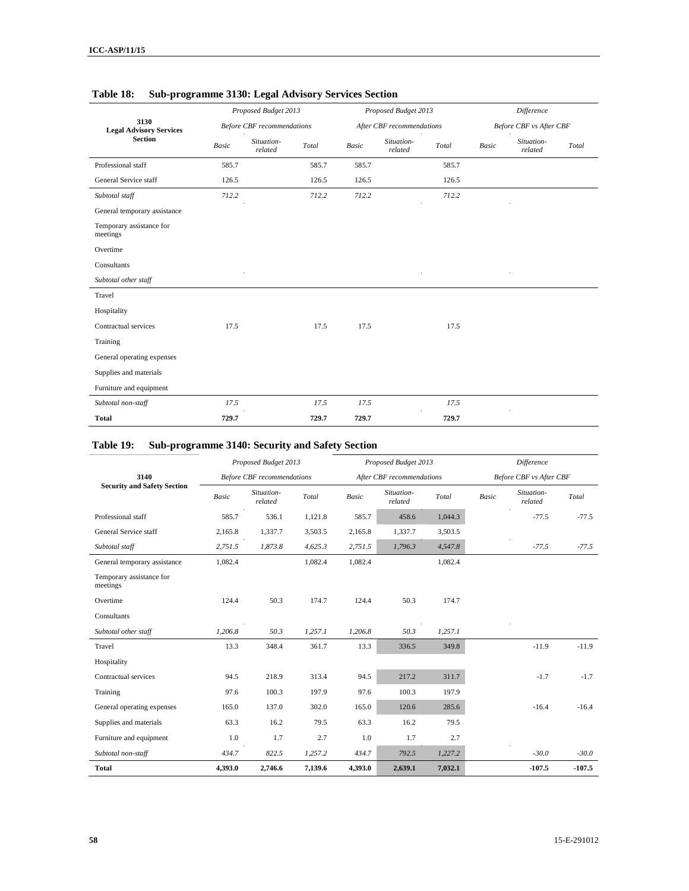|                                        | Proposed Budget 2013 |                                   |       |              | Proposed Budget 2013      |                   | Difference   |                         |       |  |
|----------------------------------------|----------------------|-----------------------------------|-------|--------------|---------------------------|-------------------|--------------|-------------------------|-------|--|
| 3130<br><b>Legal Advisory Services</b> |                      | <b>Before CBF</b> recommendations |       |              | After CBF recommendations |                   |              | Before CBF vs After CBF |       |  |
| <b>Section</b>                         | <b>Basic</b>         | Situation-<br>related             | Total | <b>Basic</b> | Situation-<br>related     | Total<br>$\Delta$ | <b>Basic</b> | Situation-<br>related   | Total |  |
| Professional staff                     | 585.7                |                                   | 585.7 | 585.7        |                           | 585.7             |              |                         |       |  |
| General Service staff                  | 126.5                |                                   | 126.5 | 126.5        |                           | 126.5             |              |                         |       |  |
| Subtotal staff                         | 712.2                |                                   | 712.2 | 712.2        |                           | 712.2             |              |                         |       |  |
| General temporary assistance           |                      |                                   |       |              |                           |                   |              |                         |       |  |
| Temporary assistance for<br>meetings   |                      |                                   |       |              |                           |                   |              |                         |       |  |
| Overtime                               |                      |                                   |       |              |                           |                   |              |                         |       |  |
| Consultants                            |                      |                                   |       |              |                           |                   |              |                         |       |  |
| Subtotal other staff                   |                      |                                   |       |              |                           |                   |              |                         |       |  |
| Travel                                 |                      |                                   |       |              |                           |                   |              |                         |       |  |
| Hospitality                            |                      |                                   |       |              |                           |                   |              |                         |       |  |
| Contractual services                   | 17.5                 |                                   | 17.5  | 17.5         |                           | 17.5              |              |                         |       |  |
| Training                               |                      |                                   |       |              |                           |                   |              |                         |       |  |
| General operating expenses             |                      |                                   |       |              |                           |                   |              |                         |       |  |
| Supplies and materials                 |                      |                                   |       |              |                           |                   |              |                         |       |  |
| Furniture and equipment                |                      |                                   |       |              |                           |                   |              |                         |       |  |
| Subtotal non-staff                     | 17.5                 |                                   | 17.5  | 17.5         |                           | 17.5              |              |                         |       |  |
| <b>Total</b>                           | 729.7                |                                   | 729.7 | 729.7        |                           | 729.7             |              |                         |       |  |

### **Table 18: Sub-programme 3130: Legal Advisory Services Section**

# **Table 19: Sub-programme 3140: Security and Safety Section**

|                                      |              | Proposed Budget 2013              |         |         | Proposed Budget 2013      |         | <b>Difference</b>              |                       |          |  |
|--------------------------------------|--------------|-----------------------------------|---------|---------|---------------------------|---------|--------------------------------|-----------------------|----------|--|
| 3140                                 |              | <b>Before CBF</b> recommendations |         |         | After CBF recommendations |         | <b>Before CBF</b> vs After CBF |                       |          |  |
| <b>Security and Safety Section</b>   | <b>Basic</b> | Situation-<br>related             | Total   | Basic   | Situation-<br>related     | Total   | <b>Basic</b>                   | Situation-<br>related | Total    |  |
| Professional staff                   | 585.7        | 536.1                             | 1,121.8 | 585.7   | 458.6                     | 1,044.3 |                                | $-77.5$               | $-77.5$  |  |
| General Service staff                | 2,165.8      | 1,337.7                           | 3,503.5 | 2,165.8 | 1,337.7                   | 3,503.5 |                                |                       |          |  |
| Subtotal staff                       | 2,751.5      | 1.873.8                           | 4,625.3 | 2,751.5 | 1.796.3                   | 4,547.8 |                                | $-77.5$               | $-77.5$  |  |
| General temporary assistance         | 1,082.4      |                                   | 1,082.4 | 1,082.4 |                           | 1,082.4 |                                |                       |          |  |
| Temporary assistance for<br>meetings |              |                                   |         |         |                           |         |                                |                       |          |  |
| Overtime                             | 124.4        | 50.3                              | 174.7   | 124.4   | 50.3                      | 174.7   |                                |                       |          |  |
| Consultants                          |              |                                   |         |         |                           |         |                                |                       |          |  |
| Subtotal other staff                 | 1,206.8      | 50.3                              | 1,257.1 | 1,206.8 | 50.3                      | 1,257.1 |                                |                       |          |  |
| Travel                               | 13.3         | 348.4                             | 361.7   | 13.3    | 336.5                     | 349.8   |                                | $-11.9$               | $-11.9$  |  |
| Hospitality                          |              |                                   |         |         |                           |         |                                |                       |          |  |
| Contractual services                 | 94.5         | 218.9                             | 313.4   | 94.5    | 217.2                     | 311.7   |                                | $-1.7$                | $-1.7$   |  |
| Training                             | 97.6         | 100.3                             | 197.9   | 97.6    | 100.3                     | 197.9   |                                |                       |          |  |
| General operating expenses           | 165.0        | 137.0                             | 302.0   | 165.0   | 120.6                     | 285.6   |                                | $-16.4$               | $-16.4$  |  |
| Supplies and materials               | 63.3         | 16.2                              | 79.5    | 63.3    | 16.2                      | 79.5    |                                |                       |          |  |
| Furniture and equipment              | 1.0          | 1.7                               | 2.7     | 1.0     | 1.7                       | 2.7     |                                |                       |          |  |
| Subtotal non-staff                   | 434.7        | 822.5                             | 1,257.2 | 434.7   | 792.5                     | 1,227.2 |                                | $-30.0$               | $-30.0$  |  |
| Total                                | 4,393.0      | 2,746.6                           | 7,139.6 | 4,393.0 | 2,639.1                   | 7,032.1 |                                | $-107.5$              | $-107.5$ |  |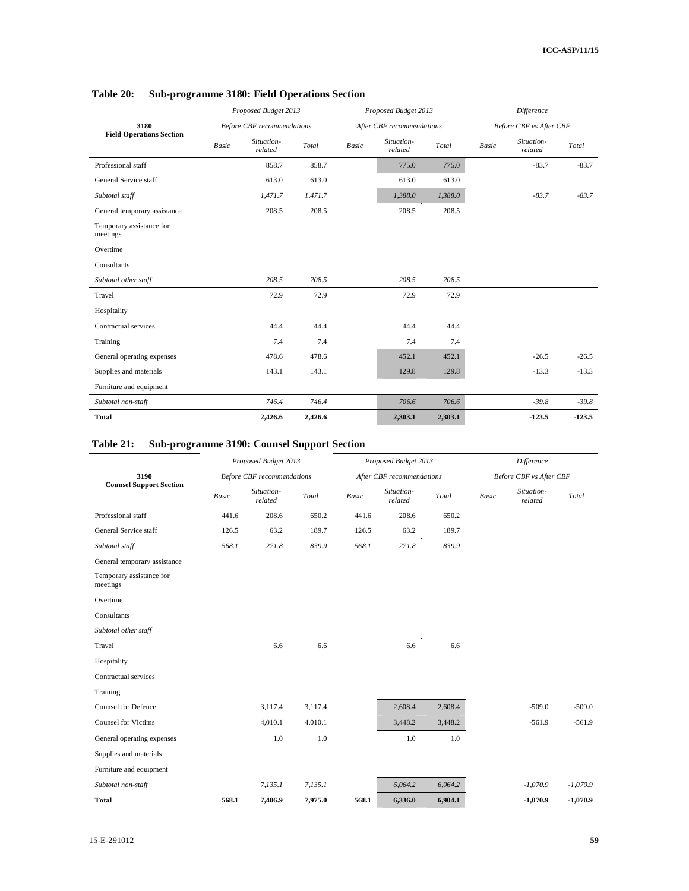|                                      |              | Proposed Budget 2013              |         |                          | Proposed Budget 2013      |         | Difference   |                                |          |
|--------------------------------------|--------------|-----------------------------------|---------|--------------------------|---------------------------|---------|--------------|--------------------------------|----------|
| 3180                                 |              | <b>Before CBF</b> recommendations |         |                          | After CBF recommendations |         |              | <b>Before CBF</b> vs After CBF |          |
| <b>Field Operations Section</b>      | <b>Basic</b> | Situation-<br>related             | Total   | $\label{eq:basic} Basic$ | Situation-<br>related     | Total   | <b>Basic</b> | Situation-<br>related          | Total    |
| Professional staff                   |              | 858.7                             | 858.7   |                          | 775.0                     | 775.0   |              | $-83.7$                        | $-83.7$  |
| General Service staff                |              | 613.0                             | 613.0   |                          | 613.0                     | 613.0   |              |                                |          |
| Subtotal staff                       |              | 1,471.7                           | 1,471.7 |                          | 1,388.0                   | 1,388.0 |              | $-83.7$                        | $-83.7$  |
| General temporary assistance         |              | 208.5                             | 208.5   |                          | 208.5                     | 208.5   |              |                                |          |
| Temporary assistance for<br>meetings |              |                                   |         |                          |                           |         |              |                                |          |
| Overtime                             |              |                                   |         |                          |                           |         |              |                                |          |
| Consultants                          |              |                                   |         |                          |                           |         |              |                                |          |
| Subtotal other staff                 |              | 208.5                             | 208.5   |                          | 208.5                     | 208.5   |              |                                |          |
| Travel                               |              | 72.9                              | 72.9    |                          | 72.9                      | 72.9    |              |                                |          |
| Hospitality                          |              |                                   |         |                          |                           |         |              |                                |          |
| Contractual services                 |              | 44.4                              | 44.4    |                          | 44.4                      | 44.4    |              |                                |          |
| Training                             |              | 7.4                               | 7.4     |                          | 7.4                       | 7.4     |              |                                |          |
| General operating expenses           |              | 478.6                             | 478.6   |                          | 452.1                     | 452.1   |              | $-26.5$                        | $-26.5$  |
| Supplies and materials               |              | 143.1                             | 143.1   |                          | 129.8                     | 129.8   |              | $-13.3$                        | $-13.3$  |
| Furniture and equipment              |              |                                   |         |                          |                           |         |              |                                |          |
| Subtotal non-staff                   |              | 746.4                             | 746.4   |                          | 706.6                     | 706.6   |              | $-39.8$                        | $-39.8$  |
| <b>Total</b>                         |              | 2,426.6                           | 2,426.6 |                          | 2,303.1                   | 2,303.1 |              | $-123.5$                       | $-123.5$ |

## **Table 20: Sub-programme 3180: Field Operations Section**

## **Table 21: Sub-programme 3190: Counsel Support Section**

|                                      |              | Proposed Budget 2013              |         |              | Proposed Budget 2013      |         | Difference   |                                |            |
|--------------------------------------|--------------|-----------------------------------|---------|--------------|---------------------------|---------|--------------|--------------------------------|------------|
| 3190                                 |              | <b>Before CBF</b> recommendations |         |              | After CBF recommendations |         |              | <b>Before CBF</b> vs After CBF |            |
| <b>Counsel Support Section</b>       | <b>Basic</b> | Situation-<br>related             | Total   | <b>Basic</b> | Situation-<br>related     | Total   | <b>Basic</b> | Situation-<br>related          | Total      |
| Professional staff                   | 441.6        | 208.6                             | 650.2   | 441.6        | 208.6                     | 650.2   |              |                                |            |
| General Service staff                | 126.5        | 63.2                              | 189.7   | 126.5        | 63.2                      | 189.7   |              |                                |            |
| Subtotal staff                       | 568.1        | 271.8                             | 839.9   | 568.1        | 271.8                     | 839.9   |              |                                |            |
| General temporary assistance         |              |                                   |         |              |                           |         |              |                                |            |
| Temporary assistance for<br>meetings |              |                                   |         |              |                           |         |              |                                |            |
| Overtime                             |              |                                   |         |              |                           |         |              |                                |            |
| Consultants                          |              |                                   |         |              |                           |         |              |                                |            |
| Subtotal other staff                 |              |                                   |         |              |                           |         |              |                                |            |
| Travel                               |              | 6.6                               | 6.6     |              | 6.6                       | 6.6     |              |                                |            |
| Hospitality                          |              |                                   |         |              |                           |         |              |                                |            |
| Contractual services                 |              |                                   |         |              |                           |         |              |                                |            |
| Training                             |              |                                   |         |              |                           |         |              |                                |            |
| <b>Counsel for Defence</b>           |              | 3,117.4                           | 3,117.4 |              | 2,608.4                   | 2,608.4 |              | $-509.0$                       | $-509.0$   |
| <b>Counsel for Victims</b>           |              | 4,010.1                           | 4,010.1 |              | 3,448.2                   | 3,448.2 |              | $-561.9$                       | $-561.9$   |
| General operating expenses           |              | 1.0                               | 1.0     |              | $1.0\,$                   | 1.0     |              |                                |            |
| Supplies and materials               |              |                                   |         |              |                           |         |              |                                |            |
| Furniture and equipment              |              |                                   |         |              |                           |         |              |                                |            |
| Subtotal non-staff                   |              | 7,135.1                           | 7,135.1 |              | 6,064.2                   | 6,064.2 |              | $-1,070.9$                     | $-1,070.9$ |
| <b>Total</b>                         | 568.1        | 7,406.9                           | 7,975.0 | 568.1        | 6,336.0                   | 6,904.1 |              | $-1,070.9$                     | $-1,070.9$ |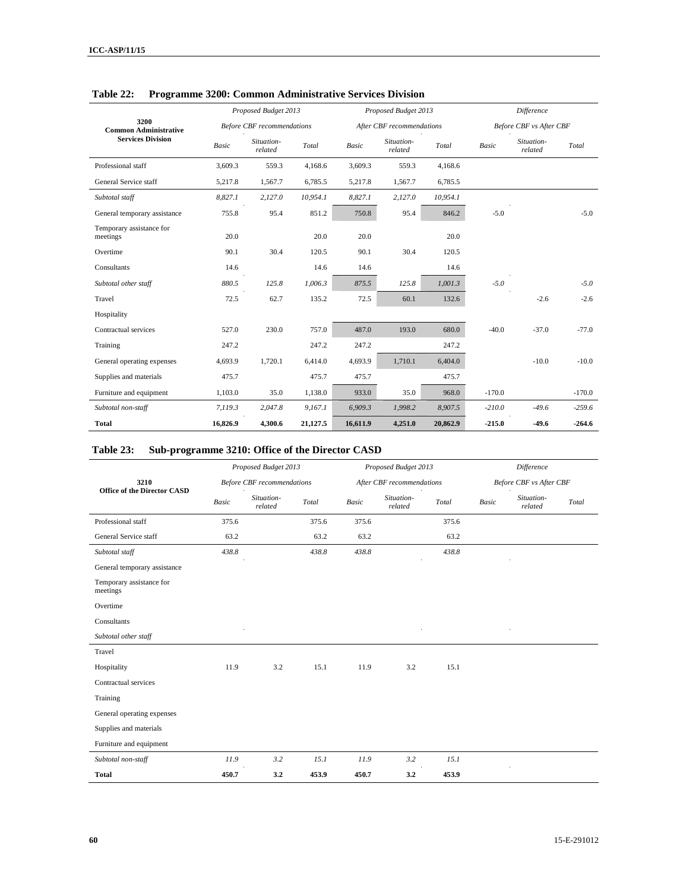|                                      |              | Proposed Budget 2013              |          |              | Proposed Budget 2013      |          | <b>Difference</b> |                         |          |
|--------------------------------------|--------------|-----------------------------------|----------|--------------|---------------------------|----------|-------------------|-------------------------|----------|
| 3200<br><b>Common Administrative</b> |              | <b>Before CBF</b> recommendations |          |              | After CBF recommendations |          |                   | Before CBF vs After CBF |          |
| <b>Services Division</b>             | <b>Basic</b> | Situation-<br>related             | Total    | <b>Basic</b> | Situation-<br>related     | Total    | <b>Basic</b>      | Situation-<br>related   | Total    |
| Professional staff                   | 3.609.3      | 559.3                             | 4,168.6  | 3,609.3      | 559.3                     | 4.168.6  |                   |                         |          |
| General Service staff                | 5,217.8      | 1,567.7                           | 6,785.5  | 5,217.8      | 1,567.7                   | 6,785.5  |                   |                         |          |
| Subtotal staff                       | 8,827.1      | 2,127.0                           | 10,954.1 | 8,827.1      | 2,127.0                   | 10,954.1 |                   |                         |          |
| General temporary assistance         | 755.8        | 95.4                              | 851.2    | 750.8        | 95.4                      | 846.2    | $-5.0$            |                         | $-5.0$   |
| Temporary assistance for<br>meetings | 20.0         |                                   | 20.0     | 20.0         |                           | 20.0     |                   |                         |          |
| Overtime                             | 90.1         | 30.4                              | 120.5    | 90.1         | 30.4                      | 120.5    |                   |                         |          |
| Consultants                          | 14.6         |                                   | 14.6     | 14.6         |                           | 14.6     |                   |                         |          |
| Subtotal other staff                 | 880.5        | 125.8                             | 1,006.3  | 875.5        | 125.8                     | 1,001.3  | $-5.0$            |                         | $-5.0$   |
| Travel                               | 72.5         | 62.7                              | 135.2    | 72.5         | 60.1                      | 132.6    |                   | $-2.6$                  | $-2.6$   |
| Hospitality                          |              |                                   |          |              |                           |          |                   |                         |          |
| Contractual services                 | 527.0        | 230.0                             | 757.0    | 487.0        | 193.0                     | 680.0    | $-40.0$           | $-37.0$                 | $-77.0$  |
| Training                             | 247.2        |                                   | 247.2    | 247.2        |                           | 247.2    |                   |                         |          |
| General operating expenses           | 4,693.9      | 1,720.1                           | 6,414.0  | 4,693.9      | 1,710.1                   | 6,404.0  |                   | $-10.0$                 | $-10.0$  |
| Supplies and materials               | 475.7        |                                   | 475.7    | 475.7        |                           | 475.7    |                   |                         |          |
| Furniture and equipment              | 1,103.0      | 35.0                              | 1,138.0  | 933.0        | 35.0                      | 968.0    | $-170.0$          |                         | $-170.0$ |
| Subtotal non-staff                   | 7,119.3      | 2,047.8                           | 9,167.1  | 6,909.3      | 1,998.2                   | 8,907.5  | $-210.0$          | $-49.6$                 | $-259.6$ |
| <b>Total</b>                         | 16,826.9     | 4,300.6                           | 21,127.5 | 16,611.9     | 4,251.0                   | 20,862.9 | $-215.0$          | $-49.6$                 | $-264.6$ |

#### **Table 22: Programme 3200: Common Administrative Services Division**

### **Table 23: Sub-programme 3210: Office of the Director CASD**

|                                      |              | Proposed Budget 2013              |       |                          | Proposed Budget 2013      |       | Difference   |                                |       |
|--------------------------------------|--------------|-----------------------------------|-------|--------------------------|---------------------------|-------|--------------|--------------------------------|-------|
| 3210                                 |              | <b>Before CBF</b> recommendations |       |                          | After CBF recommendations |       |              | <b>Before CBF</b> vs After CBF |       |
| <b>Office of the Director CASD</b>   | <b>Basic</b> | Situation-<br>related             | Total | $\label{eq:basic} Basic$ | Situation-<br>related     | Total | <b>Basic</b> | Situation-<br>related          | Total |
| Professional staff                   | 375.6        |                                   | 375.6 | 375.6                    |                           | 375.6 |              |                                |       |
| General Service staff                | 63.2         |                                   | 63.2  | 63.2                     |                           | 63.2  |              |                                |       |
| Subtotal staff                       | 438.8        |                                   | 438.8 | 438.8                    |                           | 438.8 |              |                                |       |
| General temporary assistance         |              |                                   |       |                          |                           |       |              |                                |       |
| Temporary assistance for<br>meetings |              |                                   |       |                          |                           |       |              |                                |       |
| Overtime                             |              |                                   |       |                          |                           |       |              |                                |       |
| Consultants                          |              |                                   |       |                          |                           |       |              |                                |       |
| Subtotal other staff                 |              |                                   |       |                          |                           |       |              |                                |       |
| Travel                               |              |                                   |       |                          |                           |       |              |                                |       |
| Hospitality                          | 11.9         | 3.2                               | 15.1  | 11.9                     | 3.2                       | 15.1  |              |                                |       |
| Contractual services                 |              |                                   |       |                          |                           |       |              |                                |       |
| Training                             |              |                                   |       |                          |                           |       |              |                                |       |
| General operating expenses           |              |                                   |       |                          |                           |       |              |                                |       |
| Supplies and materials               |              |                                   |       |                          |                           |       |              |                                |       |
| Furniture and equipment              |              |                                   |       |                          |                           |       |              |                                |       |
| Subtotal non-staff                   | 11.9         | 3.2                               | 15.1  | 11.9                     | 3.2                       | 15.1  |              |                                |       |
| <b>Total</b>                         | 450.7        | 3.2                               | 453.9 | 450.7                    | 3.2                       | 453.9 |              |                                |       |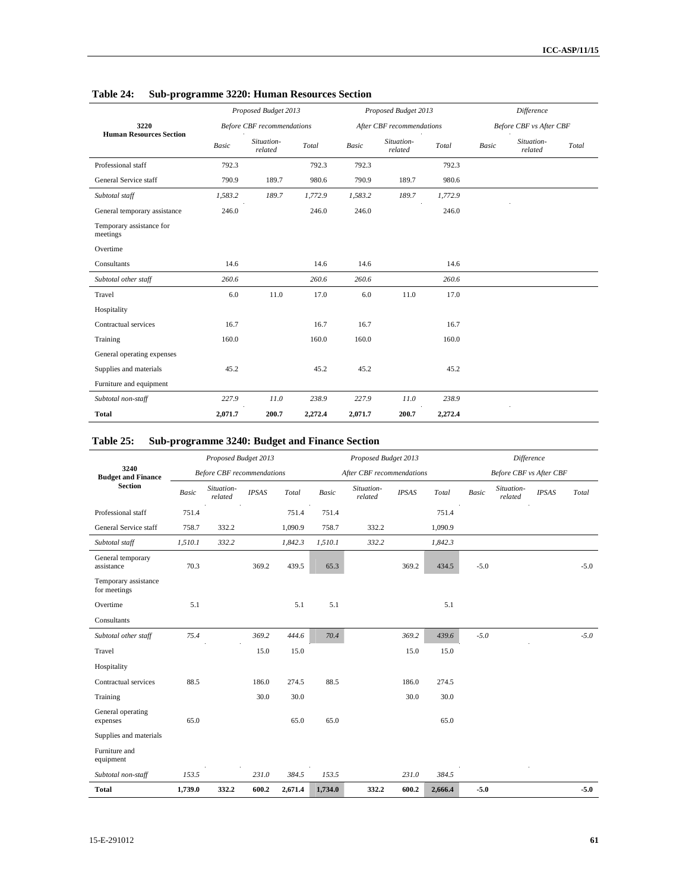|                                      |              | Proposed Budget 2013              |         |         | Proposed Budget 2013      |                        | Difference |                         |       |
|--------------------------------------|--------------|-----------------------------------|---------|---------|---------------------------|------------------------|------------|-------------------------|-------|
| 3220                                 |              | <b>Before CBF</b> recommendations |         |         | After CBF recommendations |                        |            | Before CBF vs After CBF |       |
| <b>Human Resources Section</b>       | <b>Basic</b> | Situation-<br>related             | Total   | Basic   | Situation-<br>related     | Total<br>$\mathcal{L}$ | Basic      | Situation-<br>related   | Total |
| Professional staff                   | 792.3        |                                   | 792.3   | 792.3   |                           | 792.3                  |            |                         |       |
| General Service staff                | 790.9        | 189.7                             | 980.6   | 790.9   | 189.7                     | 980.6                  |            |                         |       |
| Subtotal staff                       | 1,583.2      | 189.7                             | 1,772.9 | 1,583.2 | 189.7                     | 1,772.9                |            |                         |       |
| General temporary assistance         | 246.0        |                                   | 246.0   | 246.0   |                           | 246.0                  |            |                         |       |
| Temporary assistance for<br>meetings |              |                                   |         |         |                           |                        |            |                         |       |
| Overtime                             |              |                                   |         |         |                           |                        |            |                         |       |
| Consultants                          | 14.6         |                                   | 14.6    | 14.6    |                           | 14.6                   |            |                         |       |
| Subtotal other staff                 | 260.6        |                                   | 260.6   | 260.6   |                           | 260.6                  |            |                         |       |
| Travel                               | 6.0          | 11.0                              | 17.0    | 6.0     | 11.0                      | 17.0                   |            |                         |       |
| Hospitality                          |              |                                   |         |         |                           |                        |            |                         |       |
| Contractual services                 | 16.7         |                                   | 16.7    | 16.7    |                           | 16.7                   |            |                         |       |
| Training                             | 160.0        |                                   | 160.0   | 160.0   |                           | 160.0                  |            |                         |       |
| General operating expenses           |              |                                   |         |         |                           |                        |            |                         |       |
| Supplies and materials               | 45.2         |                                   | 45.2    | 45.2    |                           | 45.2                   |            |                         |       |
| Furniture and equipment              |              |                                   |         |         |                           |                        |            |                         |       |
| Subtotal non-staff                   | 227.9        | 11.0                              | 238.9   | 227.9   | 11.0                      | 238.9                  |            |                         |       |
| <b>Total</b>                         | 2,071.7      | 200.7                             | 2,272.4 | 2,071.7 | 200.7                     | 2,272.4                |            |                         |       |

## **Table 24: Sub-programme 3220: Human Resources Section**

### **Table 25: Sub-programme 3240: Budget and Finance Section**

|                                      | Proposed Budget 2013 |                                   |              |         |              | Proposed Budget 2013      |              |         | Difference   |                                |              |        |
|--------------------------------------|----------------------|-----------------------------------|--------------|---------|--------------|---------------------------|--------------|---------|--------------|--------------------------------|--------------|--------|
| 3240<br><b>Budget and Finance</b>    |                      | <b>Before CBF</b> recommendations |              |         |              | After CBF recommendations |              |         |              | <b>Before CBF</b> vs After CBF |              |        |
| <b>Section</b>                       | <b>Basic</b>         | Situation-<br>related             | <b>IPSAS</b> | Total   | <b>Basic</b> | Situation-<br>related     | <b>IPSAS</b> | Total   | <b>Basic</b> | Situation-<br>related          | <b>IPSAS</b> | Total  |
| Professional staff                   | 751.4                |                                   |              | 751.4   | 751.4        |                           |              | 751.4   |              |                                |              |        |
| General Service staff                | 758.7                | 332.2                             |              | 1,090.9 | 758.7        | 332.2                     |              | 1,090.9 |              |                                |              |        |
| Subtotal staff                       | 1,510.1              | 332.2                             |              | 1,842.3 | 1,510.1      | 332.2                     |              | 1,842.3 |              |                                |              |        |
| General temporary<br>assistance      | 70.3                 |                                   | 369.2        | 439.5   | 65.3         |                           | 369.2        | 434.5   | $-5.0$       |                                |              | $-5.0$ |
| Temporary assistance<br>for meetings |                      |                                   |              |         |              |                           |              |         |              |                                |              |        |
| Overtime                             | 5.1                  |                                   |              | 5.1     | 5.1          |                           |              | 5.1     |              |                                |              |        |
| Consultants                          |                      |                                   |              |         |              |                           |              |         |              |                                |              |        |
| Subtotal other staff                 | 75.4                 |                                   | 369.2        | 444.6   | 70.4         |                           | 369.2        | 439.6   | $-5.0$       |                                |              | $-5.0$ |
| Travel                               |                      |                                   | 15.0         | 15.0    |              |                           | 15.0         | 15.0    |              |                                |              |        |
| Hospitality                          |                      |                                   |              |         |              |                           |              |         |              |                                |              |        |
| Contractual services                 | 88.5                 |                                   | 186.0        | 274.5   | 88.5         |                           | 186.0        | 274.5   |              |                                |              |        |
| Training                             |                      |                                   | 30.0         | 30.0    |              |                           | 30.0         | 30.0    |              |                                |              |        |
| General operating<br>expenses        | 65.0                 |                                   |              | 65.0    | 65.0         |                           |              | 65.0    |              |                                |              |        |
| Supplies and materials               |                      |                                   |              |         |              |                           |              |         |              |                                |              |        |
| Furniture and<br>equipment           |                      |                                   |              |         |              |                           |              |         |              |                                |              |        |
| Subtotal non-staff                   | 153.5                |                                   | 231.0        | 384.5   | 153.5        |                           | 231.0        | 384.5   |              |                                |              |        |
| <b>Total</b>                         | 1,739.0              | 332.2                             | 600.2        | 2,671.4 | 1,734.0      | 332.2                     | 600.2        | 2,666.4 | $-5.0$       |                                |              | $-5.0$ |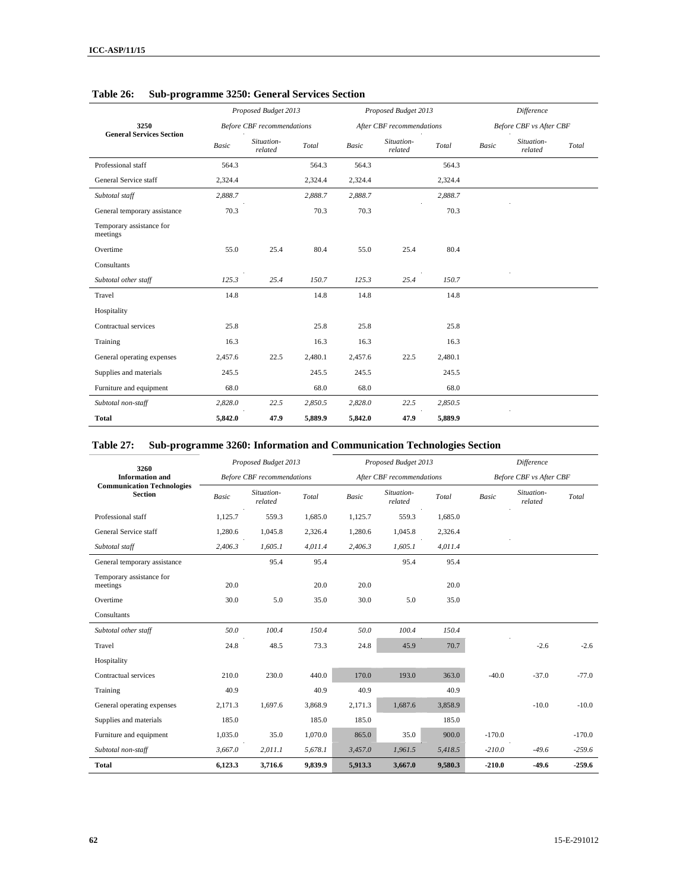|                                      |              | Proposed Budget 2013              |         |         | Proposed Budget 2013      |         | <b>Difference</b> |                         |       |
|--------------------------------------|--------------|-----------------------------------|---------|---------|---------------------------|---------|-------------------|-------------------------|-------|
| 3250                                 |              | <b>Before CBF</b> recommendations |         |         | After CBF recommendations |         |                   | Before CBF vs After CBF |       |
| <b>General Services Section</b>      | <b>Basic</b> | Situation-<br>related             | Total   | Basic   | Situation-<br>related     | Total   | <b>Basic</b>      | Situation-<br>related   | Total |
| Professional staff                   | 564.3        |                                   | 564.3   | 564.3   |                           | 564.3   |                   |                         |       |
| General Service staff                | 2,324.4      |                                   | 2,324.4 | 2,324.4 |                           | 2,324.4 |                   |                         |       |
| Subtotal staff                       | 2,888.7      |                                   | 2,888.7 | 2,888.7 |                           | 2,888.7 |                   |                         |       |
| General temporary assistance         | 70.3         |                                   | 70.3    | 70.3    |                           | 70.3    |                   |                         |       |
| Temporary assistance for<br>meetings |              |                                   |         |         |                           |         |                   |                         |       |
| Overtime                             | 55.0         | 25.4                              | 80.4    | 55.0    | 25.4                      | 80.4    |                   |                         |       |
| Consultants                          |              |                                   |         |         |                           |         |                   |                         |       |
| Subtotal other staff                 | 125.3        | 25.4                              | 150.7   | 125.3   | 25.4                      | 150.7   |                   |                         |       |
| Travel                               | 14.8         |                                   | 14.8    | 14.8    |                           | 14.8    |                   |                         |       |
| Hospitality                          |              |                                   |         |         |                           |         |                   |                         |       |
| Contractual services                 | 25.8         |                                   | 25.8    | 25.8    |                           | 25.8    |                   |                         |       |
| Training                             | 16.3         |                                   | 16.3    | 16.3    |                           | 16.3    |                   |                         |       |
| General operating expenses           | 2,457.6      | 22.5                              | 2,480.1 | 2,457.6 | 22.5                      | 2,480.1 |                   |                         |       |
| Supplies and materials               | 245.5        |                                   | 245.5   | 245.5   |                           | 245.5   |                   |                         |       |
| Furniture and equipment              | 68.0         |                                   | 68.0    | 68.0    |                           | 68.0    |                   |                         |       |
| Subtotal non-staff                   | 2,828.0      | 22.5                              | 2,850.5 | 2,828.0 | 22.5                      | 2,850.5 |                   |                         |       |
| <b>Total</b>                         | 5,842.0      | 47.9                              | 5,889.9 | 5,842.0 | 47.9                      | 5,889.9 |                   |                         |       |

**Table 26: Sub-programme 3250: General Services Section** 

### **Table 27: Sub-programme 3260: Information and Communication Technologies Section**

| 3260                                                |              | Proposed Budget 2013              |         |              | Proposed Budget 2013      |         | <b>Difference</b> |                                |          |
|-----------------------------------------------------|--------------|-----------------------------------|---------|--------------|---------------------------|---------|-------------------|--------------------------------|----------|
| <b>Information</b> and                              |              | <b>Before CBF</b> recommendations |         |              | After CBF recommendations |         |                   | <b>Before CBF</b> vs After CBF |          |
| <b>Communication Technologies</b><br><b>Section</b> | <b>Basic</b> | Situation-<br>related             | Total   | <b>Basic</b> | Situation-<br>related     | Total   | <b>Basic</b>      | Situation-<br>related          | Total    |
| Professional staff                                  | 1,125.7      | 559.3                             | 1,685.0 | 1,125.7      | 559.3                     | 1,685.0 |                   |                                |          |
| General Service staff                               | 1,280.6      | 1,045.8                           | 2,326.4 | 1,280.6      | 1,045.8                   | 2,326.4 |                   |                                |          |
| Subtotal staff                                      | 2,406.3      | 1,605.1                           | 4,011.4 | 2,406.3      | 1,605.1                   | 4,011.4 |                   |                                |          |
| General temporary assistance                        |              | 95.4                              | 95.4    |              | 95.4                      | 95.4    |                   |                                |          |
| Temporary assistance for<br>meetings                | 20.0         |                                   | 20.0    | 20.0         |                           | 20.0    |                   |                                |          |
| Overtime                                            | 30.0         | 5.0                               | 35.0    | 30.0         | 5.0                       | 35.0    |                   |                                |          |
| Consultants                                         |              |                                   |         |              |                           |         |                   |                                |          |
| Subtotal other staff                                | 50.0         | 100.4                             | 150.4   | 50.0         | 100.4                     | 150.4   |                   |                                |          |
| Travel                                              | 24.8         | 48.5                              | 73.3    | 24.8         | 45.9                      | 70.7    |                   | $-2.6$                         | $-2.6$   |
| Hospitality                                         |              |                                   |         |              |                           |         |                   |                                |          |
| Contractual services                                | 210.0        | 230.0                             | 440.0   | 170.0        | 193.0                     | 363.0   | $-40.0$           | $-37.0$                        | $-77.0$  |
| Training                                            | 40.9         |                                   | 40.9    | 40.9         |                           | 40.9    |                   |                                |          |
| General operating expenses                          | 2,171.3      | 1,697.6                           | 3,868.9 | 2,171.3      | 1,687.6                   | 3,858.9 |                   | $-10.0$                        | $-10.0$  |
| Supplies and materials                              | 185.0        |                                   | 185.0   | 185.0        |                           | 185.0   |                   |                                |          |
| Furniture and equipment                             | 1,035.0      | 35.0                              | 1,070.0 | 865.0        | 35.0                      | 900.0   | $-170.0$          |                                | $-170.0$ |
| Subtotal non-staff                                  | 3,667.0      | 2,011.1                           | 5,678.1 | 3,457.0      | 1,961.5                   | 5,418.5 | $-210.0$          | $-49.6$                        | $-259.6$ |
| <b>Total</b>                                        | 6,123.3      | 3,716.6                           | 9,839.9 | 5,913.3      | 3,667.0                   | 9,580.3 | $-210.0$          | $-49.6$                        | 259.6    |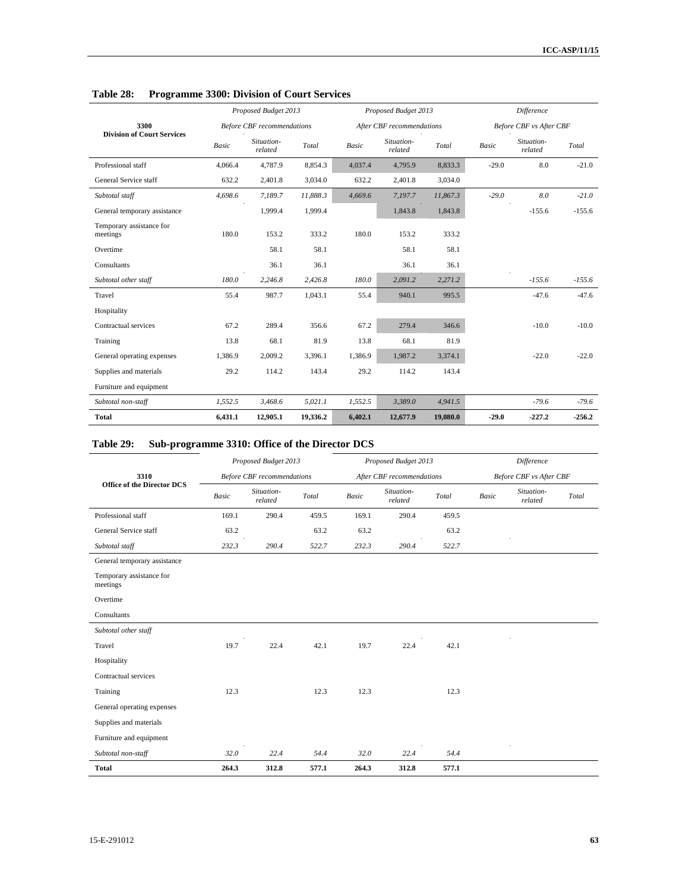|                                      |              | Proposed Budget 2013              |          |         | Proposed Budget 2013      |          | <b>Difference</b> |                                |          |
|--------------------------------------|--------------|-----------------------------------|----------|---------|---------------------------|----------|-------------------|--------------------------------|----------|
| 3300                                 |              | <b>Before CBF</b> recommendations |          |         | After CBF recommendations |          |                   | <b>Before CBF</b> vs After CBF |          |
| <b>Division of Court Services</b>    | <b>Basic</b> | Situation-<br>related             | Total    | Basic   | Situation-<br>related     | Total    | <b>Basic</b>      | Situation-<br>related          | Total    |
| Professional staff                   | 4,066.4      | 4,787.9                           | 8,854.3  | 4,037.4 | 4,795.9                   | 8,833.3  | $-29.0$           | 8.0                            | $-21.0$  |
| General Service staff                | 632.2        | 2,401.8                           | 3,034.0  | 632.2   | 2,401.8                   | 3,034.0  |                   |                                |          |
| Subtotal staff                       | 4,698.6      | 7,189.7                           | 11,888.3 | 4,669.6 | 7,197.7                   | 11,867.3 | $-29.0$           | 8.0                            | $-21.0$  |
| General temporary assistance         |              | 1,999.4                           | 1,999.4  |         | 1,843.8                   | 1,843.8  |                   | $-155.6$                       | $-155.6$ |
| Temporary assistance for<br>meetings | 180.0        | 153.2                             | 333.2    | 180.0   | 153.2                     | 333.2    |                   |                                |          |
| Overtime                             |              | 58.1                              | 58.1     |         | 58.1                      | 58.1     |                   |                                |          |
| Consultants                          |              | 36.1                              | 36.1     |         | 36.1                      | 36.1     |                   |                                |          |
| Subtotal other staff                 | 180.0        | 2,246.8                           | 2,426.8  | 180.0   | 2,091.2                   | 2,271.2  |                   | $-155.6$                       | $-155.6$ |
| Travel                               | 55.4         | 987.7                             | 1,043.1  | 55.4    | 940.1                     | 995.5    |                   | $-47.6$                        | $-47.6$  |
| Hospitality                          |              |                                   |          |         |                           |          |                   |                                |          |
| Contractual services                 | 67.2         | 289.4                             | 356.6    | 67.2    | 279.4                     | 346.6    |                   | $-10.0$                        | $-10.0$  |
| Training                             | 13.8         | 68.1                              | 81.9     | 13.8    | 68.1                      | 81.9     |                   |                                |          |
| General operating expenses           | 1,386.9      | 2,009.2                           | 3,396.1  | 1,386.9 | 1,987.2                   | 3,374.1  |                   | $-22.0$                        | $-22.0$  |
| Supplies and materials               | 29.2         | 114.2                             | 143.4    | 29.2    | 114.2                     | 143.4    |                   |                                |          |
| Furniture and equipment              |              |                                   |          |         |                           |          |                   |                                |          |
| Subtotal non-staff                   | 1,552.5      | 3,468.6                           | 5,021.1  | 1,552.5 | 3,389.0                   | 4,941.5  |                   | $-79.6$                        | $-79.6$  |
| Total                                | 6,431.1      | 12,905.1                          | 19,336.2 | 6,402.1 | 12,677.9                  | 19,080.0 | $-29.0$           | $-227.2$                       | 256.2    |

### **Table 28: Programme 3300: Division of Court Services**

## **Table 29: Sub-programme 3310: Office of the Director DCS**

|                                      |              | Proposed Budget 2013              |       |              | Proposed Budget 2013      |       | <b>Difference</b> |                                |       |
|--------------------------------------|--------------|-----------------------------------|-------|--------------|---------------------------|-------|-------------------|--------------------------------|-------|
| 3310                                 |              | <b>Before CBF</b> recommendations |       |              | After CBF recommendations |       |                   | <b>Before CBF</b> vs After CBF |       |
| <b>Office of the Director DCS</b>    | <b>Basic</b> | Situation-<br>related             | Total | <b>Basic</b> | Situation-<br>related     | Total | <b>Basic</b>      | Situation-<br>related          | Total |
| Professional staff                   | 169.1        | 290.4                             | 459.5 | 169.1        | 290.4                     | 459.5 |                   |                                |       |
| General Service staff                | 63.2         |                                   | 63.2  | 63.2         |                           | 63.2  |                   |                                |       |
| Subtotal staff                       | 232.3        | 290.4                             | 522.7 | 232.3        | 290.4                     | 522.7 |                   |                                |       |
| General temporary assistance         |              |                                   |       |              |                           |       |                   |                                |       |
| Temporary assistance for<br>meetings |              |                                   |       |              |                           |       |                   |                                |       |
| Overtime                             |              |                                   |       |              |                           |       |                   |                                |       |
| Consultants                          |              |                                   |       |              |                           |       |                   |                                |       |
| Subtotal other staff                 |              |                                   |       |              |                           |       |                   |                                |       |
| Travel                               | 19.7         | 22.4                              | 42.1  | 19.7         | 22.4                      | 42.1  |                   |                                |       |
| Hospitality                          |              |                                   |       |              |                           |       |                   |                                |       |
| Contractual services                 |              |                                   |       |              |                           |       |                   |                                |       |
| Training                             | 12.3         |                                   | 12.3  | 12.3         |                           | 12.3  |                   |                                |       |
| General operating expenses           |              |                                   |       |              |                           |       |                   |                                |       |
| Supplies and materials               |              |                                   |       |              |                           |       |                   |                                |       |
| Furniture and equipment              |              |                                   |       |              |                           |       |                   |                                |       |
| Subtotal non-staff                   | 32.0         | 22.4                              | 54.4  | 32.0         | 22.4                      | 54.4  |                   |                                |       |
| <b>Total</b>                         | 264.3        | 312.8                             | 577.1 | 264.3        | 312.8                     | 577.1 |                   |                                |       |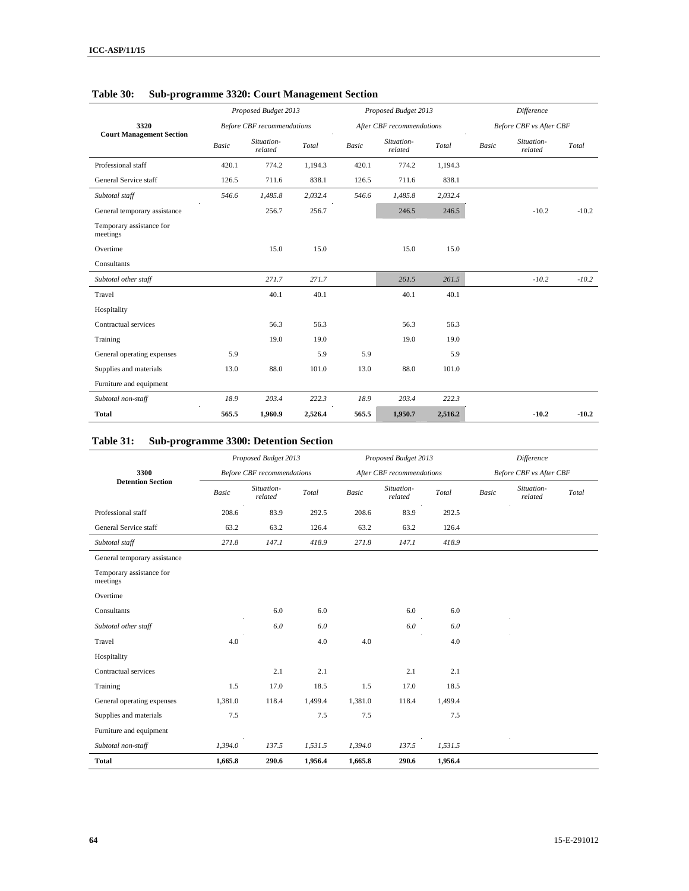|                                      |              | Proposed Budget 2013              |         |              | Proposed Budget 2013      |         | Difference              |                       |         |
|--------------------------------------|--------------|-----------------------------------|---------|--------------|---------------------------|---------|-------------------------|-----------------------|---------|
| 3320                                 |              | <b>Before CBF</b> recommendations |         |              | After CBF recommendations |         | Before CBF vs After CBF |                       |         |
| <b>Court Management Section</b>      | <b>Basic</b> | Situation-<br>related             | Total   | <b>Basic</b> | Situation-<br>related     | Total   | <b>Basic</b>            | Situation-<br>related | Total   |
| Professional staff                   | 420.1        | 774.2                             | 1,194.3 | 420.1        | 774.2                     | 1,194.3 |                         |                       |         |
| General Service staff                | 126.5        | 711.6                             | 838.1   | 126.5        | 711.6                     | 838.1   |                         |                       |         |
| Subtotal staff                       | 546.6        | 1,485.8                           | 2,032.4 | 546.6        | 1,485.8                   | 2,032.4 |                         |                       |         |
| General temporary assistance         |              | 256.7                             | 256.7   |              | 246.5                     | 246.5   |                         | $-10.2$               | $-10.2$ |
| Temporary assistance for<br>meetings |              |                                   |         |              |                           |         |                         |                       |         |
| Overtime                             |              | 15.0                              | 15.0    |              | 15.0                      | 15.0    |                         |                       |         |
| Consultants                          |              |                                   |         |              |                           |         |                         |                       |         |
| Subtotal other staff                 |              | 271.7                             | 271.7   |              | 261.5                     | 261.5   |                         | $-10.2$               | $-10.2$ |
| Travel                               |              | 40.1                              | 40.1    |              | 40.1                      | 40.1    |                         |                       |         |
| Hospitality                          |              |                                   |         |              |                           |         |                         |                       |         |
| Contractual services                 |              | 56.3                              | 56.3    |              | 56.3                      | 56.3    |                         |                       |         |
| Training                             |              | 19.0                              | 19.0    |              | 19.0                      | 19.0    |                         |                       |         |
| General operating expenses           | 5.9          |                                   | 5.9     | 5.9          |                           | 5.9     |                         |                       |         |
| Supplies and materials               | 13.0         | 88.0                              | 101.0   | 13.0         | 88.0                      | 101.0   |                         |                       |         |
| Furniture and equipment              |              |                                   |         |              |                           |         |                         |                       |         |
| Subtotal non-staff                   | 18.9         | 203.4                             | 222.3   | 18.9         | 203.4                     | 222.3   |                         |                       |         |
| <b>Total</b>                         | 565.5        | 1,960.9                           | 2,526.4 | 565.5        | 1,950.7                   | 2,516.2 |                         | $-10.2$               | $-10.2$ |

## **Table 30: Sub-programme 3320: Court Management Section**

## **Table 31: Sub-programme 3300: Detention Section**

|                                      |              | Proposed Budget 2013              |         |         | Proposed Budget 2013      |         |       | Difference                     |       |
|--------------------------------------|--------------|-----------------------------------|---------|---------|---------------------------|---------|-------|--------------------------------|-------|
| 3300                                 |              | <b>Before CBF</b> recommendations |         |         | After CBF recommendations |         |       | <b>Before CBF</b> vs After CBF |       |
| <b>Detention Section</b>             | <b>Basic</b> | Situation-<br>related             | Total   | Basic   | Situation-<br>related     | Total   | Basic | Situation-<br>related          | Total |
| Professional staff                   | 208.6        | 83.9                              | 292.5   | 208.6   | 83.9                      | 292.5   |       |                                |       |
| General Service staff                | 63.2         | 63.2                              | 126.4   | 63.2    | 63.2                      | 126.4   |       |                                |       |
| Subtotal staff                       | 271.8        | 147.1                             | 418.9   | 271.8   | 147.1                     | 418.9   |       |                                |       |
| General temporary assistance         |              |                                   |         |         |                           |         |       |                                |       |
| Temporary assistance for<br>meetings |              |                                   |         |         |                           |         |       |                                |       |
| Overtime                             |              |                                   |         |         |                           |         |       |                                |       |
| Consultants                          |              | 6.0                               | 6.0     |         | 6.0                       | 6.0     |       |                                |       |
| Subtotal other staff                 |              | 6.0                               | 6.0     |         | 6.0                       | 6.0     |       |                                |       |
| Travel                               | 4.0          |                                   | 4.0     | 4.0     |                           | 4.0     |       |                                |       |
| Hospitality                          |              |                                   |         |         |                           |         |       |                                |       |
| Contractual services                 |              | 2.1                               | 2.1     |         | 2.1                       | 2.1     |       |                                |       |
| Training                             | 1.5          | 17.0                              | 18.5    | 1.5     | 17.0                      | 18.5    |       |                                |       |
| General operating expenses           | 1,381.0      | 118.4                             | 1,499.4 | 1,381.0 | 118.4                     | 1,499.4 |       |                                |       |
| Supplies and materials               | 7.5          |                                   | 7.5     | 7.5     |                           | 7.5     |       |                                |       |
| Furniture and equipment              |              |                                   |         |         |                           |         |       |                                |       |
| Subtotal non-staff                   | 1,394.0      | 137.5                             | 1,531.5 | 1,394.0 | 137.5                     | 1,531.5 |       |                                |       |
| <b>Total</b>                         | 1,665.8      | 290.6                             | 1,956.4 | 1,665.8 | 290.6                     | 1,956.4 |       |                                |       |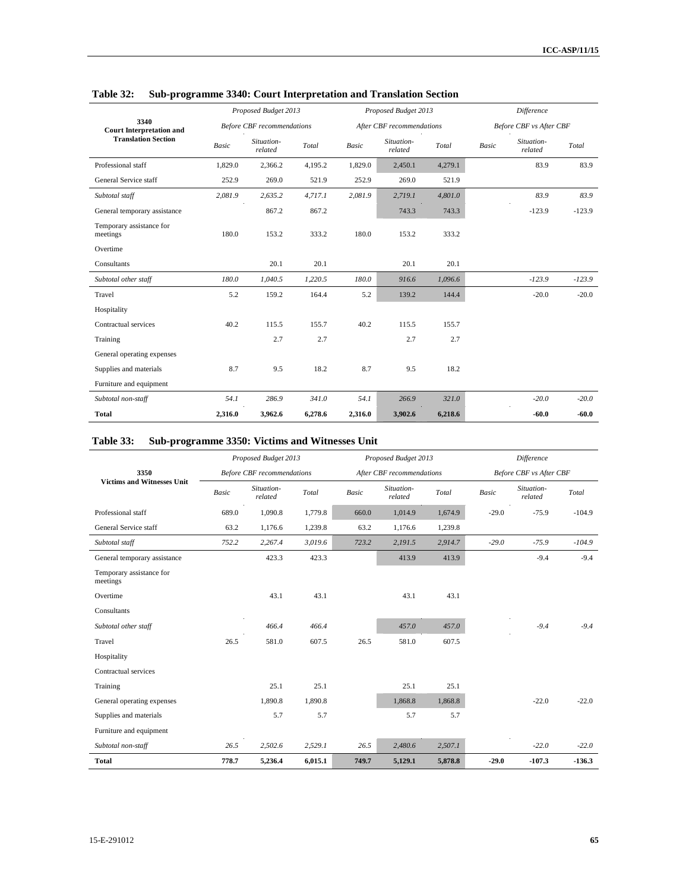|                                         |              | Proposed Budget 2013              |         |         | Proposed Budget 2013      |         | <b>Difference</b> |                                |          |
|-----------------------------------------|--------------|-----------------------------------|---------|---------|---------------------------|---------|-------------------|--------------------------------|----------|
| 3340<br><b>Court Interpretation and</b> |              | <b>Before CBF</b> recommendations |         |         | After CBF recommendations |         |                   | <b>Before CBF</b> vs After CBF |          |
| <b>Translation Section</b>              | <b>Basic</b> | Situation-<br>related             | Total   | Basic   | Situation-<br>related     | Total   | <b>Basic</b>      | Situation-<br>related          | Total    |
| Professional staff                      | 1,829.0      | 2,366.2                           | 4,195.2 | 1,829.0 | 2,450.1                   | 4,279.1 |                   | 83.9                           | 83.9     |
| General Service staff                   | 252.9        | 269.0                             | 521.9   | 252.9   | 269.0                     | 521.9   |                   |                                |          |
| Subtotal staff                          | 2,081.9      | 2,635.2                           | 4,717.1 | 2,081.9 | 2,719.1                   | 4,801.0 |                   | 83.9                           | 83.9     |
| General temporary assistance            |              | 867.2                             | 867.2   |         | 743.3                     | 743.3   |                   | $-123.9$                       | $-123.9$ |
| Temporary assistance for<br>meetings    | 180.0        | 153.2                             | 333.2   | 180.0   | 153.2                     | 333.2   |                   |                                |          |
| Overtime                                |              |                                   |         |         |                           |         |                   |                                |          |
| Consultants                             |              | 20.1                              | 20.1    |         | 20.1                      | 20.1    |                   |                                |          |
| Subtotal other staff                    | 180.0        | 1,040.5                           | 1,220.5 | 180.0   | 916.6                     | 1,096.6 |                   | $-123.9$                       | $-123.9$ |
| Travel                                  | 5.2          | 159.2                             | 164.4   | 5.2     | 139.2                     | 144.4   |                   | $-20.0$                        | $-20.0$  |
| Hospitality                             |              |                                   |         |         |                           |         |                   |                                |          |
| Contractual services                    | 40.2         | 115.5                             | 155.7   | 40.2    | 115.5                     | 155.7   |                   |                                |          |
| Training                                |              | 2.7                               | 2.7     |         | 2.7                       | 2.7     |                   |                                |          |
| General operating expenses              |              |                                   |         |         |                           |         |                   |                                |          |
| Supplies and materials                  | 8.7          | 9.5                               | 18.2    | 8.7     | 9.5                       | 18.2    |                   |                                |          |
| Furniture and equipment                 |              |                                   |         |         |                           |         |                   |                                |          |
| Subtotal non-staff                      | 54.1         | 286.9                             | 341.0   | 54.1    | 266.9                     | 321.0   |                   | $-20.0$                        | $-20.0$  |
| <b>Total</b>                            | 2,316.0      | 3,962.6                           | 6,278.6 | 2,316.0 | 3,902.6                   | 6,218.6 |                   | $-60.0$                        | $-60.0$  |

### **Table 32: Sub-programme 3340: Court Interpretation and Translation Section**

### **Table 33: Sub-programme 3350: Victims and Witnesses Unit**

|                                      |              | Proposed Budget 2013              |         |       | Proposed Budget 2013      |         | Difference |                                |          |
|--------------------------------------|--------------|-----------------------------------|---------|-------|---------------------------|---------|------------|--------------------------------|----------|
| 3350                                 |              | <b>Before CBF</b> recommendations |         |       | After CBF recommendations |         |            | <b>Before CBF vs After CBF</b> |          |
| <b>Victims and Witnesses Unit</b>    | <b>Basic</b> | Situation-<br>related             | Total   | Basic | Situation-<br>related     | Total   | Basic      | Situation-<br>related          | Total    |
| Professional staff                   | 689.0        | 1,090.8                           | 1,779.8 | 660.0 | 1,014.9                   | 1,674.9 | $-29.0$    | $-75.9$                        | $-104.9$ |
| General Service staff                | 63.2         | 1,176.6                           | 1,239.8 | 63.2  | 1,176.6                   | 1,239.8 |            |                                |          |
| Subtotal staff                       | 752.2        | 2,267.4                           | 3,019.6 | 723.2 | 2,191.5                   | 2,914.7 | $-29.0$    | $-75.9$                        | $-104.9$ |
| General temporary assistance         |              | 423.3                             | 423.3   |       | 413.9                     | 413.9   |            | $-9.4$                         | $-9.4$   |
| Temporary assistance for<br>meetings |              |                                   |         |       |                           |         |            |                                |          |
| Overtime                             |              | 43.1                              | 43.1    |       | 43.1                      | 43.1    |            |                                |          |
| Consultants                          |              |                                   |         |       |                           |         |            |                                |          |
| Subtotal other staff                 |              | 466.4                             | 466.4   |       | 457.0                     | 457.0   |            | $-9.4$                         | $-9.4$   |
| Travel                               | 26.5         | 581.0                             | 607.5   | 26.5  | 581.0                     | 607.5   |            |                                |          |
| Hospitality                          |              |                                   |         |       |                           |         |            |                                |          |
| Contractual services                 |              |                                   |         |       |                           |         |            |                                |          |
| Training                             |              | 25.1                              | 25.1    |       | 25.1                      | 25.1    |            |                                |          |
| General operating expenses           |              | 1,890.8                           | 1,890.8 |       | 1,868.8                   | 1,868.8 |            | $-22.0$                        | $-22.0$  |
| Supplies and materials               |              | 5.7                               | 5.7     |       | 5.7                       | 5.7     |            |                                |          |
| Furniture and equipment              |              |                                   |         |       |                           |         |            |                                |          |
| Subtotal non-staff                   | 26.5         | 2,502.6                           | 2,529.1 | 26.5  | 2,480.6                   | 2,507.1 |            | $-22.0$                        | $-22.0$  |
| Total                                | 778.7        | 5,236.4                           | 6,015.1 | 749.7 | 5,129.1                   | 5,878.8 | $-29.0$    | $-107.3$                       | $-136.3$ |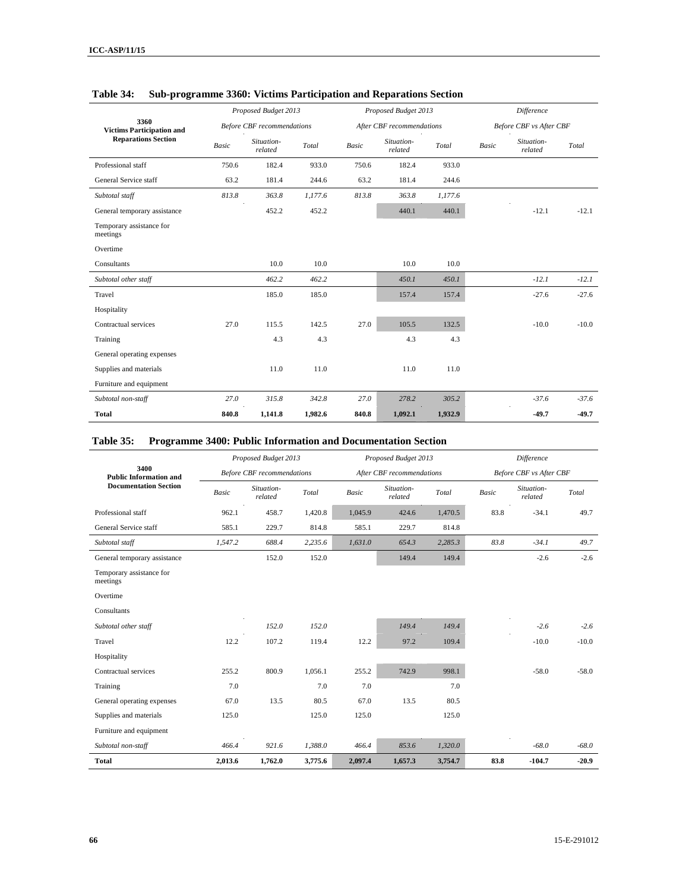|                                          |              | Proposed Budget 2013              |         |              | Proposed Budget 2013      |         | <b>Difference</b> |                                |         |
|------------------------------------------|--------------|-----------------------------------|---------|--------------|---------------------------|---------|-------------------|--------------------------------|---------|
| 3360<br><b>Victims Participation and</b> |              | <b>Before CBF</b> recommendations |         |              | After CBF recommendations |         |                   | <b>Before CBF</b> vs After CBF |         |
| <b>Reparations Section</b>               | <b>Basic</b> | Situation-<br>related             | Total   | <b>Basic</b> | Situation-<br>related     | Total   | <b>Basic</b>      | Situation-<br>related          | Total   |
| Professional staff                       | 750.6        | 182.4                             | 933.0   | 750.6        | 182.4                     | 933.0   |                   |                                |         |
| General Service staff                    | 63.2         | 181.4                             | 244.6   | 63.2         | 181.4                     | 244.6   |                   |                                |         |
| Subtotal staff                           | 813.8        | 363.8                             | 1,177.6 | 813.8        | 363.8                     | 1,177.6 |                   |                                |         |
| General temporary assistance             |              | 452.2                             | 452.2   |              | 440.1                     | 440.1   |                   | $-12.1$                        | $-12.1$ |
| Temporary assistance for<br>meetings     |              |                                   |         |              |                           |         |                   |                                |         |
| Overtime                                 |              |                                   |         |              |                           |         |                   |                                |         |
| Consultants                              |              | 10.0                              | 10.0    |              | 10.0                      | 10.0    |                   |                                |         |
| Subtotal other staff                     |              | 462.2                             | 462.2   |              | 450.1                     | 450.1   |                   | $-12.1$                        | $-12.1$ |
| Travel                                   |              | 185.0                             | 185.0   |              | 157.4                     | 157.4   |                   | $-27.6$                        | $-27.6$ |
| Hospitality                              |              |                                   |         |              |                           |         |                   |                                |         |
| Contractual services                     | 27.0         | 115.5                             | 142.5   | 27.0         | 105.5                     | 132.5   |                   | $-10.0$                        | $-10.0$ |
| Training                                 |              | 4.3                               | 4.3     |              | 4.3                       | 4.3     |                   |                                |         |
| General operating expenses               |              |                                   |         |              |                           |         |                   |                                |         |
| Supplies and materials                   |              | 11.0                              | 11.0    |              | 11.0                      | 11.0    |                   |                                |         |
| Furniture and equipment                  |              |                                   |         |              |                           |         |                   |                                |         |
| Subtotal non-staff                       | 27.0         | 315.8                             | 342.8   | 27.0         | 278.2                     | 305.2   |                   | $-37.6$                        | $-37.6$ |
| <b>Total</b>                             | 840.8        | 1,141.8                           | 1,982.6 | 840.8        | 1,092.1                   | 1,932.9 |                   | $-49.7$                        | $-49.7$ |

### **Table 34: Sub-programme 3360: Victims Participation and Reparations Section**

### **Table 35: Programme 3400: Public Information and Documentation Section**

|                                       |              | Proposed Budget 2013              |         |         | Proposed Budget 2013      |         | Difference |                                |         |
|---------------------------------------|--------------|-----------------------------------|---------|---------|---------------------------|---------|------------|--------------------------------|---------|
| 3400<br><b>Public Information and</b> |              | <b>Before CBF</b> recommendations |         |         | After CBF recommendations |         |            | <b>Before CBF</b> vs After CBF |         |
| <b>Documentation Section</b>          | <b>Basic</b> | Situation-<br>related             | Total   | Basic   | Situation-<br>related     | Total   | Basic      | Situation-<br>related          | Total   |
| Professional staff                    | 962.1        | 458.7                             | 1,420.8 | 1,045.9 | 424.6                     | 1,470.5 | 83.8       | $-34.1$                        | 49.7    |
| General Service staff                 | 585.1        | 229.7                             | 814.8   | 585.1   | 229.7                     | 814.8   |            |                                |         |
| Subtotal staff                        | 1,547.2      | 688.4                             | 2,235.6 | 1,631.0 | 654.3                     | 2,285.3 | 83.8       | $-34.1$                        | 49.7    |
| General temporary assistance          |              | 152.0                             | 152.0   |         | 149.4                     | 149.4   |            | $-2.6$                         | $-2.6$  |
| Temporary assistance for<br>meetings  |              |                                   |         |         |                           |         |            |                                |         |
| Overtime                              |              |                                   |         |         |                           |         |            |                                |         |
| Consultants                           |              |                                   |         |         |                           |         |            |                                |         |
| Subtotal other staff                  |              | 152.0                             | 152.0   |         | 149.4                     | 149.4   |            | $-2.6$                         | $-2.6$  |
| Travel                                | 12.2         | 107.2                             | 119.4   | 12.2    | 97.2                      | 109.4   |            | $-10.0$                        | $-10.0$ |
| Hospitality                           |              |                                   |         |         |                           |         |            |                                |         |
| Contractual services                  | 255.2        | 800.9                             | 1,056.1 | 255.2   | 742.9                     | 998.1   |            | $-58.0$                        | $-58.0$ |
| Training                              | 7.0          |                                   | 7.0     | 7.0     |                           | 7.0     |            |                                |         |
| General operating expenses            | 67.0         | 13.5                              | 80.5    | 67.0    | 13.5                      | 80.5    |            |                                |         |
| Supplies and materials                | 125.0        |                                   | 125.0   | 125.0   |                           | 125.0   |            |                                |         |
| Furniture and equipment               |              |                                   |         |         |                           |         |            |                                |         |
| Subtotal non-staff                    | 466.4        | 921.6                             | 1,388.0 | 466.4   | 853.6                     | 1,320.0 |            | $-68.0$                        | $-68.0$ |
| Total                                 | 2,013.6      | 1,762.0                           | 3,775.6 | 2,097.4 | 1,657.3                   | 3,754.7 | 83.8       | $-104.7$                       | $-20.9$ |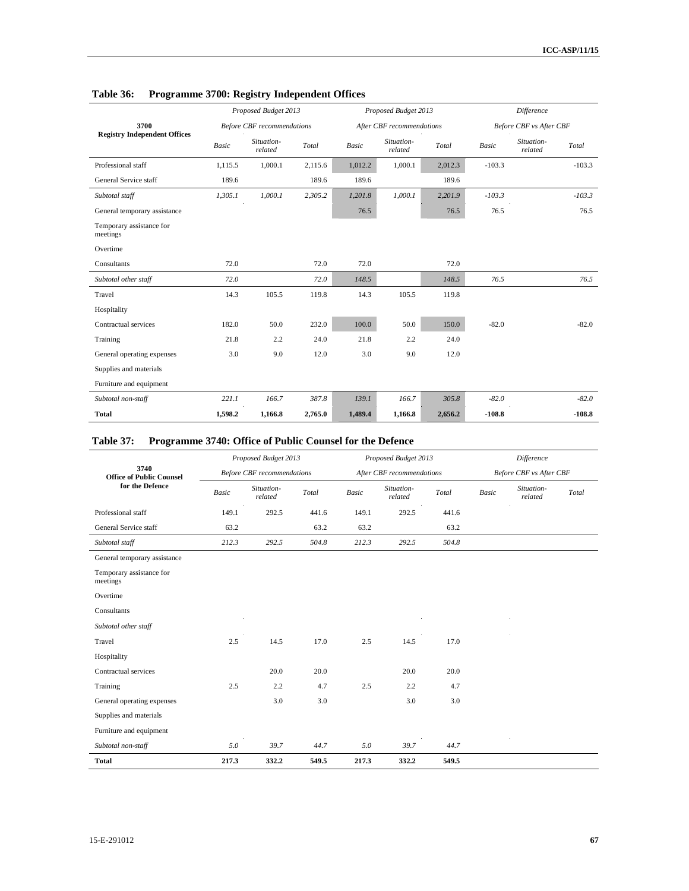|                                      |              | Proposed Budget 2013              |         |              | Proposed Budget 2013      |         | Difference   |                         |          |
|--------------------------------------|--------------|-----------------------------------|---------|--------------|---------------------------|---------|--------------|-------------------------|----------|
| 3700                                 |              | <b>Before CBF</b> recommendations |         |              | After CBF recommendations |         |              | Before CBF vs After CBF |          |
| <b>Registry Independent Offices</b>  | <b>Basic</b> | Situation-<br>related             | Total   | <b>Basic</b> | Situation-<br>related     | Total   | <b>Basic</b> | Situation-<br>related   | Total    |
| Professional staff                   | 1,115.5      | 1,000.1                           | 2,115.6 | 1,012.2      | 1,000.1                   | 2,012.3 | $-103.3$     |                         | $-103.3$ |
| General Service staff                | 189.6        |                                   | 189.6   | 189.6        |                           | 189.6   |              |                         |          |
| Subtotal staff                       | 1,305.1      | 1,000.1                           | 2,305.2 | 1,201.8      | 1,000.1                   | 2,201.9 | $-103.3$     |                         | $-103.3$ |
| General temporary assistance         |              |                                   |         | 76.5         |                           | 76.5    | 76.5         |                         | 76.5     |
| Temporary assistance for<br>meetings |              |                                   |         |              |                           |         |              |                         |          |
| Overtime                             |              |                                   |         |              |                           |         |              |                         |          |
| Consultants                          | 72.0         |                                   | 72.0    | 72.0         |                           | 72.0    |              |                         |          |
| Subtotal other staff                 | 72.0         |                                   | 72.0    | 148.5        |                           | 148.5   | 76.5         |                         | 76.5     |
| Travel                               | 14.3         | 105.5                             | 119.8   | 14.3         | 105.5                     | 119.8   |              |                         |          |
| Hospitality                          |              |                                   |         |              |                           |         |              |                         |          |
| Contractual services                 | 182.0        | 50.0                              | 232.0   | 100.0        | 50.0                      | 150.0   | $-82.0$      |                         | $-82.0$  |
| Training                             | 21.8         | 2.2                               | 24.0    | 21.8         | 2.2                       | 24.0    |              |                         |          |
| General operating expenses           | 3.0          | 9.0                               | 12.0    | 3.0          | 9.0                       | 12.0    |              |                         |          |
| Supplies and materials               |              |                                   |         |              |                           |         |              |                         |          |
| Furniture and equipment              |              |                                   |         |              |                           |         |              |                         |          |
| Subtotal non-staff                   | 221.1        | 166.7                             | 387.8   | 139.1        | 166.7                     | 305.8   | $-82.0$      |                         | $-82.0$  |
| <b>Total</b>                         | 1,598.2      | 1,166.8                           | 2,765.0 | 1,489.4      | 1,166.8                   | 2,656.2 | $-108.8$     |                         | $-108.8$ |

## **Table 36: Programme 3700: Registry Independent Offices**

## **Table 37: Programme 3740: Office of Public Counsel for the Defence**

|                                         |              | Proposed Budget 2013              |       |              | Proposed Budget 2013      |       |              | <b>Difference</b>              |       |
|-----------------------------------------|--------------|-----------------------------------|-------|--------------|---------------------------|-------|--------------|--------------------------------|-------|
| 3740<br><b>Office of Public Counsel</b> |              | <b>Before CBF</b> recommendations |       |              | After CBF recommendations |       |              | <b>Before CBF</b> vs After CBF |       |
| for the Defence                         | <b>Basic</b> | Situation-<br>related             | Total | <b>Basic</b> | Situation-<br>related     | Total | <b>Basic</b> | Situation-<br>related          | Total |
| Professional staff                      | 149.1        | 292.5                             | 441.6 | 149.1        | 292.5                     | 441.6 |              |                                |       |
| General Service staff                   | 63.2         |                                   | 63.2  | 63.2         |                           | 63.2  |              |                                |       |
| Subtotal staff                          | 212.3        | 292.5                             | 504.8 | 212.3        | 292.5                     | 504.8 |              |                                |       |
| General temporary assistance            |              |                                   |       |              |                           |       |              |                                |       |
| Temporary assistance for<br>meetings    |              |                                   |       |              |                           |       |              |                                |       |
| Overtime                                |              |                                   |       |              |                           |       |              |                                |       |
| Consultants                             |              |                                   |       |              |                           |       |              |                                |       |
| Subtotal other staff                    |              |                                   |       |              |                           |       |              |                                |       |
| Travel                                  | 2.5          | 14.5                              | 17.0  | 2.5          | 14.5                      | 17.0  |              |                                |       |
| Hospitality                             |              |                                   |       |              |                           |       |              |                                |       |
| Contractual services                    |              | 20.0                              | 20.0  |              | 20.0                      | 20.0  |              |                                |       |
| Training                                | 2.5          | 2.2                               | 4.7   | 2.5          | 2.2                       | 4.7   |              |                                |       |
| General operating expenses              |              | 3.0                               | 3.0   |              | 3.0                       | 3.0   |              |                                |       |
| Supplies and materials                  |              |                                   |       |              |                           |       |              |                                |       |
| Furniture and equipment                 |              |                                   |       |              |                           |       |              |                                |       |
| Subtotal non-staff                      | 5.0          | 39.7                              | 44.7  | 5.0          | 39.7                      | 44.7  |              |                                |       |
| <b>Total</b>                            | 217.3        | 332.2                             | 549.5 | 217.3        | 332.2                     | 549.5 |              |                                |       |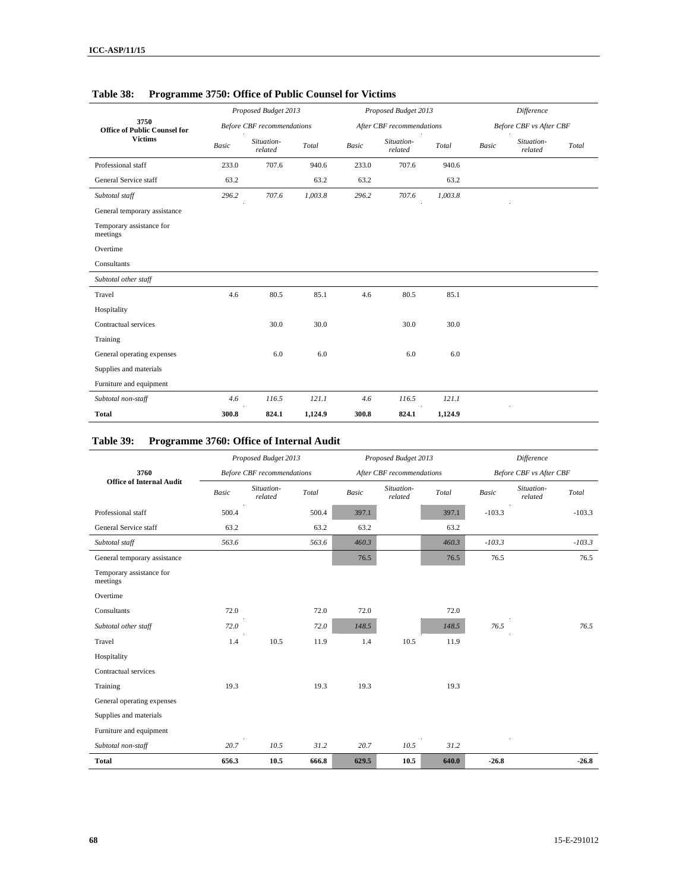|                                             |              | Proposed Budget 2013              |         |              | Proposed Budget 2013      |         | Difference   |                                |       |
|---------------------------------------------|--------------|-----------------------------------|---------|--------------|---------------------------|---------|--------------|--------------------------------|-------|
| 3750<br><b>Office of Public Counsel for</b> |              | <b>Before CBF</b> recommendations |         |              | After CBF recommendations |         |              | <b>Before CBF</b> vs After CBF |       |
| <b>Victims</b>                              | <b>Basic</b> | Situation-<br>related             | Total   | <b>Basic</b> | Situation-<br>related     | Total   | <b>Basic</b> | Situation-<br>related          | Total |
| Professional staff                          | 233.0        | 707.6                             | 940.6   | 233.0        | 707.6                     | 940.6   |              |                                |       |
| General Service staff                       | 63.2         |                                   | 63.2    | 63.2         |                           | 63.2    |              |                                |       |
| Subtotal staff                              | 296.2        | 707.6                             | 1,003.8 | 296.2        | 707.6                     | 1,003.8 |              |                                |       |
| General temporary assistance                |              |                                   |         |              |                           |         |              |                                |       |
| Temporary assistance for<br>meetings        |              |                                   |         |              |                           |         |              |                                |       |
| Overtime                                    |              |                                   |         |              |                           |         |              |                                |       |
| Consultants                                 |              |                                   |         |              |                           |         |              |                                |       |
| Subtotal other staff                        |              |                                   |         |              |                           |         |              |                                |       |
| Travel                                      | 4.6          | 80.5                              | 85.1    | 4.6          | 80.5                      | 85.1    |              |                                |       |
| Hospitality                                 |              |                                   |         |              |                           |         |              |                                |       |
| Contractual services                        |              | 30.0                              | 30.0    |              | 30.0                      | 30.0    |              |                                |       |
| Training                                    |              |                                   |         |              |                           |         |              |                                |       |
| General operating expenses                  |              | 6.0                               | 6.0     |              | 6.0                       | 6.0     |              |                                |       |
| Supplies and materials                      |              |                                   |         |              |                           |         |              |                                |       |
| Furniture and equipment                     |              |                                   |         |              |                           |         |              |                                |       |
| Subtotal non-staff                          | 4.6          | 116.5                             | 121.1   | 4.6          | 116.5                     | 121.1   |              |                                |       |
| <b>Total</b>                                | 300.8        | 824.1                             | 1,124.9 | 300.8        | 824.1                     | 1,124.9 |              |                                |       |

### **Table 38: Programme 3750: Office of Public Counsel for Victims**

### **Table 39: Programme 3760: Office of Internal Audit**

| 0                                       |              | Proposed Budget 2013              |       |              |                           |       | <b>Difference</b> |                         |          |
|-----------------------------------------|--------------|-----------------------------------|-------|--------------|---------------------------|-------|-------------------|-------------------------|----------|
|                                         |              |                                   |       |              | Proposed Budget 2013      |       |                   |                         |          |
| 3760<br><b>Office of Internal Audit</b> |              | <b>Before CBF</b> recommendations |       |              | After CBF recommendations |       |                   | Before CBF vs After CBF |          |
|                                         | <b>Basic</b> | Situation-<br>related             | Total | <b>Basic</b> | Situation-<br>related     | Total | <b>Basic</b>      | Situation-<br>related   | Total    |
| Professional staff                      | 500.4        |                                   | 500.4 | 397.1        |                           | 397.1 | $-103.3$          |                         | $-103.3$ |
| General Service staff                   | 63.2         |                                   | 63.2  | 63.2         |                           | 63.2  |                   |                         |          |
| Subtotal staff                          | 563.6        |                                   | 563.6 | 460.3        |                           | 460.3 | $-103.3$          |                         | $-103.3$ |
| General temporary assistance            |              |                                   |       | 76.5         |                           | 76.5  | 76.5              |                         | 76.5     |
| Temporary assistance for<br>meetings    |              |                                   |       |              |                           |       |                   |                         |          |
| Overtime                                |              |                                   |       |              |                           |       |                   |                         |          |
| Consultants                             | 72.0         |                                   | 72.0  | 72.0         |                           | 72.0  |                   |                         |          |
| Subtotal other staff                    | 72.0         |                                   | 72.0  | 148.5        |                           | 148.5 | 76.5              |                         | 76.5     |
| Travel                                  | 1.4          | 10.5                              | 11.9  | 1.4          | 10.5                      | 11.9  |                   |                         |          |
| Hospitality                             |              |                                   |       |              |                           |       |                   |                         |          |
| Contractual services                    |              |                                   |       |              |                           |       |                   |                         |          |
| Training                                | 19.3         |                                   | 19.3  | 19.3         |                           | 19.3  |                   |                         |          |
| General operating expenses              |              |                                   |       |              |                           |       |                   |                         |          |
| Supplies and materials                  |              |                                   |       |              |                           |       |                   |                         |          |
| Furniture and equipment                 |              |                                   |       |              |                           |       |                   |                         |          |
| Subtotal non-staff                      | 20.7         | 10.5                              | 31.2  | 20.7         | 10.5                      | 31.2  |                   |                         |          |
| <b>Total</b>                            | 656.3        | 10.5                              | 666.8 | 629.5        | 10.5                      | 640.0 | $-26.8$           |                         | $-26.8$  |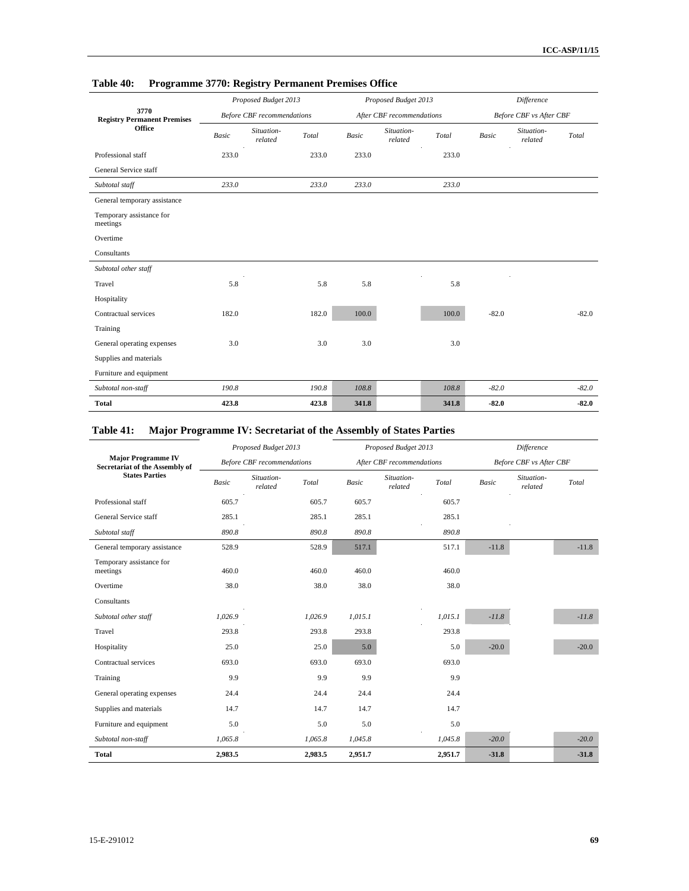|                                            | .            | .                                 |       |       |                           |       |              |                         |         |
|--------------------------------------------|--------------|-----------------------------------|-------|-------|---------------------------|-------|--------------|-------------------------|---------|
|                                            |              | Proposed Budget 2013              |       |       | Proposed Budget 2013      |       |              | Difference              |         |
| 3770<br><b>Registry Permanent Premises</b> |              | <b>Before CBF</b> recommendations |       |       | After CBF recommendations |       |              | Before CBF vs After CBF |         |
| <b>Office</b>                              | <b>Basic</b> | Situation-<br>related             | Total | Basic | Situation-<br>related     | Total | <b>Basic</b> | Situation-<br>related   | Total   |
| Professional staff                         | 233.0        |                                   | 233.0 | 233.0 |                           | 233.0 |              |                         |         |
| General Service staff                      |              |                                   |       |       |                           |       |              |                         |         |
| Subtotal staff                             | 233.0        |                                   | 233.0 | 233.0 |                           | 233.0 |              |                         |         |
| General temporary assistance               |              |                                   |       |       |                           |       |              |                         |         |
| Temporary assistance for<br>meetings       |              |                                   |       |       |                           |       |              |                         |         |
| Overtime                                   |              |                                   |       |       |                           |       |              |                         |         |
| Consultants                                |              |                                   |       |       |                           |       |              |                         |         |
| Subtotal other staff                       |              |                                   |       |       |                           |       |              |                         |         |
| Travel                                     | 5.8          |                                   | 5.8   | 5.8   |                           | 5.8   |              |                         |         |
| Hospitality                                |              |                                   |       |       |                           |       |              |                         |         |
| Contractual services                       | 182.0        |                                   | 182.0 | 100.0 |                           | 100.0 | $-82.0$      |                         | $-82.0$ |
| Training                                   |              |                                   |       |       |                           |       |              |                         |         |
| General operating expenses                 | 3.0          |                                   | 3.0   | 3.0   |                           | 3.0   |              |                         |         |
| Supplies and materials                     |              |                                   |       |       |                           |       |              |                         |         |
| Furniture and equipment                    |              |                                   |       |       |                           |       |              |                         |         |
| Subtotal non-staff                         | 190.8        |                                   | 190.8 | 108.8 |                           | 108.8 | $-82.0$      |                         | $-82.0$ |
| <b>Total</b>                               | 423.8        |                                   | 423.8 | 341.8 |                           | 341.8 | $-82.0$      |                         | $-82.0$ |

## **Table 40: Programme 3770: Registry Permanent Premises Office**

## **Table 41: Major Programme IV: Secretariat of the Assembly of States Parties**

|                                                             |              | Proposed Budget 2013              |         |              | Proposed Budget 2013      |         |              | <b>Difference</b>              |         |
|-------------------------------------------------------------|--------------|-----------------------------------|---------|--------------|---------------------------|---------|--------------|--------------------------------|---------|
| <b>Major Programme IV</b><br>Secretariat of the Assembly of |              | <b>Before CBF</b> recommendations |         |              | After CBF recommendations |         |              | <b>Before CBF</b> vs After CBF |         |
| <b>States Parties</b>                                       | <b>Basic</b> | Situation-<br>related             | Total   | <b>Basic</b> | Situation-<br>related     | Total   | <b>Basic</b> | Situation-<br>related          | Total   |
| Professional staff                                          | 605.7        |                                   | 605.7   | 605.7        |                           | 605.7   |              |                                |         |
| General Service staff                                       | 285.1        |                                   | 285.1   | 285.1        |                           | 285.1   |              |                                |         |
| Subtotal staff                                              | 890.8        |                                   | 890.8   | 890.8        |                           | 890.8   |              |                                |         |
| General temporary assistance                                | 528.9        |                                   | 528.9   | 517.1        |                           | 517.1   | $-11.8$      |                                | $-11.8$ |
| Temporary assistance for<br>meetings                        | 460.0        |                                   | 460.0   | 460.0        |                           | 460.0   |              |                                |         |
| Overtime                                                    | 38.0         |                                   | 38.0    | 38.0         |                           | 38.0    |              |                                |         |
| Consultants                                                 |              |                                   |         |              |                           |         |              |                                |         |
| Subtotal other staff                                        | 1,026.9      |                                   | 1,026.9 | 1,015.1      |                           | 1,015.1 | $-11.8$      |                                | $-11.8$ |
| Travel                                                      | 293.8        |                                   | 293.8   | 293.8        |                           | 293.8   |              |                                |         |
| Hospitality                                                 | 25.0         |                                   | 25.0    | 5.0          |                           | 5.0     | $-20.0$      |                                | $-20.0$ |
| Contractual services                                        | 693.0        |                                   | 693.0   | 693.0        |                           | 693.0   |              |                                |         |
| Training                                                    | 9.9          |                                   | 9.9     | 9.9          |                           | 9.9     |              |                                |         |
| General operating expenses                                  | 24.4         |                                   | 24.4    | 24.4         |                           | 24.4    |              |                                |         |
| Supplies and materials                                      | 14.7         |                                   | 14.7    | 14.7         |                           | 14.7    |              |                                |         |
| Furniture and equipment                                     | 5.0          |                                   | 5.0     | 5.0          |                           | 5.0     |              |                                |         |
| Subtotal non-staff                                          | 1,065.8      |                                   | 1,065.8 | 1,045.8      |                           | 1,045.8 | $-20.0$      |                                | $-20.0$ |
| <b>Total</b>                                                | 2,983.5      |                                   | 2,983.5 | 2,951.7      |                           | 2,951.7 | $-31.8$      |                                | $-31.8$ |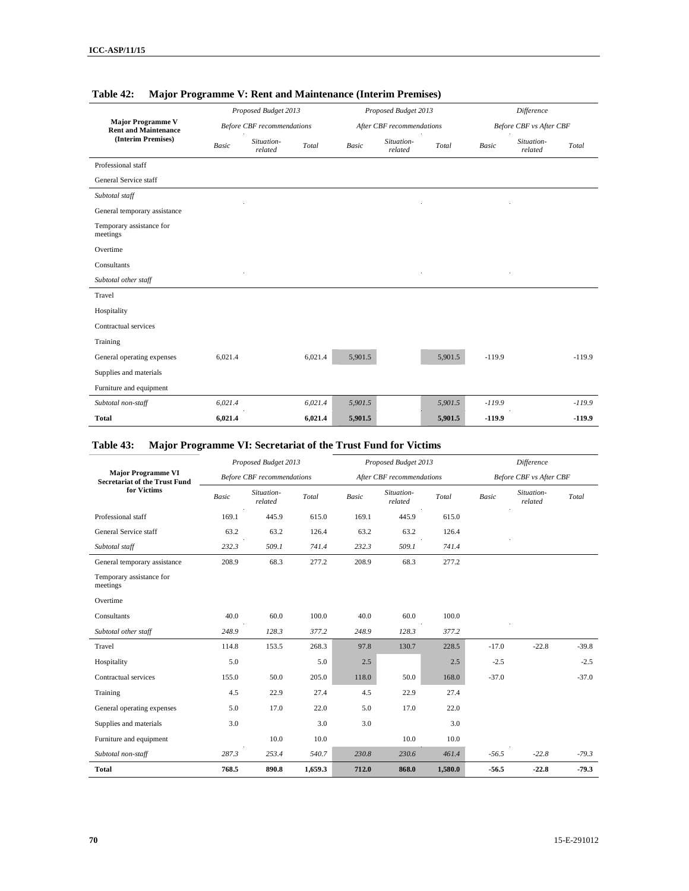|                                                         |              | Proposed Budget 2013              |         |              | Proposed Budget 2013      |         |              | Difference                     |          |
|---------------------------------------------------------|--------------|-----------------------------------|---------|--------------|---------------------------|---------|--------------|--------------------------------|----------|
| <b>Major Programme V</b><br><b>Rent and Maintenance</b> |              | <b>Before CBF</b> recommendations |         |              | After CBF recommendations |         |              | <b>Before CBF</b> vs After CBF |          |
| (Interim Premises)                                      | <b>Basic</b> | Situation-<br>related             | Total   | <b>Basic</b> | Situation-<br>related     | Total   | <b>Basic</b> | Situation-<br>related          | Total    |
| Professional staff                                      |              |                                   |         |              |                           |         |              |                                |          |
| General Service staff                                   |              |                                   |         |              |                           |         |              |                                |          |
| Subtotal staff                                          |              |                                   |         |              |                           |         |              |                                |          |
| General temporary assistance                            |              |                                   |         |              |                           |         |              |                                |          |
| Temporary assistance for<br>meetings                    |              |                                   |         |              |                           |         |              |                                |          |
| Overtime                                                |              |                                   |         |              |                           |         |              |                                |          |
| Consultants                                             |              |                                   |         |              |                           |         |              |                                |          |
| Subtotal other staff                                    |              |                                   |         |              |                           |         |              |                                |          |
| Travel                                                  |              |                                   |         |              |                           |         |              |                                |          |
| Hospitality                                             |              |                                   |         |              |                           |         |              |                                |          |
| Contractual services                                    |              |                                   |         |              |                           |         |              |                                |          |
| Training                                                |              |                                   |         |              |                           |         |              |                                |          |
| General operating expenses                              | 6.021.4      |                                   | 6,021.4 | 5,901.5      |                           | 5,901.5 | $-119.9$     |                                | $-119.9$ |
| Supplies and materials                                  |              |                                   |         |              |                           |         |              |                                |          |
| Furniture and equipment                                 |              |                                   |         |              |                           |         |              |                                |          |
| Subtotal non-staff                                      | 6,021.4      |                                   | 6,021.4 | 5,901.5      |                           | 5,901.5 | $-119.9$     |                                | $-119.9$ |
| <b>Total</b>                                            | 6,021.4      |                                   | 6,021.4 | 5,901.5      |                           | 5,901.5 | $-119.9$     |                                | $-119.9$ |

#### **Table 42: Major Programme V: Rent and Maintenance (Interim Premises)**

### **Table 43: Major Programme VI: Secretariat of the Trust Fund for Victims**

| <b>Major Programme VI</b><br><b>Secretariat of the Trust Fund</b><br>for Victims |              | Proposed Budget 2013              |         |       | Proposed Budget 2013      |         | Difference |                                |         |  |  |
|----------------------------------------------------------------------------------|--------------|-----------------------------------|---------|-------|---------------------------|---------|------------|--------------------------------|---------|--|--|
|                                                                                  |              | <b>Before CBF</b> recommendations |         |       | After CBF recommendations |         |            | <b>Before CBF</b> vs After CBF |         |  |  |
|                                                                                  | <b>Basic</b> | Situation-<br>related             | Total   | Basic | Situation-<br>related     | Total   | Basic      | Situation-<br>related          | Total   |  |  |
| Professional staff                                                               | 169.1        | 445.9                             | 615.0   | 169.1 | 445.9                     | 615.0   |            |                                |         |  |  |
| General Service staff                                                            | 63.2         | 63.2                              | 126.4   | 63.2  | 63.2                      | 126.4   |            |                                |         |  |  |
| Subtotal staff                                                                   | 232.3        | 509.1                             | 741.4   | 232.3 | 509.1                     | 741.4   |            |                                |         |  |  |
| General temporary assistance                                                     | 208.9        | 68.3                              | 277.2   | 208.9 | 68.3                      | 277.2   |            |                                |         |  |  |
| Temporary assistance for<br>meetings                                             |              |                                   |         |       |                           |         |            |                                |         |  |  |
| Overtime                                                                         |              |                                   |         |       |                           |         |            |                                |         |  |  |
| Consultants                                                                      | 40.0         | 60.0                              | 100.0   | 40.0  | 60.0                      | 100.0   |            |                                |         |  |  |
| Subtotal other staff                                                             | 248.9        | 128.3                             | 377.2   | 248.9 | 128.3                     | 377.2   |            |                                |         |  |  |
| Travel                                                                           | 114.8        | 153.5                             | 268.3   | 97.8  | 130.7                     | 228.5   | $-17.0$    | $-22.8$                        | $-39.8$ |  |  |
| Hospitality                                                                      | 5.0          |                                   | 5.0     | 2.5   |                           | 2.5     | $-2.5$     |                                | $-2.5$  |  |  |
| Contractual services                                                             | 155.0        | 50.0                              | 205.0   | 118.0 | 50.0                      | 168.0   | $-37.0$    |                                | $-37.0$ |  |  |
| Training                                                                         | 4.5          | 22.9                              | 27.4    | 4.5   | 22.9                      | 27.4    |            |                                |         |  |  |
| General operating expenses                                                       | 5.0          | 17.0                              | 22.0    | 5.0   | 17.0                      | 22.0    |            |                                |         |  |  |
| Supplies and materials                                                           | 3.0          |                                   | 3.0     | 3.0   |                           | 3.0     |            |                                |         |  |  |
| Furniture and equipment                                                          |              | 10.0                              | 10.0    |       | 10.0                      | 10.0    |            |                                |         |  |  |
| Subtotal non-staff                                                               | 287.3        | 253.4                             | 540.7   | 230.8 | 230.6                     | 461.4   | $-56.5$    | $-22.8$                        | $-79.3$ |  |  |
| <b>Total</b>                                                                     | 768.5        | 890.8                             | 1,659.3 | 712.0 | 868.0                     | 1,580.0 | $-56.5$    | $-22.8$                        | $-79.3$ |  |  |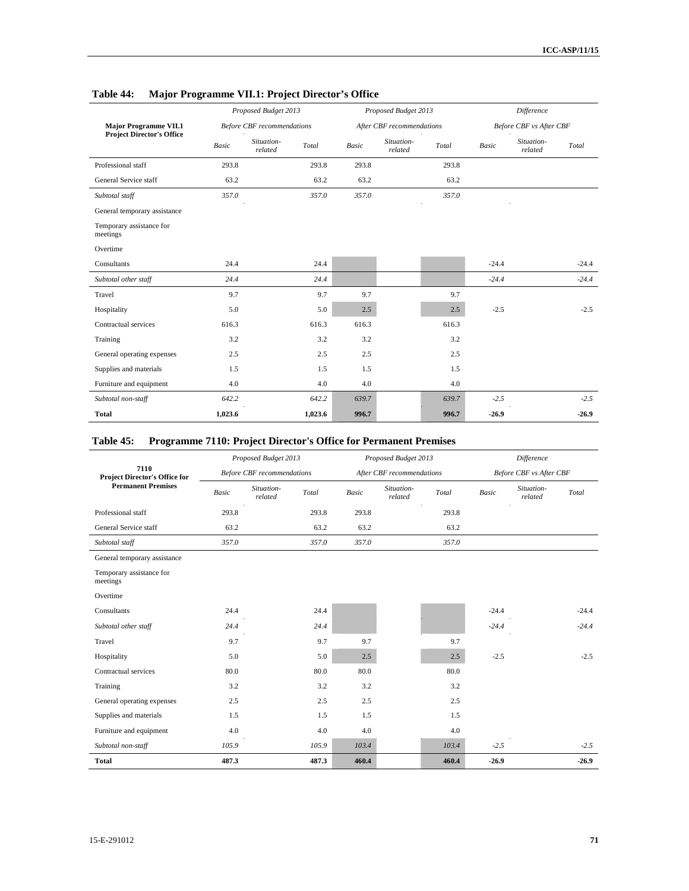|                                      |         | Proposed Budget 2013              |         |              | Proposed Budget 2013      | <b>Difference</b> |         |                         |         |  |
|--------------------------------------|---------|-----------------------------------|---------|--------------|---------------------------|-------------------|---------|-------------------------|---------|--|
| <b>Major Programme VII.1</b>         |         | <b>Before CBF</b> recommendations |         |              | After CBF recommendations |                   |         | Before CBF vs After CBF |         |  |
| <b>Project Director's Office</b>     | Basic   | Situation-<br>related             | Total   | <b>Basic</b> | Situation-<br>related     | Total             | Basic   | Situation-<br>related   | Total   |  |
| Professional staff                   | 293.8   |                                   | 293.8   | 293.8        |                           | 293.8             |         |                         |         |  |
| General Service staff                | 63.2    |                                   | 63.2    | 63.2         |                           | 63.2              |         |                         |         |  |
| Subtotal staff                       | 357.0   |                                   | 357.0   | 357.0        |                           | 357.0             |         |                         |         |  |
| General temporary assistance         |         |                                   |         |              |                           |                   |         |                         |         |  |
| Temporary assistance for<br>meetings |         |                                   |         |              |                           |                   |         |                         |         |  |
| Overtime                             |         |                                   |         |              |                           |                   |         |                         |         |  |
| Consultants                          | 24.4    |                                   | 24.4    |              |                           |                   | $-24.4$ |                         | $-24.4$ |  |
| Subtotal other staff                 | 24.4    |                                   | 24.4    |              |                           |                   | $-24.4$ |                         | $-24.4$ |  |
| Travel                               | 9.7     |                                   | 9.7     | 9.7          |                           | 9.7               |         |                         |         |  |
| Hospitality                          | 5.0     |                                   | 5.0     | 2.5          |                           | 2.5               | $-2.5$  |                         | $-2.5$  |  |
| Contractual services                 | 616.3   |                                   | 616.3   | 616.3        |                           | 616.3             |         |                         |         |  |
| Training                             | 3.2     |                                   | 3.2     | 3.2          |                           | 3.2               |         |                         |         |  |
| General operating expenses           | 2.5     |                                   | 2.5     | 2.5          |                           | 2.5               |         |                         |         |  |
| Supplies and materials               | 1.5     |                                   | 1.5     | 1.5          |                           | 1.5               |         |                         |         |  |
| Furniture and equipment              | 4.0     |                                   | 4.0     | 4.0          |                           | 4.0               |         |                         |         |  |
| Subtotal non-staff                   | 642.2   |                                   | 642.2   | 639.7        |                           | 639.7             | $-2.5$  |                         | $-2.5$  |  |
| <b>Total</b>                         | 1,023.6 |                                   | 1,023.6 | 996.7        |                           | 996.7             | $-26.9$ |                         | $-26.9$ |  |

## **Table 44: Major Programme VII.1: Project Director's Office**

### **Table 45: Programme 7110: Project Director's Office for Permanent Premises**

|                                                                           |       | Proposed Budget 2013              |       |       | Proposed Budget 2013      | Difference |              |                                |         |  |
|---------------------------------------------------------------------------|-------|-----------------------------------|-------|-------|---------------------------|------------|--------------|--------------------------------|---------|--|
| 7110<br><b>Project Director's Office for</b><br><b>Permanent Premises</b> |       | <b>Before CBF</b> recommendations |       |       | After CBF recommendations |            |              | <b>Before CBF</b> vs After CBF |         |  |
|                                                                           | Basic | Situation-<br>related             | Total | Basic | Situation-<br>related     | Total      | <b>Basic</b> | Situation-<br>related          | Total   |  |
| Professional staff                                                        | 293.8 |                                   | 293.8 | 293.8 |                           | 293.8      |              |                                |         |  |
| General Service staff                                                     | 63.2  |                                   | 63.2  | 63.2  |                           | 63.2       |              |                                |         |  |
| Subtotal staff                                                            | 357.0 |                                   | 357.0 | 357.0 |                           | 357.0      |              |                                |         |  |
| General temporary assistance                                              |       |                                   |       |       |                           |            |              |                                |         |  |
| Temporary assistance for<br>meetings                                      |       |                                   |       |       |                           |            |              |                                |         |  |
| Overtime                                                                  |       |                                   |       |       |                           |            |              |                                |         |  |
| Consultants                                                               | 24.4  |                                   | 24.4  |       |                           |            | $-24.4$      |                                | $-24.4$ |  |
| Subtotal other staff                                                      | 24.4  |                                   | 24.4  |       |                           |            | $-24.4$      |                                | $-24.4$ |  |
| Travel                                                                    | 9.7   |                                   | 9.7   | 9.7   |                           | 9.7        |              |                                |         |  |
| Hospitality                                                               | 5.0   |                                   | 5.0   | 2.5   |                           | 2.5        | $-2.5$       |                                | $-2.5$  |  |
| Contractual services                                                      | 80.0  |                                   | 80.0  | 80.0  |                           | 80.0       |              |                                |         |  |
| Training                                                                  | 3.2   |                                   | 3.2   | 3.2   |                           | 3.2        |              |                                |         |  |
| General operating expenses                                                | 2.5   |                                   | 2.5   | 2.5   |                           | 2.5        |              |                                |         |  |
| Supplies and materials                                                    | 1.5   |                                   | 1.5   | 1.5   |                           | 1.5        |              |                                |         |  |
| Furniture and equipment                                                   | 4.0   |                                   | 4.0   | 4.0   |                           | 4.0        |              |                                |         |  |
| Subtotal non-staff                                                        | 105.9 |                                   | 105.9 | 103.4 |                           | 103.4      | $-2.5$       |                                | $-2.5$  |  |
| <b>Total</b>                                                              | 487.3 |                                   | 487.3 | 460.4 |                           | 460.4      | $-26.9$      |                                | $-26.9$ |  |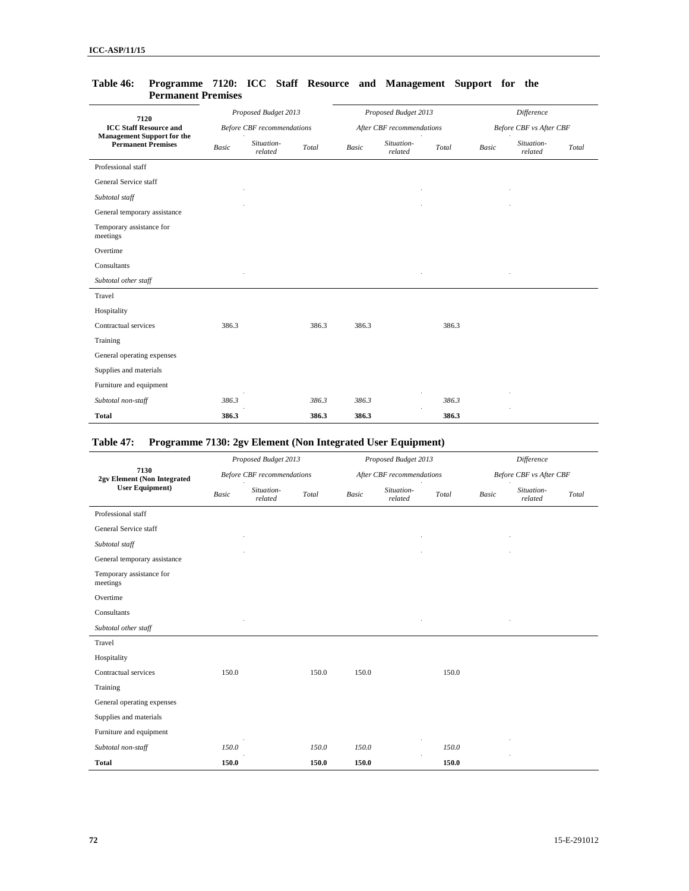| 7120                                                           |              | Proposed Budget 2013              |       |              | Proposed Budget 2013      |       | Difference   |                                |       |  |  |
|----------------------------------------------------------------|--------------|-----------------------------------|-------|--------------|---------------------------|-------|--------------|--------------------------------|-------|--|--|
| <b>ICC Staff Resource and</b>                                  |              | <b>Before CBF</b> recommendations |       |              | After CBF recommendations |       |              | <b>Before CBF</b> vs After CBF |       |  |  |
| <b>Management Support for the</b><br><b>Permanent Premises</b> | <b>Basic</b> | Situation-<br>related             | Total | <b>Basic</b> | Situation-<br>related     | Total | <b>Basic</b> | Situation-<br>related          | Total |  |  |
| Professional staff                                             |              |                                   |       |              |                           |       |              |                                |       |  |  |
| General Service staff                                          |              |                                   |       |              |                           |       |              |                                |       |  |  |
| Subtotal staff                                                 |              |                                   |       |              |                           |       |              |                                |       |  |  |
| General temporary assistance                                   |              |                                   |       |              |                           |       |              |                                |       |  |  |
| Temporary assistance for<br>meetings                           |              |                                   |       |              |                           |       |              |                                |       |  |  |
| Overtime                                                       |              |                                   |       |              |                           |       |              |                                |       |  |  |
| Consultants                                                    |              |                                   |       |              |                           |       |              |                                |       |  |  |
| Subtotal other staff                                           |              |                                   |       |              |                           |       |              |                                |       |  |  |
| Travel                                                         |              |                                   |       |              |                           |       |              |                                |       |  |  |
| Hospitality                                                    |              |                                   |       |              |                           |       |              |                                |       |  |  |
| Contractual services                                           | 386.3        |                                   | 386.3 | 386.3        |                           | 386.3 |              |                                |       |  |  |
| Training                                                       |              |                                   |       |              |                           |       |              |                                |       |  |  |
| General operating expenses                                     |              |                                   |       |              |                           |       |              |                                |       |  |  |
| Supplies and materials                                         |              |                                   |       |              |                           |       |              |                                |       |  |  |
| Furniture and equipment                                        |              |                                   |       |              |                           |       |              |                                |       |  |  |
| Subtotal non-staff                                             | 386.3        |                                   | 386.3 | 386.3        |                           | 386.3 |              |                                |       |  |  |
| <b>Total</b>                                                   | 386.3        |                                   | 386.3 | 386.3        |                           | 386.3 |              |                                |       |  |  |

#### **Table 46: Programme 7120: ICC Staff Resource and Management Support for the Permanent Premises**

## **Table 47: Programme 7130: 2gv Element (Non Integrated User Equipment)**

|                                                               |       | Proposed Budget 2013              |       |              | Difference<br>Proposed Budget 2013 |       |                         |                       |       |  |
|---------------------------------------------------------------|-------|-----------------------------------|-------|--------------|------------------------------------|-------|-------------------------|-----------------------|-------|--|
| 7130<br>2gv Element (Non Integrated<br><b>User Equipment)</b> |       | <b>Before CBF</b> recommendations |       |              | After CBF recommendations          |       | Before CBF vs After CBF |                       |       |  |
|                                                               | Basic | Situation-<br>related             | Total | <b>Basic</b> | Situation-<br>related              | Total | Basic                   | Situation-<br>related | Total |  |
| Professional staff                                            |       |                                   |       |              |                                    |       |                         |                       |       |  |
| General Service staff                                         |       |                                   |       |              |                                    |       |                         |                       |       |  |
| Subtotal staff                                                |       |                                   |       |              |                                    |       |                         |                       |       |  |
| General temporary assistance                                  |       |                                   |       |              |                                    |       |                         |                       |       |  |
| Temporary assistance for<br>meetings                          |       |                                   |       |              |                                    |       |                         |                       |       |  |
| Overtime                                                      |       |                                   |       |              |                                    |       |                         |                       |       |  |
| Consultants                                                   |       |                                   |       |              |                                    |       |                         |                       |       |  |
| Subtotal other staff                                          |       |                                   |       |              |                                    |       |                         |                       |       |  |
| Travel                                                        |       |                                   |       |              |                                    |       |                         |                       |       |  |
| Hospitality                                                   |       |                                   |       |              |                                    |       |                         |                       |       |  |
| Contractual services                                          | 150.0 |                                   | 150.0 | 150.0        |                                    | 150.0 |                         |                       |       |  |
| Training                                                      |       |                                   |       |              |                                    |       |                         |                       |       |  |
| General operating expenses                                    |       |                                   |       |              |                                    |       |                         |                       |       |  |
| Supplies and materials                                        |       |                                   |       |              |                                    |       |                         |                       |       |  |
| Furniture and equipment                                       |       |                                   |       |              |                                    |       |                         |                       |       |  |
| Subtotal non-staff                                            | 150.0 |                                   | 150.0 | 150.0        |                                    | 150.0 |                         |                       |       |  |
| <b>Total</b>                                                  | 150.0 |                                   | 150.0 | 150.0        |                                    | 150.0 |                         |                       |       |  |